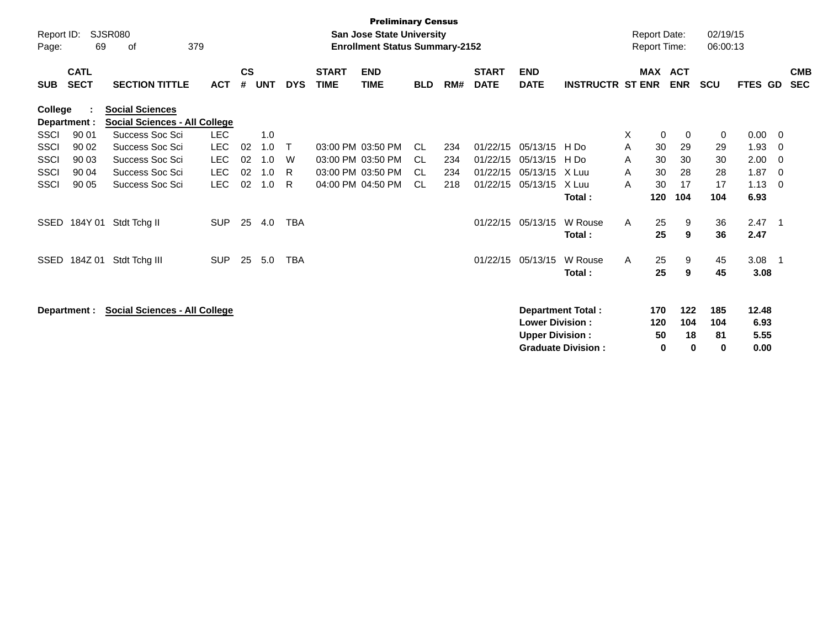| Report ID:<br>Page: | 69                         | <b>SJSR080</b><br>οf                                           | 379        |                    |            |              |                             | <b>Preliminary Census</b><br><b>San Jose State University</b><br><b>Enrollment Status Summary-2152</b> |            |     |                             |                                                  |                                                       |   | <b>Report Date:</b><br><b>Report Time:</b> |                              | 02/19/15<br>06:00:13  |                               |                          |                          |
|---------------------|----------------------------|----------------------------------------------------------------|------------|--------------------|------------|--------------|-----------------------------|--------------------------------------------------------------------------------------------------------|------------|-----|-----------------------------|--------------------------------------------------|-------------------------------------------------------|---|--------------------------------------------|------------------------------|-----------------------|-------------------------------|--------------------------|--------------------------|
| <b>SUB</b>          | <b>CATL</b><br><b>SECT</b> | <b>SECTION TITTLE</b>                                          | <b>ACT</b> | $\mathsf{cs}$<br># | <b>UNT</b> | <b>DYS</b>   | <b>START</b><br><b>TIME</b> | <b>END</b><br><b>TIME</b>                                                                              | <b>BLD</b> | RM# | <b>START</b><br><b>DATE</b> | <b>END</b><br><b>DATE</b>                        | <b>INSTRUCTR ST ENR</b>                               |   | <b>MAX ACT</b>                             | <b>ENR</b>                   | <b>SCU</b>            | FTES GD                       |                          | <b>CMB</b><br><b>SEC</b> |
| <b>College</b>      | Department :               | <b>Social Sciences</b><br><b>Social Sciences - All College</b> |            |                    |            |              |                             |                                                                                                        |            |     |                             |                                                  |                                                       |   |                                            |                              |                       |                               |                          |                          |
| <b>SSCI</b>         | 90 01                      | Success Soc Sci                                                | <b>LEC</b> |                    | 1.0        |              |                             |                                                                                                        |            |     |                             |                                                  |                                                       | Χ | 0                                          | 0                            | 0                     | 0.00                          | $\overline{\mathbf{0}}$  |                          |
| SSCI                | 90 02                      | Success Soc Sci                                                | <b>LEC</b> | 02                 | 1.0        | $\mathsf{T}$ |                             | 03:00 PM 03:50 PM                                                                                      | CL.        | 234 | 01/22/15                    | 05/13/15 H Do                                    |                                                       | A | 30                                         | 29                           | 29                    | 1.93                          | - 0                      |                          |
| SSCI                | 90 03                      | Success Soc Sci                                                | <b>LEC</b> | 02                 | 1.0        | W            |                             | 03:00 PM 03:50 PM                                                                                      | CL.        | 234 | 01/22/15                    | 05/13/15                                         | H Do                                                  | A | 30                                         | 30                           | 30                    | 2.00                          | - 0                      |                          |
| <b>SSCI</b>         | 90 04                      | Success Soc Sci                                                | <b>LEC</b> | 02                 | 1.0        | R            |                             | 03:00 PM 03:50 PM                                                                                      | CL.        | 234 | 01/22/15                    | 05/13/15                                         | X Luu                                                 | A | 30                                         | 28                           | 28                    | 1.87                          | - 0                      |                          |
| SSCI                | 90 05                      | Success Soc Sci                                                | <b>LEC</b> | 02                 | 1.0        | R            |                             | 04:00 PM 04:50 PM                                                                                      | CL.        | 218 | 01/22/15                    | 05/13/15                                         | X Luu<br>Total:                                       | A | 30<br>120                                  | 17<br>104                    | 17<br>104             | 1.13<br>6.93                  | - 0                      |                          |
| SSED                | 184Y 01                    | Stdt Tchg II                                                   | <b>SUP</b> | 25                 | 4.0        | <b>TBA</b>   |                             |                                                                                                        |            |     | 01/22/15                    | 05/13/15                                         | W Rouse<br>Total:                                     | Α | 25<br>25                                   | 9<br>9                       | 36<br>36              | 2.47<br>2.47                  | $\overline{\phantom{1}}$ |                          |
| <b>SSED</b>         | 184Z 01                    | Stdt Tchg III                                                  | <b>SUP</b> | 25                 | 5.0        | <b>TBA</b>   |                             |                                                                                                        |            |     | 01/22/15                    | 05/13/15                                         | W Rouse<br>Total:                                     | A | 25<br>25                                   | 9<br>9                       | 45<br>45              | 3.08<br>3.08                  | $\overline{\phantom{1}}$ |                          |
|                     | Department :               | <b>Social Sciences - All College</b>                           |            |                    |            |              |                             |                                                                                                        |            |     |                             | <b>Lower Division:</b><br><b>Upper Division:</b> | <b>Department Total:</b><br><b>Graduate Division:</b> |   | 170<br>120<br>50<br>0                      | 122<br>104<br>18<br>$\bf{0}$ | 185<br>104<br>81<br>0 | 12.48<br>6.93<br>5.55<br>0.00 |                          |                          |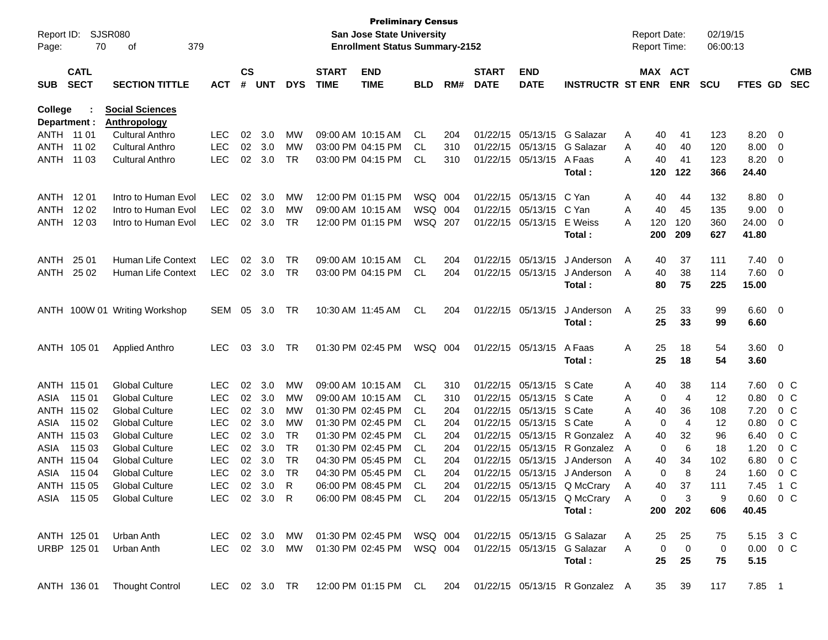| Report ID:<br>Page:        | 70                         | SJSR080<br>379<br>οf                   |              |                    |            |            |                             | <b>Preliminary Census</b><br><b>San Jose State University</b><br><b>Enrollment Status Summary-2152</b> |            |     |                             |                           |                                                                       |   | <b>Report Date:</b><br><b>Report Time:</b> |                         | 02/19/15<br>06:00:13 |                |                         |                          |
|----------------------------|----------------------------|----------------------------------------|--------------|--------------------|------------|------------|-----------------------------|--------------------------------------------------------------------------------------------------------|------------|-----|-----------------------------|---------------------------|-----------------------------------------------------------------------|---|--------------------------------------------|-------------------------|----------------------|----------------|-------------------------|--------------------------|
| <b>SUB</b>                 | <b>CATL</b><br><b>SECT</b> | <b>SECTION TITTLE</b>                  | <b>ACT</b>   | $\mathsf{cs}$<br># | <b>UNT</b> | <b>DYS</b> | <b>START</b><br><b>TIME</b> | <b>END</b><br><b>TIME</b>                                                                              | <b>BLD</b> | RM# | <b>START</b><br><b>DATE</b> | <b>END</b><br><b>DATE</b> | <b>INSTRUCTR ST ENR</b>                                               |   | MAX ACT                                    | <b>ENR</b>              | <b>SCU</b>           | FTES GD        |                         | <b>CMB</b><br><b>SEC</b> |
| <b>College</b>             |                            | <b>Social Sciences</b><br>Anthropology |              |                    |            |            |                             |                                                                                                        |            |     |                             |                           |                                                                       |   |                                            |                         |                      |                |                         |                          |
| Department :<br>ANTH 11 01 |                            | <b>Cultural Anthro</b>                 | <b>LEC</b>   | 02                 | 3.0        | MW         |                             | 09:00 AM 10:15 AM                                                                                      | CL         | 204 | 01/22/15                    | 05/13/15                  | G Salazar                                                             | Α | 40                                         | 41                      | 123                  | 8.20           | - 0                     |                          |
| <b>ANTH</b>                | 11 02                      | <b>Cultural Anthro</b>                 | <b>LEC</b>   | 02                 | 3.0        | MW         |                             | 03:00 PM 04:15 PM                                                                                      | CL         | 310 | 01/22/15                    | 05/13/15                  | G Salazar                                                             | A | 40                                         | 40                      | 120                  | 8.00           | $\overline{0}$          |                          |
| ANTH                       | 11 03                      | <b>Cultural Anthro</b>                 | <b>LEC</b>   | 02                 | 3.0        | <b>TR</b>  |                             | 03:00 PM 04:15 PM                                                                                      | CL         | 310 | 01/22/15                    | 05/13/15                  | A Faas                                                                | Α | 40                                         | 41                      | 123                  | 8.20           | $\overline{\mathbf{0}}$ |                          |
|                            |                            |                                        |              |                    |            |            |                             |                                                                                                        |            |     |                             |                           | Total:                                                                |   | 120                                        | 122                     | 366                  | 24.40          |                         |                          |
| <b>ANTH</b>                | 12 01                      | Intro to Human Evol                    | <b>LEC</b>   | 02                 | 3.0        | МW         |                             | 12:00 PM 01:15 PM                                                                                      | WSQ        | 004 | 01/22/15                    | 05/13/15                  | C Yan                                                                 | A | 40                                         | 44                      | 132                  | 8.80           | - 0                     |                          |
| ANTH                       | 12 02                      | Intro to Human Evol                    | <b>LEC</b>   | 02                 | 3.0        | MW         |                             | 09:00 AM 10:15 AM                                                                                      | WSQ 004    |     | 01/22/15                    | 05/13/15                  | C Yan                                                                 | A | 40                                         | 45                      | 135                  | 9.00           | $\overline{0}$          |                          |
| ANTH                       | 12 03                      | Intro to Human Evol                    | <b>LEC</b>   | 02                 | 3.0        | <b>TR</b>  |                             | 12:00 PM 01:15 PM                                                                                      | WSQ        | 207 | 01/22/15                    | 05/13/15                  | E Weiss                                                               | A | 120                                        | 120                     | 360                  | 24.00          | $\overline{0}$          |                          |
|                            |                            |                                        |              |                    |            |            |                             |                                                                                                        |            |     |                             |                           | Total:                                                                |   | 200                                        | 209                     | 627                  | 41.80          |                         |                          |
| <b>ANTH</b>                | 25 01                      | Human Life Context                     | <b>LEC</b>   | 02                 | 3.0        | <b>TR</b>  |                             | 09:00 AM 10:15 AM                                                                                      | CL         | 204 | 01/22/15                    | 05/13/15                  | J Anderson                                                            | A | 40                                         | 37                      | 111                  | 7.40           | - 0                     |                          |
| ANTH                       | 25 02                      | Human Life Context                     | <b>LEC</b>   |                    | 02 3.0     | <b>TR</b>  |                             | 03:00 PM 04:15 PM                                                                                      | CL         | 204 |                             | 01/22/15 05/13/15         | J Anderson                                                            | A | 40                                         | 38                      | 114                  | 7.60           | $\overline{\mathbf{0}}$ |                          |
|                            |                            |                                        |              |                    |            |            |                             |                                                                                                        |            |     |                             |                           | Total:                                                                |   | 80                                         | 75                      | 225                  | 15.00          |                         |                          |
|                            |                            | ANTH 100W 01 Writing Workshop          | SEM          | 05                 | 3.0        | TR         |                             | 10:30 AM 11:45 AM                                                                                      | CL         | 204 |                             | 01/22/15 05/13/15         | J Anderson                                                            | A | 25                                         | 33                      | 99                   | $6.60 \quad 0$ |                         |                          |
|                            |                            |                                        |              |                    |            |            |                             |                                                                                                        |            |     |                             |                           | Total:                                                                |   | 25                                         | 33                      | 99                   | 6.60           |                         |                          |
|                            | ANTH 105 01                | <b>Applied Anthro</b>                  | <b>LEC</b>   | 03                 | 3.0        | <b>TR</b>  |                             | 01:30 PM 02:45 PM                                                                                      | WSQ 004    |     |                             | 01/22/15 05/13/15         | A Faas                                                                | A | 25                                         | 18                      | 54                   | $3.60 \ 0$     |                         |                          |
|                            |                            |                                        |              |                    |            |            |                             |                                                                                                        |            |     |                             |                           | Total:                                                                |   | 25                                         | 18                      | 54                   | 3.60           |                         |                          |
|                            | ANTH 115 01                | <b>Global Culture</b>                  | <b>LEC</b>   | 02                 | 3.0        | MW         |                             | 09:00 AM 10:15 AM                                                                                      | CL         | 310 | 01/22/15                    | 05/13/15                  | S Cate                                                                | A | 40                                         | 38                      | 114                  | 7.60           |                         | $0\,C$                   |
| ASIA                       | 115 01                     | <b>Global Culture</b>                  | <b>LEC</b>   | 02                 | 3.0        | МW         |                             | 09:00 AM 10:15 AM                                                                                      | CL.        | 310 | 01/22/15                    | 05/13/15                  | S Cate                                                                | A | 0                                          | 4                       | 12                   | 0.80           |                         | $0\,C$                   |
|                            | ANTH 115 02                | <b>Global Culture</b>                  | <b>LEC</b>   | 02                 | 3.0        | МW         |                             | 01:30 PM 02:45 PM                                                                                      | CL.        | 204 | 01/22/15                    | 05/13/15                  | S Cate                                                                | A | 40                                         | 36                      | 108                  | 7.20           |                         | $0\,C$                   |
| ASIA                       | 115 02                     | <b>Global Culture</b>                  | <b>LEC</b>   | 02                 | 3.0        | <b>MW</b>  |                             | 01:30 PM 02:45 PM                                                                                      | CL         | 204 | 01/22/15                    | 05/13/15                  | S Cate                                                                | A | 0                                          | 4                       | 12                   | 0.80           |                         | $0\,C$                   |
| ANTH                       | 115 03                     | <b>Global Culture</b>                  | <b>LEC</b>   | 02                 | 3.0        | <b>TR</b>  |                             | 01:30 PM 02:45 PM                                                                                      | CL         | 204 | 01/22/15                    | 05/13/15                  | R Gonzalez                                                            | A | 40                                         | 32                      | 96                   | 6.40           |                         | 0 <sup>C</sup>           |
| ASIA                       | 115 03                     | <b>Global Culture</b>                  | <b>LEC</b>   | 02                 | 3.0        | <b>TR</b>  |                             | 01:30 PM 02:45 PM                                                                                      | CL         | 204 | 01/22/15                    | 05/13/15                  | R Gonzalez                                                            | A | 0                                          | 6                       | 18                   | 1.20           |                         | $0\,C$                   |
| ANTH                       | 115 04                     | <b>Global Culture</b>                  | <b>LEC</b>   | 02                 | 3.0        | <b>TR</b>  |                             | 04:30 PM 05:45 PM                                                                                      | CL         | 204 | 01/22/15                    | 05/13/15                  | J Anderson                                                            | A | 40                                         | 34                      | 102                  | 6.80           |                         | $0\,C$                   |
| ASIA                       | 115 04                     | <b>Global Culture</b>                  | <b>LEC</b>   | 02                 | 3.0        | <b>TR</b>  |                             | 04:30 PM 05:45 PM                                                                                      | <b>CL</b>  | 204 | 01/22/15                    | 05/13/15                  | J Anderson                                                            | A | 0                                          | 8                       | 24                   | 1.60           |                         | 0 <sup>C</sup>           |
|                            | ANTH 115 05                | <b>Global Culture</b>                  | LEC 02 3.0 R |                    |            |            |                             |                                                                                                        |            |     |                             |                           | 06:00 PM 08:45 PM CL 204 01/22/15 05/13/15 Q McCrary                  | A | 40                                         | 37                      | 111                  | 7.45 1 C       |                         |                          |
|                            |                            | ASIA 115 05 Global Culture             | LEC 02 3.0 R |                    |            |            |                             |                                                                                                        |            |     |                             |                           | 06:00 PM 08:45 PM CL 204 01/22/15 05/13/15 Q McCrary A                |   | $\mathbf{0}$                               | $\overline{\mathbf{3}}$ | 9                    | $0.60 \t 0 C$  |                         |                          |
|                            |                            |                                        |              |                    |            |            |                             |                                                                                                        |            |     |                             |                           | Total:                                                                |   |                                            | 200 202                 | 606                  | 40.45          |                         |                          |
|                            | ANTH 125 01                | Urban Anth                             |              |                    |            |            |                             | LEC 02 3.0 MW 01:30 PM 02:45 PM WSQ 004                                                                |            |     |                             |                           | 01/22/15 05/13/15 G Salazar                                           | A | 25                                         | 25                      | 75                   | 5.15 3 C       |                         |                          |
|                            | URBP 125 01                | Urban Anth                             |              |                    |            |            |                             | LEC 02 3.0 MW 01:30 PM 02:45 PM WSQ 004                                                                |            |     |                             |                           | 01/22/15 05/13/15 G Salazar                                           | A | $\overline{0}$                             | $\overline{\mathbf{0}}$ | $\mathbf 0$          | $0.00 \t 0 C$  |                         |                          |
|                            |                            |                                        |              |                    |            |            |                             |                                                                                                        |            |     |                             |                           | Total:                                                                |   | 25                                         | 25                      | 75                   | 5.15           |                         |                          |
|                            |                            | ANTH 136 01 Thought Control            |              |                    |            |            |                             |                                                                                                        |            |     |                             |                           | LEC 02 3.0 TR 12:00 PM 01:15 PM CL 204 01/22/15 05/13/15 R Gonzalez A |   |                                            | 35 39                   | 117                  | 7.85 1         |                         |                          |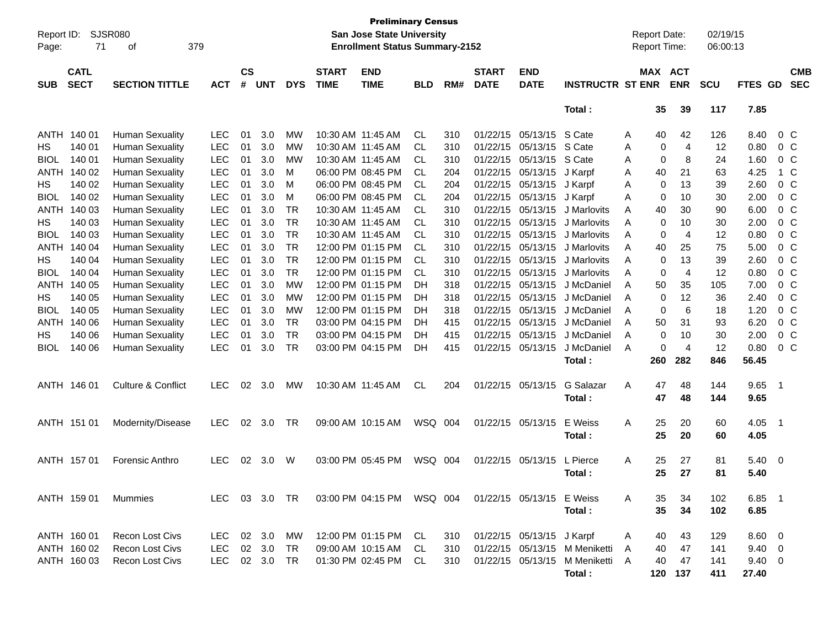| Report ID:<br>Page: | SJSR080<br>71                                                     | 379<br>οf                     |            |    |            |            |                             | <b>Preliminary Census</b><br><b>San Jose State University</b><br><b>Enrollment Status Summary-2152</b> |            |     |                             |                           |                                 |   | <b>Report Date:</b><br>Report Time: |                | 02/19/15<br>06:00:13 |                |                            |                          |
|---------------------|-------------------------------------------------------------------|-------------------------------|------------|----|------------|------------|-----------------------------|--------------------------------------------------------------------------------------------------------|------------|-----|-----------------------------|---------------------------|---------------------------------|---|-------------------------------------|----------------|----------------------|----------------|----------------------------|--------------------------|
| <b>SUB</b>          | <b>CATL</b><br><b>SECT</b><br><b>SECTION TITTLE</b><br><b>ACT</b> |                               |            |    | <b>UNT</b> | <b>DYS</b> | <b>START</b><br><b>TIME</b> | <b>END</b><br><b>TIME</b>                                                                              | <b>BLD</b> | RM# | <b>START</b><br><b>DATE</b> | <b>END</b><br><b>DATE</b> | <b>INSTRUCTR ST ENR</b>         |   | MAX ACT                             | <b>ENR</b>     | SCU                  | FTES GD        |                            | <b>CMB</b><br><b>SEC</b> |
|                     |                                                                   |                               |            |    |            |            |                             |                                                                                                        |            |     |                             |                           | Total:                          |   | 35                                  | 39             | 117                  | 7.85           |                            |                          |
|                     | ANTH 140 01                                                       | <b>Human Sexuality</b>        | <b>LEC</b> | 01 | 3.0        | <b>MW</b>  |                             | 10:30 AM 11:45 AM                                                                                      | <b>CL</b>  | 310 | 01/22/15                    | 05/13/15                  | S Cate                          | A | 40                                  | 42             | 126                  | 8.40           | $0\,C$                     |                          |
| HS.                 | 140 01                                                            | <b>Human Sexuality</b>        | <b>LEC</b> | 01 | 3.0        | МW         |                             | 10:30 AM 11:45 AM                                                                                      | <b>CL</b>  | 310 | 01/22/15                    | 05/13/15                  | S Cate                          | Α | 0                                   | $\overline{4}$ | 12                   | 0.80           | 0 <sup>C</sup>             |                          |
| <b>BIOL</b>         | 140 01                                                            | <b>Human Sexuality</b>        | <b>LEC</b> | 01 | 3.0        | <b>MW</b>  | 10:30 AM 11:45 AM           |                                                                                                        | <b>CL</b>  | 310 | 01/22/15                    | 05/13/15                  | S Cate                          | Α | 0                                   | 8              | 24                   | 1.60           | 0 <sup>C</sup>             |                          |
|                     | ANTH 140 02                                                       | <b>Human Sexuality</b>        | <b>LEC</b> | 01 | 3.0        | м          |                             | 06:00 PM 08:45 PM                                                                                      | <b>CL</b>  | 204 | 01/22/15                    | 05/13/15                  | J Karpf                         | A | 40                                  | 21             | 63                   | 4.25           | 1 C                        |                          |
| HS.                 | 140 02                                                            | <b>Human Sexuality</b>        | <b>LEC</b> | 01 | 3.0        | M          |                             | 06:00 PM 08:45 PM                                                                                      | <b>CL</b>  | 204 | 01/22/15                    | 05/13/15                  | J Karpf                         | Α | 0                                   | 13             | 39                   | 2.60           | $0\,C$                     |                          |
| <b>BIOL</b>         | 140 02                                                            | <b>Human Sexuality</b>        | <b>LEC</b> | 01 | 3.0        | M          |                             | 06:00 PM 08:45 PM                                                                                      | <b>CL</b>  | 204 | 01/22/15                    | 05/13/15                  | J Karpf                         | Α | 0                                   | 10             | 30                   | 2.00           | $0\,C$                     |                          |
|                     | ANTH 140 03                                                       | <b>Human Sexuality</b>        | <b>LEC</b> | 01 | 3.0        | <b>TR</b>  | 10:30 AM 11:45 AM           |                                                                                                        | <b>CL</b>  | 310 | 01/22/15                    | 05/13/15                  | J Marlovits                     | Α | 40                                  | 30             | 90                   | 6.00           | $0\,C$                     |                          |
| HS.                 | 140 03                                                            | <b>Human Sexuality</b>        | <b>LEC</b> | 01 | 3.0        | <b>TR</b>  | 10:30 AM 11:45 AM           |                                                                                                        | <b>CL</b>  | 310 | 01/22/15                    | 05/13/15                  | J Marlovits                     | Α | 0                                   | 10             | 30                   | 2.00           | $0\,C$                     |                          |
| <b>BIOL</b>         | 140 03                                                            | <b>Human Sexuality</b>        | <b>LEC</b> | 01 | 3.0        | <b>TR</b>  | 10:30 AM 11:45 AM           |                                                                                                        | <b>CL</b>  | 310 | 01/22/15                    | 05/13/15                  | J Marlovits                     | A | 0                                   | $\overline{4}$ | 12                   | 0.80           | $0\,C$                     |                          |
|                     | ANTH 140 04                                                       | <b>Human Sexuality</b>        | <b>LEC</b> | 01 | 3.0        | <b>TR</b>  |                             | 12:00 PM 01:15 PM                                                                                      | <b>CL</b>  | 310 | 01/22/15                    | 05/13/15                  | J Marlovits                     | A | 40                                  | 25             | 75                   | 5.00           | $0\,C$                     |                          |
| HS.                 | 140 04                                                            | <b>Human Sexuality</b>        | <b>LEC</b> | 01 | 3.0        | <b>TR</b>  |                             | 12:00 PM 01:15 PM                                                                                      | <b>CL</b>  | 310 | 01/22/15                    | 05/13/15                  | J Marlovits                     | A | 0                                   | 13             | 39                   | 2.60           | $0\,C$                     |                          |
| <b>BIOL</b>         | 140 04                                                            | <b>Human Sexuality</b>        | <b>LEC</b> | 01 | 3.0        | <b>TR</b>  |                             | 12:00 PM 01:15 PM                                                                                      | <b>CL</b>  | 310 | 01/22/15                    | 05/13/15                  | J Marlovits                     | A | 0                                   | $\overline{4}$ | 12                   | 0.80           | $0\,C$                     |                          |
|                     | ANTH 140 05                                                       | <b>Human Sexuality</b>        | <b>LEC</b> | 01 | 3.0        | <b>MW</b>  |                             | 12:00 PM 01:15 PM                                                                                      | DH         | 318 | 01/22/15                    | 05/13/15                  | J McDaniel                      | A | 50                                  | 35             | 105                  | 7.00           | $0\,C$                     |                          |
| HS.                 | 140 05                                                            | <b>Human Sexuality</b>        | <b>LEC</b> | 01 | 3.0        | <b>MW</b>  |                             | 12:00 PM 01:15 PM                                                                                      | <b>DH</b>  | 318 | 01/22/15                    | 05/13/15                  | J McDaniel                      | A | 0                                   | 12             | 36                   | 2.40           | $0\,C$                     |                          |
| <b>BIOL</b>         | 140 05                                                            | <b>Human Sexuality</b>        | <b>LEC</b> | 01 | 3.0        | <b>MW</b>  |                             | 12:00 PM 01:15 PM                                                                                      | <b>DH</b>  | 318 | 01/22/15                    | 05/13/15                  | J McDaniel                      | A | 0                                   | 6              | 18                   | 1.20           | $0\,C$                     |                          |
|                     | ANTH 140 06                                                       | <b>Human Sexuality</b>        | <b>LEC</b> | 01 | 3.0        | <b>TR</b>  |                             | 03:00 PM 04:15 PM                                                                                      | DH         | 415 | 01/22/15                    | 05/13/15                  | J McDaniel                      | A | 50                                  | 31             | 93                   | 6.20           | $0\,C$                     |                          |
| HS.                 | 140 06                                                            | <b>Human Sexuality</b>        | <b>LEC</b> | 01 | 3.0        | <b>TR</b>  |                             | 03:00 PM 04:15 PM                                                                                      | DH         | 415 | 01/22/15                    | 05/13/15                  | J McDaniel                      | A | $\mathbf 0$                         | 10             | 30                   | 2.00           | $0\,C$                     |                          |
| <b>BIOL</b>         | 140 06                                                            | <b>Human Sexuality</b>        | <b>LEC</b> | 01 | 3.0        | <b>TR</b>  |                             | 03:00 PM 04:15 PM                                                                                      | <b>DH</b>  | 415 | 01/22/15                    | 05/13/15                  | J McDaniel                      | A | $\Omega$                            | $\overline{4}$ | 12                   | 0.80           | $0\,C$                     |                          |
|                     |                                                                   |                               |            |    |            |            |                             |                                                                                                        |            |     |                             |                           | Total:                          |   | 260                                 | 282            | 846                  | 56.45          |                            |                          |
|                     | ANTH 146 01                                                       | <b>Culture &amp; Conflict</b> | <b>LEC</b> | 02 | 3.0        | MW         |                             | 10:30 AM 11:45 AM                                                                                      | <b>CL</b>  | 204 | 01/22/15                    | 05/13/15                  | G Salazar                       | A | 47                                  | 48             | 144                  | 9.65           | $\overline{\phantom{0}}$ 1 |                          |
|                     |                                                                   |                               |            |    |            |            |                             |                                                                                                        |            |     |                             |                           | Total:                          |   | 47                                  | 48             | 144                  | 9.65           |                            |                          |
|                     | ANTH 151 01                                                       | Modernity/Disease             | <b>LEC</b> | 02 | 3.0        | <b>TR</b>  |                             | 09:00 AM 10:15 AM                                                                                      | WSQ 004    |     | 01/22/15                    | 05/13/15                  | E Weiss                         | A | 25                                  | 20             | 60                   | 4.05           | $\overline{\phantom{0}}$ 1 |                          |
|                     |                                                                   |                               |            |    |            |            |                             |                                                                                                        |            |     |                             |                           | Total:                          |   | 25                                  | 20             | 60                   | 4.05           |                            |                          |
|                     |                                                                   |                               |            |    |            |            |                             |                                                                                                        |            |     |                             |                           |                                 |   |                                     |                |                      |                |                            |                          |
|                     | ANTH 157 01                                                       | Forensic Anthro               | <b>LEC</b> | 02 | 3.0        | W          |                             | 03:00 PM 05:45 PM                                                                                      | WSQ 004    |     | 01/22/15                    | 05/13/15                  | L Pierce                        | A | 25                                  | 27             | 81                   | 5.40           | $\overline{\mathbf{0}}$    |                          |
|                     |                                                                   |                               |            |    |            |            |                             |                                                                                                        |            |     |                             |                           | Total:                          |   | 25                                  | 27             | 81                   | 5.40           |                            |                          |
|                     |                                                                   |                               |            |    |            |            |                             |                                                                                                        |            |     |                             |                           |                                 |   |                                     |                |                      |                |                            |                          |
|                     | ANTH 159 01                                                       | Mummies                       |            |    |            |            |                             | LEC 03 3.0 TR 03:00 PM 04:15 PM WSQ 004 01/22/15 05/13/15 E Weiss                                      |            |     |                             |                           |                                 | A | 35                                  | 34             | 102                  | $6.85$ 1       |                            |                          |
|                     |                                                                   |                               |            |    |            |            |                             |                                                                                                        |            |     |                             |                           | Total:                          |   | 35                                  | 34             | 102                  | 6.85           |                            |                          |
|                     |                                                                   |                               |            |    |            |            |                             |                                                                                                        |            |     |                             |                           |                                 |   |                                     |                |                      |                |                            |                          |
|                     | ANTH 160 01                                                       | Recon Lost Civs               | LEC        |    | 02 3.0     | МW         |                             | 12:00 PM 01:15 PM CL                                                                                   |            | 310 |                             | 01/22/15 05/13/15 J Karpf |                                 | A | 40                                  | 43             | 129                  | $8.60 \quad 0$ |                            |                          |
|                     | ANTH 160 02                                                       | <b>Recon Lost Civs</b>        | LEC        |    | 02 3.0     | TR         |                             | 09:00 AM 10:15 AM CL                                                                                   |            | 310 |                             |                           | 01/22/15 05/13/15 M Meniketti   | A | 40                                  | 47             | 141                  | $9.40 \quad 0$ |                            |                          |
|                     | ANTH 160 03                                                       | Recon Lost Civs               | <b>LEC</b> |    | 02 3.0     | TR         |                             | 01:30 PM 02:45 PM CL                                                                                   |            | 310 |                             |                           | 01/22/15 05/13/15 M Meniketti A |   | 40                                  | 47             | 141                  | $9.40 \ 0$     |                            |                          |
|                     |                                                                   |                               |            |    |            |            |                             |                                                                                                        |            |     |                             |                           | Total:                          |   |                                     | 120 137        | 411                  | 27.40          |                            |                          |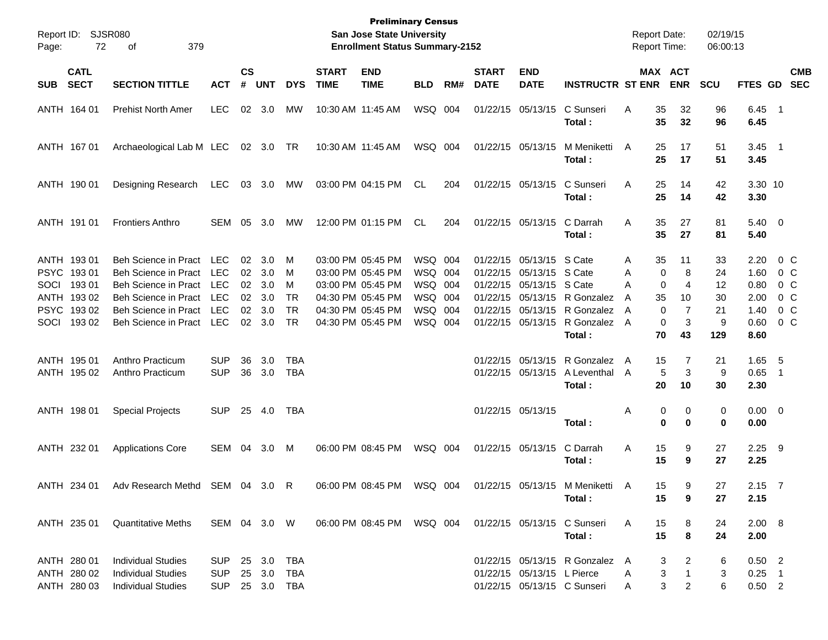| Page: | Report ID: SJSR080<br>72                                                        | 379<br>οf                                                                                                                                        |                                                                    |                                  |                                        |                                                    |                             | <b>Preliminary Census</b><br>San Jose State University<br><b>Enrollment Status Summary-2152</b>                            |                                                                |     |                             |                                                                                                                            |                                                                    | <b>Report Date:</b><br><b>Report Time:</b>   |                                                                                                        | 02/19/15<br>06:00:13                   |                                                      |                                                |
|-------|---------------------------------------------------------------------------------|--------------------------------------------------------------------------------------------------------------------------------------------------|--------------------------------------------------------------------|----------------------------------|----------------------------------------|----------------------------------------------------|-----------------------------|----------------------------------------------------------------------------------------------------------------------------|----------------------------------------------------------------|-----|-----------------------------|----------------------------------------------------------------------------------------------------------------------------|--------------------------------------------------------------------|----------------------------------------------|--------------------------------------------------------------------------------------------------------|----------------------------------------|------------------------------------------------------|------------------------------------------------|
| SUB   | <b>CATL</b><br><b>SECT</b>                                                      | <b>SECTION TITTLE</b>                                                                                                                            | <b>ACT</b>                                                         | $\mathsf{cs}$<br>#               | <b>UNT</b>                             | <b>DYS</b>                                         | <b>START</b><br><b>TIME</b> | <b>END</b><br><b>TIME</b>                                                                                                  | <b>BLD</b>                                                     | RM# | <b>START</b><br><b>DATE</b> | <b>END</b><br><b>DATE</b>                                                                                                  | <b>INSTRUCTR ST ENR</b>                                            |                                              | MAX ACT<br><b>ENR</b>                                                                                  | <b>SCU</b>                             |                                                      | <b>CMB</b><br>FTES GD SEC                      |
|       | ANTH 164 01                                                                     | <b>Prehist North Amer</b>                                                                                                                        | <b>LEC</b>                                                         |                                  | 02 3.0                                 | MW                                                 |                             | 10:30 AM 11:45 AM                                                                                                          | WSQ 004                                                        |     |                             | 01/22/15 05/13/15                                                                                                          | C Sunseri<br>Total:                                                | 35<br>A<br>35                                | 32<br>32                                                                                               | 96<br>96                               | $6.45$ 1<br>6.45                                     |                                                |
|       | ANTH 167 01                                                                     | Archaeological Lab M LEC 02 3.0 TR                                                                                                               |                                                                    |                                  |                                        |                                                    |                             | 10:30 AM 11:45 AM                                                                                                          | WSQ 004                                                        |     |                             | 01/22/15 05/13/15                                                                                                          | M Meniketti<br>Total:                                              | 25<br>A<br>25                                | 17<br>17                                                                                               | 51<br>51                               | $3.45$ 1<br>3.45                                     |                                                |
|       | ANTH 190 01                                                                     | Designing Research                                                                                                                               | LEC                                                                |                                  | 03 3.0                                 | МW                                                 |                             | 03:00 PM 04:15 PM                                                                                                          | CL                                                             | 204 |                             | 01/22/15 05/13/15                                                                                                          | C Sunseri<br>Total:                                                | 25<br>A<br>25                                | 14<br>14                                                                                               | 42<br>42                               | 3.30 10<br>3.30                                      |                                                |
|       | ANTH 191 01                                                                     | <b>Frontiers Anthro</b>                                                                                                                          | SEM                                                                | 05                               | 3.0                                    | МW                                                 |                             | 12:00 PM 01:15 PM                                                                                                          | CL.                                                            | 204 |                             | 01/22/15 05/13/15                                                                                                          | C Darrah<br>Total:                                                 | 35<br>A<br>35                                | 27<br>27                                                                                               | 81<br>81                               | $5.40 \ 0$<br>5.40                                   |                                                |
| SOCI  | ANTH 193 01<br>PSYC 19301<br>193 01<br>ANTH 193 02<br>PSYC 19302<br>SOCI 193 02 | Beh Science in Pract LEC<br>Beh Science in Pract<br>Beh Science in Pract<br>Beh Science in Pract<br>Beh Science in Pract<br>Beh Science in Pract | <b>LEC</b><br><b>LEC</b><br><b>LEC</b><br><b>LEC</b><br><b>LEC</b> | 02<br>02<br>02<br>02<br>02<br>02 | 3.0<br>3.0<br>3.0<br>3.0<br>3.0<br>3.0 | M<br>M<br>м<br><b>TR</b><br><b>TR</b><br><b>TR</b> |                             | 03:00 PM 05:45 PM<br>03:00 PM 05:45 PM<br>03:00 PM 05:45 PM<br>04:30 PM 05:45 PM<br>04:30 PM 05:45 PM<br>04:30 PM 05:45 PM | WSQ 004<br>WSQ 004<br>WSQ 004<br>WSQ 004<br>WSQ 004<br>WSQ 004 |     |                             | 01/22/15 05/13/15 S Cate<br>01/22/15 05/13/15 S Cate<br>01/22/15 05/13/15 S Cate<br>01/22/15 05/13/15<br>01/22/15 05/13/15 | 01/22/15 05/13/15 R Gonzalez<br>R Gonzalez<br>R Gonzalez<br>Total: | 35<br>A<br>А<br>А<br>35<br>A<br>A<br>A<br>70 | 11<br>$\mathbf 0$<br>8<br>$\Omega$<br>4<br>10<br>$\mathbf{0}$<br>$\overline{7}$<br>3<br>$\Omega$<br>43 | 33<br>24<br>12<br>30<br>21<br>9<br>129 | 2.20<br>1.60<br>0.80<br>2.00<br>1.40<br>0.60<br>8.60 | 0 C<br>$0\,$ C<br>0 C<br>0 C<br>0 C<br>$0\,$ C |
|       | ANTH 195 01<br>ANTH 195 02                                                      | Anthro Practicum<br>Anthro Practicum                                                                                                             | <b>SUP</b><br><b>SUP</b>                                           | 36<br>36                         | 3.0<br>3.0                             | TBA<br><b>TBA</b>                                  |                             |                                                                                                                            |                                                                |     |                             | 01/22/15 05/13/15<br>01/22/15 05/13/15                                                                                     | R Gonzalez<br>A Leventhal<br>Total:                                | 15<br>A<br>A<br>20                           | 7<br>5<br>3<br>10                                                                                      | 21<br>9<br>30                          | 1.65<br>0.65<br>2.30                                 | - 5<br>$\overline{\phantom{1}}$                |
|       | ANTH 198 01                                                                     | <b>Special Projects</b>                                                                                                                          | <b>SUP</b>                                                         | 25                               | 4.0                                    | TBA                                                |                             |                                                                                                                            |                                                                |     |                             | 01/22/15 05/13/15                                                                                                          | Total:                                                             | Α                                            | 0<br>0<br>$\bf{0}$<br>$\bf{0}$                                                                         | 0<br>0                                 | $0.00 \t 0$<br>0.00                                  |                                                |
|       | ANTH 232 01                                                                     | <b>Applications Core</b>                                                                                                                         | SEM 04                                                             |                                  | 3.0                                    | M                                                  |                             | 06:00 PM 08:45 PM                                                                                                          | WSQ 004                                                        |     |                             | 01/22/15 05/13/15                                                                                                          | C Darrah<br>Total:                                                 | 15<br>Α<br>15                                | 9<br>9                                                                                                 | 27<br>27                               | $2.25$ 9<br>2.25                                     |                                                |
|       |                                                                                 | ANTH 234 01 Adv Research Methd SEM 04 3.0 R                                                                                                      |                                                                    |                                  |                                        |                                                    |                             |                                                                                                                            |                                                                |     |                             |                                                                                                                            | 06:00 PM 08:45 PM WSQ 004 01/22/15 05/13/15 M Meniketti<br>Total:  | A<br>15<br>15                                | 9<br>9                                                                                                 | 27<br>27                               | $2.15$ 7<br>2.15                                     |                                                |
|       | ANTH 235 01                                                                     | <b>Quantitative Meths</b>                                                                                                                        | SEM 04 3.0 W                                                       |                                  |                                        |                                                    |                             | 06:00 PM 08:45 PM WSQ 004                                                                                                  |                                                                |     |                             |                                                                                                                            | 01/22/15 05/13/15 C Sunseri<br>Total:                              | 15<br>A<br>15                                | 8<br>8                                                                                                 | 24<br>24                               | 2.00 8<br>2.00                                       |                                                |
|       | ANTH 280 01<br>ANTH 280 02<br>ANTH 280 03                                       | <b>Individual Studies</b><br><b>Individual Studies</b><br><b>Individual Studies</b>                                                              | SUP.<br><b>SUP</b><br>SUP 25 3.0 TBA                               |                                  | 25 3.0 TBA<br>25 3.0 TBA               |                                                    |                             |                                                                                                                            |                                                                |     |                             | 01/22/15 05/13/15 L Pierce                                                                                                 | 01/22/15 05/13/15 R Gonzalez A<br>01/22/15 05/13/15 C Sunseri      | A<br>A                                       | 2<br>3<br>3<br>1<br>3<br>$\overline{a}$                                                                | 6<br>3<br>6                            | $0.50$ 2<br>$0.25$ 1<br>$0.50$ 2                     |                                                |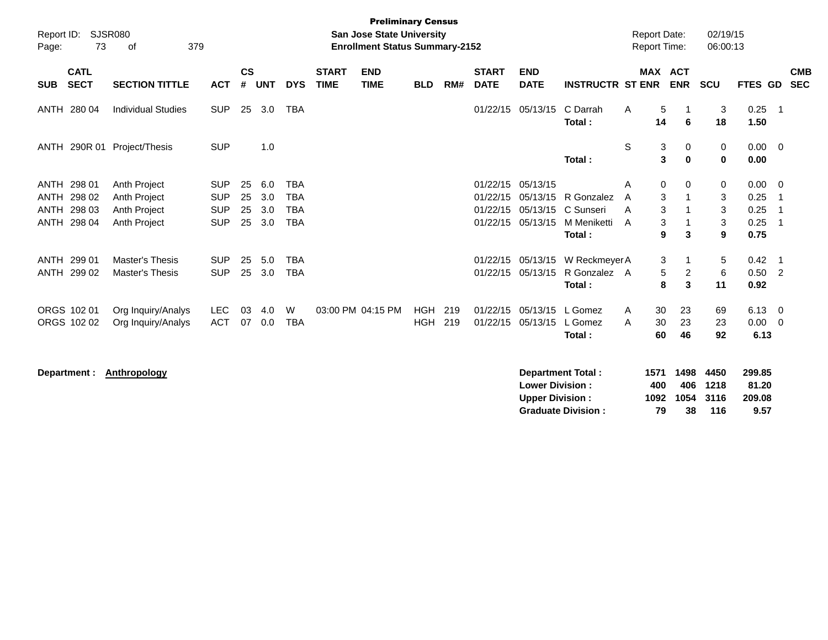| Report ID:<br>Page: | 73                                   | <b>SJSR080</b><br>379<br>of                      |                          |                    |            |                                        | <b>Preliminary Census</b><br><b>San Jose State University</b><br><b>Enrollment Status Summary-2152</b> |                   |            |                                  |                                  |                                         |        | <b>Report Date:</b><br><b>Report Time:</b> |                           | 02/19/15<br>06:00:13 |                                |                                            |
|---------------------|--------------------------------------|--------------------------------------------------|--------------------------|--------------------|------------|----------------------------------------|--------------------------------------------------------------------------------------------------------|-------------------|------------|----------------------------------|----------------------------------|-----------------------------------------|--------|--------------------------------------------|---------------------------|----------------------|--------------------------------|--------------------------------------------|
| <b>SUB</b>          | <b>CATL</b><br><b>SECT</b>           | <b>SECTION TITTLE</b>                            | <b>ACT</b>               | $\mathsf{cs}$<br># | <b>UNT</b> | <b>DYS</b>                             | <b>START</b><br><b>END</b><br><b>TIME</b><br><b>TIME</b>                                               | <b>BLD</b>        | RM#        | <b>START</b><br><b>DATE</b>      | <b>END</b><br><b>DATE</b>        | <b>INSTRUCTR ST ENR</b>                 |        | MAX ACT                                    | <b>ENR</b>                | <b>SCU</b>           | FTES GD                        | <b>CMB</b><br><b>SEC</b>                   |
|                     | ANTH 280 04                          | <b>Individual Studies</b>                        | <b>SUP</b>               | 25                 | 3.0        | <b>TBA</b>                             |                                                                                                        |                   |            | 01/22/15                         | 05/13/15                         | C Darrah<br>Total:                      | A      | 5<br>14                                    | 6                         | 3<br>18              | 0.25<br>1.50                   | $\overline{\phantom{1}}$                   |
| ANTH                | 290R 01                              | Project/Thesis                                   | <b>SUP</b>               |                    | 1.0        |                                        |                                                                                                        |                   |            |                                  |                                  | Total:                                  | S      | 3<br>3                                     | $\mathbf 0$<br>$\bf{0}$   | 0<br>$\bf{0}$        | $0.00 \quad 0$<br>0.00         |                                            |
| <b>ANTH</b>         | ANTH 298 01<br>ANTH 298 02<br>298 03 | Anth Project<br>Anth Project                     | <b>SUP</b><br><b>SUP</b> | 25<br>25           | 6.0<br>3.0 | <b>TBA</b><br><b>TBA</b><br><b>TBA</b> |                                                                                                        |                   |            | 01/22/15<br>01/22/15<br>01/22/15 | 05/13/15<br>05/13/15<br>05/13/15 | R Gonzalez<br>C Sunseri                 | A<br>A | 0<br>3                                     | 0<br>-1                   | 0<br>3               | 0.00<br>0.25                   | $\overline{\mathbf{0}}$<br>- 1             |
|                     | ANTH 298 04                          | Anth Project<br><b>Anth Project</b>              | <b>SUP</b><br><b>SUP</b> | 25<br>25           | 3.0<br>3.0 | <b>TBA</b>                             |                                                                                                        |                   |            | 01/22/15                         | 05/13/15                         | M Meniketti<br>Total:                   | A<br>A | 3<br>3<br>9                                | 3                         | 3<br>3<br>9          | 0.25<br>0.25<br>0.75           | $\overline{1}$<br>- 1                      |
|                     | ANTH 299 01<br>ANTH 299 02           | <b>Master's Thesis</b><br><b>Master's Thesis</b> | <b>SUP</b><br><b>SUP</b> | 25<br>25           | 5.0<br>3.0 | <b>TBA</b><br><b>TBA</b>               |                                                                                                        |                   |            | 01/22/15<br>01/22/15             | 05/13/15<br>05/13/15             | W Reckmeyer A<br>R Gonzalez A<br>Total: |        | 3<br>5<br>8                                | -1<br>$\overline{2}$<br>3 | 5<br>6<br>11         | 0.42<br>0.50<br>0.92           | $\overline{\phantom{1}}$<br>$\overline{2}$ |
|                     | ORGS 102 01<br>ORGS 102 02           | Org Inquiry/Analys<br>Org Inquiry/Analys         | <b>LEC</b><br><b>ACT</b> | 03<br>07           | 4.0<br>0.0 | W<br><b>TBA</b>                        | 03:00 PM 04:15 PM                                                                                      | HGH<br><b>HGH</b> | 219<br>219 | 01/22/15<br>01/22/15             | 05/13/15<br>05/13/15             | L Gomez<br>L Gomez<br>Total:            | A<br>A | 30<br>30<br>60                             | 23<br>23<br>46            | 69<br>23<br>92       | $6.13 \quad 0$<br>0.00<br>6.13 | $\overline{\mathbf{0}}$                    |
|                     | Department :                         | Anthropology                                     |                          |                    |            |                                        |                                                                                                        |                   |            |                                  |                                  | Department Total:                       |        | 1571                                       | 1498                      | 4450                 | 299.85                         |                                            |

| <b>Lower Division:</b>    | 400 |                | 406 1218 | 81.20  |
|---------------------------|-----|----------------|----------|--------|
| <b>Upper Division:</b>    |     | 1092 1054 3116 |          | 209.08 |
| <b>Graduate Division:</b> | 79. | -38            | 116      | 9.57   |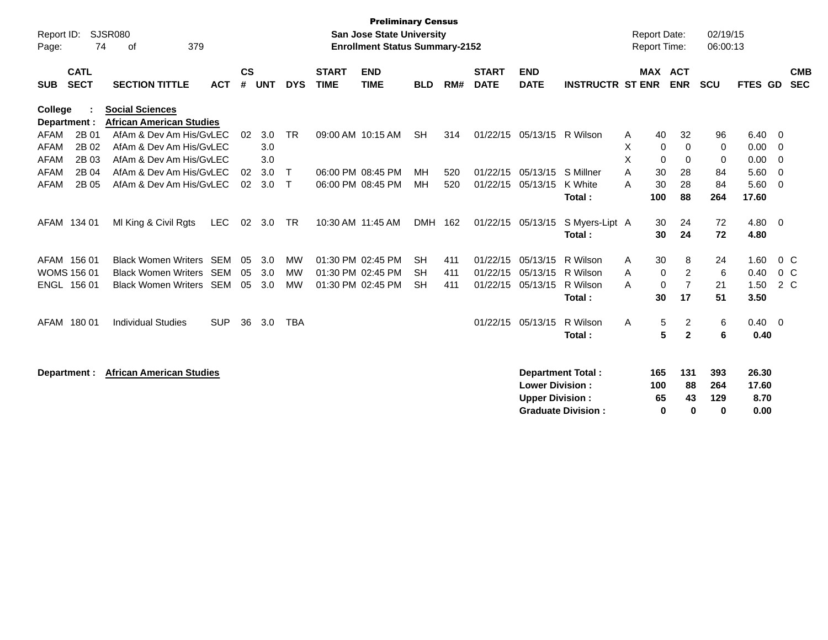| Report ID:<br>Page:                                                  | <b>SJSR080</b><br>74<br>379<br>of                                                              |            |                |                   |                       |                             | <b>Preliminary Census</b><br><b>San Jose State University</b><br><b>Enrollment Status Summary-2152</b> |                                     |                   |                                  |                                                  |                                                       |             | <b>Report Date:</b><br><b>Report Time:</b>                                         | 02/19/15<br>06:00:13               |                                |                              |
|----------------------------------------------------------------------|------------------------------------------------------------------------------------------------|------------|----------------|-------------------|-----------------------|-----------------------------|--------------------------------------------------------------------------------------------------------|-------------------------------------|-------------------|----------------------------------|--------------------------------------------------|-------------------------------------------------------|-------------|------------------------------------------------------------------------------------|------------------------------------|--------------------------------|------------------------------|
| <b>CATL</b><br><b>SECT</b><br><b>SUB</b>                             | <b>SECTION TITTLE</b>                                                                          | <b>ACT</b> | <b>CS</b><br># | <b>UNT</b>        | <b>DYS</b>            | <b>START</b><br><b>TIME</b> | <b>END</b><br><b>TIME</b>                                                                              | <b>BLD</b>                          | RM#               | <b>START</b><br><b>DATE</b>      | <b>END</b><br><b>DATE</b>                        | <b>INSTRUCTR ST ENR</b>                               |             | <b>MAX ACT</b><br><b>ENR</b>                                                       | <b>SCU</b>                         | FTES GD                        | <b>CMB</b><br><b>SEC</b>     |
| College<br>Department :<br>2B 01<br>AFAM                             | <b>Social Sciences</b><br><b>African American Studies</b><br>AfAm & Dev Am His/GvLEC           |            | 02             | 3.0               | <b>TR</b>             |                             | 09:00 AM 10:15 AM                                                                                      | <b>SH</b>                           | 314               | 01/22/15                         | 05/13/15                                         | R Wilson                                              | A           | 40<br>32                                                                           | 96                                 | 6.40                           | - 0                          |
| 2B 02<br><b>AFAM</b><br>2B 03<br><b>AFAM</b><br>2B 04<br><b>AFAM</b> | AfAm & Dev Am His/GvLEC<br>AfAm & Dev Am His/GvLEC<br>AfAm & Dev Am His/GyLEC                  |            | 02             | 3.0<br>3.0<br>3.0 | $\mathsf{T}$          |                             | 06:00 PM 08:45 PM                                                                                      | MН                                  | 520               | 01/22/15                         | 05/13/15                                         | S Millner                                             | X<br>X<br>A | 0<br>$\mathbf 0$<br>$\Omega$<br>$\Omega$<br>30<br>28                               | 0<br>0<br>84                       | 0.00<br>0.00<br>5.60           | - 0<br>- 0<br>- 0            |
| <b>AFAM</b><br>2B 05                                                 | AfAm & Dev Am His/GyLEC                                                                        |            | 02             | 3.0               | Т                     |                             | 06:00 PM 08:45 PM                                                                                      | <b>MH</b>                           | 520               | 01/22/15                         | 05/13/15                                         | K White<br>Total:                                     | A           | 30<br>28<br>88<br>100                                                              | 84<br>264                          | 5.60<br>17.60                  | - 0                          |
| AFAM 134 01                                                          | MI King & Civil Rgts                                                                           | <b>LEC</b> | 02             | 3.0               | TR                    |                             | 10:30 AM 11:45 AM                                                                                      | DMH                                 | 162               | 01/22/15                         | 05/13/15                                         | S Myers-Lipt A<br>Total:                              |             | 24<br>30<br>24<br>30                                                               | 72<br>72                           | 4.80 0<br>4.80                 |                              |
| AFAM 156 01<br><b>WOMS 156 01</b><br>ENGL 156 01                     | <b>Black Women Writers SEM</b><br><b>Black Women Writers</b><br><b>Black Women Writers SEM</b> | SEM        | 05<br>05<br>05 | 3.0<br>3.0<br>3.0 | MW<br><b>MW</b><br>MW |                             | 01:30 PM 02:45 PM<br>01:30 PM 02:45 PM<br>01:30 PM 02:45 PM                                            | <b>SH</b><br><b>SH</b><br><b>SH</b> | 411<br>411<br>411 | 01/22/15<br>01/22/15<br>01/22/15 | 05/13/15<br>05/13/15<br>05/13/15                 | R Wilson<br>R Wilson<br>R Wilson<br>Total:            | A<br>A<br>А | 30<br>8<br>$\overline{c}$<br>$\mathbf 0$<br>$\overline{7}$<br>$\Omega$<br>17<br>30 | 24<br>6<br>21<br>51                | 1.60<br>0.40<br>1.50<br>3.50   | 0 <sup>C</sup><br>0 C<br>2 C |
| AFAM 180 01                                                          | <b>Individual Studies</b>                                                                      | <b>SUP</b> | 36             | 3.0               | <b>TBA</b>            |                             |                                                                                                        |                                     |                   | 01/22/15                         | 05/13/15                                         | R Wilson<br>Total:                                    | A           | 5<br>$\overline{c}$<br>$5\phantom{1}$<br>$\overline{2}$                            | 6<br>6                             | 0.40<br>0.40                   | $\overline{\mathbf{0}}$      |
| Department :                                                         | <b>African American Studies</b>                                                                |            |                |                   |                       |                             |                                                                                                        |                                     |                   |                                  | <b>Lower Division:</b><br><b>Upper Division:</b> | <b>Department Total:</b><br><b>Graduate Division:</b> | 165<br>100  | 131<br>88<br>65<br>43<br>0                                                         | 393<br>264<br>129<br>$\bf{0}$<br>0 | 26.30<br>17.60<br>8.70<br>0.00 |                              |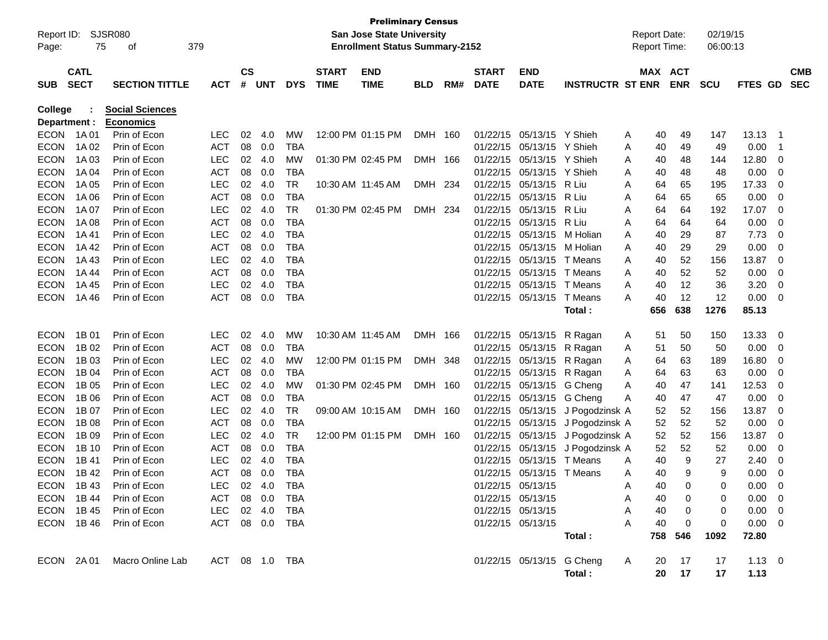| Report ID:   |             | SJSR080                     |                |               |       |            |              | <b>Preliminary Census</b><br><b>San Jose State University</b> |            |     |              |                           |                         |   | <b>Report Date:</b> |            | 02/19/15   |                |                |            |
|--------------|-------------|-----------------------------|----------------|---------------|-------|------------|--------------|---------------------------------------------------------------|------------|-----|--------------|---------------------------|-------------------------|---|---------------------|------------|------------|----------------|----------------|------------|
| Page:        | 75          | οf                          | 379            |               |       |            |              | <b>Enrollment Status Summary-2152</b>                         |            |     |              |                           |                         |   | <b>Report Time:</b> |            | 06:00:13   |                |                |            |
|              | <b>CATL</b> |                             |                | $\mathsf{cs}$ |       |            | <b>START</b> | <b>END</b>                                                    |            |     | <b>START</b> | <b>END</b>                |                         |   |                     | MAX ACT    |            |                |                | <b>CMB</b> |
| <b>SUB</b>   | <b>SECT</b> | <b>SECTION TITTLE</b>       | <b>ACT</b>     |               | # UNT | <b>DYS</b> | <b>TIME</b>  | <b>TIME</b>                                                   | <b>BLD</b> | RM# | <b>DATE</b>  | <b>DATE</b>               | <b>INSTRUCTR ST ENR</b> |   |                     | <b>ENR</b> | <b>SCU</b> | FTES GD        |                | <b>SEC</b> |
| College      |             | <b>Social Sciences</b>      |                |               |       |            |              |                                                               |            |     |              |                           |                         |   |                     |            |            |                |                |            |
| Department : |             | <b>Economics</b>            |                |               |       |            |              |                                                               |            |     |              |                           |                         |   |                     |            |            |                |                |            |
| <b>ECON</b>  | 1A 01       | Prin of Econ                | LEC            | 02            | 4.0   | МW         |              | 12:00 PM 01:15 PM                                             | DMH        | 160 | 01/22/15     | 05/13/15                  | Y Shieh                 | Α | 40                  | 49         | 147        | 13.13          | $\overline{1}$ |            |
| <b>ECON</b>  | 1A 02       | Prin of Econ                | <b>ACT</b>     | 08            | 0.0   | TBA        |              |                                                               |            |     | 01/22/15     | 05/13/15                  | Y Shieh                 | A | 40                  | 49         | 49         | 0.00           | $\overline{1}$ |            |
| <b>ECON</b>  | 1A 03       | Prin of Econ                | <b>LEC</b>     | 02            | 4.0   | МW         |              | 01:30 PM 02:45 PM                                             | DMH 166    |     | 01/22/15     | 05/13/15                  | Y Shieh                 | Α | 40                  | 48         | 144        | 12.80          | - 0            |            |
| <b>ECON</b>  | 1A 04       | Prin of Econ                | <b>ACT</b>     | 08            | 0.0   | <b>TBA</b> |              |                                                               |            |     | 01/22/15     | 05/13/15                  | Y Shieh                 | Α | 40                  | 48         | 48         | 0.00           | 0              |            |
| <b>ECON</b>  | 1A 05       | Prin of Econ                | <b>LEC</b>     | 02            | 4.0   | TR         |              | 10:30 AM 11:45 AM                                             | DMH        | 234 | 01/22/15     | 05/13/15                  | R Liu                   | A | 64                  | 65         | 195        | 17.33          | 0              |            |
| <b>ECON</b>  | 1A 06       | Prin of Econ                | <b>ACT</b>     | 08            | 0.0   | <b>TBA</b> |              |                                                               |            |     | 01/22/15     | 05/13/15                  | R Liu                   | Α | 64                  | 65         | 65         | 0.00           | 0              |            |
| <b>ECON</b>  | 1A 07       | Prin of Econ                | <b>LEC</b>     | 02            | 4.0   | TR         |              | 01:30 PM 02:45 PM                                             | DMH        | 234 | 01/22/15     | 05/13/15                  | R Liu                   | Α | 64                  | 64         | 192        | 17.07          | 0              |            |
| <b>ECON</b>  | 1A 08       | Prin of Econ                | <b>ACT</b>     | 08            | 0.0   | <b>TBA</b> |              |                                                               |            |     | 01/22/15     | 05/13/15                  | R Liu                   | A | 64                  | 64         | 64         | 0.00           | 0              |            |
| <b>ECON</b>  | 1A 41       | Prin of Econ                | LEC            | 02            | 4.0   | <b>TBA</b> |              |                                                               |            |     | 01/22/15     | 05/13/15                  | M Holian                | A | 40                  | 29         | 87         | 7.73           | 0              |            |
| <b>ECON</b>  | 1A 42       | Prin of Econ                | <b>ACT</b>     | 08            | 0.0   | TBA        |              |                                                               |            |     | 01/22/15     | 05/13/15                  | M Holian                | A | 40                  | 29         | 29         | 0.00           | 0              |            |
| <b>ECON</b>  | 1A 43       | Prin of Econ                | <b>LEC</b>     | 02            | 4.0   | TBA        |              |                                                               |            |     | 01/22/15     | 05/13/15                  | T Means                 | A | 40                  | 52         | 156        | 13.87          | 0              |            |
| <b>ECON</b>  | 1A 44       | Prin of Econ                | <b>ACT</b>     | 08            | 0.0   | TBA        |              |                                                               |            |     | 01/22/15     | 05/13/15                  | T Means                 | A | 40                  | 52         | 52         | 0.00           | 0              |            |
| <b>ECON</b>  | 1A 45       | Prin of Econ                | <b>LEC</b>     | 02            | 4.0   | <b>TBA</b> |              |                                                               |            |     | 01/22/15     | 05/13/15                  | T Means                 | A | 40                  | 12         | 36         | 3.20           | 0              |            |
| <b>ECON</b>  | 1A 46       | Prin of Econ                | <b>ACT</b>     | 08            | 0.0   | TBA        |              |                                                               |            |     |              | 01/22/15 05/13/15         | T Means                 | A | 40                  | 12         | 12         | 0.00           | - 0            |            |
|              |             |                             |                |               |       |            |              |                                                               |            |     |              |                           | Total:                  |   | 656                 | 638        | 1276       | 85.13          |                |            |
| <b>ECON</b>  | 1B 01       | Prin of Econ                | LEC            | 02            | 4.0   | МW         |              | 10:30 AM 11:45 AM                                             | DMH 166    |     | 01/22/15     | 05/13/15                  | R Ragan                 | A | 51                  | 50         | 150        | 13.33          | 0              |            |
| <b>ECON</b>  | 1B 02       | Prin of Econ                | <b>ACT</b>     | 08            | 0.0   | TBA        |              |                                                               |            |     | 01/22/15     | 05/13/15                  | R Ragan                 | Α | 51                  | 50         | 50         | 0.00           | - 0            |            |
| <b>ECON</b>  | 1B 03       | Prin of Econ                | <b>LEC</b>     | 02            | 4.0   | MW         |              | 12:00 PM 01:15 PM                                             | DMH        | 348 | 01/22/15     | 05/13/15                  | R Ragan                 | Α | 64                  | 63         | 189        | 16.80          | 0              |            |
| <b>ECON</b>  | 1B 04       | Prin of Econ                | <b>ACT</b>     | 08            | 0.0   | TBA        |              |                                                               |            |     | 01/22/15     | 05/13/15                  | R Ragan                 | Α | 64                  | 63         | 63         | 0.00           | 0              |            |
| <b>ECON</b>  | 1B 05       | Prin of Econ                | <b>LEC</b>     | 02            | 4.0   | МW         |              | 01:30 PM 02:45 PM                                             | DMH 160    |     | 01/22/15     | 05/13/15                  | G Cheng                 | Α | 40                  | 47         | 141        | 12.53          | 0              |            |
| <b>ECON</b>  | 1B 06       | Prin of Econ                | <b>ACT</b>     | 08            | 0.0   | <b>TBA</b> |              |                                                               |            |     | 01/22/15     | 05/13/15                  | G Cheng                 | Α | 40                  | 47         | 47         | 0.00           | 0              |            |
| <b>ECON</b>  | 1B 07       | Prin of Econ                | <b>LEC</b>     | 02            | 4.0   | TR         |              | 09:00 AM 10:15 AM                                             | DMH 160    |     | 01/22/15     | 05/13/15                  | J Pogodzinsk A          |   | 52                  | 52         | 156        | 13.87          | 0              |            |
| <b>ECON</b>  | 1B 08       | Prin of Econ                | <b>ACT</b>     | 08            | 0.0   | TBA        |              |                                                               |            |     | 01/22/15     | 05/13/15                  | J Pogodzinsk A          |   | 52                  | 52         | 52         | 0.00           | 0              |            |
| <b>ECON</b>  | 1B 09       | Prin of Econ                | <b>LEC</b>     | 02            | 4.0   | TR         |              | 12:00 PM 01:15 PM                                             | DMH 160    |     | 01/22/15     | 05/13/15                  | J Pogodzinsk A          |   | 52                  | 52         | 156        | 13.87          | 0              |            |
| <b>ECON</b>  | 1B 10       | Prin of Econ                | <b>ACT</b>     | 08            | 0.0   | <b>TBA</b> |              |                                                               |            |     | 01/22/15     | 05/13/15                  | J Pogodzinsk A          |   | 52                  | 52         | 52         | 0.00           | 0              |            |
| <b>ECON</b>  | 1B 41       | Prin of Econ                | <b>LEC</b>     | 02            | 4.0   | TBA        |              |                                                               |            |     | 01/22/15     | 05/13/15                  | T Means                 | A | 40                  | 9          | 27         | 2.40           | 0              |            |
| <b>ECON</b>  | 1B 42       | Prin of Econ                | <b>ACT</b>     | 08            | 0.0   | <b>TBA</b> |              |                                                               |            |     |              | 01/22/15 05/13/15 T Means |                         | A | 40                  | 9          | 9          | 0.00           | 0              |            |
|              | ECON 1B43   | Prin of Econ                | LEC 02 4.0 TBA |               |       |            |              |                                                               |            |     |              | 01/22/15 05/13/15         |                         | A | 40                  | 0          | 0          | $0.00 \t 0$    |                |            |
|              | ECON 1B44   | Prin of Econ                | ACT 08 0.0 TBA |               |       |            |              |                                                               |            |     |              | 01/22/15 05/13/15         |                         | Α | 40                  | 0          | 0          | $0.00 \quad 0$ |                |            |
|              | ECON 1B45   | Prin of Econ                | LEC 02 4.0     |               |       | TBA        |              |                                                               |            |     |              | 01/22/15 05/13/15         |                         | A | 40                  | 0          | 0          | $0.00 \quad 0$ |                |            |
|              |             | ECON 1B 46 Prin of Econ     | ACT 08 0.0 TBA |               |       |            |              |                                                               |            |     |              | 01/22/15 05/13/15         |                         | A | 40                  | 0          | 0          | $0.00 \quad 0$ |                |            |
|              |             |                             |                |               |       |            |              |                                                               |            |     |              |                           | Total:                  |   |                     | 758 546    | 1092       | 72.80          |                |            |
|              |             | ECON 2A 01 Macro Online Lab | ACT 08 1.0 TBA |               |       |            |              |                                                               |            |     |              | 01/22/15 05/13/15 G Cheng |                         | A | 20                  | 17         | 17         | $1.13 \ 0$     |                |            |
|              |             |                             |                |               |       |            |              |                                                               |            |     |              |                           | Total:                  |   |                     | 20 17      | 17         | 1.13           |                |            |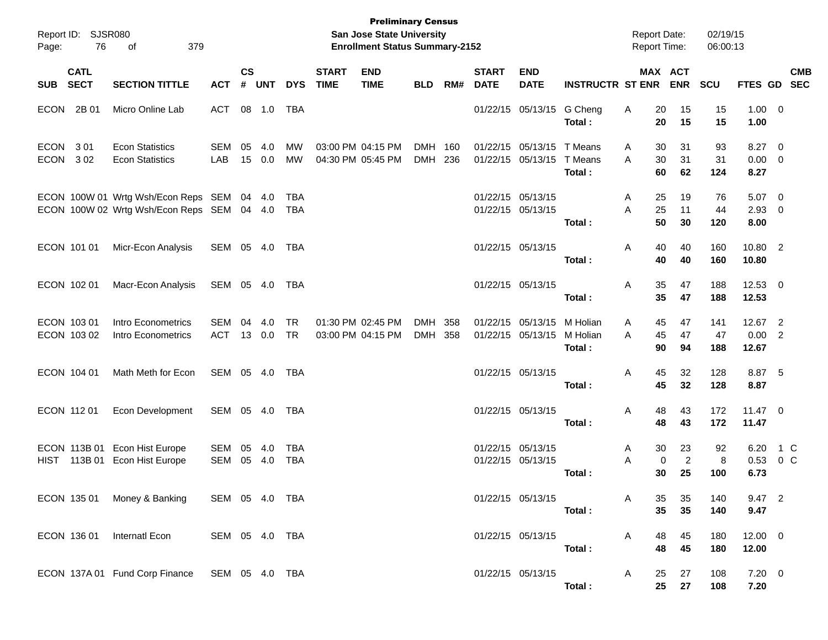| Page:                   | Report ID: SJSR080<br>76 | 379<br>оf                                                                         |                |                    |                 |                        |                             | <b>Preliminary Census</b><br>San Jose State University<br><b>Enrollment Status Summary-2152</b> |                          |            |                                        |                                        |                                | <b>Report Date:</b><br><b>Report Time:</b> |                            | 02/19/15<br>06:00:13 |                               |               |            |
|-------------------------|--------------------------|-----------------------------------------------------------------------------------|----------------|--------------------|-----------------|------------------------|-----------------------------|-------------------------------------------------------------------------------------------------|--------------------------|------------|----------------------------------------|----------------------------------------|--------------------------------|--------------------------------------------|----------------------------|----------------------|-------------------------------|---------------|------------|
| SUB SECT                | <b>CATL</b>              | <b>SECTION TITTLE</b>                                                             | <b>ACT</b>     | $\mathsf{cs}$<br># | <b>UNT</b>      | <b>DYS</b>             | <b>START</b><br><b>TIME</b> | <b>END</b><br><b>TIME</b>                                                                       | <b>BLD</b>               | RM#        | <b>START</b><br><b>DATE</b>            | <b>END</b><br><b>DATE</b>              | <b>INSTRUCTR ST ENR</b>        |                                            | MAX ACT<br><b>ENR</b>      | <b>SCU</b>           | FTES GD SEC                   |               | <b>CMB</b> |
| ECON 2B01               |                          | Micro Online Lab                                                                  | <b>ACT</b>     | 08                 | 1.0             | TBA                    |                             |                                                                                                 |                          |            |                                        | 01/22/15 05/13/15                      | G Cheng<br>Total:              | Α<br>20<br>20                              | 15<br>15                   | 15<br>15             | $1.00 \t 0$<br>1.00           |               |            |
| ECON 301<br><b>ECON</b> | 302                      | <b>Econ Statistics</b><br><b>Econ Statistics</b>                                  | SEM<br>LAB     | 05                 | 4.0<br>15 0.0   | MW<br>MW               |                             | 03:00 PM 04:15 PM<br>04:30 PM 05:45 PM                                                          | <b>DMH</b><br><b>DMH</b> | 160<br>236 |                                        | 01/22/15 05/13/15<br>01/22/15 05/13/15 | T Means<br>T Means<br>Total:   | 30<br>A<br>30<br>A<br>60                   | 31<br>31<br>62             | 93<br>31<br>124      | 8.27 0<br>$0.00 \t 0$<br>8.27 |               |            |
|                         |                          | ECON 100W 01 Wrtg Wsh/Econ Reps SEM<br>ECON 100W 02 Wrtg Wsh/Econ Reps SEM 04 4.0 |                |                    | 04 4.0          | TBA<br>TBA             |                             |                                                                                                 |                          |            | 01/22/15 05/13/15<br>01/22/15 05/13/15 |                                        | Total:                         | 25<br>A<br>25<br>A<br>50                   | 19<br>11<br>30             | 76<br>44<br>120      | 5.07 0<br>$2.93$ 0<br>8.00    |               |            |
| ECON 101 01             |                          | Micr-Econ Analysis                                                                | SEM 05 4.0     |                    |                 | TBA                    |                             |                                                                                                 |                          |            | 01/22/15 05/13/15                      |                                        | Total:                         | 40<br>A<br>40                              | 40<br>40                   | 160<br>160           | 10.80 2<br>10.80              |               |            |
| ECON 102 01             |                          | Macr-Econ Analysis                                                                | SEM 05 4.0     |                    |                 | TBA                    |                             |                                                                                                 |                          |            | 01/22/15 05/13/15                      |                                        | Total:                         | Α<br>35<br>35                              | 47<br>47                   | 188<br>188           | $12.53$ 0<br>12.53            |               |            |
| ECON 103 01             | ECON 103 02              | Intro Econometrics<br>Intro Econometrics                                          | SEM<br>ACT     | 04                 | 4.0<br>13 0.0   | <b>TR</b><br><b>TR</b> |                             | 01:30 PM 02:45 PM<br>03:00 PM 04:15 PM                                                          | <b>DMH</b><br><b>DMH</b> | 358<br>358 |                                        | 01/22/15 05/13/15<br>01/22/15 05/13/15 | M Holian<br>M Holian<br>Total: | 45<br>A<br>45<br>A<br>90                   | 47<br>47<br>94             | 141<br>47<br>188     | 12.67 2<br>0.00 2<br>12.67    |               |            |
| ECON 104 01             |                          | Math Meth for Econ                                                                | SEM 05 4.0     |                    |                 | TBA                    |                             |                                                                                                 |                          |            | 01/22/15 05/13/15                      |                                        | Total:                         | 45<br>Α<br>45                              | 32<br>32                   | 128<br>128           | 8.87 5<br>8.87                |               |            |
| ECON 112 01             |                          | Econ Development                                                                  | SEM 05 4.0     |                    |                 | TBA                    |                             |                                                                                                 |                          |            | 01/22/15 05/13/15                      |                                        | Total:                         | 48<br>A<br>48                              | 43<br>43                   | 172<br>172           | $11.47$ 0<br>11.47            |               |            |
|                         |                          | ECON 113B 01 Econ Hist Europe<br>HIST 113B 01 Econ Hist Europe                    | SEM<br>SEM     | 05                 | - 4.0<br>05 4.0 | TBA<br><b>TBA</b>      |                             |                                                                                                 |                          |            | 01/22/15 05/13/15<br>01/22/15 05/13/15 |                                        | Total:                         | 30<br>A<br>0<br>Α<br>30                    | 23<br>$\overline{c}$<br>25 | 92<br>8<br>100       | 6.20<br>0.53<br>6.73          | 1 C<br>$0\,C$ |            |
|                         |                          | ECON 135 01 Money & Banking                                                       | SEM 05 4.0 TBA |                    |                 |                        |                             |                                                                                                 |                          |            |                                        | 01/22/15 05/13/15                      | Total:                         | A<br>35<br>35                              | 35<br>35                   | 140<br>140           | 9.47 2<br>9.47                |               |            |
|                         |                          | ECON 136 01 Internatl Econ                                                        | SEM 05 4.0 TBA |                    |                 |                        |                             |                                                                                                 |                          |            |                                        | 01/22/15 05/13/15                      | Total:                         | A<br>48<br>48                              | 45<br>45                   | 180<br>180           | $12.00 \t 0$<br>12.00         |               |            |
|                         |                          | ECON 137A 01 Fund Corp Finance SEM 05 4.0 TBA                                     |                |                    |                 |                        |                             |                                                                                                 |                          |            |                                        | 01/22/15 05/13/15                      | Total:                         | A<br>25<br>25                              | 27<br>27                   | 108<br>108           | $7.20 \t 0$<br>7.20           |               |            |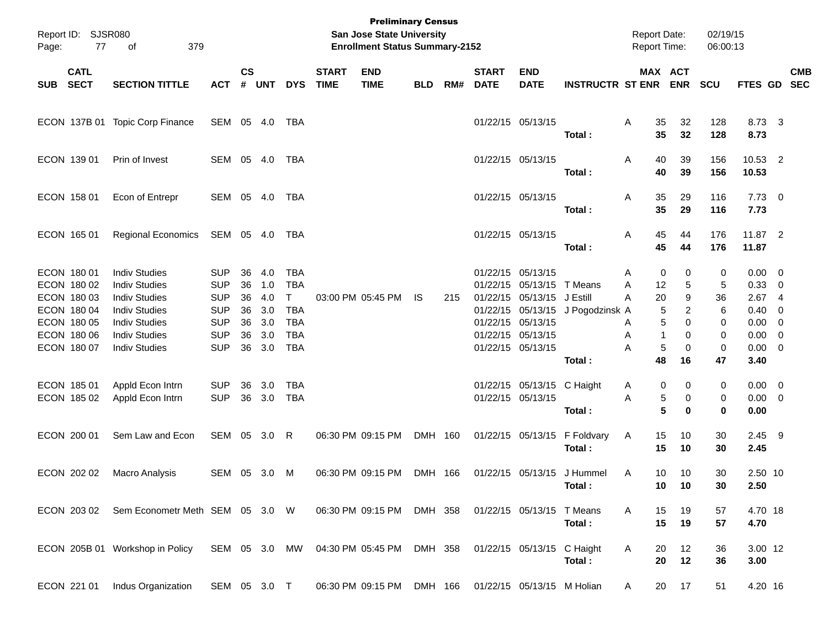| Page: | Report ID: SJSR080<br>77                                 | 379<br>of                                                                                    |                                                      |                             |                          |                                              |                             | <b>Preliminary Census</b><br>San Jose State University<br><b>Enrollment Status Summary-2152</b> |            |     |                             |                                                                                  |                                        | <b>Report Date:</b><br>Report Time: |                   | 02/19/15<br>06:00:13  |                                        |                                                    |            |
|-------|----------------------------------------------------------|----------------------------------------------------------------------------------------------|------------------------------------------------------|-----------------------------|--------------------------|----------------------------------------------|-----------------------------|-------------------------------------------------------------------------------------------------|------------|-----|-----------------------------|----------------------------------------------------------------------------------|----------------------------------------|-------------------------------------|-------------------|-----------------------|----------------------------------------|----------------------------------------------------|------------|
| SUB   | <b>CATL</b><br><b>SECT</b>                               | <b>SECTION TITTLE</b>                                                                        | <b>ACT</b>                                           | $\mathsf{cs}$<br>$\pmb{\#}$ | <b>UNT</b>               | <b>DYS</b>                                   | <b>START</b><br><b>TIME</b> | <b>END</b><br><b>TIME</b>                                                                       | <b>BLD</b> | RM# | <b>START</b><br><b>DATE</b> | <b>END</b><br><b>DATE</b>                                                        | <b>INSTRUCTR ST ENR</b>                | MAX ACT                             | <b>ENR</b>        | <b>SCU</b>            | FTES GD SEC                            |                                                    | <b>CMB</b> |
|       | ECON 137B 01                                             | <b>Topic Corp Finance</b>                                                                    | SEM 05 4.0                                           |                             |                          | TBA                                          |                             |                                                                                                 |            |     |                             | 01/22/15 05/13/15                                                                | Total:                                 | 35<br>Α<br>35                       | 32<br>32          | 128<br>128            | 8.73 3<br>8.73                         |                                                    |            |
|       | ECON 139 01                                              | Prin of Invest                                                                               | SEM 05 4.0                                           |                             |                          | TBA                                          |                             |                                                                                                 |            |     |                             | 01/22/15 05/13/15                                                                | Total:                                 | 40<br>Α<br>40                       | 39<br>39          | 156<br>156            | 10.53 2<br>10.53                       |                                                    |            |
|       | ECON 158 01                                              | Econ of Entrepr                                                                              | SEM 05 4.0                                           |                             |                          | TBA                                          |                             |                                                                                                 |            |     |                             | 01/22/15 05/13/15                                                                | Total:                                 | 35<br>Α<br>35                       | 29<br>29          | 116<br>116            | $7.73 \t 0$<br>7.73                    |                                                    |            |
|       | ECON 165 01                                              | Regional Economics                                                                           | SEM 05 4.0                                           |                             |                          | TBA                                          |                             |                                                                                                 |            |     |                             | 01/22/15 05/13/15                                                                | Total:                                 | 45<br>A<br>45                       | 44<br>44          | 176<br>176            | 11.87 2<br>11.87                       |                                                    |            |
|       | ECON 180 01<br>ECON 180 02<br>ECON 180 03<br>ECON 180 04 | <b>Indiv Studies</b><br><b>Indiv Studies</b><br><b>Indiv Studies</b><br><b>Indiv Studies</b> | <b>SUP</b><br><b>SUP</b><br><b>SUP</b><br><b>SUP</b> | 36<br>36<br>36<br>36        | 4.0<br>1.0<br>4.0<br>3.0 | <b>TBA</b><br><b>TBA</b><br>T.<br><b>TBA</b> |                             | 03:00 PM 05:45 PM                                                                               | IS.        | 215 |                             | 01/22/15 05/13/15<br>01/22/15 05/13/15<br>01/22/15 05/13/15<br>01/22/15 05/13/15 | T Means<br>J Estill<br>J Pogodzinsk A  | 0<br>Α<br>12<br>Α<br>A<br>20<br>5   | 0<br>5<br>9<br>2  | 0<br>5<br>36<br>6     | $0.00 \t 0$<br>0.33 0<br>2.674<br>0.40 | $\overline{0}$                                     |            |
|       | ECON 180 05<br>ECON 180 06<br>ECON 180 07                | <b>Indiv Studies</b><br><b>Indiv Studies</b><br><b>Indiv Studies</b>                         | <b>SUP</b><br><b>SUP</b><br><b>SUP</b>               | 36<br>36<br>36              | 3.0<br>3.0<br>3.0        | <b>TBA</b><br><b>TBA</b><br><b>TBA</b>       |                             |                                                                                                 |            |     |                             | 01/22/15 05/13/15<br>01/22/15 05/13/15<br>01/22/15 05/13/15                      | Total:                                 | 5<br>Α<br>Α<br>1<br>5<br>Α<br>48    | 0<br>0<br>0<br>16 | 0<br>0<br>0<br>47     | 0.00<br>0.00<br>$0.00 \t 0$<br>3.40    | $\overline{\mathbf{0}}$<br>$\overline{\mathbf{0}}$ |            |
|       | ECON 185 01<br>ECON 185 02                               | Appld Econ Intrn<br>Appld Econ Intrn                                                         | <b>SUP</b><br><b>SUP</b>                             | 36                          | 3.0<br>36 3.0            | <b>TBA</b><br><b>TBA</b>                     |                             |                                                                                                 |            |     |                             | 01/22/15 05/13/15 C Haight<br>01/22/15 05/13/15                                  | Total:                                 | 0<br>A<br>5<br>Α<br>5               | 0<br>0<br>0       | 0<br>0<br>$\mathbf 0$ | $0.00 \t 0$<br>$0.00 \t 0$<br>0.00     |                                                    |            |
|       | ECON 200 01                                              | Sem Law and Econ                                                                             | SEM 05 3.0 R                                         |                             |                          |                                              |                             | 06:30 PM 09:15 PM                                                                               | DMH 160    |     |                             |                                                                                  | 01/22/15 05/13/15 F Foldvary<br>Total: | 15<br>A<br>15                       | 10<br>10          | 30<br>30              | 2.45 9<br>2.45                         |                                                    |            |
|       | ECON 202 02                                              | Macro Analysis                                                                               | SEM 05 3.0                                           |                             |                          | M                                            |                             | 06:30 PM 09:15 PM                                                                               | <b>DMH</b> | 166 |                             | 01/22/15 05/13/15                                                                | J Hummel<br>Total :                    | A<br>10<br>10                       | 10<br>10          | 30<br>30              | 2.50 10<br>2.50                        |                                                    |            |
|       |                                                          | ECON 203 02 Sem Econometr Meth SEM 05 3.0 W                                                  |                                                      |                             |                          |                                              |                             | 06:30 PM 09:15 PM DMH 358                                                                       |            |     |                             | 01/22/15 05/13/15 T Means                                                        | Total:                                 | A<br>15<br>15                       | 19<br>19          | 57<br>57              | 4.70 18<br>4.70                        |                                                    |            |
|       |                                                          | ECON 205B 01 Workshop in Policy SEM 05 3.0 MW 04:30 PM 05:45 PM DMH 358                      |                                                      |                             |                          |                                              |                             |                                                                                                 |            |     |                             | 01/22/15 05/13/15 C Haight                                                       | Total:                                 | A<br>20<br>20                       | 12<br>12          | 36<br>36              | 3.00 12<br>3.00                        |                                                    |            |
|       | ECON 221 01                                              | Indus Organization                                                                           | SEM 05 3.0 T                                         |                             |                          |                                              |                             | 06:30 PM 09:15 PM DMH 166 01/22/15 05/13/15 M Holian                                            |            |     |                             |                                                                                  |                                        | A                                   | 20 17             | 51                    | 4.20 16                                |                                                    |            |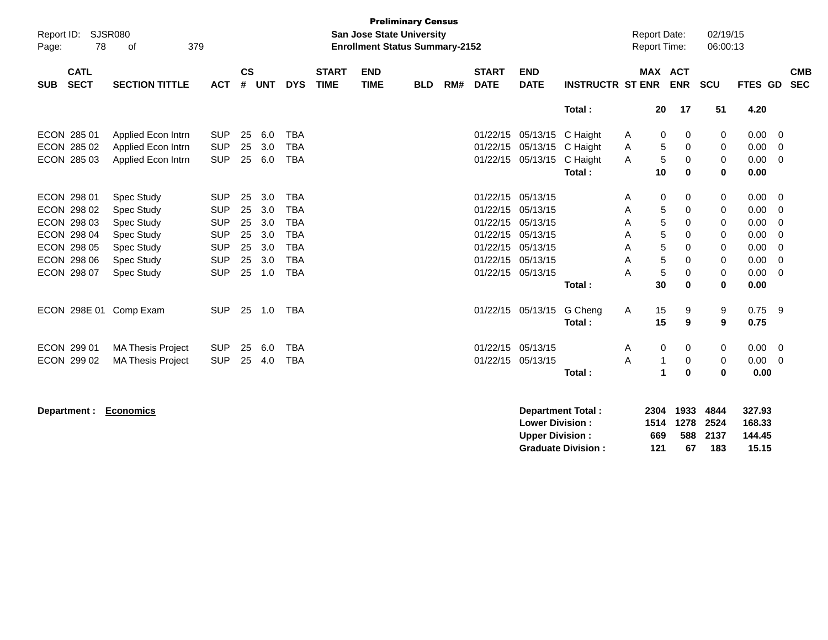| Report ID:<br>78<br>Page:                | SJSR080<br>379<br>оf     |            |           |       |            |                             | San Jose State University<br><b>Enrollment Status Summary-2152</b> | <b>Preliminary Census</b> |     |                             |                           |                          |   | <b>Report Date:</b><br><b>Report Time:</b> |             | 02/19/15<br>06:00:13 |         |                          |
|------------------------------------------|--------------------------|------------|-----------|-------|------------|-----------------------------|--------------------------------------------------------------------|---------------------------|-----|-----------------------------|---------------------------|--------------------------|---|--------------------------------------------|-------------|----------------------|---------|--------------------------|
| <b>CATL</b><br><b>SECT</b><br><b>SUB</b> | <b>SECTION TITTLE</b>    | <b>ACT</b> | <b>CS</b> | # UNT | <b>DYS</b> | <b>START</b><br><b>TIME</b> | <b>END</b><br><b>TIME</b>                                          | <b>BLD</b>                | RM# | <b>START</b><br><b>DATE</b> | <b>END</b><br><b>DATE</b> | <b>INSTRUCTR ST ENR</b>  |   | MAX ACT                                    | <b>ENR</b>  | <b>SCU</b>           | FTES GD | <b>CMB</b><br><b>SEC</b> |
|                                          |                          |            |           |       |            |                             |                                                                    |                           |     |                             |                           | Total:                   |   | 20                                         | 17          | 51                   | 4.20    |                          |
| ECON 285 01                              | Applied Econ Intrn       | <b>SUP</b> | 25        | 6.0   | <b>TBA</b> |                             |                                                                    |                           |     | 01/22/15                    | 05/13/15                  | C Haight                 | A | 0                                          | 0           | 0                    | 0.00    | $\mathbf{0}$             |
| ECON 285 02                              | Applied Econ Intrn       | <b>SUP</b> | 25        | 3.0   | <b>TBA</b> |                             |                                                                    |                           |     | 01/22/15                    | 05/13/15                  | C Haight                 | A | 5                                          | 0           | 0                    | 0.00    | $\mathbf 0$              |
| ECON 285 03                              | Applied Econ Intrn       | <b>SUP</b> | 25        | 6.0   | <b>TBA</b> |                             |                                                                    |                           |     |                             | 01/22/15 05/13/15         | C Haight                 | A | $\sqrt{5}$                                 | 0           | 0                    | 0.00    | $\mathbf{0}$             |
|                                          |                          |            |           |       |            |                             |                                                                    |                           |     |                             |                           | Total:                   |   | 10                                         | $\mathbf 0$ | $\mathbf 0$          | 0.00    |                          |
| ECON 298 01                              | <b>Spec Study</b>        | <b>SUP</b> | 25        | 3.0   | <b>TBA</b> |                             |                                                                    |                           |     |                             | 01/22/15 05/13/15         |                          | A | $\mathbf 0$                                | 0           | 0                    | 0.00    | $\mathbf{0}$             |
| ECON 298 02                              | <b>Spec Study</b>        | <b>SUP</b> | 25        | 3.0   | <b>TBA</b> |                             |                                                                    |                           |     | 01/22/15                    | 05/13/15                  |                          | A | 5                                          | 0           | 0                    | 0.00    | $\overline{0}$           |
| ECON 298 03                              | <b>Spec Study</b>        | <b>SUP</b> | 25        | 3.0   | <b>TBA</b> |                             |                                                                    |                           |     | 01/22/15                    | 05/13/15                  |                          | A | 5                                          | 0           | 0                    | 0.00    | 0                        |
| ECON 298 04                              | Spec Study               | <b>SUP</b> | 25        | 3.0   | <b>TBA</b> |                             |                                                                    |                           |     | 01/22/15                    | 05/13/15                  |                          | Α | 5                                          | 0           | 0                    | 0.00    | $\Omega$                 |
| ECON 298 05                              | <b>Spec Study</b>        | <b>SUP</b> | 25        | 3.0   | <b>TBA</b> |                             |                                                                    |                           |     |                             | 01/22/15 05/13/15         |                          | A | 5                                          | $\Omega$    | 0                    | 0.00    | $\Omega$                 |
| ECON 298 06                              | <b>Spec Study</b>        | <b>SUP</b> | 25        | 3.0   | <b>TBA</b> |                             |                                                                    |                           |     |                             | 01/22/15 05/13/15         |                          | Α | 5                                          | 0           | 0                    | 0.00    | $\mathbf 0$              |
| ECON 298 07                              | Spec Study               | <b>SUP</b> | 25        | 1.0   | <b>TBA</b> |                             |                                                                    |                           |     |                             | 01/22/15 05/13/15         |                          | Α | 5                                          | 0           | 0                    | 0.00    | $\overline{0}$           |
|                                          |                          |            |           |       |            |                             |                                                                    |                           |     |                             |                           | Total:                   |   | 30                                         | 0           | $\bf{0}$             | 0.00    |                          |
| ECON 298E 01 Comp Exam                   |                          | <b>SUP</b> | 25        | 1.0   | TBA        |                             |                                                                    |                           |     |                             | 01/22/15 05/13/15         | G Cheng                  | A | 15                                         | 9           | 9                    | 0.75    | -9                       |
|                                          |                          |            |           |       |            |                             |                                                                    |                           |     |                             |                           | Total:                   |   | 15                                         | 9           | 9                    | 0.75    |                          |
| ECON 299 01                              | <b>MA Thesis Project</b> | <b>SUP</b> | 25        | 6.0   | <b>TBA</b> |                             |                                                                    |                           |     | 01/22/15                    | 05/13/15                  |                          | A | 0                                          | 0           | 0                    | 0.00    | $\overline{0}$           |
| ECON 299 02                              | <b>MA Thesis Project</b> | <b>SUP</b> | 25        | 4.0   | <b>TBA</b> |                             |                                                                    |                           |     |                             | 01/22/15 05/13/15         |                          | A | 1                                          | 0           | 0                    | 0.00    | $\mathbf{0}$             |
|                                          |                          |            |           |       |            |                             |                                                                    |                           |     |                             |                           | Total:                   |   | 1                                          | 0           | $\bf{0}$             | 0.00    |                          |
| Department:                              | <b>Economics</b>         |            |           |       |            |                             |                                                                    |                           |     |                             |                           | <b>Department Total:</b> |   | 2304                                       | 1933        | 4844                 | 327.93  |                          |

**Lower Division : 1514 1278 2524 168.33 Upper Division : 669 588 2137 144.45<br>
Graduate Division : 121 67 183 15.15 Graduate Division : 121 67 183 15.15**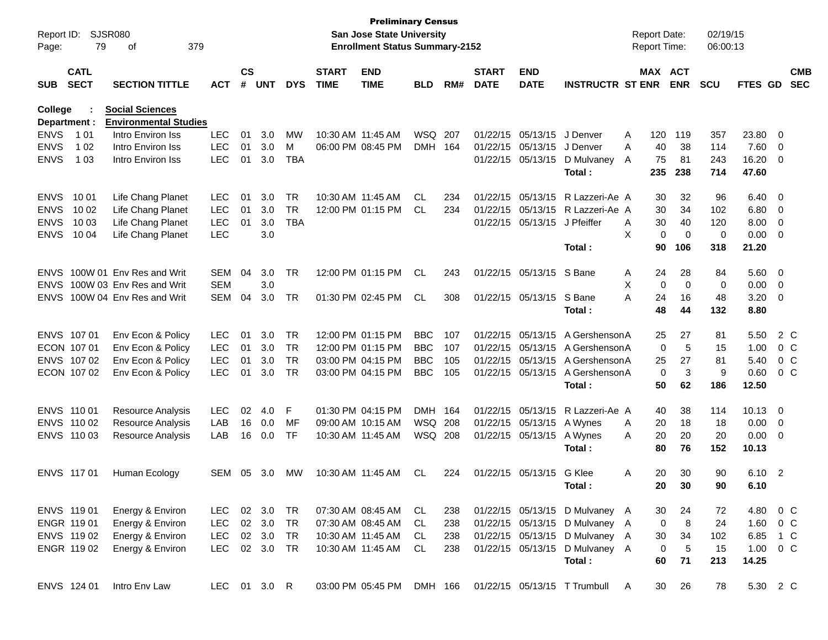| Report ID:     |                            | <b>SJSR080</b>                                    |            |                    |              |            |                             | <b>Preliminary Census</b><br><b>San Jose State University</b> |            |     |                             |                           |                                | <b>Report Date:</b> |         |             | 02/19/15   |                |                |                          |
|----------------|----------------------------|---------------------------------------------------|------------|--------------------|--------------|------------|-----------------------------|---------------------------------------------------------------|------------|-----|-----------------------------|---------------------------|--------------------------------|---------------------|---------|-------------|------------|----------------|----------------|--------------------------|
| Page:          | 79                         | οf                                                | 379        |                    |              |            |                             | <b>Enrollment Status Summary-2152</b>                         |            |     |                             |                           |                                | <b>Report Time:</b> |         |             | 06:00:13   |                |                |                          |
| <b>SUB</b>     | <b>CATL</b><br><b>SECT</b> | <b>SECTION TITTLE</b>                             | <b>ACT</b> | $\mathsf{cs}$<br># | <b>UNT</b>   | <b>DYS</b> | <b>START</b><br><b>TIME</b> | <b>END</b><br><b>TIME</b>                                     | <b>BLD</b> | RM# | <b>START</b><br><b>DATE</b> | <b>END</b><br><b>DATE</b> | <b>INSTRUCTR ST ENR</b>        |                     | MAX ACT | <b>ENR</b>  | <b>SCU</b> | <b>FTES GD</b> |                | <b>CMB</b><br><b>SEC</b> |
|                |                            |                                                   |            |                    |              |            |                             |                                                               |            |     |                             |                           |                                |                     |         |             |            |                |                |                          |
| <b>College</b> |                            | <b>Social Sciences</b>                            |            |                    |              |            |                             |                                                               |            |     |                             |                           |                                |                     |         |             |            |                |                |                          |
| Department :   |                            | <b>Environmental Studies</b><br>Intro Environ Iss |            |                    |              |            |                             |                                                               |            |     |                             |                           |                                |                     |         |             |            |                |                |                          |
| <b>ENVS</b>    | 1 0 1                      |                                                   | <b>LEC</b> | 01                 | 3.0          | МW         |                             | 10:30 AM 11:45 AM                                             | <b>WSQ</b> | 207 | 01/22/15                    | 05/13/15                  | J Denver                       | A                   | 120     | 119         | 357        | 23.80          | 0              |                          |
| <b>ENVS</b>    | 1 0 2                      | Intro Environ Iss                                 | <b>LEC</b> | 01                 | 3.0          | м          |                             | 06:00 PM 08:45 PM                                             | DMH 164    |     | 01/22/15                    | 05/13/15                  | J Denver                       | A                   | 40      | 38          | 114        | 7.60           | 0              |                          |
| <b>ENVS</b>    | 1 0 3                      | Intro Environ Iss                                 | <b>LEC</b> | 01                 | 3.0          | <b>TBA</b> |                             |                                                               |            |     | 01/22/15                    | 05/13/15                  | D Mulvaney                     | A                   | 75      | 81          | 243        | 16.20          | 0              |                          |
|                |                            |                                                   |            |                    |              |            |                             |                                                               |            |     |                             |                           | Total:                         |                     | 235     | 238         | 714        | 47.60          |                |                          |
| <b>ENVS</b>    | 10 01                      | Life Chang Planet                                 | <b>LEC</b> | 01                 | 3.0          | <b>TR</b>  |                             | 10:30 AM 11:45 AM                                             | CL         | 234 | 01/22/15                    | 05/13/15                  | R Lazzeri-Ae A                 |                     | 30      | 32          | 96         | 6.40           | - 0            |                          |
| <b>ENVS</b>    | 10 02                      | Life Chang Planet                                 | <b>LEC</b> | 01                 | 3.0          | <b>TR</b>  |                             | 12:00 PM 01:15 PM                                             | CL         | 234 | 01/22/15                    | 05/13/15                  | R Lazzeri-Ae A                 |                     | 30      | 34          | 102        | 6.80           | $\overline{0}$ |                          |
| <b>ENVS</b>    | 10 03                      | Life Chang Planet                                 | <b>LEC</b> | 01                 | 3.0          | <b>TBA</b> |                             |                                                               |            |     | 01/22/15                    | 05/13/15                  | J Pfeiffer                     | A                   | 30      | 40          | 120        | 8.00           | 0              |                          |
| <b>ENVS</b>    | 10 04                      | Life Chang Planet                                 | <b>LEC</b> |                    | 3.0          |            |                             |                                                               |            |     |                             |                           |                                | X                   | 0       | $\mathbf 0$ | 0          | 0.00           | $\overline{0}$ |                          |
|                |                            |                                                   |            |                    |              |            |                             |                                                               |            |     |                             |                           | Total:                         |                     | 90      | 106         | 318        | 21.20          |                |                          |
| <b>ENVS</b>    |                            | 100W 01 Env Res and Writ                          | SEM        | 04                 | 3.0          | <b>TR</b>  |                             | 12:00 PM 01:15 PM                                             | CL         | 243 | 01/22/15                    | 05/13/15                  | S Bane                         | Α                   | 24      | 28          | 84         | 5.60           | - 0            |                          |
| <b>ENVS</b>    |                            | 100W 03 Env Res and Writ                          | <b>SEM</b> |                    | 3.0          |            |                             |                                                               |            |     |                             |                           |                                | X                   | 0       | $\mathbf 0$ | 0          | 0.00           | $\overline{0}$ |                          |
| <b>ENVS</b>    |                            | 100W 04 Env Res and Writ                          | SEM        | 04                 | 3.0          | <b>TR</b>  |                             | 01:30 PM 02:45 PM                                             | CL         | 308 | 01/22/15                    | 05/13/15                  | S Bane                         | A                   | 24      | 16          | 48         | 3.20           | - 0            |                          |
|                |                            |                                                   |            |                    |              |            |                             |                                                               |            |     |                             |                           | Total:                         |                     | 48      | 44          | 132        | 8.80           |                |                          |
| <b>ENVS</b>    | 107 01                     | Env Econ & Policy                                 | <b>LEC</b> | 01                 | 3.0          | <b>TR</b>  |                             | 12:00 PM 01:15 PM                                             | <b>BBC</b> | 107 | 01/22/15                    | 05/13/15                  | A Gershenson A                 |                     | 25      | 27          | 81         | 5.50           |                | 2 C                      |
| ECON 107 01    |                            | Env Econ & Policy                                 | <b>LEC</b> | 01                 | 3.0          | <b>TR</b>  |                             | 12:00 PM 01:15 PM                                             | <b>BBC</b> | 107 | 01/22/15                    | 05/13/15                  | A Gershenson A                 |                     | 0       | 5           | 15         | 1.00           |                | 0 <sup>C</sup>           |
| <b>ENVS</b>    | 107 02                     | Env Econ & Policy                                 | <b>LEC</b> | 01                 | 3.0          | <b>TR</b>  |                             | 03:00 PM 04:15 PM                                             | <b>BBC</b> | 105 | 01/22/15                    | 05/13/15                  | A Gershenson A                 |                     | 25      | 27          | 81         | 5.40           |                | 0 <sup>C</sup>           |
|                | ECON 107 02                | Env Econ & Policy                                 | <b>LEC</b> | 01                 | 3.0          | <b>TR</b>  |                             | 03:00 PM 04:15 PM                                             | <b>BBC</b> | 105 | 01/22/15                    | 05/13/15                  | A Gershenson A                 |                     | 0       | 3           | 9          | 0.60           |                | 0 <sup>C</sup>           |
|                |                            |                                                   |            |                    |              |            |                             |                                                               |            |     |                             |                           | Total:                         |                     | 50      | 62          | 186        | 12.50          |                |                          |
| <b>ENVS</b>    | 110 01                     | <b>Resource Analysis</b>                          | <b>LEC</b> | 02                 | 4.0          | F          |                             | 01:30 PM 04:15 PM                                             | DMH        | 164 | 01/22/15                    | 05/13/15                  | R Lazzeri-Ae A                 |                     | 40      | 38          | 114        | 10.13          | $\overline{0}$ |                          |
| <b>ENVS</b>    | 110 02                     | <b>Resource Analysis</b>                          | LAB        | 16                 | 0.0          | MF         |                             | 09:00 AM 10:15 AM                                             | <b>WSQ</b> | 208 | 01/22/15                    | 05/13/15                  | A Wynes                        | A                   | 20      | 18          | 18         | 0.00           | $\overline{0}$ |                          |
|                | ENVS 110 03                | <b>Resource Analysis</b>                          | LAB        | 16                 | 0.0          | TF         |                             | 10:30 AM 11:45 AM                                             | WSQ        | 208 | 01/22/15                    | 05/13/15                  | A Wynes                        | A                   | 20      | 20          | 20         | 0.00           | - 0            |                          |
|                |                            |                                                   |            |                    |              |            |                             |                                                               |            |     |                             |                           | Total:                         |                     | 80      | 76          | 152        | 10.13          |                |                          |
| ENVS 117 01    |                            | Human Ecology                                     | SEM 05     |                    | 3.0          | МW         |                             | 10:30 AM 11:45 AM                                             | CL.        | 224 | 01/22/15                    | 05/13/15                  | G Klee                         | A                   | 20      | 30          | 90         | 6.10           | $\overline{2}$ |                          |
|                |                            |                                                   |            |                    |              |            |                             |                                                               |            |     |                             |                           | Total:                         |                     | 20      | 30          | 90         | 6.10           |                |                          |
|                |                            |                                                   |            |                    |              |            |                             |                                                               |            |     |                             |                           |                                |                     |         |             |            |                |                |                          |
|                | ENVS 119 01                | Energy & Environ                                  | LEC.       |                    | 02 3.0       | TR         |                             | 07:30 AM 08:45 AM                                             | CL         | 238 |                             |                           | 01/22/15 05/13/15 D Mulvaney A |                     | 30      | 24          | 72         | 4.80           |                | $0\,$ C                  |
|                | ENGR 119 01                | Energy & Environ                                  | <b>LEC</b> |                    | 02 3.0       | <b>TR</b>  |                             | 07:30 AM 08:45 AM                                             | CL         | 238 |                             |                           | 01/22/15 05/13/15 D Mulvaney A |                     | 0       | 8           | 24         | 1.60           |                | $0\,C$                   |
|                | ENVS 119 02                | Energy & Environ                                  | LEC        |                    | 02 3.0       | TR         |                             | 10:30 AM 11:45 AM                                             | CL.        | 238 |                             |                           | 01/22/15 05/13/15 D Mulvaney A |                     | 30      | 34          | 102        | 6.85           | 1 C            |                          |
|                | ENGR 119 02                | Energy & Environ                                  | LEC        |                    | 02 3.0       | TR         |                             | 10:30 AM 11:45 AM                                             | CL         | 238 |                             | 01/22/15 05/13/15         | D Mulvaney A                   |                     | 0       | $\sqrt{5}$  | 15         | 1.00           |                | $0\,C$                   |
|                |                            |                                                   |            |                    |              |            |                             |                                                               |            |     |                             |                           | Total:                         |                     | 60      | 71          | 213        | 14.25          |                |                          |
|                | ENVS 124 01                | Intro Env Law                                     |            |                    | LEC 01 3.0 R |            |                             | 03:00 PM 05:45 PM                                             | DMH 166    |     |                             |                           | 01/22/15 05/13/15 T Trumbull   | - A                 | 30      | 26          | 78         | 5.30 2 C       |                |                          |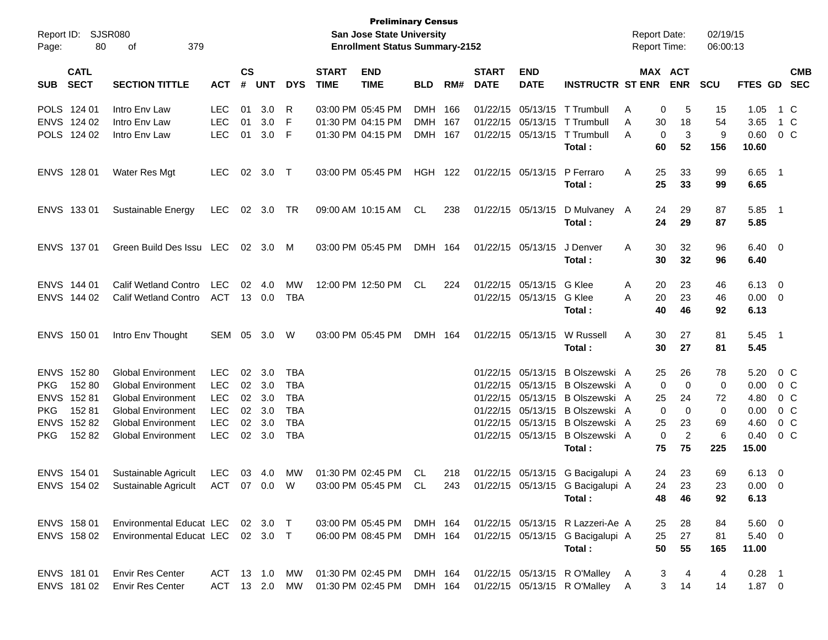| Page:                                                 | Report ID: SJSR080<br>80                                        | 379<br>οf                                                                                                                                                                  |                                                                                  |                            |                                                   |                                               |                             | <b>Preliminary Census</b><br>San Jose State University<br><b>Enrollment Status Summary-2152</b> |                               |            |                             |                                        |                                                                                                                                                                                                                          | <b>Report Date:</b><br><b>Report Time:</b> |                                                                                          | 02/19/15<br>06:00:13                 |                                                       |                                                                              |
|-------------------------------------------------------|-----------------------------------------------------------------|----------------------------------------------------------------------------------------------------------------------------------------------------------------------------|----------------------------------------------------------------------------------|----------------------------|---------------------------------------------------|-----------------------------------------------|-----------------------------|-------------------------------------------------------------------------------------------------|-------------------------------|------------|-----------------------------|----------------------------------------|--------------------------------------------------------------------------------------------------------------------------------------------------------------------------------------------------------------------------|--------------------------------------------|------------------------------------------------------------------------------------------|--------------------------------------|-------------------------------------------------------|------------------------------------------------------------------------------|
| <b>SUB</b>                                            | <b>CATL</b><br><b>SECT</b>                                      | <b>SECTION TITTLE</b>                                                                                                                                                      | <b>ACT</b>                                                                       | $\mathsf{cs}$<br>#         | <b>UNT</b>                                        | <b>DYS</b>                                    | <b>START</b><br><b>TIME</b> | <b>END</b><br><b>TIME</b>                                                                       | <b>BLD</b>                    | RM#        | <b>START</b><br><b>DATE</b> | <b>END</b><br><b>DATE</b>              | <b>INSTRUCTR ST ENR</b>                                                                                                                                                                                                  |                                            | MAX ACT<br><b>ENR</b>                                                                    | <b>SCU</b>                           | <b>FTES GD</b>                                        | <b>CMB</b><br><b>SEC</b>                                                     |
|                                                       | POLS 124 01<br>ENVS 124 02<br>POLS 124 02                       | Intro Env Law<br>Intro Env Law<br>Intro Env Law                                                                                                                            | <b>LEC</b><br><b>LEC</b><br><b>LEC</b>                                           | 01<br>01<br>01             | 3.0<br>3.0<br>3.0                                 | R<br>F<br>-F                                  |                             | 03:00 PM 05:45 PM<br>01:30 PM 04:15 PM<br>01:30 PM 04:15 PM                                     | DMH 166<br>DMH 167<br>DMH 167 |            |                             | 01/22/15 05/13/15<br>01/22/15 05/13/15 | 01/22/15 05/13/15 T Trumbull<br>T Trumbull<br>T Trumbull                                                                                                                                                                 | Α<br>A<br>A                                | 5<br>0<br>18<br>30<br>3<br>0                                                             | 15<br>54<br>9                        | 1.05<br>3.65<br>0.60                                  | 1 C<br>1 C<br>0 <sup>o</sup>                                                 |
|                                                       | ENVS 128 01                                                     | Water Res Mgt                                                                                                                                                              | <b>LEC</b>                                                                       | 02                         | 3.0                                               | $\top$                                        |                             | 03:00 PM 05:45 PM                                                                               | <b>HGH</b>                    | 122        |                             | 01/22/15 05/13/15                      | Total:<br>P Ferraro<br>Total:                                                                                                                                                                                            | Α                                          | 52<br>60<br>25<br>33<br>25<br>33                                                         | 156<br>99<br>99                      | 10.60<br>$6.65$ 1<br>6.65                             |                                                                              |
|                                                       | ENVS 133 01                                                     | Sustainable Energy                                                                                                                                                         | <b>LEC</b>                                                                       | 02                         | 3.0                                               | TR                                            |                             | 09:00 AM 10:15 AM                                                                               | CL                            | 238        |                             | 01/22/15 05/13/15                      | D Mulvaney A<br>Total:                                                                                                                                                                                                   |                                            | 24<br>29<br>24<br>29                                                                     | 87<br>87                             | $5.85$ 1<br>5.85                                      |                                                                              |
|                                                       | ENVS 137 01                                                     | Green Build Des Issu LEC                                                                                                                                                   |                                                                                  |                            | 02 3.0                                            | M                                             |                             | 03:00 PM 05:45 PM                                                                               | DMH 164                       |            |                             | 01/22/15 05/13/15                      | J Denver<br>Total:                                                                                                                                                                                                       | A                                          | 30<br>32<br>30<br>32                                                                     | 96<br>96                             | $6.40 \quad 0$<br>6.40                                |                                                                              |
|                                                       | ENVS 144 01<br>ENVS 144 02                                      | Calif Wetland Contro<br><b>Calif Wetland Contro</b>                                                                                                                        | <b>LEC</b><br>ACT                                                                | 02                         | 4.0<br>13 0.0                                     | <b>MW</b><br><b>TBA</b>                       |                             | 12:00 PM 12:50 PM                                                                               | CL                            | 224        |                             | 01/22/15 05/13/15<br>01/22/15 05/13/15 | G Klee<br>G Klee<br>Total :                                                                                                                                                                                              | A<br>A                                     | 23<br>20<br>20<br>23<br>40<br>46                                                         | 46<br>46<br>92                       | $6.13 \quad 0$<br>$0.00 \t 0$<br>6.13                 |                                                                              |
|                                                       | ENVS 150 01                                                     | Intro Env Thought                                                                                                                                                          | SEM                                                                              | 05                         | 3.0                                               | W                                             |                             | 03:00 PM 05:45 PM                                                                               | DMH 164                       |            |                             | 01/22/15 05/13/15                      | W Russell<br>Total:                                                                                                                                                                                                      | A                                          | 30<br>27<br>30<br>27                                                                     | 81<br>81                             | $5.45$ 1<br>5.45                                      |                                                                              |
| <b>PKG</b><br><b>ENVS</b><br><b>PKG</b><br><b>PKG</b> | ENVS 152 80<br>152 80<br>15281<br>15281<br>ENVS 152 82<br>15282 | <b>Global Environment</b><br><b>Global Environment</b><br><b>Global Environment</b><br><b>Global Environment</b><br><b>Global Environment</b><br><b>Global Environment</b> | <b>LEC</b><br><b>LEC</b><br><b>LEC</b><br><b>LEC</b><br><b>LEC</b><br><b>LEC</b> | 02<br>02<br>02<br>02<br>02 | 3.0<br>3.0<br>3.0<br>3.0<br>3.0<br>$02 \quad 3.0$ | TBA<br>TBA<br>TBA<br>TBA<br>TBA<br><b>TBA</b> |                             |                                                                                                 |                               |            |                             |                                        | 01/22/15 05/13/15 B Olszewski A<br>01/22/15 05/13/15 B Olszewski A<br>01/22/15 05/13/15 B Olszewski A<br>01/22/15 05/13/15 B Olszewski A<br>01/22/15 05/13/15 B Olszewski A<br>01/22/15 05/13/15 B Olszewski A<br>Total: |                                            | 25<br>26<br>0<br>$\Omega$<br>25<br>24<br>0<br>$\Omega$<br>25<br>23<br>0<br>2<br>75<br>75 | 78<br>0<br>72<br>0<br>69<br>6<br>225 | 5.20<br>0.00<br>4.80<br>0.00<br>4.60<br>0.40<br>15.00 | $0\,$ C<br>$0\,$ C<br>$0\,$ C<br>0 <sup>o</sup><br>0 <sup>C</sup><br>$0\,$ C |
|                                                       | ENVS 154 01<br>ENVS 154 02                                      | Sustainable Agricult<br>Sustainable Agricult                                                                                                                               | LEC<br>ACT 07 0.0                                                                |                            | 03 4.0                                            | MW<br>W                                       |                             | 01:30 PM 02:45 PM<br>03:00 PM 05:45 PM                                                          | CL<br>CL                      | 218<br>243 |                             |                                        | 01/22/15 05/13/15 G Bacigalupi A<br>01/22/15 05/13/15 G Bacigalupi A<br>Total :                                                                                                                                          |                                            | 24<br>23<br>24<br>23<br>46<br>48                                                         | 69<br>23<br>92                       | $6.13 \quad 0$<br>$0.00 \t 0$<br>6.13                 |                                                                              |
|                                                       | ENVS 158 01<br>ENVS 158 02                                      | Environmental Educat LEC 02 3.0 T<br>Environmental Educat LEC 02 3.0 T                                                                                                     |                                                                                  |                            |                                                   |                                               |                             | 03:00 PM_05:45 PM<br>06:00 PM 08:45 PM                                                          | DMH 164<br>DMH 164            |            |                             |                                        | 01/22/15 05/13/15 R Lazzeri-Ae A<br>01/22/15 05/13/15 G Bacigalupi A<br>Total:                                                                                                                                           | 25                                         | 28<br>25<br>27<br>50<br>55                                                               | 84<br>81<br>165                      | $5.60 \quad 0$<br>$5.40 \ 0$<br>11.00                 |                                                                              |
|                                                       | ENVS 181 01<br>ENVS 181 02                                      | <b>Envir Res Center</b><br><b>Envir Res Center</b>                                                                                                                         | ACT 13 1.0 MW<br>ACT 13 2.0 MW                                                   |                            |                                                   |                                               |                             | 01:30 PM 02:45 PM<br>01:30 PM 02:45 PM                                                          | DMH 164<br>DMH 164            |            |                             |                                        | 01/22/15 05/13/15 R O'Malley<br>01/22/15 05/13/15 R O'Malley                                                                                                                                                             | A<br>A                                     | 3<br>4<br>3<br>14                                                                        | 4<br>14                              | $0.28$ 1<br>$1.87 \t 0$                               |                                                                              |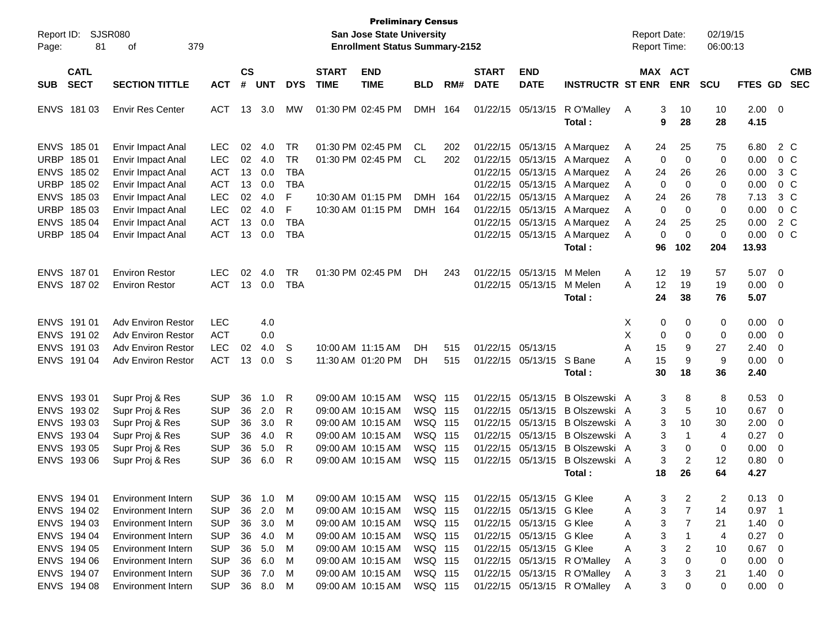| Report ID:                | <b>SJSR080</b>            |            |               |            |            |              | <b>Preliminary Census</b><br><b>San Jose State University</b> |                |     |              |                          |                              | <b>Report Date:</b> |    |             | 02/19/15    |             |                         |            |
|---------------------------|---------------------------|------------|---------------|------------|------------|--------------|---------------------------------------------------------------|----------------|-----|--------------|--------------------------|------------------------------|---------------------|----|-------------|-------------|-------------|-------------------------|------------|
| 81<br>Page:               | 379<br>οf                 |            |               |            |            |              | <b>Enrollment Status Summary-2152</b>                         |                |     |              |                          |                              | <b>Report Time:</b> |    |             | 06:00:13    |             |                         |            |
| <b>CATL</b>               |                           |            | $\mathsf{cs}$ |            |            | <b>START</b> | <b>END</b>                                                    |                |     | <b>START</b> | <b>END</b>               |                              |                     |    | MAX ACT     |             |             |                         | <b>CMB</b> |
| <b>SECT</b><br><b>SUB</b> | <b>SECTION TITTLE</b>     | <b>ACT</b> | $\pmb{\#}$    | <b>UNT</b> | <b>DYS</b> | <b>TIME</b>  | <b>TIME</b>                                                   | <b>BLD</b>     | RM# | <b>DATE</b>  | <b>DATE</b>              | <b>INSTRUCTR ST ENR</b>      |                     |    | <b>ENR</b>  | <b>SCU</b>  | FTES GD     |                         | <b>SEC</b> |
| ENVS 181 03               | <b>Envir Res Center</b>   | <b>ACT</b> | 13            | 3.0        | MW         |              | 01:30 PM 02:45 PM                                             | <b>DMH</b>     | 164 |              | 01/22/15 05/13/15        | R O'Malley                   | A                   | 3  | 10          | 10          | $2.00 \t 0$ |                         |            |
|                           |                           |            |               |            |            |              |                                                               |                |     |              |                          | Total:                       |                     | 9  | 28          | 28          | 4.15        |                         |            |
| ENVS 185 01               | <b>Envir Impact Anal</b>  | <b>LEC</b> | 02            | 4.0        | TR         |              | 01:30 PM 02:45 PM                                             | CL             | 202 |              | 01/22/15 05/13/15        | A Marquez                    | A                   | 24 | 25          | 75          | 6.80        | 2 C                     |            |
| <b>URBP</b><br>18501      | Envir Impact Anal         | <b>LEC</b> | 02            | 4.0        | <b>TR</b>  |              | 01:30 PM 02:45 PM                                             | <b>CL</b>      | 202 |              | 01/22/15 05/13/15        | A Marquez                    | A                   | 0  | 0           | 0           | 0.00        | 0 <sup>o</sup>          |            |
| <b>ENVS</b><br>185 02     | Envir Impact Anal         | <b>ACT</b> | 13            | 0.0        | <b>TBA</b> |              |                                                               |                |     |              | 01/22/15 05/13/15        | A Marquez                    | A                   | 24 | 26          | 26          | 0.00        | $3\,C$                  |            |
| <b>URBP</b><br>185 02     | Envir Impact Anal         | <b>ACT</b> | 13            | 0.0        | <b>TBA</b> |              |                                                               |                |     |              | 01/22/15 05/13/15        | A Marquez                    | A                   | 0  | 0           | 0           | 0.00        | 0 <sup>o</sup>          |            |
| <b>ENVS</b><br>185 03     | Envir Impact Anal         | <b>LEC</b> | 02            | 4.0        | F          |              | 10:30 AM 01:15 PM                                             | DMH 164        |     |              | 01/22/15 05/13/15        | A Marquez                    | Α                   | 24 | 26          | 78          | 7.13        | $3\,C$                  |            |
| <b>URBP</b><br>185 03     | Envir Impact Anal         | <b>LEC</b> | 02            | 4.0        | F          |              | 10:30 AM 01:15 PM                                             | DMH 164        |     |              | 01/22/15 05/13/15        | A Marquez                    | A                   | 0  | 0           | 0           | 0.00        | $0\,C$                  |            |
| <b>ENVS</b><br>185 04     | Envir Impact Anal         | <b>ACT</b> | 13            | 0.0        | <b>TBA</b> |              |                                                               |                |     |              | 01/22/15 05/13/15        | A Marquez                    | Α                   | 24 | 25          | 25          | 0.00        | 2 C                     |            |
| <b>URBP</b><br>185 04     | Envir Impact Anal         | <b>ACT</b> | 13            | 0.0        | <b>TBA</b> |              |                                                               |                |     |              | 01/22/15 05/13/15        | A Marquez                    | A                   | 0  | $\mathbf 0$ | $\mathbf 0$ | 0.00        | $0\,C$                  |            |
|                           |                           |            |               |            |            |              |                                                               |                |     |              |                          | Total:                       |                     | 96 | 102         | 204         | 13.93       |                         |            |
| ENVS 187 01               | <b>Environ Restor</b>     | <b>LEC</b> | 02            | 4.0        | <b>TR</b>  |              | 01:30 PM 02:45 PM                                             | DH             | 243 |              | 01/22/15 05/13/15        | M Melen                      | Α                   | 12 | 19          | 57          | 5.07        | $\overline{\mathbf{0}}$ |            |
| ENVS 187 02               | <b>Environ Restor</b>     | <b>ACT</b> | 13            | 0.0        | <b>TBA</b> |              |                                                               |                |     |              | 01/22/15 05/13/15        | M Melen                      | А                   | 12 | 19          | 19          | 0.00        | $\overline{\mathbf{0}}$ |            |
|                           |                           |            |               |            |            |              |                                                               |                |     |              |                          | Total:                       |                     | 24 | 38          | 76          | 5.07        |                         |            |
| ENVS 191 01               | <b>Adv Environ Restor</b> | <b>LEC</b> |               | 4.0        |            |              |                                                               |                |     |              |                          |                              | Х                   | 0  | 0           | 0           | 0.00        | $\overline{\mathbf{0}}$ |            |
| ENVS 191 02               | <b>Adv Environ Restor</b> | <b>ACT</b> |               | 0.0        |            |              |                                                               |                |     |              |                          |                              | X                   | 0  | 0           | 0           | 0.00        | 0                       |            |
| ENVS 191 03               | <b>Adv Environ Restor</b> | <b>LEC</b> | 02            | 4.0        | S          |              | 10:00 AM 11:15 AM                                             | DН             | 515 |              | 01/22/15 05/13/15        |                              | Α                   | 15 | 9           | 27          | 2.40        | 0                       |            |
| <b>ENVS</b><br>191 04     | <b>Adv Environ Restor</b> | <b>ACT</b> | 13            | 0.0        | S          |              | 11:30 AM 01:20 PM                                             | DH             | 515 |              | 01/22/15 05/13/15        | S Bane                       | А                   | 15 | 9           | 9           | 0.00        | $\overline{0}$          |            |
|                           |                           |            |               |            |            |              |                                                               |                |     |              |                          | Total :                      |                     | 30 | 18          | 36          | 2.40        |                         |            |
| ENVS 193 01               | Supr Proj & Res           | <b>SUP</b> | 36            | 1.0        | R          |              | 09:00 AM 10:15 AM                                             | <b>WSQ 115</b> |     |              | 01/22/15 05/13/15        | B Olszewski A                |                     | 3  | 8           | 8           | 0.53        | $\overline{\mathbf{0}}$ |            |
| ENVS 193 02               | Supr Proj & Res           | <b>SUP</b> | 36            | 2.0        | R          |              | 09:00 AM 10:15 AM                                             | <b>WSQ 115</b> |     |              | 01/22/15 05/13/15        | B Olszewski A                |                     | 3  | 5           | 10          | 0.67        | 0                       |            |
| <b>ENVS</b><br>19303      | Supr Proj & Res           | <b>SUP</b> | 36            | 3.0        | R          |              | 09:00 AM 10:15 AM                                             | <b>WSQ 115</b> |     |              | 01/22/15 05/13/15        | B Olszewski A                |                     | 3  | 10          | 30          | 2.00        | 0                       |            |
| <b>ENVS</b><br>19304      | Supr Proj & Res           | <b>SUP</b> | 36            | 4.0        | R          |              | 09:00 AM 10:15 AM                                             | <b>WSQ 115</b> |     |              | 01/22/15 05/13/15        | B Olszewski A                |                     | 3  | $\mathbf 1$ | 4           | 0.27        | 0                       |            |
| <b>ENVS</b><br>193 05     | Supr Proj & Res           | <b>SUP</b> | 36            | 5.0        | R          |              | 09:00 AM 10:15 AM                                             | <b>WSQ 115</b> |     |              | 01/22/15 05/13/15        | B Olszewski A                |                     | 3  | 0           | 0           | 0.00        | 0                       |            |
| ENVS 193 06               | Supr Proj & Res           | <b>SUP</b> | 36            | 6.0        | R          |              | 09:00 AM 10:15 AM                                             | WSQ 115        |     |              | 01/22/15 05/13/15        | B Olszewski A                |                     | 3  | 2           | 12          | 0.80        | 0                       |            |
|                           |                           |            |               |            |            |              |                                                               |                |     |              |                          | Total:                       |                     | 18 | 26          | 64          | 4.27        |                         |            |
| ENVS 194 01               | <b>Environment Intern</b> | <b>SUP</b> | 36            | 1.0        | M          |              | 09:00 AM 10:15 AM                                             | WSQ 115        |     |              | 01/22/15 05/13/15 G Klee |                              | A                   | 3  | 2           | 2           | 0.13        | $\overline{\mathbf{0}}$ |            |
| ENVS 194 02               | <b>Environment Intern</b> | <b>SUP</b> | 36            | 2.0        | M          |              | 09:00 AM 10:15 AM                                             | WSQ 115        |     |              | 01/22/15 05/13/15 G Klee |                              | A                   | 3  | 7           | 14          | 0.97        | -1                      |            |
| ENVS 194 03               | <b>Environment Intern</b> | <b>SUP</b> | 36            | 3.0        | M          |              | 09:00 AM 10:15 AM                                             | WSQ 115        |     |              | 01/22/15 05/13/15 G Klee |                              | A                   | 3  | 7           | 21          | 1.40        | $\overline{\mathbf{0}}$ |            |
| ENVS 194 04               | <b>Environment Intern</b> | <b>SUP</b> | 36            | 4.0        | M          |              | 09:00 AM 10:15 AM                                             | WSQ 115        |     |              | 01/22/15 05/13/15 G Klee |                              | Α                   | 3  | 1           | 4           | 0.27        | $\overline{\mathbf{0}}$ |            |
| ENVS 194 05               | Environment Intern        | <b>SUP</b> | 36            | 5.0        | M          |              | 09:00 AM 10:15 AM                                             | WSQ 115        |     |              | 01/22/15 05/13/15 G Klee |                              | Α                   | 3  | 2           | 10          | 0.67        | $\overline{\mathbf{0}}$ |            |
| ENVS 194 06               | <b>Environment Intern</b> | <b>SUP</b> | 36            | 6.0        | M          |              | 09:00 AM 10:15 AM                                             | WSQ 115        |     |              |                          | 01/22/15 05/13/15 R O'Malley | A                   | 3  | 0           | 0           | 0.00        | $\overline{0}$          |            |
| ENVS 194 07               | <b>Environment Intern</b> | <b>SUP</b> | 36            | 7.0        | M          |              | 09:00 AM 10:15 AM                                             | WSQ 115        |     |              |                          | 01/22/15 05/13/15 R O'Malley | A                   | 3  | 3           | 21          | 1.40        | $\overline{\mathbf{0}}$ |            |
| ENVS 194 08               | <b>Environment Intern</b> | <b>SUP</b> |               | 36 8.0     | M          |              | 09:00 AM 10:15 AM                                             | WSQ 115        |     |              |                          | 01/22/15 05/13/15 R O'Malley | A                   | 3  | 0           | 0           | $0.00 \t 0$ |                         |            |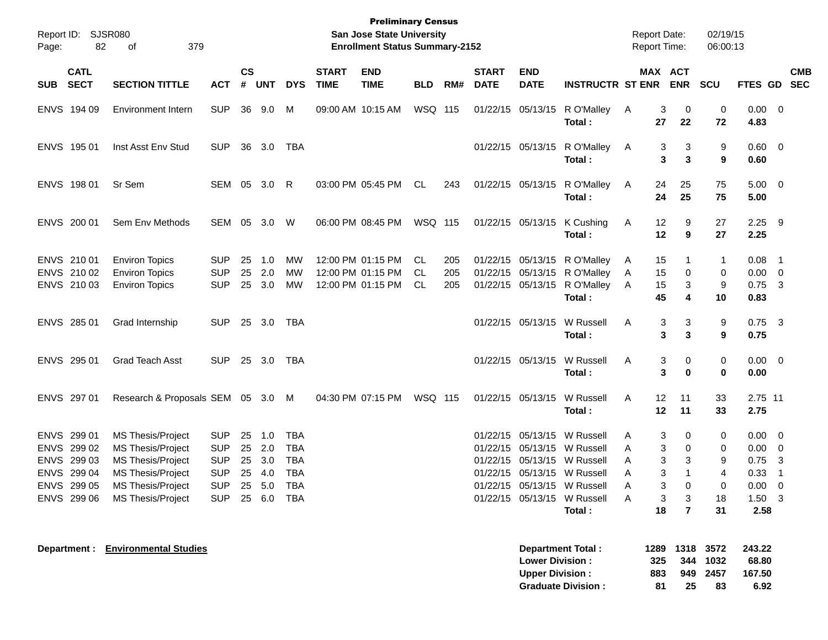| Report ID:<br>82<br>Page:                                                              | SJSR080<br>379<br>οf                                                                                                                                   |                                                                                      |                      |                                    |                                                                    |                             | <b>Preliminary Census</b><br><b>San Jose State University</b><br><b>Enrollment Status Summary-2152</b> |                   |                   |                             |                                                  |                                                                                                                                                                                                  | <b>Report Date:</b><br><b>Report Time:</b> |                             |                                                  | 02/19/15<br>06:00:13                |                                                                                 |                                                     |            |
|----------------------------------------------------------------------------------------|--------------------------------------------------------------------------------------------------------------------------------------------------------|--------------------------------------------------------------------------------------|----------------------|------------------------------------|--------------------------------------------------------------------|-----------------------------|--------------------------------------------------------------------------------------------------------|-------------------|-------------------|-----------------------------|--------------------------------------------------|--------------------------------------------------------------------------------------------------------------------------------------------------------------------------------------------------|--------------------------------------------|-----------------------------|--------------------------------------------------|-------------------------------------|---------------------------------------------------------------------------------|-----------------------------------------------------|------------|
| <b>CATL</b><br><b>SECT</b><br><b>SUB</b>                                               | <b>SECTION TITTLE</b>                                                                                                                                  | <b>ACT</b>                                                                           | <b>CS</b><br>#       | <b>UNT</b>                         | <b>DYS</b>                                                         | <b>START</b><br><b>TIME</b> | <b>END</b><br><b>TIME</b>                                                                              | <b>BLD</b>        | RM#               | <b>START</b><br><b>DATE</b> | <b>END</b><br><b>DATE</b>                        | <b>INSTRUCTR ST ENR</b>                                                                                                                                                                          |                                            |                             | MAX ACT<br><b>ENR</b>                            | <b>SCU</b>                          | FTES GD SEC                                                                     |                                                     | <b>CMB</b> |
| ENVS 194 09                                                                            | <b>Environment Intern</b>                                                                                                                              | <b>SUP</b>                                                                           |                      | 36 9.0                             | M                                                                  |                             | 09:00 AM 10:15 AM                                                                                      | WSQ 115           |                   |                             |                                                  | 01/22/15 05/13/15 R O'Malley<br>Total:                                                                                                                                                           | A                                          | 3<br>27                     | 0<br>22                                          | 0<br>72                             | $0.00 \t 0$<br>4.83                                                             |                                                     |            |
| ENVS 195 01                                                                            | Inst Asst Env Stud                                                                                                                                     | <b>SUP</b>                                                                           |                      | 36 3.0                             | TBA                                                                |                             |                                                                                                        |                   |                   |                             |                                                  | 01/22/15 05/13/15 R O'Malley<br>Total:                                                                                                                                                           | A                                          | 3<br>3                      | 3<br>3                                           | 9<br>9                              | $0.60 \quad 0$<br>0.60                                                          |                                                     |            |
| ENVS 198 01                                                                            | Sr Sem                                                                                                                                                 | SEM 05                                                                               |                      | 3.0                                | R                                                                  |                             | 03:00 PM 05:45 PM                                                                                      | CL                | 243               |                             |                                                  | 01/22/15 05/13/15 R O'Malley<br>Total:                                                                                                                                                           | A                                          | 24<br>24                    | 25<br>25                                         | 75<br>75                            | $5.00 \t 0$<br>5.00                                                             |                                                     |            |
| ENVS 200 01                                                                            | Sem Env Methods                                                                                                                                        | SEM                                                                                  | 05                   | 3.0                                | W                                                                  |                             | 06:00 PM 08:45 PM                                                                                      | WSQ 115           |                   |                             |                                                  | 01/22/15 05/13/15 K Cushing<br>Total:                                                                                                                                                            | A                                          | 12<br>12                    | 9<br>9                                           | 27<br>27                            | $2.25$ 9<br>2.25                                                                |                                                     |            |
| ENVS 210 01<br>ENVS 210 02<br>ENVS 210 03                                              | <b>Environ Topics</b><br><b>Environ Topics</b><br><b>Environ Topics</b>                                                                                | <b>SUP</b><br><b>SUP</b><br><b>SUP</b>                                               | 25<br>25<br>25       | 1.0<br>2.0<br>3.0                  | МW<br>MW<br>МW                                                     |                             | 12:00 PM 01:15 PM<br>12:00 PM 01:15 PM<br>12:00 PM 01:15 PM                                            | CL.<br>CL.<br>CL. | 205<br>205<br>205 |                             |                                                  | 01/22/15 05/13/15 R O'Malley<br>01/22/15 05/13/15 R O'Malley<br>01/22/15 05/13/15 R O'Malley<br>Total:                                                                                           | A<br>A<br>A                                | 15<br>15<br>15<br>45        | 0<br>3<br>4                                      | 1<br>0<br>9<br>10                   | $0.08$ 1<br>$0.00 \t 0$<br>$0.75$ 3<br>0.83                                     |                                                     |            |
| ENVS 285 01                                                                            | Grad Internship                                                                                                                                        | <b>SUP</b>                                                                           |                      | 25 3.0                             | TBA                                                                |                             |                                                                                                        |                   |                   |                             | 01/22/15 05/13/15                                | W Russell<br>Total:                                                                                                                                                                              | Α                                          | 3<br>3                      | 3<br>3                                           | 9<br>9                              | $0.75$ 3<br>0.75                                                                |                                                     |            |
| ENVS 295 01                                                                            | Grad Teach Asst                                                                                                                                        | <b>SUP</b>                                                                           |                      | 25 3.0                             | TBA                                                                |                             |                                                                                                        |                   |                   |                             | 01/22/15 05/13/15                                | W Russell<br>Total:                                                                                                                                                                              | Α                                          | 3<br>3                      | 0<br>$\bf{0}$                                    | 0<br>0                              | $0.00 \t 0$<br>0.00                                                             |                                                     |            |
| ENVS 297 01                                                                            | Research & Proposals SEM 05 3.0 M                                                                                                                      |                                                                                      |                      |                                    |                                                                    |                             | 04:30 PM 07:15 PM                                                                                      | <b>WSQ 115</b>    |                   |                             | 01/22/15 05/13/15                                | W Russell<br>Total:                                                                                                                                                                              | A                                          | 12<br>12                    | 11<br>11                                         | 33<br>33                            | 2.75 11<br>2.75                                                                 |                                                     |            |
| ENVS 299 01<br>ENVS 299 02<br>ENVS 299 03<br>ENVS 299 04<br>ENVS 299 05<br>ENVS 299 06 | <b>MS Thesis/Project</b><br><b>MS Thesis/Project</b><br><b>MS Thesis/Project</b><br><b>MS Thesis/Project</b><br>MS Thesis/Project<br>MS Thesis/Project | <b>SUP</b><br><b>SUP</b><br><b>SUP</b><br><b>SUP</b><br><b>SUP</b><br>SUP 25 6.0 TBA | 25<br>25<br>25<br>25 | 1.0<br>2.0<br>3.0<br>4.0<br>25 5.0 | <b>TBA</b><br><b>TBA</b><br><b>TBA</b><br><b>TBA</b><br><b>TBA</b> |                             |                                                                                                        |                   |                   |                             |                                                  | 01/22/15 05/13/15 W Russell<br>01/22/15 05/13/15 W Russell<br>01/22/15 05/13/15 W Russell<br>01/22/15 05/13/15 W Russell<br>01/22/15 05/13/15 W Russell<br>01/22/15 05/13/15 W Russell<br>Total: | A<br>A<br>A<br>Α<br>A<br>A                 | 3<br>3<br>3<br>3<br>3<br>18 | 0<br>0<br>3<br>0<br>3<br>$\overline{\mathbf{r}}$ | 0<br>0<br>9<br>4<br>0<br>18<br>31   | $0.00 \t 0$<br>$0.00 \t 0$<br>0.75<br>0.33<br>$0.00 \t 0$<br>$1.50 \t3$<br>2.58 | $\overline{\mathbf{3}}$<br>$\overline{\phantom{1}}$ |            |
|                                                                                        | <b>Department : Environmental Studies</b>                                                                                                              |                                                                                      |                      |                                    |                                                                    |                             |                                                                                                        |                   |                   |                             | <b>Lower Division:</b><br><b>Upper Division:</b> | <b>Department Total:</b><br><b>Graduate Division:</b>                                                                                                                                            |                                            | 1289<br>325<br>883<br>81    | 344<br>25                                        | 1318 3572<br>1032<br>949 2457<br>83 | 243.22<br>68.80<br>167.50<br>6.92                                               |                                                     |            |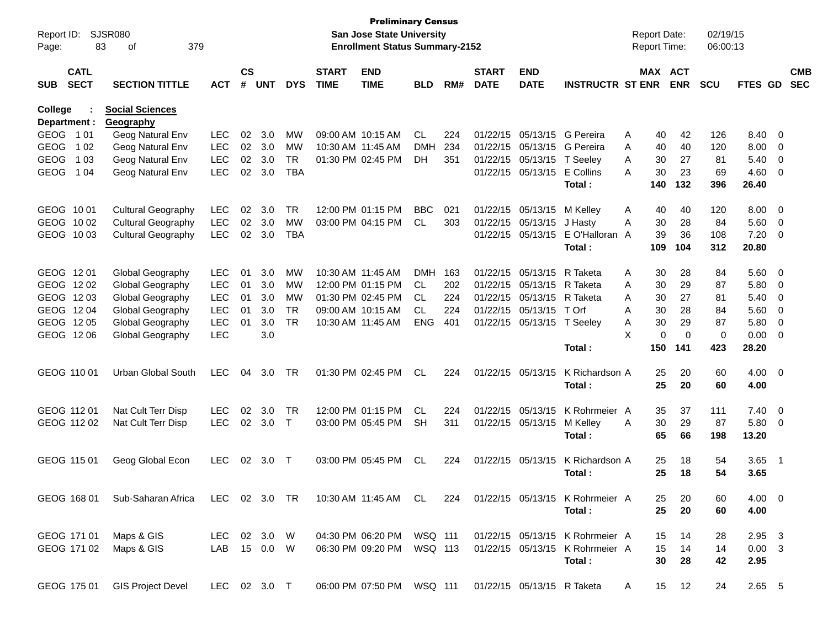| Report ID:<br>Page:                      | <b>SJSR080</b><br>83<br>379<br>οf   |              |                    |            |            |                             | <b>Preliminary Census</b><br><b>San Jose State University</b><br><b>Enrollment Status Summary-2152</b> |            |     |                             |                            |                                 |   | <b>Report Date:</b><br><b>Report Time:</b> |            | 02/19/15<br>06:00:13 |                |                            |                          |
|------------------------------------------|-------------------------------------|--------------|--------------------|------------|------------|-----------------------------|--------------------------------------------------------------------------------------------------------|------------|-----|-----------------------------|----------------------------|---------------------------------|---|--------------------------------------------|------------|----------------------|----------------|----------------------------|--------------------------|
| <b>CATL</b><br><b>SECT</b><br><b>SUB</b> | <b>SECTION TITTLE</b>               | <b>ACT</b>   | $\mathsf{cs}$<br># | <b>UNT</b> | <b>DYS</b> | <b>START</b><br><b>TIME</b> | <b>END</b><br><b>TIME</b>                                                                              | <b>BLD</b> | RM# | <b>START</b><br><b>DATE</b> | <b>END</b><br><b>DATE</b>  | <b>INSTRUCTR ST ENR</b>         |   | <b>MAX ACT</b>                             | <b>ENR</b> | <b>SCU</b>           | FTES GD        |                            | <b>CMB</b><br><b>SEC</b> |
| College<br>Department :                  | <b>Social Sciences</b><br>Geography |              |                    |            |            |                             |                                                                                                        |            |     |                             |                            |                                 |   |                                            |            |                      |                |                            |                          |
| GEOG 101                                 | Geog Natural Env                    | <b>LEC</b>   | 02                 | 3.0        | МW         |                             | 09:00 AM 10:15 AM                                                                                      | <b>CL</b>  | 224 | 01/22/15                    | 05/13/15                   | G Pereira                       | A | 40                                         | 42         | 126                  | 8.40           | $\overline{0}$             |                          |
| <b>GEOG</b><br>1 0 2                     | Geog Natural Env                    | <b>LEC</b>   | 02                 | 3.0        | МW         |                             | 10:30 AM 11:45 AM                                                                                      | <b>DMH</b> | 234 | 01/22/15                    | 05/13/15                   | G Pereira                       | A | 40                                         | 40         | 120                  | 8.00           | 0                          |                          |
| <b>GEOG</b><br>1 0 3                     | Geog Natural Env                    | <b>LEC</b>   | 02                 | 3.0        | <b>TR</b>  |                             | 01:30 PM 02:45 PM                                                                                      | DH.        | 351 | 01/22/15                    | 05/13/15                   | T Seeley                        | A | 30                                         | 27         | 81                   | 5.40           | 0                          |                          |
| GEOG<br>1 04                             | Geog Natural Env                    | <b>LEC</b>   | 02                 | 3.0        | <b>TBA</b> |                             |                                                                                                        |            |     | 01/22/15                    | 05/13/15                   | E Collins                       | Α | 30                                         | 23         | 69                   | 4.60           | - 0                        |                          |
|                                          |                                     |              |                    |            |            |                             |                                                                                                        |            |     |                             |                            | Total:                          |   | 140                                        | 132        | 396                  | 26.40          |                            |                          |
| GEOG 1001                                | <b>Cultural Geography</b>           | <b>LEC</b>   | 02                 | 3.0        | <b>TR</b>  |                             | 12:00 PM 01:15 PM                                                                                      | <b>BBC</b> | 021 | 01/22/15                    | 05/13/15                   | M Kelley                        | A | 40                                         | 40         | 120                  | 8.00           | $\overline{0}$             |                          |
| GEOG 1002                                | <b>Cultural Geography</b>           | <b>LEC</b>   | 02                 | 3.0        | <b>MW</b>  |                             | 03:00 PM 04:15 PM                                                                                      | <b>CL</b>  | 303 | 01/22/15                    | 05/13/15                   | J Hasty                         | A | 30                                         | 28         | 84                   | 5.60           | $\overline{0}$             |                          |
| GEOG 1003                                | <b>Cultural Geography</b>           | <b>LEC</b>   | 02                 | 3.0        | <b>TBA</b> |                             |                                                                                                        |            |     | 01/22/15                    | 05/13/15                   | E O'Halloran A                  |   | 39                                         | 36         | 108                  | 7.20           | - 0                        |                          |
|                                          |                                     |              |                    |            |            |                             |                                                                                                        |            |     |                             |                            | Total:                          |   | 109                                        | 104        | 312                  | 20.80          |                            |                          |
| GEOG 1201                                | Global Geography                    | <b>LEC</b>   | 01                 | 3.0        | MW         |                             | 10:30 AM 11:45 AM                                                                                      | <b>DMH</b> | 163 | 01/22/15                    | 05/13/15                   | R Taketa                        | A | 30                                         | 28         | 84                   | 5.60           | $\overline{0}$             |                          |
| GEOG 1202                                | Global Geography                    | <b>LEC</b>   | 01                 | 3.0        | МW         |                             | 12:00 PM 01:15 PM                                                                                      | CL         | 202 | 01/22/15                    | 05/13/15                   | R Taketa                        | Α | 30                                         | 29         | 87                   | 5.80           | $\mathbf 0$                |                          |
| GEOG 1203                                | Global Geography                    | <b>LEC</b>   | 01                 | 3.0        | МW         |                             | 01:30 PM 02:45 PM                                                                                      | <b>CL</b>  | 224 | 01/22/15                    | 05/13/15                   | R Taketa                        | Α | 30                                         | 27         | 81                   | 5.40           | 0                          |                          |
| GEOG 1204                                | Global Geography                    | <b>LEC</b>   | 01                 | 3.0        | <b>TR</b>  |                             | 09:00 AM 10:15 AM                                                                                      | <b>CL</b>  | 224 | 01/22/15                    | 05/13/15                   | T Orf                           | A | 30                                         | 28         | 84                   | 5.60           | $\overline{0}$             |                          |
| GEOG 1205                                | Global Geography                    | <b>LEC</b>   | 01                 | 3.0        | <b>TR</b>  |                             | 10:30 AM 11:45 AM                                                                                      | <b>ENG</b> | 401 | 01/22/15                    | 05/13/15 T Seeley          |                                 | Α | 30                                         | 29         | 87                   | 5.80           | $\overline{0}$             |                          |
| GEOG 1206                                | Global Geography                    | <b>LEC</b>   |                    | 3.0        |            |                             |                                                                                                        |            |     |                             |                            |                                 | X | $\Omega$                                   | $\Omega$   | $\mathbf 0$          | 0.00           | - 0                        |                          |
|                                          |                                     |              |                    |            |            |                             |                                                                                                        |            |     |                             |                            | Total:                          |   | 150                                        | 141        | 423                  | 28.20          |                            |                          |
| GEOG 110 01                              | <b>Urban Global South</b>           | <b>LEC</b>   | 04                 | 3.0        | TR.        |                             | 01:30 PM 02:45 PM                                                                                      | <b>CL</b>  | 224 | 01/22/15                    | 05/13/15                   | K Richardson A                  |   | 25                                         | 20         | 60                   | 4.00           | $\overline{\mathbf{0}}$    |                          |
|                                          |                                     |              |                    |            |            |                             |                                                                                                        |            |     |                             |                            | Total:                          |   | 25                                         | 20         | 60                   | 4.00           |                            |                          |
| GEOG 112 01                              | Nat Cult Terr Disp                  | <b>LEC</b>   | 02                 | 3.0        | <b>TR</b>  |                             | 12:00 PM 01:15 PM                                                                                      | <b>CL</b>  | 224 | 01/22/15                    | 05/13/15                   | K Rohrmeier A                   |   | 35                                         | 37         | 111                  | 7.40           | $\overline{0}$             |                          |
| GEOG 112 02                              | Nat Cult Terr Disp                  | <b>LEC</b>   | 02                 | 3.0        | $\top$     |                             | 03:00 PM 05:45 PM                                                                                      | <b>SH</b>  | 311 | 01/22/15                    | 05/13/15                   | M Kelley                        | A | 30                                         | 29         | 87                   | 5.80           | - 0                        |                          |
|                                          |                                     |              |                    |            |            |                             |                                                                                                        |            |     |                             |                            | Total:                          |   | 65                                         | 66         | 198                  | 13.20          |                            |                          |
| GEOG 115 01                              | Geog Global Econ                    | <b>LEC</b>   | 02                 | 3.0        | $\top$     |                             | 03:00 PM 05:45 PM                                                                                      | <b>CL</b>  | 224 | 01/22/15                    | 05/13/15                   | K Richardson A                  |   | 25                                         | 18         | 54                   | 3.65           | $\overline{\phantom{0}}$ 1 |                          |
|                                          |                                     |              |                    |            |            |                             |                                                                                                        |            |     |                             |                            | Total:                          |   | 25                                         | 18         | 54                   | 3.65           |                            |                          |
| GEOG 168 01                              | Sub-Saharan Africa                  |              |                    |            |            |                             | LEC 02 3.0 TR 10:30 AM 11:45 AM CL                                                                     |            | 224 |                             |                            | 01/22/15 05/13/15 K Rohrmeier A |   | 25                                         | 20         | 60                   | 4.00 0         |                            |                          |
|                                          |                                     |              |                    |            |            |                             |                                                                                                        |            |     |                             |                            | Total:                          |   | 25                                         | 20         | 60                   | 4.00           |                            |                          |
| GEOG 171 01                              | Maps & GIS                          | LEC 02 3.0 W |                    |            |            |                             | 04:30 PM 06:20 PM WSQ 111                                                                              |            |     |                             |                            | 01/22/15 05/13/15 K Rohrmeier A |   | 15                                         | 14         | 28                   | $2.95\quad 3$  |                            |                          |
| GEOG 171 02                              | Maps & GIS                          | LAB 15 0.0 W |                    |            |            |                             | 06:30 PM 09:20 PM                                                                                      | WSQ 113    |     |                             |                            | 01/22/15 05/13/15 K Rohrmeier A |   | 15                                         | 14         | 14                   | $0.00 \quad 3$ |                            |                          |
|                                          |                                     |              |                    |            |            |                             |                                                                                                        |            |     |                             |                            | Total:                          |   | 30                                         | 28         | 42                   | 2.95           |                            |                          |
| GEOG 175 01                              | <b>GIS Project Devel</b>            | LEC 02 3.0 T |                    |            |            |                             | 06:00 PM 07:50 PM WSQ 111                                                                              |            |     |                             | 01/22/15 05/13/15 R Taketa |                                 | A | 15                                         | 12         | 24                   | 2.65 5         |                            |                          |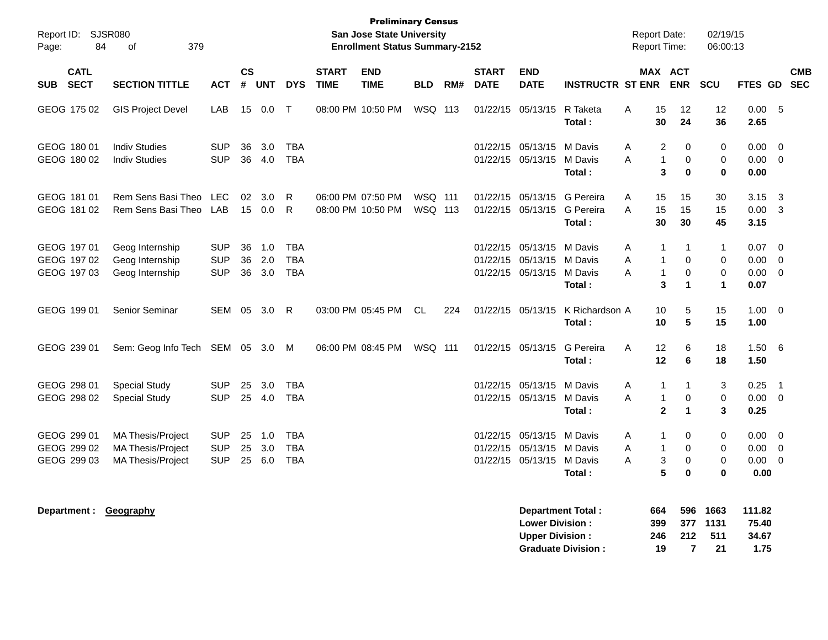| Report ID: SJSR080<br>84<br>Page:         | 379<br>of                                                                        |                                        |                   |                   |                                        |                             | <b>Preliminary Census</b><br>San Jose State University<br><b>Enrollment Status Summary-2152</b> |                    |     |                             |                                                                             |                                         |             | <b>Report Date:</b><br>Report Time:         |                                                  | 02/19/15<br>06:00:13                                       |                              |                                                    |            |
|-------------------------------------------|----------------------------------------------------------------------------------|----------------------------------------|-------------------|-------------------|----------------------------------------|-----------------------------|-------------------------------------------------------------------------------------------------|--------------------|-----|-----------------------------|-----------------------------------------------------------------------------|-----------------------------------------|-------------|---------------------------------------------|--------------------------------------------------|------------------------------------------------------------|------------------------------|----------------------------------------------------|------------|
| <b>CATL</b><br><b>SECT</b><br><b>SUB</b>  | <b>SECTION TITTLE</b>                                                            | <b>ACT</b>                             | <b>CS</b><br>$\#$ | <b>UNT</b>        | <b>DYS</b>                             | <b>START</b><br><b>TIME</b> | <b>END</b><br><b>TIME</b>                                                                       | <b>BLD</b>         | RM# | <b>START</b><br><b>DATE</b> | <b>END</b><br><b>DATE</b>                                                   | <b>INSTRUCTR ST ENR</b>                 |             | MAX ACT                                     | <b>ENR</b>                                       | SCU                                                        | FTES GD SEC                  |                                                    | <b>CMB</b> |
| GEOG 175 02                               | <b>GIS Project Devel</b>                                                         | LAB                                    |                   | 15 0.0            | $\top$                                 |                             | 08:00 PM 10:50 PM                                                                               | WSQ 113            |     |                             | 01/22/15 05/13/15                                                           | R Taketa<br>Total:                      | Α           | 15<br>30                                    | 12<br>24                                         | 12<br>36                                                   | 0.00<br>2.65                 | - 5                                                |            |
| GEOG 180 01<br>GEOG 180 02                | <b>Indiv Studies</b><br><b>Indiv Studies</b>                                     | <b>SUP</b><br><b>SUP</b>               | 36<br>36          | 3.0<br>4.0        | <b>TBA</b><br><b>TBA</b>               |                             |                                                                                                 |                    |     |                             | 01/22/15 05/13/15<br>01/22/15 05/13/15                                      | M Davis<br>M Davis<br>Total:            | Α<br>A      | $\overline{2}$<br>1<br>3                    | $\mathbf 0$<br>$\mathbf 0$<br>$\mathbf{0}$       | 0<br>$\mathbf 0$<br>$\mathbf 0$                            | 0.00<br>0.00<br>0.00         | $\mathbf 0$<br>$\overline{0}$                      |            |
| GEOG 181 01<br>GEOG 181 02                | Rem Sens Basi Theo<br>Rem Sens Basi Theo                                         | <b>LEC</b><br>LAB                      | 02<br>15          | 3.0<br>0.0        | R.<br>R.                               |                             | 06:00 PM 07:50 PM<br>08:00 PM 10:50 PM                                                          | WSQ 111<br>WSQ 113 |     |                             | 01/22/15 05/13/15<br>01/22/15 05/13/15                                      | G Pereira<br>G Pereira<br>Total:        | A<br>A      | 15<br>15<br>30                              | 15<br>15<br>30                                   | 30<br>15<br>45                                             | 3.15<br>0.00<br>3.15         | 3<br>$\overline{3}$                                |            |
| GEOG 197 01<br>GEOG 197 02<br>GEOG 197 03 | Geog Internship<br>Geog Internship<br>Geog Internship                            | <b>SUP</b><br><b>SUP</b><br><b>SUP</b> | 36<br>36<br>36    | 1.0<br>2.0<br>3.0 | <b>TBA</b><br><b>TBA</b><br><b>TBA</b> |                             |                                                                                                 |                    |     |                             | 01/22/15 05/13/15<br>01/22/15 05/13/15<br>01/22/15 05/13/15                 | M Davis<br>M Davis<br>M Davis<br>Total: | Α<br>A<br>A | 1<br>$\mathbf 1$<br>$\mathbf{1}$<br>3       | -1<br>$\mathbf 0$<br>$\mathbf 0$<br>$\mathbf{1}$ | $\mathbf{1}$<br>$\mathbf 0$<br>$\mathbf 0$<br>$\mathbf{1}$ | 0.07<br>0.00<br>0.00<br>0.07 | $\Omega$<br>$\mathbf 0$<br>$\overline{0}$          |            |
| GEOG 199 01                               | Senior Seminar                                                                   | SEM                                    | 05                | 3.0               | R                                      |                             | 03:00 PM 05:45 PM                                                                               | CL.                | 224 |                             | 01/22/15 05/13/15                                                           | K Richardson A<br>Total:                |             | 10<br>10                                    | 5<br>5                                           | 15<br>15                                                   | 1.00<br>1.00                 | $\overline{\mathbf{0}}$                            |            |
| GEOG 239 01                               | Sem: Geog Info Tech                                                              | SEM 05 3.0                             |                   |                   | M                                      |                             | 06:00 PM 08:45 PM                                                                               | WSQ 111            |     |                             | 01/22/15 05/13/15                                                           | G Pereira<br>Total:                     | A           | 12<br>12                                    | 6<br>6                                           | 18<br>18                                                   | 1.50<br>1.50                 | - 6                                                |            |
| GEOG 298 01<br>GEOG 298 02                | <b>Special Study</b><br><b>Special Study</b>                                     | <b>SUP</b><br><b>SUP</b>               | 25                | 3.0<br>25 4.0     | <b>TBA</b><br><b>TBA</b>               |                             |                                                                                                 |                    |     |                             | 01/22/15 05/13/15<br>01/22/15 05/13/15 M Davis                              | M Davis<br>Total:                       | A<br>A      | $\mathbf 1$<br>$\mathbf{1}$<br>$\mathbf{2}$ | 1<br>$\mathbf 0$<br>$\mathbf{1}$                 | 3<br>$\mathbf 0$<br>3                                      | 0.25<br>0.00<br>0.25         | $\overline{\mathbf{1}}$<br>$\overline{\mathbf{0}}$ |            |
| GEOG 299 01<br>GEOG 299 02<br>GEOG 299 03 | <b>MA Thesis/Project</b><br><b>MA Thesis/Project</b><br><b>MA Thesis/Project</b> | <b>SUP</b><br><b>SUP</b><br><b>SUP</b> | 25<br>25<br>25    | 1.0<br>3.0<br>6.0 | <b>TBA</b><br><b>TBA</b><br><b>TBA</b> |                             |                                                                                                 |                    |     |                             | 01/22/15 05/13/15<br>01/22/15 05/13/15 M Davis<br>01/22/15 05/13/15 M Davis | M Davis<br>Total:                       | A<br>A<br>A | $\mathbf 1$<br>$\mathbf{1}$<br>3<br>5       | 0<br>$\Omega$<br>$\mathbf 0$<br>$\bf{0}$         | $\mathbf 0$<br>$\mathbf 0$<br>$\mathbf 0$<br>$\bf{0}$      | 0.00<br>0.00<br>0.00<br>0.00 | $\overline{0}$<br>$\overline{0}$<br>$\overline{0}$ |            |
| Department: Geography                     |                                                                                  |                                        |                   |                   |                                        |                             |                                                                                                 |                    |     |                             | <b>Lower Division:</b><br><b>Upper Division:</b>                            | Department Total:                       |             | 664<br>399<br>246                           | 596<br>377<br>212                                | 1663<br>1131<br>511                                        | 111.82<br>75.40<br>34.67     |                                                    |            |

**Graduate Division : 19 7 21 1.75**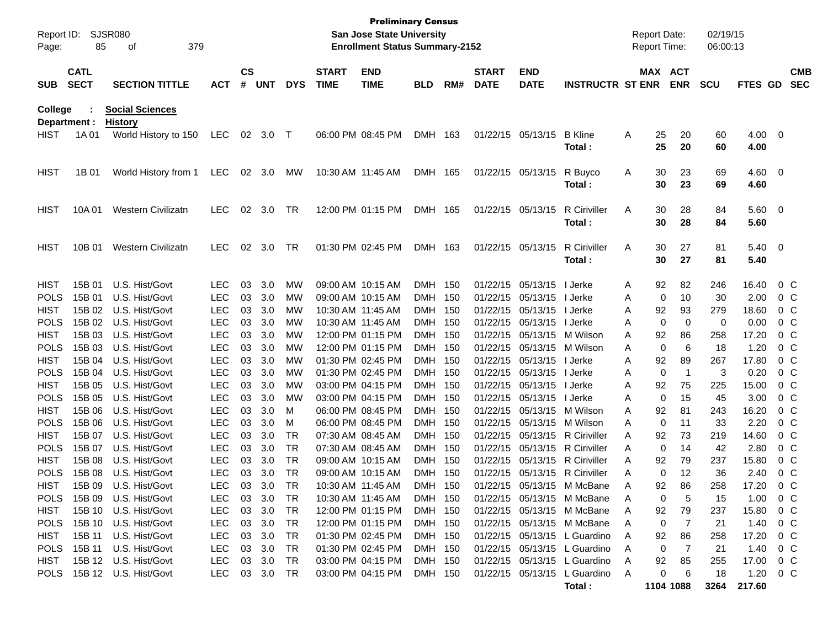| Page:               | Report ID:<br><b>SJSR080</b><br>85<br>379<br>οf<br><b>CATL</b> |                                          |                          |          |            |            |                             | <b>Preliminary Census</b><br>San Jose State University<br><b>Enrollment Status Summary-2152</b> |                    |     |                             |                           |                                                            |        | <b>Report Date:</b><br><b>Report Time:</b> |            | 02/19/15<br>06:00:13 |                     |                          |                          |
|---------------------|----------------------------------------------------------------|------------------------------------------|--------------------------|----------|------------|------------|-----------------------------|-------------------------------------------------------------------------------------------------|--------------------|-----|-----------------------------|---------------------------|------------------------------------------------------------|--------|--------------------------------------------|------------|----------------------|---------------------|--------------------------|--------------------------|
| <b>SUB</b>          | <b>SECT</b>                                                    | <b>SECTION TITTLE</b>                    | <b>ACT</b>               | CS<br>#  | <b>UNT</b> | <b>DYS</b> | <b>START</b><br><b>TIME</b> | <b>END</b><br><b>TIME</b>                                                                       | <b>BLD</b>         | RM# | <b>START</b><br><b>DATE</b> | <b>END</b><br><b>DATE</b> | <b>INSTRUCTR ST ENR</b>                                    |        | MAX ACT                                    | <b>ENR</b> | <b>SCU</b>           | FTES GD             |                          | <b>CMB</b><br><b>SEC</b> |
| College             | Department :                                                   | <b>Social Sciences</b><br><b>History</b> |                          |          |            |            |                             |                                                                                                 |                    |     |                             |                           |                                                            |        |                                            |            |                      |                     |                          |                          |
| <b>HIST</b>         | 1A 01                                                          | World History to 150                     | <b>LEC</b>               | 02       | 3.0        | $\top$     |                             | 06:00 PM 08:45 PM                                                                               | <b>DMH</b>         | 163 | 01/22/15                    | 05/13/15                  | <b>B</b> Kline<br>Total :                                  | A      | 25<br>25                                   | 20<br>20   | 60<br>60             | 4.00<br>4.00        | $\overline{\phantom{0}}$ |                          |
| <b>HIST</b>         | 1B 01                                                          | World History from 1                     | <b>LEC</b>               | 02       | 3.0        | MW         |                             | 10:30 AM 11:45 AM                                                                               | DMH 165            |     | 01/22/15                    | 05/13/15                  | R Buyco<br>Total :                                         | A      | 30<br>30                                   | 23<br>23   | 69<br>69             | 4.60<br>4.60        | $\overline{\phantom{0}}$ |                          |
| <b>HIST</b>         | 10A 01                                                         | <b>Western Civilizatn</b>                | <b>LEC</b>               | 02       | 3.0        | TR         |                             | 12:00 PM 01:15 PM                                                                               | DMH 165            |     | 01/22/15                    | 05/13/15                  | R Ciriviller<br>Total:                                     | A      | 30<br>30                                   | 28<br>28   | 84<br>84             | $5.60 \t 0$<br>5.60 |                          |                          |
| <b>HIST</b>         | 10B 01                                                         | <b>Western Civilizatn</b>                | <b>LEC</b>               | 02       | 3.0        | TR         |                             | 01:30 PM 02:45 PM                                                                               | DMH 163            |     | 01/22/15                    | 05/13/15                  | R Ciriviller<br>Total :                                    | A      | 30<br>30                                   | 27<br>27   | 81<br>81             | $5.40 \ 0$<br>5.40  |                          |                          |
| <b>HIST</b>         | 15B 01                                                         | U.S. Hist/Govt                           | <b>LEC</b>               | 03       | 3.0        | MW         |                             | 09:00 AM 10:15 AM                                                                               | DMH                | 150 | 01/22/15                    | 05/13/15                  | I Jerke                                                    | A      | 92                                         | 82         | 246                  | 16.40               | $0\,C$                   |                          |
| <b>POLS</b>         | 15B 01                                                         | U.S. Hist/Govt                           | <b>LEC</b>               | 03       | 3.0        | MW         |                             | 09:00 AM 10:15 AM                                                                               | DMH 150            |     | 01/22/15                    | 05/13/15                  | I Jerke                                                    | A      | 0                                          | 10         | 30                   | 2.00                | $0\,C$                   |                          |
| <b>HIST</b>         | 15B 02                                                         | U.S. Hist/Govt                           | <b>LEC</b>               | 03       | 3.0        | MW         |                             | 10:30 AM 11:45 AM                                                                               | DMH 150            |     | 01/22/15                    | 05/13/15                  | I Jerke                                                    | Α      | 92                                         | 93         | 279                  | 18.60               | $0\,C$                   |                          |
| <b>POLS</b>         | 15B 02                                                         | U.S. Hist/Govt                           | <b>LEC</b>               | 03       | 3.0        | MW         |                             | 10:30 AM 11:45 AM                                                                               | DMH 150            |     | 01/22/15                    | 05/13/15                  | I Jerke                                                    | A      | 0                                          | 0          | 0                    | 0.00                | $0\,C$                   |                          |
| <b>HIST</b>         | 15B 03                                                         | U.S. Hist/Govt                           | <b>LEC</b>               | 03       | 3.0        | MW         |                             | 12:00 PM 01:15 PM                                                                               | DMH 150            |     | 01/22/15                    | 05/13/15                  | M Wilson                                                   | A      | 92                                         | 86         | 258                  | 17.20               | $0\,C$                   |                          |
| <b>POLS</b>         | 15B 03                                                         | U.S. Hist/Govt                           | <b>LEC</b>               | 03       | 3.0        | MW         |                             | 12:00 PM 01:15 PM                                                                               | DMH 150            |     | 01/22/15                    | 05/13/15                  | M Wilson                                                   | A      | 0                                          | 6          | 18                   | 1.20                | $0\,C$                   |                          |
| <b>HIST</b>         | 15B 04                                                         | U.S. Hist/Govt                           | <b>LEC</b>               | 03       | 3.0        | MW         |                             | 01:30 PM 02:45 PM                                                                               | DMH 150            |     | 01/22/15                    | 05/13/15                  | I Jerke                                                    | Α      | 92                                         | 89         | 267                  | 17.80               | $0\,C$                   |                          |
| <b>POLS</b>         | 15B 04                                                         | U.S. Hist/Govt                           | <b>LEC</b>               | 03       | 3.0        | MW         |                             | 01:30 PM 02:45 PM                                                                               | DMH 150            |     | 01/22/15                    | 05/13/15                  | I Jerke                                                    | A      | 0                                          | -1         | 3                    | 0.20                | $0\,C$                   |                          |
| <b>HIST</b>         | 15B 05                                                         | U.S. Hist/Govt                           | <b>LEC</b>               | 03       | 3.0        | MW         |                             | 03:00 PM 04:15 PM                                                                               | DMH 150            |     | 01/22/15                    | 05/13/15                  | I Jerke                                                    | A      | 92                                         | 75         | 225                  | 15.00               | $0\,C$                   |                          |
| <b>POLS</b>         | 15B 05                                                         | U.S. Hist/Govt                           | <b>LEC</b>               | 03       | 3.0        | MW         |                             | 03:00 PM 04:15 PM                                                                               | DMH 150            |     | 01/22/15                    | 05/13/15                  | I Jerke                                                    | A      | 0                                          | 15         | 45                   | 3.00                | $0\,C$                   |                          |
| <b>HIST</b>         | 15B 06                                                         | U.S. Hist/Govt                           | <b>LEC</b>               | 03       | 3.0        | м          |                             | 06:00 PM 08:45 PM                                                                               | DMH 150            |     | 01/22/15                    | 05/13/15                  | M Wilson                                                   | A      | 92                                         | 81         | 243                  | 16.20               | $0\,C$                   |                          |
| <b>POLS</b>         | 15B 06                                                         | U.S. Hist/Govt                           | <b>LEC</b>               | 03       | 3.0        | м          |                             | 06:00 PM 08:45 PM                                                                               | DMH 150            |     | 01/22/15                    | 05/13/15                  | M Wilson                                                   | A      | 0                                          | 11         | 33                   | 2.20                | $0\,C$                   |                          |
| <b>HIST</b>         | 15B 07                                                         | U.S. Hist/Govt                           | <b>LEC</b>               | 03       | 3.0        | TR         |                             | 07:30 AM 08:45 AM                                                                               | DMH                | 150 | 01/22/15                    | 05/13/15                  | <b>R</b> Ciriviller                                        | A      | 92                                         | 73         | 219                  | 14.60               | $0\,C$                   |                          |
| <b>POLS</b>         | 15B 07                                                         | U.S. Hist/Govt                           | <b>LEC</b>               | 03       | 3.0        | <b>TR</b>  |                             | 07:30 AM 08:45 AM                                                                               | <b>DMH</b>         | 150 | 01/22/15                    | 05/13/15                  | <b>R</b> Ciriviller                                        | A      | 0                                          | 14         | 42                   | 2.80                | $0\,C$                   |                          |
| <b>HIST</b>         | 15B 08                                                         | U.S. Hist/Govt                           | <b>LEC</b>               | 03       | 3.0        | TR         |                             | 09:00 AM 10:15 AM                                                                               | <b>DMH</b>         | 150 | 01/22/15                    | 05/13/15                  | <b>R</b> Ciriviller                                        | A      | 92                                         | 79         | 237                  | 15.80               | $0\,C$                   |                          |
| <b>POLS</b>         | 15B 08                                                         | U.S. Hist/Govt                           | <b>LEC</b>               | 03       | 3.0        | TR         |                             | 09:00 AM 10:15 AM                                                                               | <b>DMH</b>         | 150 | 01/22/15                    | 05/13/15                  | R Ciriviller                                               | Α      | 0                                          | 12         | 36                   | 2.40                | $0\,C$                   |                          |
| <b>HIST</b>         |                                                                | 15B 09 U.S. Hist/Govt                    | <b>LEC</b>               |          | 03 3.0     | <b>TR</b>  |                             | 10:30 AM 11:45 AM                                                                               | DMH 150            |     |                             |                           | 01/22/15 05/13/15 M McBane                                 | А      | 92                                         | 86         | 258                  | 17.20               | 0 C                      |                          |
| <b>POLS</b>         |                                                                | 15B 09 U.S. Hist/Govt                    | LEC                      |          | 03 3.0     | TR         |                             | 10:30 AM 11:45 AM                                                                               | DMH 150            |     |                             |                           | 01/22/15 05/13/15 M McBane                                 | A      | 0                                          | 5          | 15                   | 1.00                | $0\,$ C                  |                          |
| HIST                | 15B 10                                                         | U.S. Hist/Govt                           | <b>LEC</b>               | 03       | 3.0        | TR         |                             | 12:00 PM 01:15 PM                                                                               | DMH 150            |     |                             |                           | 01/22/15 05/13/15 M McBane                                 | A      | 92                                         | 79         | 237                  | 15.80               | $0\,C$                   |                          |
| <b>POLS</b><br>HIST | 15B 10<br>15B 11                                               | U.S. Hist/Govt<br>U.S. Hist/Govt         | <b>LEC</b><br><b>LEC</b> | 03<br>03 | 3.0<br>3.0 | TR<br>TR   |                             | 12:00 PM 01:15 PM<br>01:30 PM 02:45 PM                                                          | DMH 150<br>DMH 150 |     |                             |                           | 01/22/15 05/13/15 M McBane<br>01/22/15 05/13/15 L Guardino | A<br>A | 0                                          | 7          | 21<br>258            | 1.40<br>17.20       | $0\,$ C<br>$0\,$ C       |                          |
| POLS                | 15B 11                                                         | U.S. Hist/Govt                           | <b>LEC</b>               | 03       | 3.0        | TR         |                             | 01:30 PM 02:45 PM                                                                               | DMH 150            |     |                             |                           | 01/22/15 05/13/15 L Guardino                               | A      | 92<br>0                                    | 86<br>7    | 21                   | 1.40                | $0\,$ C                  |                          |
| HIST                |                                                                | 15B 12 U.S. Hist/Govt                    | LEC                      | 03       | 3.0        | TR         |                             | 03:00 PM 04:15 PM                                                                               | DMH 150            |     |                             |                           | 01/22/15 05/13/15 L Guardino                               | A      | 92                                         | 85         | 255                  | 17.00               | $0\,C$                   |                          |
|                     |                                                                | POLS 15B 12 U.S. Hist/Govt               | LEC                      |          | 03 3.0     | TR         |                             | 03:00 PM 04:15 PM                                                                               | DMH 150            |     |                             |                           | 01/22/15 05/13/15 L Guardino                               | A      | 0                                          | 6          | 18                   | 1.20                | $0\,$ C                  |                          |
|                     |                                                                |                                          |                          |          |            |            |                             |                                                                                                 |                    |     |                             |                           | Total:                                                     |        |                                            | 1104 1088  | 3264                 | 217.60              |                          |                          |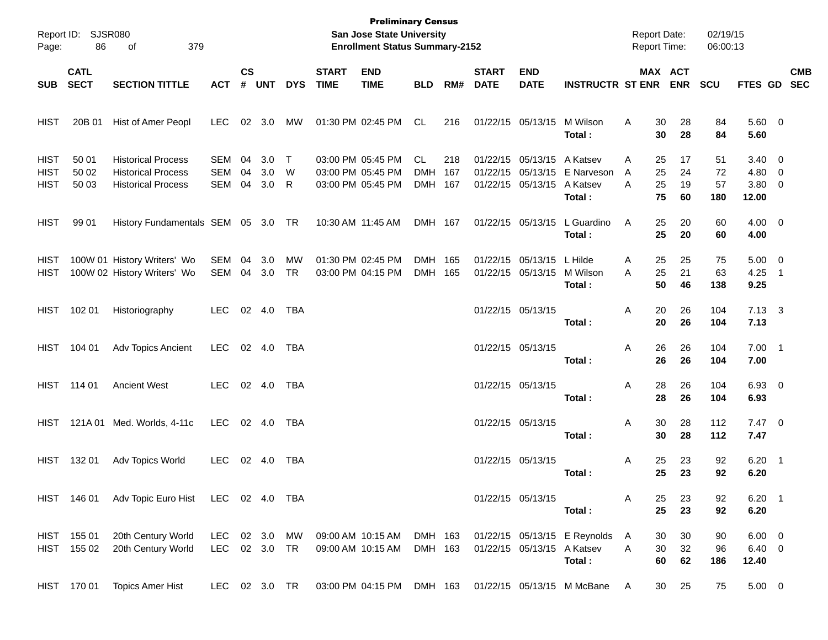| Page:                                     | Report ID: SJSR080<br>86 | 379<br>оf                                                                           |                                 |                    |                   |                  |                             | <b>Preliminary Census</b><br>San Jose State University<br><b>Enrollment Status Summary-2152</b> |                                    |            |                             |                                                             |                                              | <b>Report Date:</b><br><b>Report Time:</b> |                                              | 02/19/15<br>06:00:13  |                                          |                          |            |
|-------------------------------------------|--------------------------|-------------------------------------------------------------------------------------|---------------------------------|--------------------|-------------------|------------------|-----------------------------|-------------------------------------------------------------------------------------------------|------------------------------------|------------|-----------------------------|-------------------------------------------------------------|----------------------------------------------|--------------------------------------------|----------------------------------------------|-----------------------|------------------------------------------|--------------------------|------------|
| SUB SECT                                  | <b>CATL</b>              | <b>SECTION TITTLE</b>                                                               | <b>ACT</b>                      | $\mathsf{cs}$<br># | <b>UNT</b>        | <b>DYS</b>       | <b>START</b><br><b>TIME</b> | <b>END</b><br><b>TIME</b>                                                                       | <b>BLD</b>                         | RM#        | <b>START</b><br><b>DATE</b> | <b>END</b><br><b>DATE</b>                                   | <b>INSTRUCTR ST ENR</b>                      |                                            | MAX ACT<br><b>ENR</b>                        | <b>SCU</b>            | FTES GD SEC                              |                          | <b>CMB</b> |
|                                           |                          |                                                                                     |                                 |                    |                   |                  |                             |                                                                                                 |                                    |            |                             |                                                             |                                              |                                            |                                              |                       |                                          |                          |            |
| <b>HIST</b>                               | 20B 01                   | Hist of Amer Peopl                                                                  | <b>LEC</b>                      |                    | 02 3.0            | MW               |                             | 01:30 PM 02:45 PM                                                                               | CL                                 | 216        |                             | 01/22/15 05/13/15                                           | M Wilson<br>Total:                           | A                                          | 30<br>28<br>30<br>28                         | 84<br>84              | 5.60 0<br>5.60                           |                          |            |
| <b>HIST</b><br><b>HIST</b><br><b>HIST</b> | 50 01<br>50 02<br>50 03  | <b>Historical Process</b><br><b>Historical Process</b><br><b>Historical Process</b> | <b>SEM</b><br><b>SEM</b><br>SEM | 04<br>04<br>04     | 3.0<br>3.0<br>3.0 | $\top$<br>W<br>R |                             | 03:00 PM 05:45 PM<br>03:00 PM 05:45 PM<br>03:00 PM 05:45 PM                                     | <b>CL</b><br><b>DMH</b><br>DMH 167 | 218<br>167 |                             | 01/22/15 05/13/15<br>01/22/15 05/13/15<br>01/22/15 05/13/15 | A Katsev<br>E Narveson<br>A Katsev<br>Total: | A<br>A<br>A                                | 25<br>17<br>25<br>24<br>25<br>19<br>75<br>60 | 51<br>72<br>57<br>180 | $3.40 \ 0$<br>4.80 0<br>3.80 0<br>12.00  |                          |            |
| <b>HIST</b>                               | 99 01                    | History Fundamentals SEM 05 3.0 TR                                                  |                                 |                    |                   |                  |                             | 10:30 AM 11:45 AM                                                                               | DMH 167                            |            |                             | 01/22/15 05/13/15                                           | L Guardino<br>Total:                         | A                                          | 25<br>20<br>25<br>20                         | 60<br>60              | $4.00 \ 0$<br>4.00                       |                          |            |
| HIST<br><b>HIST</b>                       |                          | 100W 01 History Writers' Wo<br>100W 02 History Writers' Wo                          | SEM<br>SEM                      | 04                 | 3.0<br>04 3.0     | МW<br><b>TR</b>  |                             | 01:30 PM 02:45 PM<br>03:00 PM 04:15 PM                                                          | DMH 165<br>DMH 165                 |            |                             | 01/22/15 05/13/15<br>01/22/15 05/13/15                      | L Hilde<br>M Wilson<br>Total:                | Α<br>Α                                     | 25<br>25<br>25<br>21<br>50<br>46             | 75<br>63<br>138       | $5.00 \t 0$<br>4.25<br>9.25              | $\overline{\phantom{0}}$ |            |
| HIST                                      | 102 01                   | Historiography                                                                      | <b>LEC</b>                      |                    | 02 4.0            | TBA              |                             |                                                                                                 |                                    |            | 01/22/15 05/13/15           |                                                             | Total:                                       | Α                                          | 20<br>26<br>20<br>26                         | 104<br>104            | $7.13 \quad 3$<br>7.13                   |                          |            |
| HIST                                      | 104 01                   | Adv Topics Ancient                                                                  | LEC.                            |                    | 02 4.0            | TBA              |                             |                                                                                                 |                                    |            |                             | 01/22/15 05/13/15                                           | Total:                                       | Α                                          | 26<br>26<br>26<br>26                         | 104<br>104            | $7.00$ 1<br>7.00                         |                          |            |
|                                           | HIST 114 01              | <b>Ancient West</b>                                                                 | LEC.                            |                    | 02 4.0            | TBA              |                             |                                                                                                 |                                    |            |                             | 01/22/15 05/13/15                                           | Total:                                       | Α                                          | 28<br>26<br>28<br>26                         | 104<br>104            | 6.93 0<br>6.93                           |                          |            |
| HIST                                      | 121A 01                  | Med. Worlds, 4-11c                                                                  | LEC.                            |                    | 02 4.0            | TBA              |                             |                                                                                                 |                                    |            |                             | 01/22/15 05/13/15                                           | Total:                                       | Α                                          | 30<br>28<br>30<br>28                         | 112<br>112            | $7.47$ 0<br>7.47                         |                          |            |
| <b>HIST</b>                               | 132 01                   | Adv Topics World                                                                    | <b>LEC</b>                      |                    | 02 4.0            | TBA              |                             |                                                                                                 |                                    |            | 01/22/15 05/13/15           |                                                             | Total :                                      | A                                          | 25<br>23<br>25<br>23                         | 92<br>92              | $6.20$ 1<br>6.20                         |                          |            |
|                                           |                          | HIST 146 01 Adv Topic Euro Hist LEC 02 4.0 TBA                                      |                                 |                    |                   |                  |                             |                                                                                                 |                                    |            |                             | 01/22/15 05/13/15                                           | Total:                                       | A                                          | 25<br>23<br>25<br>23                         | 92<br>92              | $6.20$ 1<br>6.20                         |                          |            |
| <b>HIST</b>                               | HIST 155 01<br>155 02    | 20th Century World<br>20th Century World                                            | LEC 02 3.0 MW<br>LEC 02 3.0 TR  |                    |                   |                  |                             | 09:00 AM 10:15 AM<br>09:00 AM 10:15 AM                                                          | DMH 163<br>DMH 163                 |            |                             | 01/22/15 05/13/15 A Katsev                                  | 01/22/15 05/13/15 E Reynolds<br>Total:       | A<br>Α                                     | 30<br>30<br>30<br>32<br>62<br>60             | 90<br>96<br>186       | $6.00 \quad 0$<br>$6.40\quad 0$<br>12.40 |                          |            |
|                                           | HIST 170 01              | <b>Topics Amer Hist</b>                                                             | LEC 02 3.0 TR                   |                    |                   |                  |                             | 03:00 PM 04:15 PM                                                                               | DMH 163                            |            |                             |                                                             | 01/22/15 05/13/15 M McBane                   | A                                          | 25<br>30                                     | 75                    | $5.00 \t 0$                              |                          |            |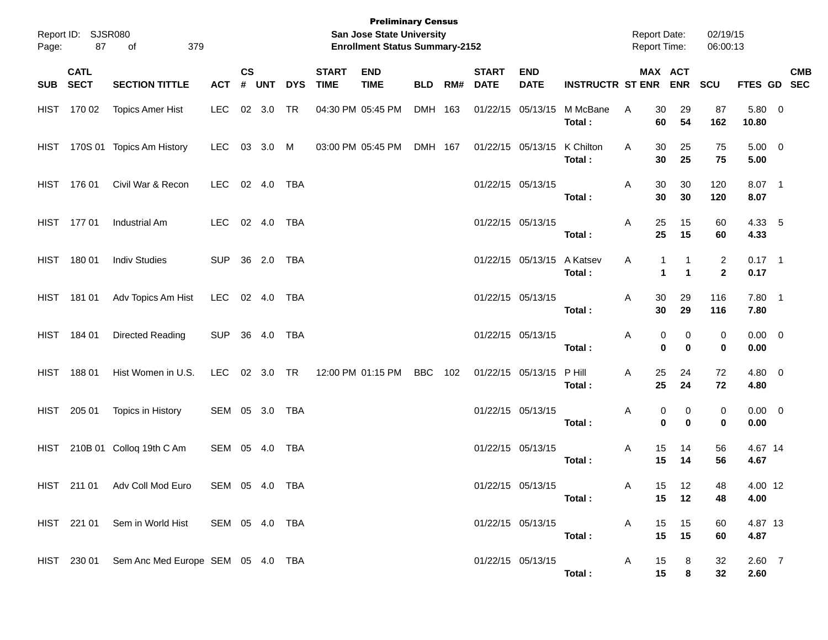| Page: | Report ID: SJSR080<br>87 | 379<br>of                                     |                |                    |              |            |                             | <b>Preliminary Census</b><br>San Jose State University<br><b>Enrollment Status Summary-2152</b> |            |     |                             |                            |                             | <b>Report Date:</b> |                   | <b>Report Time:</b>  | 02/19/15<br>06:00:13           |                     |            |
|-------|--------------------------|-----------------------------------------------|----------------|--------------------|--------------|------------|-----------------------------|-------------------------------------------------------------------------------------------------|------------|-----|-----------------------------|----------------------------|-----------------------------|---------------------|-------------------|----------------------|--------------------------------|---------------------|------------|
|       | <b>CATL</b><br>SUB SECT  | <b>SECTION TITTLE</b>                         | <b>ACT</b>     | $\mathsf{cs}$<br># | <b>UNT</b>   | <b>DYS</b> | <b>START</b><br><b>TIME</b> | <b>END</b><br><b>TIME</b>                                                                       | <b>BLD</b> | RM# | <b>START</b><br><b>DATE</b> | <b>END</b><br><b>DATE</b>  | <b>INSTRUCTR ST ENR ENR</b> |                     |                   | MAX ACT              | <b>SCU</b>                     | FTES GD SEC         | <b>CMB</b> |
|       | HIST 170 02              | <b>Topics Amer Hist</b>                       | LEC            |                    | 02 3.0       | <b>TR</b>  |                             | 04:30 PM 05:45 PM                                                                               | DMH 163    |     |                             | 01/22/15 05/13/15          | M McBane<br>Total:          | Α                   | 30<br>60          | 29<br>54             | 87<br>162                      | 5.80 0<br>10.80     |            |
|       |                          | HIST 170S 01 Topics Am History                | LEC.           |                    | 03 3.0 M     |            |                             | 03:00 PM 05:45 PM                                                                               | DMH 167    |     |                             | 01/22/15 05/13/15          | K Chilton<br>Total:         | Α                   | 30<br>30          | 25<br>25             | 75<br>75                       | $5.00 \t 0$<br>5.00 |            |
|       | HIST 176 01              | Civil War & Recon                             | LEC 02 4.0     |                    |              | TBA        |                             |                                                                                                 |            |     |                             | 01/22/15 05/13/15          | Total:                      | A                   | 30<br>30          | 30<br>30             | 120<br>120                     | 8.07 1<br>8.07      |            |
|       | HIST 177 01              | Industrial Am                                 | LEC            |                    | 02  4.0  TBA |            |                             |                                                                                                 |            |     |                             | 01/22/15 05/13/15          | Total:                      | A                   | 25<br>25          | 15<br>15             | 60<br>60                       | 4.33 5<br>4.33      |            |
|       | HIST 180 01              | <b>Indiv Studies</b>                          | <b>SUP</b>     |                    | 36  2.0  TBA |            |                             |                                                                                                 |            |     |                             | 01/22/15 05/13/15 A Katsev | Total:                      | Α                   | 1<br>$\mathbf{1}$ | $\blacktriangleleft$ | $\overline{2}$<br>$\mathbf{2}$ | $0.17$ 1<br>0.17    |            |
|       | HIST 181 01              | Adv Topics Am Hist                            | LEC 02 4.0 TBA |                    |              |            |                             |                                                                                                 |            |     |                             | 01/22/15 05/13/15          | Total:                      | A                   | 30<br>30          | 29<br>29             | 116<br>116                     | 7.80 1<br>7.80      |            |
|       | HIST 184 01              | Directed Reading                              | <b>SUP</b>     |                    | 36 4.0       | TBA        |                             |                                                                                                 |            |     |                             | 01/22/15 05/13/15          | Total:                      | A                   | 0<br>$\bf{0}$     | 0<br>$\mathbf 0$     | 0<br>0                         | $0.00 \t 0$<br>0.00 |            |
|       | HIST 188 01              | Hist Women in U.S.                            | LEC            |                    | 02 3.0 TR    |            |                             | 12:00 PM 01:15 PM                                                                               | BBC        | 102 |                             | 01/22/15 05/13/15          | P Hill<br>Total:            | Α                   | 25<br>25          | 24<br>24             | 72<br>72                       | 4.80 0<br>4.80      |            |
| HIST  | 205 01                   | Topics in History                             | SEM 05 3.0 TBA |                    |              |            |                             |                                                                                                 |            |     | 01/22/15 05/13/15           |                            | Total:                      | A                   | 0<br>$\bf{0}$     | 0<br>$\mathbf 0$     | 0<br>0                         | $0.00 \t 0$<br>0.00 |            |
| HIST  |                          | 210B 01 Colloq 19th C Am                      | SEM 05 4.0 TBA |                    |              |            |                             |                                                                                                 |            |     | 01/22/15 05/13/15           |                            | Total:                      | A                   | 15<br>15          | 14<br>14             | 56<br>56                       | 4.67 14<br>4.67     |            |
|       | HIST 211 01              | Adv Coll Mod Euro                             | SEM 05 4.0 TBA |                    |              |            |                             |                                                                                                 |            |     |                             | 01/22/15 05/13/15          | Total :                     | A                   | 15                | 12<br>15 12          | 48<br>48                       | 4.00 12<br>4.00     |            |
|       |                          | HIST 221 01 Sem in World Hist SEM 05 4.0 TBA  |                |                    |              |            |                             |                                                                                                 |            |     |                             | 01/22/15 05/13/15          | Total:                      | A                   | 15<br>15          | 15<br>15             | 60<br>60                       | 4.87 13<br>4.87     |            |
|       |                          | HIST 230 01 Sem Anc Med Europe SEM 05 4.0 TBA |                |                    |              |            |                             |                                                                                                 |            |     |                             | 01/22/15 05/13/15          | Total:                      | A                   | 15<br>15          | 8<br>8               | 32<br>32                       | $2.60$ 7<br>2.60    |            |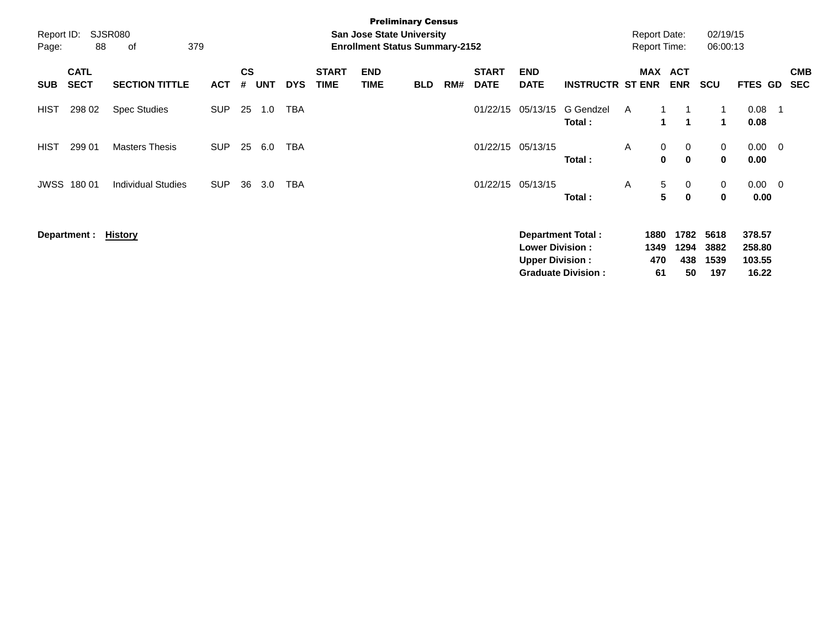| Report ID:<br>Page: | 88                         | <b>SJSR080</b><br>379<br>οf |            |                    |            |            |                             | <b>San Jose State University</b><br><b>Enrollment Status Summary-2152</b> | <b>Preliminary Census</b> |     |                             |                           |                           | <b>Report Date:</b><br><b>Report Time:</b> |                   |                            | 02/19/15<br>06:00:13       |                        |     |                          |
|---------------------|----------------------------|-----------------------------|------------|--------------------|------------|------------|-----------------------------|---------------------------------------------------------------------------|---------------------------|-----|-----------------------------|---------------------------|---------------------------|--------------------------------------------|-------------------|----------------------------|----------------------------|------------------------|-----|--------------------------|
| <b>SUB</b>          | <b>CATL</b><br><b>SECT</b> | <b>SECTION TITTLE</b>       | <b>ACT</b> | $\mathsf{cs}$<br># | <b>UNT</b> | <b>DYS</b> | <b>START</b><br><b>TIME</b> | <b>END</b><br><b>TIME</b>                                                 | <b>BLD</b>                | RM# | <b>START</b><br><b>DATE</b> | <b>END</b><br><b>DATE</b> | <b>INSTRUCTR ST ENR</b>   |                                            |                   | MAX ACT<br><b>ENR</b>      | <b>SCU</b>                 | <b>FTES GD</b>         |     | <b>CMB</b><br><b>SEC</b> |
| <b>HIST</b>         | 298 02                     | <b>Spec Studies</b>         | <b>SUP</b> | 25                 | 1.0        | <b>TBA</b> |                             |                                                                           |                           |     | 01/22/15                    | 05/13/15                  | G Gendzel<br>Total:       | A                                          | 1.                | $\blacktriangleleft$       | 1<br>$\mathbf 1$           | 0.08<br>0.08           | - 1 |                          |
| HIST                | 299 01                     | <b>Masters Thesis</b>       | <b>SUP</b> | 25                 | 6.0        | <b>TBA</b> |                             |                                                                           |                           |     |                             | 01/22/15 05/13/15         | Total:                    | A                                          | $\mathbf{0}$<br>0 | $\mathbf 0$<br>$\mathbf 0$ | $\mathbf 0$<br>$\mathbf 0$ | $0.00 \quad 0$<br>0.00 |     |                          |
| JWSS                | 180 01                     | <b>Individual Studies</b>   | <b>SUP</b> | 36                 | 3.0        | TBA        |                             |                                                                           |                           |     |                             | 01/22/15 05/13/15         | Total:                    | A                                          | 5<br>5            | 0<br>$\mathbf 0$           | 0<br>0                     | $0.00 \quad 0$<br>0.00 |     |                          |
|                     | Department :               | <u>History</u>              |            |                    |            |            |                             |                                                                           |                           |     |                             | <b>Lower Division:</b>    | Department Total:         |                                            | 1880<br>1349      | 1782<br>1294               | 5618<br>3882               | 378.57<br>258.80       |     |                          |
|                     |                            |                             |            |                    |            |            |                             |                                                                           |                           |     |                             | <b>Upper Division:</b>    | <b>Graduate Division:</b> |                                            | 470<br>61         | 438<br>50                  | 1539<br>197                | 103.55<br>16.22        |     |                          |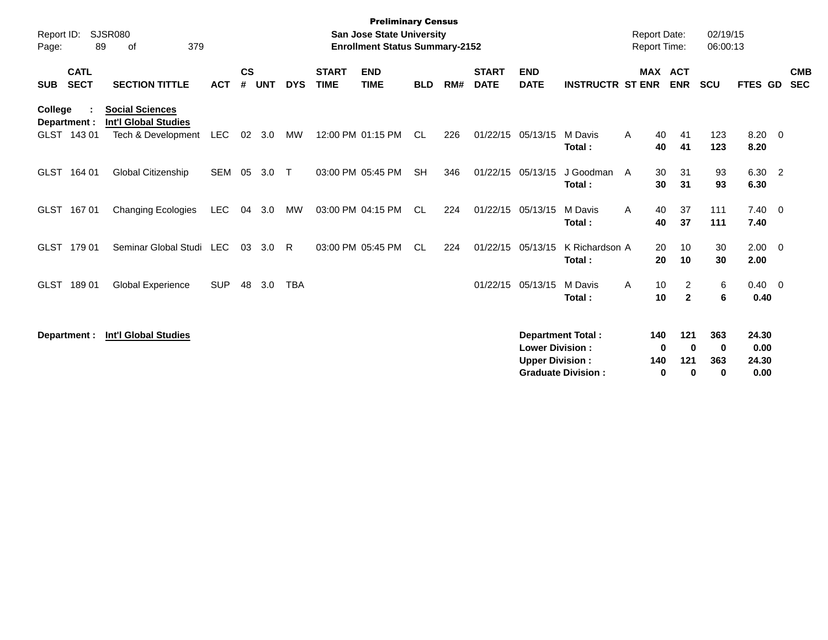| Report ID:<br>Page: | 89                          | SJSR080<br>379<br>οf                                                        |            |                    |            |            |                             | <b>Preliminary Census</b><br><b>San Jose State University</b><br><b>Enrollment Status Summary-2152</b> |            |     |                             |                                                  |                                                       | <b>Report Date:</b><br>Report Time: |                      |                                        | 02/19/15<br>06:00:13        |                                |                |                          |
|---------------------|-----------------------------|-----------------------------------------------------------------------------|------------|--------------------|------------|------------|-----------------------------|--------------------------------------------------------------------------------------------------------|------------|-----|-----------------------------|--------------------------------------------------|-------------------------------------------------------|-------------------------------------|----------------------|----------------------------------------|-----------------------------|--------------------------------|----------------|--------------------------|
| <b>SUB</b>          | <b>CATL</b><br><b>SECT</b>  | <b>SECTION TITTLE</b>                                                       | <b>ACT</b> | $\mathsf{cs}$<br># | <b>UNT</b> | <b>DYS</b> | <b>START</b><br><b>TIME</b> | <b>END</b><br><b>TIME</b>                                                                              | <b>BLD</b> | RM# | <b>START</b><br><b>DATE</b> | <b>END</b><br><b>DATE</b>                        | <b>INSTRUCTR ST ENR</b>                               |                                     |                      | MAX ACT<br><b>ENR</b>                  | <b>SCU</b>                  | <b>FTES GD</b>                 |                | <b>CMB</b><br><b>SEC</b> |
| <b>College</b>      | Department :<br>GLST 143 01 | <b>Social Sciences</b><br><b>Int'l Global Studies</b><br>Tech & Development | LEC        |                    | 02 3.0     | MW         |                             | 12:00 PM 01:15 PM                                                                                      | CL         | 226 | 01/22/15                    | 05/13/15                                         | M Davis<br>Total:                                     | A                                   | 40<br>40             | 41<br>41                               | 123<br>123                  | 8.20<br>8.20                   | $\overline{0}$ |                          |
|                     | GLST 164 01                 | Global Citizenship                                                          | <b>SEM</b> | 05                 | 3.0        | $\top$     |                             | 03:00 PM 05:45 PM                                                                                      | <b>SH</b>  | 346 | 01/22/15                    | 05/13/15                                         | J Goodman<br>Total:                                   | A                                   | 30<br>30             | 31<br>31                               | 93<br>93                    | 6.30<br>6.30                   | $\overline{2}$ |                          |
|                     | GLST 167 01                 | Changing Ecologies                                                          | <b>LEC</b> | 04                 | 3.0        | MW         |                             | 03:00 PM 04:15 PM                                                                                      | CL         | 224 | 01/22/15                    | 05/13/15                                         | M Davis<br>Total:                                     | A                                   | 40<br>40             | 37<br>37                               | 111<br>111                  | $7.40 \quad 0$<br>7.40         |                |                          |
|                     | GLST 179 01                 | Seminar Global Studi                                                        | <b>LEC</b> | 03                 | 3.0        | R.         |                             | 03:00 PM 05:45 PM                                                                                      | CL         | 224 | 01/22/15                    | 05/13/15                                         | K Richardson A<br>Total:                              |                                     | 20<br>20             | 10<br>10                               | 30<br>30                    | $2.00 \t 0$<br>2.00            |                |                          |
| <b>GLST</b>         | 18901                       | <b>Global Experience</b>                                                    | <b>SUP</b> | 48                 | 3.0        | <b>TBA</b> |                             |                                                                                                        |            |     | 01/22/15                    | 05/13/15                                         | M Davis<br>Total:                                     | A                                   | 10<br>10             | $\overline{2}$<br>$\mathbf 2$          | 6<br>6                      | $0.40 \quad 0$<br>0.40         |                |                          |
|                     | Department :                | <b>Int'l Global Studies</b>                                                 |            |                    |            |            |                             |                                                                                                        |            |     |                             | <b>Lower Division:</b><br><b>Upper Division:</b> | <b>Department Total:</b><br><b>Graduate Division:</b> |                                     | 140<br>0<br>140<br>0 | 121<br>$\mathbf{0}$<br>121<br>$\bf{0}$ | 363<br>0<br>363<br>$\bf{0}$ | 24.30<br>0.00<br>24.30<br>0.00 |                |                          |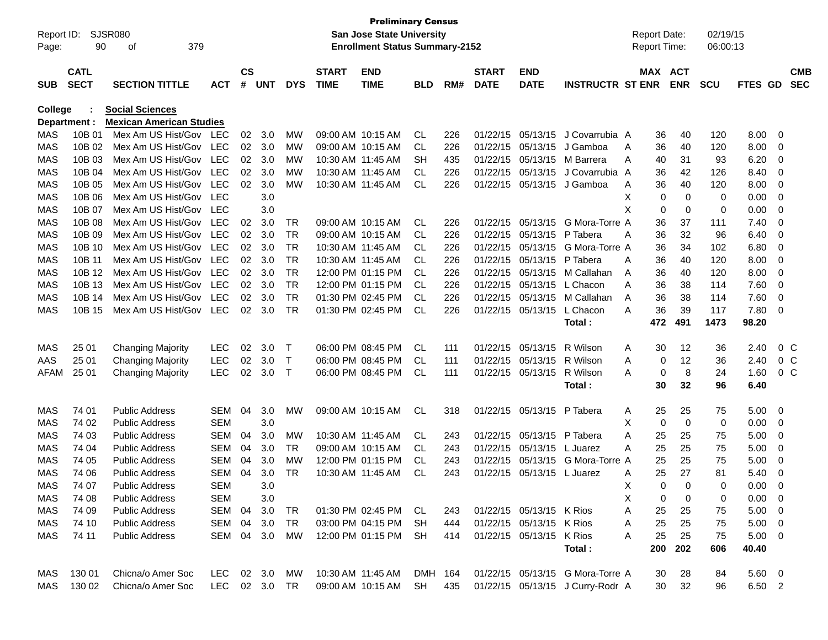| <b>CS</b><br><b>CATL</b><br><b>START</b><br><b>START</b><br>MAX ACT<br><b>END</b><br><b>END</b><br><b>CMB</b><br><b>SECT</b><br>#<br><b>SEC</b><br><b>SECTION TITTLE</b><br><b>UNT</b><br><b>DYS</b><br><b>TIME</b><br><b>TIME</b><br>RM#<br><b>DATE</b><br><b>DATE</b><br><b>INSTRUCTR ST ENR</b><br><b>ENR</b><br><b>SCU</b><br><b>SUB</b><br><b>ACT</b><br><b>BLD</b><br>FTES GD<br>College<br><b>Social Sciences</b><br><b>Mexican American Studies</b><br>Department :<br>10B 01<br>Mex Am US Hist/Gov<br>09:00 AM 10:15 AM<br>05/13/15<br>J Covarrubia A<br>8.00<br>MAS<br>LEC<br>02<br>3.0<br>MW<br>CL<br>226<br>01/22/15<br>40<br>120<br>0<br>36<br><b>MAS</b><br>10B 02<br>Mex Am US Hist/Gov<br><b>LEC</b><br>02 3.0<br>05/13/15<br>8.00<br>MW<br>09:00 AM 10:15 AM<br>CL<br>226<br>01/22/15<br>J Gamboa<br>40<br>120<br>0<br>A<br>36<br><b>MAS</b><br>10B 03<br>Mex Am US Hist/Gov<br><b>LEC</b><br>6.20<br>02<br>3.0<br>МW<br>10:30 AM 11:45 AM<br>SН<br>435<br>01/22/15<br>05/13/15<br>M Barrera<br>93<br>A<br>40<br>31<br>0<br><b>MAS</b><br>10B 04<br>Mex Am US Hist/Gov<br><b>LEC</b><br>02<br>05/13/15<br>8.40<br>3.0<br>МW<br>10:30 AM 11:45 AM<br>CL.<br>226<br>01/22/15<br>J Covarrubia A<br>36<br>42<br>126<br>0<br><b>MAS</b><br>10B 05<br>Mex Am US Hist/Gov<br><b>LEC</b><br>05/13/15<br>8.00<br>02<br>3.0<br>MW<br>10:30 AM 11:45 AM<br>CL<br>226<br>01/22/15<br>J Gamboa<br>36<br>40<br>120<br>0<br>Α<br><b>MAS</b><br>10B 06<br>Mex Am US Hist/Gov<br><b>LEC</b><br>3.0<br>X<br>0<br>0.00<br>0<br>0<br>0<br><b>MAS</b><br>10B 07<br>Mex Am US Hist/Gov<br>3.0<br>X<br>0<br>0.00<br>LEC<br>0<br>0<br>0<br><b>MAS</b><br>10B 08<br>Mex Am US Hist/Gov<br><b>LEC</b><br>3.0<br>09:00 AM 10:15 AM<br>01/22/15 05/13/15<br>G Mora-Torre A<br>7.40<br>02<br>TR<br><b>CL</b><br>226<br>37<br>0<br>36<br>111<br><b>MAS</b><br>10B 09<br>Mex Am US Hist/Gov<br><b>LEC</b><br><b>TR</b><br>32<br>6.40<br>02<br>3.0<br>09:00 AM 10:15 AM<br>CL<br>226<br>01/22/15<br>05/13/15<br>P Tabera<br>36<br>96<br>0<br>A<br><b>MAS</b><br>10B 10<br>Mex Am US Hist/Gov<br><b>LEC</b><br><b>TR</b><br>05/13/15<br>6.80<br>02<br>3.0<br>10:30 AM 11:45 AM<br>CL<br>226<br>01/22/15<br>G Mora-Torre A<br>36<br>34<br>102<br>0<br><b>MAS</b><br>10B 11<br>Mex Am US Hist/Gov<br><b>LEC</b><br>02<br><b>TR</b><br>01/22/15<br>05/13/15<br>8.00<br>3.0<br>10:30 AM 11:45 AM<br>CL<br>226<br>P Tabera<br>36<br>40<br>120<br>0<br>A<br><b>MAS</b><br>10B 12<br>Mex Am US Hist/Gov<br><b>LEC</b><br>02<br><b>TR</b><br>12:00 PM 01:15 PM<br>05/13/15<br>8.00<br>3.0<br>CL<br>226<br>01/22/15<br>M Callahan<br>36<br>40<br>120<br>0<br>A<br><b>MAS</b><br>10B 13<br>Mex Am US Hist/Gov<br><b>LEC</b><br><b>TR</b><br>12:00 PM 01:15 PM<br>05/13/15<br>7.60<br>02<br>3.0<br>CL<br>226<br>01/22/15<br>L Chacon<br>A<br>36<br>38<br>114<br>0<br>7.60<br><b>MAS</b><br>10B 14<br>Mex Am US Hist/Gov<br><b>LEC</b><br>02<br><b>TR</b><br>01:30 PM 02:45 PM<br>01/22/15<br>05/13/15<br>36<br>3.0<br>CL<br>226<br>M Callahan<br>A<br>38<br>114<br>0<br><b>MAS</b><br>10B 15<br>Mex Am US Hist/Gov<br><b>TR</b><br>01:30 PM 02:45 PM<br><b>CL</b><br>05/13/15<br>L Chacon<br>36<br>7.80<br><b>LEC</b><br>02<br>3.0<br>226<br>01/22/15<br>A<br>39<br>117<br>0<br>491<br>1473<br>98.20<br>472<br><b>Total :</b><br>02<br>3.0<br>06:00 PM 08:45 PM<br>01/22/15 05/13/15<br>R Wilson<br>12<br>0 <sup>o</sup><br>MAS<br>25 01<br><b>Changing Majority</b><br><b>LEC</b><br>$\top$<br>CL<br>111<br>30<br>36<br>2.40<br>A<br>25 01<br><b>LEC</b><br>02<br>06:00 PM 08:45 PM<br>01/22/15 05/13/15<br>12<br>AAS<br><b>Changing Majority</b><br>3.0<br>Т<br>CL.<br>R Wilson<br>A<br>2.40<br>0 <sup>o</sup><br>111<br>0<br>36<br>25 01<br><b>LEC</b><br>02<br>3.0<br>8<br>1.60<br><b>AFAM</b><br><b>Changing Majority</b><br>$\top$<br>06:00 PM 08:45 PM<br>CL<br>01/22/15 05/13/15<br>R Wilson<br>0<br>24<br>0 <sup>o</sup><br>111<br>A<br>30<br>32<br>96<br>6.40<br><b>Total :</b><br>74 01<br><b>SEM</b><br>04<br>3.0<br><b>MW</b><br>09:00 AM 10:15 AM<br>01/22/15 05/13/15<br>5.00<br>MAS<br><b>Public Address</b><br>CL<br>318<br>P Tabera<br>25<br>25<br>75<br>0<br>A<br><b>SEM</b><br>3.0<br>0<br>0.00<br>MAS<br>74 02<br><b>Public Address</b><br>х<br>0<br>0<br>0<br>01/22/15 05/13/15<br>MAS<br>74 03<br><b>Public Address</b><br><b>SEM</b><br>04<br>3.0<br>MW<br>10:30 AM 11:45 AM<br><b>CL</b><br>243<br>P Tabera<br>A<br>25<br>5.00<br>25<br>75<br>0<br>MAS<br>74 04<br><b>Public Address</b><br><b>SEM</b><br>04<br>3.0<br>TR<br>09:00 AM 10:15 AM<br>01/22/15 05/13/15<br>25<br>25<br>75<br>5.00<br>CL.<br>243<br>L Juarez<br>A<br>0<br>12:00 PM 01:15 PM<br>01/22/15<br>05/13/15<br>G Mora-Torre A<br>MAS<br>74 05<br><b>Public Address</b><br><b>SEM</b><br>04<br>3.0<br>MW<br>25<br>25<br>75<br>5.00<br>CL.<br>243<br>0<br><b>MAS</b><br>74 06<br><b>SEM</b><br>04<br>3.0<br>25<br>27<br>5.40<br><b>Public Address</b><br>TR<br>10:30 AM 11:45 AM<br>CL<br>01/22/15 05/13/15<br>Α<br>81<br>0<br>243<br>L Juarez<br>MAS<br><b>SEM</b><br>3.0<br>0.00<br>74 07<br>X<br>$\Omega$<br>Public Address<br>0<br>$\Omega$<br>0<br>$0.00 \t 0$<br><b>SEM</b><br>3.0<br>0<br>MAS<br>74 08<br><b>Public Address</b><br>х<br>0<br>0<br>MAS<br>74 09<br><b>Public Address</b><br>SEM 04 3.0<br>01:30 PM 02:45 PM CL<br>01/22/15 05/13/15 K Rios<br>$5.00 \t 0$<br>TR<br>243<br>A<br>25<br>25<br>75<br>SEM 04 3.0<br>03:00 PM 04:15 PM<br>01/22/15 05/13/15 K Rios<br>MAS<br>74 10<br><b>Public Address</b><br>TR<br>SH<br>444<br>25<br>25<br>$5.00 \t 0$<br>A<br>75<br>74 11<br>SEM 04 3.0<br>12:00 PM 01:15 PM SH<br>01/22/15 05/13/15 K Rios<br>25<br>$5.00 \t 0$<br>MAS<br><b>Public Address</b><br>МW<br>414<br>25<br>75<br>A<br>200<br>40.40<br>Total:<br>202<br>606<br>130 01<br>Chicna/o Amer Soc<br>LEC 02 3.0 MW<br>10:30 AM 11:45 AM<br>DMH 164<br>01/22/15 05/13/15 G Mora-Torre A<br>$5.60 \quad 0$<br>MAS<br>30<br>28<br>84<br>LEC 02 3.0 TR<br>MAS 130 02<br>Chicna/o Amer Soc<br>09:00 AM 10:15 AM SH<br>435<br>01/22/15 05/13/15 J Curry-Rodr A<br>32<br>6.50 2<br>30<br>96 | Report ID:<br>Page: | 90 | SJSR080<br>379<br>οf |  |  | <b>Preliminary Census</b><br><b>San Jose State University</b><br><b>Enrollment Status Summary-2152</b> |  |  | <b>Report Date:</b><br><b>Report Time:</b> | 02/19/15<br>06:00:13 |  |  |
|-----------------------------------------------------------------------------------------------------------------------------------------------------------------------------------------------------------------------------------------------------------------------------------------------------------------------------------------------------------------------------------------------------------------------------------------------------------------------------------------------------------------------------------------------------------------------------------------------------------------------------------------------------------------------------------------------------------------------------------------------------------------------------------------------------------------------------------------------------------------------------------------------------------------------------------------------------------------------------------------------------------------------------------------------------------------------------------------------------------------------------------------------------------------------------------------------------------------------------------------------------------------------------------------------------------------------------------------------------------------------------------------------------------------------------------------------------------------------------------------------------------------------------------------------------------------------------------------------------------------------------------------------------------------------------------------------------------------------------------------------------------------------------------------------------------------------------------------------------------------------------------------------------------------------------------------------------------------------------------------------------------------------------------------------------------------------------------------------------------------------------------------------------------------------------------------------------------------------------------------------------------------------------------------------------------------------------------------------------------------------------------------------------------------------------------------------------------------------------------------------------------------------------------------------------------------------------------------------------------------------------------------------------------------------------------------------------------------------------------------------------------------------------------------------------------------------------------------------------------------------------------------------------------------------------------------------------------------------------------------------------------------------------------------------------------------------------------------------------------------------------------------------------------------------------------------------------------------------------------------------------------------------------------------------------------------------------------------------------------------------------------------------------------------------------------------------------------------------------------------------------------------------------------------------------------------------------------------------------------------------------------------------------------------------------------------------------------------------------------------------------------------------------------------------------------------------------------------------------------------------------------------------------------------------------------------------------------------------------------------------------------------------------------------------------------------------------------------------------------------------------------------------------------------------------------------------------------------------------------------------------------------------------------------------------------------------------------------------------------------------------------------------------------------------------------------------------------------------------------------------------------------------------------------------------------------------------------------------------------------------------------------------------------------------------------------------------------------------------------------------------------------------------------------------------------------------------------------------------------------------------------------------------------------------------------------------------------------------------------------------------------------------------------------------------------------------------------------------------------------------------------------------------------------------------------------------------------------------------------------------------------------------------------------------------------------------------------------------------------------------------------------------------------------------------------------------------------------------------------------------------------------------------------------------------------------------------------------------------------------------------------------------------------------------------------------------------------------------------------------------------------------------------------------------------------------------------------------------------------------------------------------------------------------------------------------------------------------------------------------------------------------------------------------------------------------------------|---------------------|----|----------------------|--|--|--------------------------------------------------------------------------------------------------------|--|--|--------------------------------------------|----------------------|--|--|
|                                                                                                                                                                                                                                                                                                                                                                                                                                                                                                                                                                                                                                                                                                                                                                                                                                                                                                                                                                                                                                                                                                                                                                                                                                                                                                                                                                                                                                                                                                                                                                                                                                                                                                                                                                                                                                                                                                                                                                                                                                                                                                                                                                                                                                                                                                                                                                                                                                                                                                                                                                                                                                                                                                                                                                                                                                                                                                                                                                                                                                                                                                                                                                                                                                                                                                                                                                                                                                                                                                                                                                                                                                                                                                                                                                                                                                                                                                                                                                                                                                                                                                                                                                                                                                                                                                                                                                                                                                                                                                                                                                                                                                                                                                                                                                                                                                                                                                                                                                                                                                                                                                                                                                                                                                                                                                                                                                                                                                                                                                                                                                                                                                                                                                                                                                                                                                                                                                                                                                                                                                                                             |                     |    |                      |  |  |                                                                                                        |  |  |                                            |                      |  |  |
|                                                                                                                                                                                                                                                                                                                                                                                                                                                                                                                                                                                                                                                                                                                                                                                                                                                                                                                                                                                                                                                                                                                                                                                                                                                                                                                                                                                                                                                                                                                                                                                                                                                                                                                                                                                                                                                                                                                                                                                                                                                                                                                                                                                                                                                                                                                                                                                                                                                                                                                                                                                                                                                                                                                                                                                                                                                                                                                                                                                                                                                                                                                                                                                                                                                                                                                                                                                                                                                                                                                                                                                                                                                                                                                                                                                                                                                                                                                                                                                                                                                                                                                                                                                                                                                                                                                                                                                                                                                                                                                                                                                                                                                                                                                                                                                                                                                                                                                                                                                                                                                                                                                                                                                                                                                                                                                                                                                                                                                                                                                                                                                                                                                                                                                                                                                                                                                                                                                                                                                                                                                                             |                     |    |                      |  |  |                                                                                                        |  |  |                                            |                      |  |  |
|                                                                                                                                                                                                                                                                                                                                                                                                                                                                                                                                                                                                                                                                                                                                                                                                                                                                                                                                                                                                                                                                                                                                                                                                                                                                                                                                                                                                                                                                                                                                                                                                                                                                                                                                                                                                                                                                                                                                                                                                                                                                                                                                                                                                                                                                                                                                                                                                                                                                                                                                                                                                                                                                                                                                                                                                                                                                                                                                                                                                                                                                                                                                                                                                                                                                                                                                                                                                                                                                                                                                                                                                                                                                                                                                                                                                                                                                                                                                                                                                                                                                                                                                                                                                                                                                                                                                                                                                                                                                                                                                                                                                                                                                                                                                                                                                                                                                                                                                                                                                                                                                                                                                                                                                                                                                                                                                                                                                                                                                                                                                                                                                                                                                                                                                                                                                                                                                                                                                                                                                                                                                             |                     |    |                      |  |  |                                                                                                        |  |  |                                            |                      |  |  |
|                                                                                                                                                                                                                                                                                                                                                                                                                                                                                                                                                                                                                                                                                                                                                                                                                                                                                                                                                                                                                                                                                                                                                                                                                                                                                                                                                                                                                                                                                                                                                                                                                                                                                                                                                                                                                                                                                                                                                                                                                                                                                                                                                                                                                                                                                                                                                                                                                                                                                                                                                                                                                                                                                                                                                                                                                                                                                                                                                                                                                                                                                                                                                                                                                                                                                                                                                                                                                                                                                                                                                                                                                                                                                                                                                                                                                                                                                                                                                                                                                                                                                                                                                                                                                                                                                                                                                                                                                                                                                                                                                                                                                                                                                                                                                                                                                                                                                                                                                                                                                                                                                                                                                                                                                                                                                                                                                                                                                                                                                                                                                                                                                                                                                                                                                                                                                                                                                                                                                                                                                                                                             |                     |    |                      |  |  |                                                                                                        |  |  |                                            |                      |  |  |
|                                                                                                                                                                                                                                                                                                                                                                                                                                                                                                                                                                                                                                                                                                                                                                                                                                                                                                                                                                                                                                                                                                                                                                                                                                                                                                                                                                                                                                                                                                                                                                                                                                                                                                                                                                                                                                                                                                                                                                                                                                                                                                                                                                                                                                                                                                                                                                                                                                                                                                                                                                                                                                                                                                                                                                                                                                                                                                                                                                                                                                                                                                                                                                                                                                                                                                                                                                                                                                                                                                                                                                                                                                                                                                                                                                                                                                                                                                                                                                                                                                                                                                                                                                                                                                                                                                                                                                                                                                                                                                                                                                                                                                                                                                                                                                                                                                                                                                                                                                                                                                                                                                                                                                                                                                                                                                                                                                                                                                                                                                                                                                                                                                                                                                                                                                                                                                                                                                                                                                                                                                                                             |                     |    |                      |  |  |                                                                                                        |  |  |                                            |                      |  |  |
|                                                                                                                                                                                                                                                                                                                                                                                                                                                                                                                                                                                                                                                                                                                                                                                                                                                                                                                                                                                                                                                                                                                                                                                                                                                                                                                                                                                                                                                                                                                                                                                                                                                                                                                                                                                                                                                                                                                                                                                                                                                                                                                                                                                                                                                                                                                                                                                                                                                                                                                                                                                                                                                                                                                                                                                                                                                                                                                                                                                                                                                                                                                                                                                                                                                                                                                                                                                                                                                                                                                                                                                                                                                                                                                                                                                                                                                                                                                                                                                                                                                                                                                                                                                                                                                                                                                                                                                                                                                                                                                                                                                                                                                                                                                                                                                                                                                                                                                                                                                                                                                                                                                                                                                                                                                                                                                                                                                                                                                                                                                                                                                                                                                                                                                                                                                                                                                                                                                                                                                                                                                                             |                     |    |                      |  |  |                                                                                                        |  |  |                                            |                      |  |  |
|                                                                                                                                                                                                                                                                                                                                                                                                                                                                                                                                                                                                                                                                                                                                                                                                                                                                                                                                                                                                                                                                                                                                                                                                                                                                                                                                                                                                                                                                                                                                                                                                                                                                                                                                                                                                                                                                                                                                                                                                                                                                                                                                                                                                                                                                                                                                                                                                                                                                                                                                                                                                                                                                                                                                                                                                                                                                                                                                                                                                                                                                                                                                                                                                                                                                                                                                                                                                                                                                                                                                                                                                                                                                                                                                                                                                                                                                                                                                                                                                                                                                                                                                                                                                                                                                                                                                                                                                                                                                                                                                                                                                                                                                                                                                                                                                                                                                                                                                                                                                                                                                                                                                                                                                                                                                                                                                                                                                                                                                                                                                                                                                                                                                                                                                                                                                                                                                                                                                                                                                                                                                             |                     |    |                      |  |  |                                                                                                        |  |  |                                            |                      |  |  |
|                                                                                                                                                                                                                                                                                                                                                                                                                                                                                                                                                                                                                                                                                                                                                                                                                                                                                                                                                                                                                                                                                                                                                                                                                                                                                                                                                                                                                                                                                                                                                                                                                                                                                                                                                                                                                                                                                                                                                                                                                                                                                                                                                                                                                                                                                                                                                                                                                                                                                                                                                                                                                                                                                                                                                                                                                                                                                                                                                                                                                                                                                                                                                                                                                                                                                                                                                                                                                                                                                                                                                                                                                                                                                                                                                                                                                                                                                                                                                                                                                                                                                                                                                                                                                                                                                                                                                                                                                                                                                                                                                                                                                                                                                                                                                                                                                                                                                                                                                                                                                                                                                                                                                                                                                                                                                                                                                                                                                                                                                                                                                                                                                                                                                                                                                                                                                                                                                                                                                                                                                                                                             |                     |    |                      |  |  |                                                                                                        |  |  |                                            |                      |  |  |
|                                                                                                                                                                                                                                                                                                                                                                                                                                                                                                                                                                                                                                                                                                                                                                                                                                                                                                                                                                                                                                                                                                                                                                                                                                                                                                                                                                                                                                                                                                                                                                                                                                                                                                                                                                                                                                                                                                                                                                                                                                                                                                                                                                                                                                                                                                                                                                                                                                                                                                                                                                                                                                                                                                                                                                                                                                                                                                                                                                                                                                                                                                                                                                                                                                                                                                                                                                                                                                                                                                                                                                                                                                                                                                                                                                                                                                                                                                                                                                                                                                                                                                                                                                                                                                                                                                                                                                                                                                                                                                                                                                                                                                                                                                                                                                                                                                                                                                                                                                                                                                                                                                                                                                                                                                                                                                                                                                                                                                                                                                                                                                                                                                                                                                                                                                                                                                                                                                                                                                                                                                                                             |                     |    |                      |  |  |                                                                                                        |  |  |                                            |                      |  |  |
|                                                                                                                                                                                                                                                                                                                                                                                                                                                                                                                                                                                                                                                                                                                                                                                                                                                                                                                                                                                                                                                                                                                                                                                                                                                                                                                                                                                                                                                                                                                                                                                                                                                                                                                                                                                                                                                                                                                                                                                                                                                                                                                                                                                                                                                                                                                                                                                                                                                                                                                                                                                                                                                                                                                                                                                                                                                                                                                                                                                                                                                                                                                                                                                                                                                                                                                                                                                                                                                                                                                                                                                                                                                                                                                                                                                                                                                                                                                                                                                                                                                                                                                                                                                                                                                                                                                                                                                                                                                                                                                                                                                                                                                                                                                                                                                                                                                                                                                                                                                                                                                                                                                                                                                                                                                                                                                                                                                                                                                                                                                                                                                                                                                                                                                                                                                                                                                                                                                                                                                                                                                                             |                     |    |                      |  |  |                                                                                                        |  |  |                                            |                      |  |  |
|                                                                                                                                                                                                                                                                                                                                                                                                                                                                                                                                                                                                                                                                                                                                                                                                                                                                                                                                                                                                                                                                                                                                                                                                                                                                                                                                                                                                                                                                                                                                                                                                                                                                                                                                                                                                                                                                                                                                                                                                                                                                                                                                                                                                                                                                                                                                                                                                                                                                                                                                                                                                                                                                                                                                                                                                                                                                                                                                                                                                                                                                                                                                                                                                                                                                                                                                                                                                                                                                                                                                                                                                                                                                                                                                                                                                                                                                                                                                                                                                                                                                                                                                                                                                                                                                                                                                                                                                                                                                                                                                                                                                                                                                                                                                                                                                                                                                                                                                                                                                                                                                                                                                                                                                                                                                                                                                                                                                                                                                                                                                                                                                                                                                                                                                                                                                                                                                                                                                                                                                                                                                             |                     |    |                      |  |  |                                                                                                        |  |  |                                            |                      |  |  |
|                                                                                                                                                                                                                                                                                                                                                                                                                                                                                                                                                                                                                                                                                                                                                                                                                                                                                                                                                                                                                                                                                                                                                                                                                                                                                                                                                                                                                                                                                                                                                                                                                                                                                                                                                                                                                                                                                                                                                                                                                                                                                                                                                                                                                                                                                                                                                                                                                                                                                                                                                                                                                                                                                                                                                                                                                                                                                                                                                                                                                                                                                                                                                                                                                                                                                                                                                                                                                                                                                                                                                                                                                                                                                                                                                                                                                                                                                                                                                                                                                                                                                                                                                                                                                                                                                                                                                                                                                                                                                                                                                                                                                                                                                                                                                                                                                                                                                                                                                                                                                                                                                                                                                                                                                                                                                                                                                                                                                                                                                                                                                                                                                                                                                                                                                                                                                                                                                                                                                                                                                                                                             |                     |    |                      |  |  |                                                                                                        |  |  |                                            |                      |  |  |
|                                                                                                                                                                                                                                                                                                                                                                                                                                                                                                                                                                                                                                                                                                                                                                                                                                                                                                                                                                                                                                                                                                                                                                                                                                                                                                                                                                                                                                                                                                                                                                                                                                                                                                                                                                                                                                                                                                                                                                                                                                                                                                                                                                                                                                                                                                                                                                                                                                                                                                                                                                                                                                                                                                                                                                                                                                                                                                                                                                                                                                                                                                                                                                                                                                                                                                                                                                                                                                                                                                                                                                                                                                                                                                                                                                                                                                                                                                                                                                                                                                                                                                                                                                                                                                                                                                                                                                                                                                                                                                                                                                                                                                                                                                                                                                                                                                                                                                                                                                                                                                                                                                                                                                                                                                                                                                                                                                                                                                                                                                                                                                                                                                                                                                                                                                                                                                                                                                                                                                                                                                                                             |                     |    |                      |  |  |                                                                                                        |  |  |                                            |                      |  |  |
|                                                                                                                                                                                                                                                                                                                                                                                                                                                                                                                                                                                                                                                                                                                                                                                                                                                                                                                                                                                                                                                                                                                                                                                                                                                                                                                                                                                                                                                                                                                                                                                                                                                                                                                                                                                                                                                                                                                                                                                                                                                                                                                                                                                                                                                                                                                                                                                                                                                                                                                                                                                                                                                                                                                                                                                                                                                                                                                                                                                                                                                                                                                                                                                                                                                                                                                                                                                                                                                                                                                                                                                                                                                                                                                                                                                                                                                                                                                                                                                                                                                                                                                                                                                                                                                                                                                                                                                                                                                                                                                                                                                                                                                                                                                                                                                                                                                                                                                                                                                                                                                                                                                                                                                                                                                                                                                                                                                                                                                                                                                                                                                                                                                                                                                                                                                                                                                                                                                                                                                                                                                                             |                     |    |                      |  |  |                                                                                                        |  |  |                                            |                      |  |  |
|                                                                                                                                                                                                                                                                                                                                                                                                                                                                                                                                                                                                                                                                                                                                                                                                                                                                                                                                                                                                                                                                                                                                                                                                                                                                                                                                                                                                                                                                                                                                                                                                                                                                                                                                                                                                                                                                                                                                                                                                                                                                                                                                                                                                                                                                                                                                                                                                                                                                                                                                                                                                                                                                                                                                                                                                                                                                                                                                                                                                                                                                                                                                                                                                                                                                                                                                                                                                                                                                                                                                                                                                                                                                                                                                                                                                                                                                                                                                                                                                                                                                                                                                                                                                                                                                                                                                                                                                                                                                                                                                                                                                                                                                                                                                                                                                                                                                                                                                                                                                                                                                                                                                                                                                                                                                                                                                                                                                                                                                                                                                                                                                                                                                                                                                                                                                                                                                                                                                                                                                                                                                             |                     |    |                      |  |  |                                                                                                        |  |  |                                            |                      |  |  |
|                                                                                                                                                                                                                                                                                                                                                                                                                                                                                                                                                                                                                                                                                                                                                                                                                                                                                                                                                                                                                                                                                                                                                                                                                                                                                                                                                                                                                                                                                                                                                                                                                                                                                                                                                                                                                                                                                                                                                                                                                                                                                                                                                                                                                                                                                                                                                                                                                                                                                                                                                                                                                                                                                                                                                                                                                                                                                                                                                                                                                                                                                                                                                                                                                                                                                                                                                                                                                                                                                                                                                                                                                                                                                                                                                                                                                                                                                                                                                                                                                                                                                                                                                                                                                                                                                                                                                                                                                                                                                                                                                                                                                                                                                                                                                                                                                                                                                                                                                                                                                                                                                                                                                                                                                                                                                                                                                                                                                                                                                                                                                                                                                                                                                                                                                                                                                                                                                                                                                                                                                                                                             |                     |    |                      |  |  |                                                                                                        |  |  |                                            |                      |  |  |
|                                                                                                                                                                                                                                                                                                                                                                                                                                                                                                                                                                                                                                                                                                                                                                                                                                                                                                                                                                                                                                                                                                                                                                                                                                                                                                                                                                                                                                                                                                                                                                                                                                                                                                                                                                                                                                                                                                                                                                                                                                                                                                                                                                                                                                                                                                                                                                                                                                                                                                                                                                                                                                                                                                                                                                                                                                                                                                                                                                                                                                                                                                                                                                                                                                                                                                                                                                                                                                                                                                                                                                                                                                                                                                                                                                                                                                                                                                                                                                                                                                                                                                                                                                                                                                                                                                                                                                                                                                                                                                                                                                                                                                                                                                                                                                                                                                                                                                                                                                                                                                                                                                                                                                                                                                                                                                                                                                                                                                                                                                                                                                                                                                                                                                                                                                                                                                                                                                                                                                                                                                                                             |                     |    |                      |  |  |                                                                                                        |  |  |                                            |                      |  |  |
|                                                                                                                                                                                                                                                                                                                                                                                                                                                                                                                                                                                                                                                                                                                                                                                                                                                                                                                                                                                                                                                                                                                                                                                                                                                                                                                                                                                                                                                                                                                                                                                                                                                                                                                                                                                                                                                                                                                                                                                                                                                                                                                                                                                                                                                                                                                                                                                                                                                                                                                                                                                                                                                                                                                                                                                                                                                                                                                                                                                                                                                                                                                                                                                                                                                                                                                                                                                                                                                                                                                                                                                                                                                                                                                                                                                                                                                                                                                                                                                                                                                                                                                                                                                                                                                                                                                                                                                                                                                                                                                                                                                                                                                                                                                                                                                                                                                                                                                                                                                                                                                                                                                                                                                                                                                                                                                                                                                                                                                                                                                                                                                                                                                                                                                                                                                                                                                                                                                                                                                                                                                                             |                     |    |                      |  |  |                                                                                                        |  |  |                                            |                      |  |  |
|                                                                                                                                                                                                                                                                                                                                                                                                                                                                                                                                                                                                                                                                                                                                                                                                                                                                                                                                                                                                                                                                                                                                                                                                                                                                                                                                                                                                                                                                                                                                                                                                                                                                                                                                                                                                                                                                                                                                                                                                                                                                                                                                                                                                                                                                                                                                                                                                                                                                                                                                                                                                                                                                                                                                                                                                                                                                                                                                                                                                                                                                                                                                                                                                                                                                                                                                                                                                                                                                                                                                                                                                                                                                                                                                                                                                                                                                                                                                                                                                                                                                                                                                                                                                                                                                                                                                                                                                                                                                                                                                                                                                                                                                                                                                                                                                                                                                                                                                                                                                                                                                                                                                                                                                                                                                                                                                                                                                                                                                                                                                                                                                                                                                                                                                                                                                                                                                                                                                                                                                                                                                             |                     |    |                      |  |  |                                                                                                        |  |  |                                            |                      |  |  |
|                                                                                                                                                                                                                                                                                                                                                                                                                                                                                                                                                                                                                                                                                                                                                                                                                                                                                                                                                                                                                                                                                                                                                                                                                                                                                                                                                                                                                                                                                                                                                                                                                                                                                                                                                                                                                                                                                                                                                                                                                                                                                                                                                                                                                                                                                                                                                                                                                                                                                                                                                                                                                                                                                                                                                                                                                                                                                                                                                                                                                                                                                                                                                                                                                                                                                                                                                                                                                                                                                                                                                                                                                                                                                                                                                                                                                                                                                                                                                                                                                                                                                                                                                                                                                                                                                                                                                                                                                                                                                                                                                                                                                                                                                                                                                                                                                                                                                                                                                                                                                                                                                                                                                                                                                                                                                                                                                                                                                                                                                                                                                                                                                                                                                                                                                                                                                                                                                                                                                                                                                                                                             |                     |    |                      |  |  |                                                                                                        |  |  |                                            |                      |  |  |
|                                                                                                                                                                                                                                                                                                                                                                                                                                                                                                                                                                                                                                                                                                                                                                                                                                                                                                                                                                                                                                                                                                                                                                                                                                                                                                                                                                                                                                                                                                                                                                                                                                                                                                                                                                                                                                                                                                                                                                                                                                                                                                                                                                                                                                                                                                                                                                                                                                                                                                                                                                                                                                                                                                                                                                                                                                                                                                                                                                                                                                                                                                                                                                                                                                                                                                                                                                                                                                                                                                                                                                                                                                                                                                                                                                                                                                                                                                                                                                                                                                                                                                                                                                                                                                                                                                                                                                                                                                                                                                                                                                                                                                                                                                                                                                                                                                                                                                                                                                                                                                                                                                                                                                                                                                                                                                                                                                                                                                                                                                                                                                                                                                                                                                                                                                                                                                                                                                                                                                                                                                                                             |                     |    |                      |  |  |                                                                                                        |  |  |                                            |                      |  |  |
|                                                                                                                                                                                                                                                                                                                                                                                                                                                                                                                                                                                                                                                                                                                                                                                                                                                                                                                                                                                                                                                                                                                                                                                                                                                                                                                                                                                                                                                                                                                                                                                                                                                                                                                                                                                                                                                                                                                                                                                                                                                                                                                                                                                                                                                                                                                                                                                                                                                                                                                                                                                                                                                                                                                                                                                                                                                                                                                                                                                                                                                                                                                                                                                                                                                                                                                                                                                                                                                                                                                                                                                                                                                                                                                                                                                                                                                                                                                                                                                                                                                                                                                                                                                                                                                                                                                                                                                                                                                                                                                                                                                                                                                                                                                                                                                                                                                                                                                                                                                                                                                                                                                                                                                                                                                                                                                                                                                                                                                                                                                                                                                                                                                                                                                                                                                                                                                                                                                                                                                                                                                                             |                     |    |                      |  |  |                                                                                                        |  |  |                                            |                      |  |  |
|                                                                                                                                                                                                                                                                                                                                                                                                                                                                                                                                                                                                                                                                                                                                                                                                                                                                                                                                                                                                                                                                                                                                                                                                                                                                                                                                                                                                                                                                                                                                                                                                                                                                                                                                                                                                                                                                                                                                                                                                                                                                                                                                                                                                                                                                                                                                                                                                                                                                                                                                                                                                                                                                                                                                                                                                                                                                                                                                                                                                                                                                                                                                                                                                                                                                                                                                                                                                                                                                                                                                                                                                                                                                                                                                                                                                                                                                                                                                                                                                                                                                                                                                                                                                                                                                                                                                                                                                                                                                                                                                                                                                                                                                                                                                                                                                                                                                                                                                                                                                                                                                                                                                                                                                                                                                                                                                                                                                                                                                                                                                                                                                                                                                                                                                                                                                                                                                                                                                                                                                                                                                             |                     |    |                      |  |  |                                                                                                        |  |  |                                            |                      |  |  |
|                                                                                                                                                                                                                                                                                                                                                                                                                                                                                                                                                                                                                                                                                                                                                                                                                                                                                                                                                                                                                                                                                                                                                                                                                                                                                                                                                                                                                                                                                                                                                                                                                                                                                                                                                                                                                                                                                                                                                                                                                                                                                                                                                                                                                                                                                                                                                                                                                                                                                                                                                                                                                                                                                                                                                                                                                                                                                                                                                                                                                                                                                                                                                                                                                                                                                                                                                                                                                                                                                                                                                                                                                                                                                                                                                                                                                                                                                                                                                                                                                                                                                                                                                                                                                                                                                                                                                                                                                                                                                                                                                                                                                                                                                                                                                                                                                                                                                                                                                                                                                                                                                                                                                                                                                                                                                                                                                                                                                                                                                                                                                                                                                                                                                                                                                                                                                                                                                                                                                                                                                                                                             |                     |    |                      |  |  |                                                                                                        |  |  |                                            |                      |  |  |
|                                                                                                                                                                                                                                                                                                                                                                                                                                                                                                                                                                                                                                                                                                                                                                                                                                                                                                                                                                                                                                                                                                                                                                                                                                                                                                                                                                                                                                                                                                                                                                                                                                                                                                                                                                                                                                                                                                                                                                                                                                                                                                                                                                                                                                                                                                                                                                                                                                                                                                                                                                                                                                                                                                                                                                                                                                                                                                                                                                                                                                                                                                                                                                                                                                                                                                                                                                                                                                                                                                                                                                                                                                                                                                                                                                                                                                                                                                                                                                                                                                                                                                                                                                                                                                                                                                                                                                                                                                                                                                                                                                                                                                                                                                                                                                                                                                                                                                                                                                                                                                                                                                                                                                                                                                                                                                                                                                                                                                                                                                                                                                                                                                                                                                                                                                                                                                                                                                                                                                                                                                                                             |                     |    |                      |  |  |                                                                                                        |  |  |                                            |                      |  |  |
|                                                                                                                                                                                                                                                                                                                                                                                                                                                                                                                                                                                                                                                                                                                                                                                                                                                                                                                                                                                                                                                                                                                                                                                                                                                                                                                                                                                                                                                                                                                                                                                                                                                                                                                                                                                                                                                                                                                                                                                                                                                                                                                                                                                                                                                                                                                                                                                                                                                                                                                                                                                                                                                                                                                                                                                                                                                                                                                                                                                                                                                                                                                                                                                                                                                                                                                                                                                                                                                                                                                                                                                                                                                                                                                                                                                                                                                                                                                                                                                                                                                                                                                                                                                                                                                                                                                                                                                                                                                                                                                                                                                                                                                                                                                                                                                                                                                                                                                                                                                                                                                                                                                                                                                                                                                                                                                                                                                                                                                                                                                                                                                                                                                                                                                                                                                                                                                                                                                                                                                                                                                                             |                     |    |                      |  |  |                                                                                                        |  |  |                                            |                      |  |  |
|                                                                                                                                                                                                                                                                                                                                                                                                                                                                                                                                                                                                                                                                                                                                                                                                                                                                                                                                                                                                                                                                                                                                                                                                                                                                                                                                                                                                                                                                                                                                                                                                                                                                                                                                                                                                                                                                                                                                                                                                                                                                                                                                                                                                                                                                                                                                                                                                                                                                                                                                                                                                                                                                                                                                                                                                                                                                                                                                                                                                                                                                                                                                                                                                                                                                                                                                                                                                                                                                                                                                                                                                                                                                                                                                                                                                                                                                                                                                                                                                                                                                                                                                                                                                                                                                                                                                                                                                                                                                                                                                                                                                                                                                                                                                                                                                                                                                                                                                                                                                                                                                                                                                                                                                                                                                                                                                                                                                                                                                                                                                                                                                                                                                                                                                                                                                                                                                                                                                                                                                                                                                             |                     |    |                      |  |  |                                                                                                        |  |  |                                            |                      |  |  |
|                                                                                                                                                                                                                                                                                                                                                                                                                                                                                                                                                                                                                                                                                                                                                                                                                                                                                                                                                                                                                                                                                                                                                                                                                                                                                                                                                                                                                                                                                                                                                                                                                                                                                                                                                                                                                                                                                                                                                                                                                                                                                                                                                                                                                                                                                                                                                                                                                                                                                                                                                                                                                                                                                                                                                                                                                                                                                                                                                                                                                                                                                                                                                                                                                                                                                                                                                                                                                                                                                                                                                                                                                                                                                                                                                                                                                                                                                                                                                                                                                                                                                                                                                                                                                                                                                                                                                                                                                                                                                                                                                                                                                                                                                                                                                                                                                                                                                                                                                                                                                                                                                                                                                                                                                                                                                                                                                                                                                                                                                                                                                                                                                                                                                                                                                                                                                                                                                                                                                                                                                                                                             |                     |    |                      |  |  |                                                                                                        |  |  |                                            |                      |  |  |
|                                                                                                                                                                                                                                                                                                                                                                                                                                                                                                                                                                                                                                                                                                                                                                                                                                                                                                                                                                                                                                                                                                                                                                                                                                                                                                                                                                                                                                                                                                                                                                                                                                                                                                                                                                                                                                                                                                                                                                                                                                                                                                                                                                                                                                                                                                                                                                                                                                                                                                                                                                                                                                                                                                                                                                                                                                                                                                                                                                                                                                                                                                                                                                                                                                                                                                                                                                                                                                                                                                                                                                                                                                                                                                                                                                                                                                                                                                                                                                                                                                                                                                                                                                                                                                                                                                                                                                                                                                                                                                                                                                                                                                                                                                                                                                                                                                                                                                                                                                                                                                                                                                                                                                                                                                                                                                                                                                                                                                                                                                                                                                                                                                                                                                                                                                                                                                                                                                                                                                                                                                                                             |                     |    |                      |  |  |                                                                                                        |  |  |                                            |                      |  |  |
|                                                                                                                                                                                                                                                                                                                                                                                                                                                                                                                                                                                                                                                                                                                                                                                                                                                                                                                                                                                                                                                                                                                                                                                                                                                                                                                                                                                                                                                                                                                                                                                                                                                                                                                                                                                                                                                                                                                                                                                                                                                                                                                                                                                                                                                                                                                                                                                                                                                                                                                                                                                                                                                                                                                                                                                                                                                                                                                                                                                                                                                                                                                                                                                                                                                                                                                                                                                                                                                                                                                                                                                                                                                                                                                                                                                                                                                                                                                                                                                                                                                                                                                                                                                                                                                                                                                                                                                                                                                                                                                                                                                                                                                                                                                                                                                                                                                                                                                                                                                                                                                                                                                                                                                                                                                                                                                                                                                                                                                                                                                                                                                                                                                                                                                                                                                                                                                                                                                                                                                                                                                                             |                     |    |                      |  |  |                                                                                                        |  |  |                                            |                      |  |  |
|                                                                                                                                                                                                                                                                                                                                                                                                                                                                                                                                                                                                                                                                                                                                                                                                                                                                                                                                                                                                                                                                                                                                                                                                                                                                                                                                                                                                                                                                                                                                                                                                                                                                                                                                                                                                                                                                                                                                                                                                                                                                                                                                                                                                                                                                                                                                                                                                                                                                                                                                                                                                                                                                                                                                                                                                                                                                                                                                                                                                                                                                                                                                                                                                                                                                                                                                                                                                                                                                                                                                                                                                                                                                                                                                                                                                                                                                                                                                                                                                                                                                                                                                                                                                                                                                                                                                                                                                                                                                                                                                                                                                                                                                                                                                                                                                                                                                                                                                                                                                                                                                                                                                                                                                                                                                                                                                                                                                                                                                                                                                                                                                                                                                                                                                                                                                                                                                                                                                                                                                                                                                             |                     |    |                      |  |  |                                                                                                        |  |  |                                            |                      |  |  |
|                                                                                                                                                                                                                                                                                                                                                                                                                                                                                                                                                                                                                                                                                                                                                                                                                                                                                                                                                                                                                                                                                                                                                                                                                                                                                                                                                                                                                                                                                                                                                                                                                                                                                                                                                                                                                                                                                                                                                                                                                                                                                                                                                                                                                                                                                                                                                                                                                                                                                                                                                                                                                                                                                                                                                                                                                                                                                                                                                                                                                                                                                                                                                                                                                                                                                                                                                                                                                                                                                                                                                                                                                                                                                                                                                                                                                                                                                                                                                                                                                                                                                                                                                                                                                                                                                                                                                                                                                                                                                                                                                                                                                                                                                                                                                                                                                                                                                                                                                                                                                                                                                                                                                                                                                                                                                                                                                                                                                                                                                                                                                                                                                                                                                                                                                                                                                                                                                                                                                                                                                                                                             |                     |    |                      |  |  |                                                                                                        |  |  |                                            |                      |  |  |
|                                                                                                                                                                                                                                                                                                                                                                                                                                                                                                                                                                                                                                                                                                                                                                                                                                                                                                                                                                                                                                                                                                                                                                                                                                                                                                                                                                                                                                                                                                                                                                                                                                                                                                                                                                                                                                                                                                                                                                                                                                                                                                                                                                                                                                                                                                                                                                                                                                                                                                                                                                                                                                                                                                                                                                                                                                                                                                                                                                                                                                                                                                                                                                                                                                                                                                                                                                                                                                                                                                                                                                                                                                                                                                                                                                                                                                                                                                                                                                                                                                                                                                                                                                                                                                                                                                                                                                                                                                                                                                                                                                                                                                                                                                                                                                                                                                                                                                                                                                                                                                                                                                                                                                                                                                                                                                                                                                                                                                                                                                                                                                                                                                                                                                                                                                                                                                                                                                                                                                                                                                                                             |                     |    |                      |  |  |                                                                                                        |  |  |                                            |                      |  |  |
|                                                                                                                                                                                                                                                                                                                                                                                                                                                                                                                                                                                                                                                                                                                                                                                                                                                                                                                                                                                                                                                                                                                                                                                                                                                                                                                                                                                                                                                                                                                                                                                                                                                                                                                                                                                                                                                                                                                                                                                                                                                                                                                                                                                                                                                                                                                                                                                                                                                                                                                                                                                                                                                                                                                                                                                                                                                                                                                                                                                                                                                                                                                                                                                                                                                                                                                                                                                                                                                                                                                                                                                                                                                                                                                                                                                                                                                                                                                                                                                                                                                                                                                                                                                                                                                                                                                                                                                                                                                                                                                                                                                                                                                                                                                                                                                                                                                                                                                                                                                                                                                                                                                                                                                                                                                                                                                                                                                                                                                                                                                                                                                                                                                                                                                                                                                                                                                                                                                                                                                                                                                                             |                     |    |                      |  |  |                                                                                                        |  |  |                                            |                      |  |  |
|                                                                                                                                                                                                                                                                                                                                                                                                                                                                                                                                                                                                                                                                                                                                                                                                                                                                                                                                                                                                                                                                                                                                                                                                                                                                                                                                                                                                                                                                                                                                                                                                                                                                                                                                                                                                                                                                                                                                                                                                                                                                                                                                                                                                                                                                                                                                                                                                                                                                                                                                                                                                                                                                                                                                                                                                                                                                                                                                                                                                                                                                                                                                                                                                                                                                                                                                                                                                                                                                                                                                                                                                                                                                                                                                                                                                                                                                                                                                                                                                                                                                                                                                                                                                                                                                                                                                                                                                                                                                                                                                                                                                                                                                                                                                                                                                                                                                                                                                                                                                                                                                                                                                                                                                                                                                                                                                                                                                                                                                                                                                                                                                                                                                                                                                                                                                                                                                                                                                                                                                                                                                             |                     |    |                      |  |  |                                                                                                        |  |  |                                            |                      |  |  |
|                                                                                                                                                                                                                                                                                                                                                                                                                                                                                                                                                                                                                                                                                                                                                                                                                                                                                                                                                                                                                                                                                                                                                                                                                                                                                                                                                                                                                                                                                                                                                                                                                                                                                                                                                                                                                                                                                                                                                                                                                                                                                                                                                                                                                                                                                                                                                                                                                                                                                                                                                                                                                                                                                                                                                                                                                                                                                                                                                                                                                                                                                                                                                                                                                                                                                                                                                                                                                                                                                                                                                                                                                                                                                                                                                                                                                                                                                                                                                                                                                                                                                                                                                                                                                                                                                                                                                                                                                                                                                                                                                                                                                                                                                                                                                                                                                                                                                                                                                                                                                                                                                                                                                                                                                                                                                                                                                                                                                                                                                                                                                                                                                                                                                                                                                                                                                                                                                                                                                                                                                                                                             |                     |    |                      |  |  |                                                                                                        |  |  |                                            |                      |  |  |
|                                                                                                                                                                                                                                                                                                                                                                                                                                                                                                                                                                                                                                                                                                                                                                                                                                                                                                                                                                                                                                                                                                                                                                                                                                                                                                                                                                                                                                                                                                                                                                                                                                                                                                                                                                                                                                                                                                                                                                                                                                                                                                                                                                                                                                                                                                                                                                                                                                                                                                                                                                                                                                                                                                                                                                                                                                                                                                                                                                                                                                                                                                                                                                                                                                                                                                                                                                                                                                                                                                                                                                                                                                                                                                                                                                                                                                                                                                                                                                                                                                                                                                                                                                                                                                                                                                                                                                                                                                                                                                                                                                                                                                                                                                                                                                                                                                                                                                                                                                                                                                                                                                                                                                                                                                                                                                                                                                                                                                                                                                                                                                                                                                                                                                                                                                                                                                                                                                                                                                                                                                                                             |                     |    |                      |  |  |                                                                                                        |  |  |                                            |                      |  |  |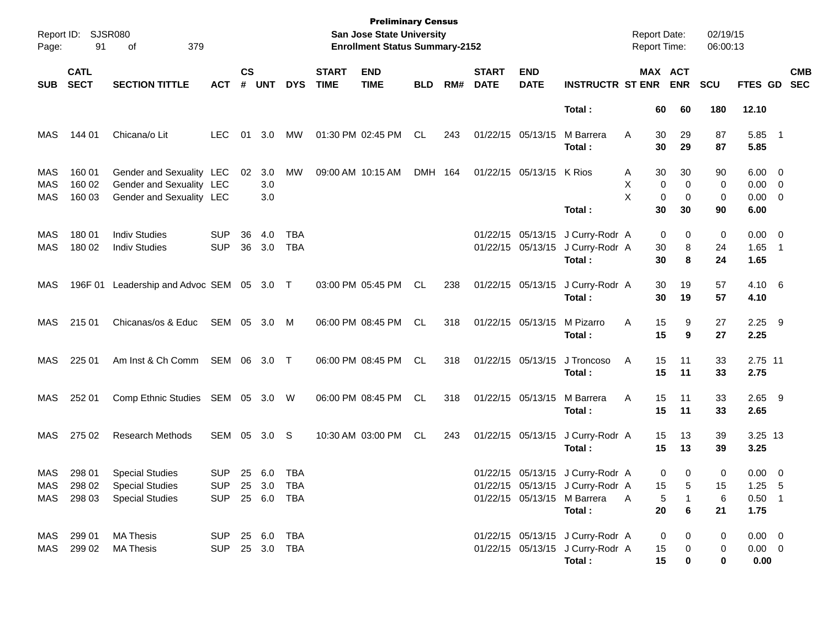| Page:                    | Report ID: SJSR080<br>91   | 379<br>οf                                                                        |                                        |                |                   |                                        |                             | <b>Preliminary Census</b><br><b>San Jose State University</b><br><b>Enrollment Status Summary-2152</b> |            |     |                             |                                                             |                                                         | <b>Report Date:</b><br>Report Time: |                                        | 02/19/15<br>06:00:13 |                                                         |                                                   |
|--------------------------|----------------------------|----------------------------------------------------------------------------------|----------------------------------------|----------------|-------------------|----------------------------------------|-----------------------------|--------------------------------------------------------------------------------------------------------|------------|-----|-----------------------------|-------------------------------------------------------------|---------------------------------------------------------|-------------------------------------|----------------------------------------|----------------------|---------------------------------------------------------|---------------------------------------------------|
| <b>SUB</b>               | <b>CATL</b><br><b>SECT</b> | <b>SECTION TITTLE</b>                                                            | <b>ACT</b>                             | <b>CS</b><br># | <b>UNT</b>        | <b>DYS</b>                             | <b>START</b><br><b>TIME</b> | <b>END</b><br><b>TIME</b>                                                                              | <b>BLD</b> | RM# | <b>START</b><br><b>DATE</b> | <b>END</b><br><b>DATE</b>                                   | <b>INSTRUCTR ST ENR</b>                                 |                                     | MAX ACT<br><b>ENR</b>                  | <b>SCU</b>           | FTES GD SEC                                             | <b>CMB</b>                                        |
|                          |                            |                                                                                  |                                        |                |                   |                                        |                             |                                                                                                        |            |     |                             |                                                             | Total:                                                  | 60                                  | 60                                     | 180                  | 12.10                                                   |                                                   |
| MAS                      | 144 01                     | Chicana/o Lit                                                                    | LEC.                                   | 01             | 3.0               | MW                                     |                             | 01:30 PM 02:45 PM                                                                                      | CL.        | 243 |                             | 01/22/15 05/13/15                                           | M Barrera<br>Total:                                     | 30<br>A<br>30                       | 29<br>29                               | 87<br>87             | 5.85<br>5.85                                            | $\overline{\phantom{1}}$                          |
| MAS<br><b>MAS</b><br>MAS | 160 01<br>160 02<br>160 03 | Gender and Sexuality LEC<br>Gender and Sexuality LEC<br>Gender and Sexuality LEC |                                        | 02             | 3.0<br>3.0<br>3.0 | МW                                     |                             | 09:00 AM 10:15 AM                                                                                      | DMH 164    |     |                             | 01/22/15 05/13/15                                           | K Rios<br>Total:                                        | 30<br>A<br>X<br>X<br>30             | 30<br>0<br>0<br>$\mathbf 0$<br>0<br>30 | 90<br>0<br>0<br>90   | $6.00 \quad 0$<br>$0.00 \t 0$<br>$0.00 \quad 0$<br>6.00 |                                                   |
| <b>MAS</b><br>MAS        | 180 01<br>180 02           | <b>Indiv Studies</b><br><b>Indiv Studies</b>                                     | <b>SUP</b><br><b>SUP</b>               | 36<br>36       | 4.0<br>3.0        | <b>TBA</b><br><b>TBA</b>               |                             |                                                                                                        |            |     |                             | 01/22/15 05/13/15<br>01/22/15 05/13/15                      | J Curry-Rodr A<br>J Curry-Rodr A<br>Total:              | 30<br>30                            | $\mathbf 0$<br>0<br>8<br>8             | 0<br>24<br>24        | $0.00 \quad 0$<br>1.65<br>1.65                          | $\overline{\phantom{1}}$                          |
| MAS                      | 196F 01                    | Leadership and Advoc SEM 05 3.0 T                                                |                                        |                |                   |                                        |                             | 03:00 PM 05:45 PM                                                                                      | CL.        | 238 |                             |                                                             | 01/22/15 05/13/15 J Curry-Rodr A<br>Total:              | 30<br>30                            | 19<br>19                               | 57<br>57             | $4.10\quad 6$<br>4.10                                   |                                                   |
| <b>MAS</b>               | 215 01                     | Chicanas/os & Educ                                                               | SEM 05 3.0 M                           |                |                   |                                        |                             | 06:00 PM 08:45 PM                                                                                      | CL.        | 318 |                             | 01/22/15 05/13/15                                           | M Pizarro<br>Total:                                     | A<br>15<br>15                       | 9<br>9                                 | 27<br>27             | 2.25<br>2.25                                            | - 9                                               |
| MAS                      | 225 01                     | Am Inst & Ch Comm                                                                | SEM 06                                 |                | 3.0 T             |                                        |                             | 06:00 PM 08:45 PM                                                                                      | CL         | 318 |                             | 01/22/15 05/13/15                                           | J Troncoso<br>Total:                                    | Α<br>15<br>15                       | 11<br>11                               | 33<br>33             | 2.75 11<br>2.75                                         |                                                   |
| MAS                      | 252 01                     | Comp Ethnic Studies SEM 05                                                       |                                        |                | 3.0 W             |                                        |                             | 06:00 PM 08:45 PM                                                                                      | CL         | 318 |                             | 01/22/15 05/13/15                                           | M Barrera<br>Total:                                     | A<br>15<br>15                       | 11<br>11                               | 33<br>33             | 2.65<br>2.65                                            | - 9                                               |
| MAS                      | 275 02                     | <b>Research Methods</b>                                                          | SEM 05                                 |                | 3.0               | -S                                     |                             | 10:30 AM 03:00 PM                                                                                      | CL.        | 243 |                             | 01/22/15 05/13/15                                           | J Curry-Rodr A<br>Total:                                | 15<br>15                            | 13<br>13                               | 39<br>39             | 3.25 13<br>3.25                                         |                                                   |
| MAS<br><b>MAS</b><br>MAS | 298 01<br>298 02<br>298 03 | <b>Special Studies</b><br><b>Special Studies</b><br><b>Special Studies</b>       | <b>SUP</b><br><b>SUP</b><br><b>SUP</b> | 25<br>25<br>25 | 6.0<br>3.0<br>6.0 | <b>TBA</b><br><b>TBA</b><br><b>TBA</b> |                             |                                                                                                        |            |     |                             | 01/22/15 05/13/15<br>01/22/15 05/13/15<br>01/22/15 05/13/15 | J Curry-Rodr A<br>J Curry-Rodr A<br>M Barrera<br>Total: | 15<br>A<br>20                       | 0<br>0<br>5<br>5<br>$\mathbf{1}$<br>6  | 0<br>15<br>6<br>21   | 0.00<br>1.25<br>0.50<br>1.75                            | $\overline{\phantom{0}}$<br>- 5<br>$\overline{1}$ |
| MAS<br>MAS               | 299 01<br>299 02           | <b>MA Thesis</b><br><b>MA Thesis</b>                                             | <b>SUP</b><br><b>SUP</b>               | 25<br>25       | 6.0<br>3.0        | <b>TBA</b><br><b>TBA</b>               |                             |                                                                                                        |            |     |                             | 01/22/15 05/13/15<br>01/22/15 05/13/15                      | J Curry-Rodr A<br>J Curry-Rodr A<br>Total:              | 15<br>15                            | 0<br>0<br>$\Omega$<br>$\Omega$         | 0<br>$\Omega$<br>0   | 0.00<br>$0.00 \quad 0$<br>0.00                          | $\overline{\phantom{0}}$                          |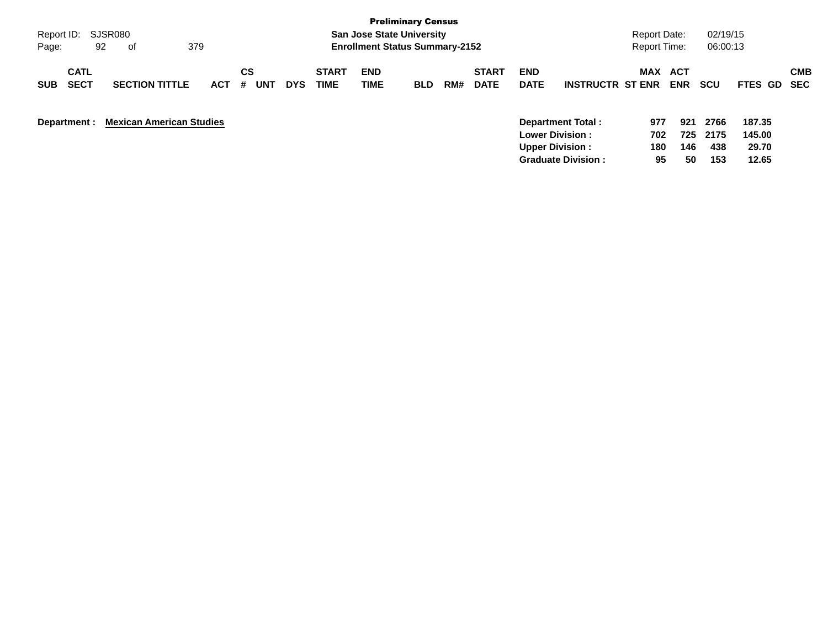|                           |                                 |            |          |            |              |                                       | <b>Preliminary Census</b> |     |              |             |                         |                     |            |            |                |            |
|---------------------------|---------------------------------|------------|----------|------------|--------------|---------------------------------------|---------------------------|-----|--------------|-------------|-------------------------|---------------------|------------|------------|----------------|------------|
| Report ID: SJSR080        |                                 |            |          |            |              | <b>San Jose State University</b>      |                           |     |              |             |                         | Report Date:        |            | 02/19/15   |                |            |
| 92<br>Page:               | 379<br>of                       |            |          |            |              | <b>Enrollment Status Summary-2152</b> |                           |     |              |             |                         | <b>Report Time:</b> |            | 06:00:13   |                |            |
| <b>CATL</b>               |                                 |            | CS       |            | <b>START</b> | <b>END</b>                            |                           |     | <b>START</b> | <b>END</b>  |                         | MAX                 | <b>ACT</b> |            |                | <b>CMB</b> |
| <b>SECT</b><br><b>SUB</b> | <b>SECTION TITTLE</b>           | <b>ACT</b> | UNT<br># | <b>DYS</b> | <b>TIME</b>  | TIME                                  | <b>BLD</b>                | RM# | <b>DATE</b>  | <b>DATE</b> | <b>INSTRUCTR ST ENR</b> |                     | <b>ENR</b> | <b>SCU</b> | <b>FTES GD</b> | <b>SEC</b> |
| Department :              | <b>Mexican American Studies</b> |            |          |            |              |                                       |                           |     |              |             | Department Total:       | 977                 | 921        | 2766       | 187.35         |            |
|                           |                                 |            |          |            |              |                                       |                           |     |              |             | <b>Lower Division:</b>  | 702                 | 725        | 2175       | 145.00         |            |
|                           |                                 |            |          |            |              |                                       |                           |     |              |             | <b>Upper Division:</b>  | 180                 | 146        | 438        | 29.70          |            |

**Graduate Division : 95 50 153 12.65**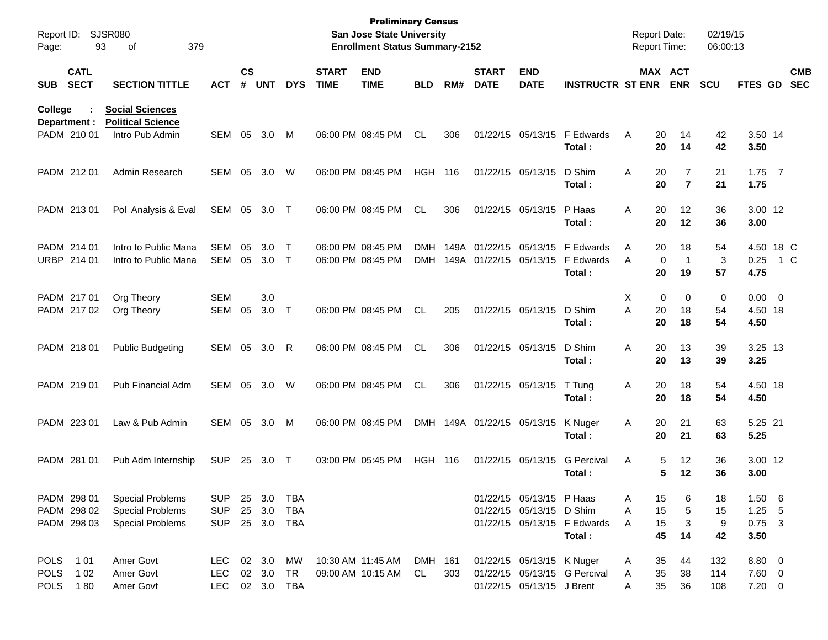| Report ID:<br>Page: |                            | <b>SJSR080</b><br>379<br>93<br>of                  |            |                    |            |            |                             | <b>Preliminary Census</b><br><b>San Jose State University</b><br><b>Enrollment Status Summary-2152</b> |                |     |                             |                           |                                       | <b>Report Date:</b><br>Report Time: |                                              | 02/19/15<br>06:00:13 |                  |     |                          |
|---------------------|----------------------------|----------------------------------------------------|------------|--------------------|------------|------------|-----------------------------|--------------------------------------------------------------------------------------------------------|----------------|-----|-----------------------------|---------------------------|---------------------------------------|-------------------------------------|----------------------------------------------|----------------------|------------------|-----|--------------------------|
| <b>SUB</b>          | <b>CATL</b><br><b>SECT</b> | <b>SECTION TITTLE</b>                              | <b>ACT</b> | $\mathsf{cs}$<br># | <b>UNT</b> | <b>DYS</b> | <b>START</b><br><b>TIME</b> | <b>END</b><br><b>TIME</b>                                                                              | <b>BLD</b>     | RM# | <b>START</b><br><b>DATE</b> | <b>END</b><br><b>DATE</b> | <b>INSTRUCTR ST ENR</b>               |                                     | MAX ACT<br><b>ENR</b>                        | <b>SCU</b>           | FTES GD          |     | <b>CMB</b><br><b>SEC</b> |
| College             | Department :               | <b>Social Sciences</b><br><b>Political Science</b> |            |                    |            |            |                             |                                                                                                        |                |     |                             |                           |                                       |                                     |                                              |                      |                  |     |                          |
|                     | PADM 210 01                | Intro Pub Admin                                    | SEM        | 05                 | 3.0        | M          |                             | 06:00 PM 08:45 PM                                                                                      | <b>CL</b>      | 306 |                             | 01/22/15 05/13/15         | F Edwards<br>Total :                  | Α                                   | 20<br>14<br>20<br>14                         | 42<br>42             | 3.50 14<br>3.50  |     |                          |
|                     | PADM 212 01                | Admin Research                                     | SEM        | 05                 | 3.0        | W          |                             | 06:00 PM 08:45 PM                                                                                      | <b>HGH</b>     | 116 |                             | 01/22/15 05/13/15         | D Shim<br>Total :                     | Α                                   | 20<br>$\overline{7}$<br>20<br>$\overline{7}$ | 21<br>21             | $1.75$ 7<br>1.75 |     |                          |
|                     | PADM 213 01                | Pol Analysis & Eval                                | SEM 05     |                    | 3.0 T      |            |                             | 06:00 PM 08:45 PM                                                                                      | <b>CL</b>      | 306 |                             | 01/22/15 05/13/15         | P Haas<br>Total :                     | A                                   | 20<br>12<br>20<br>12                         | 36<br>36             | 3.00 12<br>3.00  |     |                          |
|                     | PADM 214 01                | Intro to Public Mana                               | <b>SEM</b> | 05                 | 3.0        | $\top$     |                             | 06:00 PM 08:45 PM                                                                                      | DMH            |     | 149A 01/22/15 05/13/15      |                           | F Edwards                             | Α                                   | 20<br>18                                     | 54                   | 4.50 18 C        |     |                          |
|                     | URBP 214 01                | Intro to Public Mana                               | <b>SEM</b> | 05                 | 3.0        | $\top$     |                             | 06:00 PM 08:45 PM                                                                                      | <b>DMH</b>     |     | 149A 01/22/15 05/13/15      |                           | F Edwards<br>Total:                   | A                                   | $\mathbf 0$<br>1<br>20<br>19                 | 3<br>57              | 0.25<br>4.75     | 1 C |                          |
|                     | PADM 217 01                | Org Theory                                         | <b>SEM</b> |                    | 3.0        |            |                             |                                                                                                        |                |     |                             |                           |                                       | X                                   | $\mathbf 0$<br>$\mathbf 0$                   | 0                    | $0.00 \t 0$      |     |                          |
|                     | PADM 217 02                | Org Theory                                         | <b>SEM</b> | 05                 | 3.0        | $\top$     |                             | 06:00 PM 08:45 PM                                                                                      | <b>CL</b>      | 205 |                             | 01/22/15 05/13/15         | D Shim<br>Total :                     | A                                   | 20<br>18<br>20<br>18                         | 54<br>54             | 4.50 18<br>4.50  |     |                          |
|                     | PADM 218 01                | <b>Public Budgeting</b>                            | SEM        | 05                 | 3.0        | R          |                             | 06:00 PM 08:45 PM                                                                                      | <b>CL</b>      | 306 |                             | 01/22/15 05/13/15         | D Shim<br>Total:                      | Α                                   | 20<br>13<br>20<br>13                         | 39<br>39             | 3.25 13<br>3.25  |     |                          |
|                     | PADM 219 01                | Pub Financial Adm                                  | SEM        | 05                 | 3.0        | W          |                             | 06:00 PM 08:45 PM                                                                                      | <b>CL</b>      | 306 |                             | 01/22/15 05/13/15         | T Tung<br>Total:                      | Α                                   | 20<br>18<br>20<br>18                         | 54<br>54             | 4.50 18<br>4.50  |     |                          |
|                     | PADM 223 01                | Law & Pub Admin                                    | SEM        | 05                 | 3.0        | M          |                             | 06:00 PM 08:45 PM                                                                                      | <b>DMH</b>     |     | 149A 01/22/15 05/13/15      |                           | K Nuger<br>Total:                     | Α                                   | 20<br>21<br>20<br>21                         | 63<br>63             | 5.25 21<br>5.25  |     |                          |
|                     | PADM 281 01                | Pub Adm Internship                                 | <b>SUP</b> | 25                 | 3.0        | $\top$     |                             | 03:00 PM 05:45 PM                                                                                      | <b>HGH 116</b> |     |                             | 01/22/15 05/13/15         | <b>G</b> Percival<br>Total:           | Α                                   | 12<br>5<br>5<br>12                           | 36<br>36             | 3.00 12<br>3.00  |     |                          |
|                     | PADM 298 01                | <b>Special Problems</b>                            | <b>SUP</b> |                    | 25 3.0     | TBA        |                             |                                                                                                        |                |     |                             | 01/22/15 05/13/15 P Haas  |                                       | Α                                   | 15<br>6                                      | 18                   | $1.50\quad 6$    |     |                          |
|                     | PADM 298 02                | <b>Special Problems</b>                            | <b>SUP</b> |                    | 25 3.0     | <b>TBA</b> |                             |                                                                                                        |                |     |                             | 01/22/15 05/13/15 D Shim  |                                       | Α                                   | 15<br>5                                      | 15                   | $1.25$ 5         |     |                          |
|                     | PADM 298 03                | <b>Special Problems</b>                            | <b>SUP</b> |                    | 25 3.0     | TBA        |                             |                                                                                                        |                |     |                             |                           | 01/22/15 05/13/15 F Edwards<br>Total: | A                                   | 15<br>3<br>45<br>14                          | 9<br>42              | $0.75$ 3<br>3.50 |     |                          |
|                     | POLS 101                   | Amer Govt                                          | LEC        |                    | 02 3.0     | MW         |                             | 10:30 AM 11:45 AM                                                                                      | DMH 161        |     |                             | 01/22/15 05/13/15 K Nuger |                                       | A                                   | 35<br>44                                     | 132                  | $8.80\ 0$        |     |                          |
| <b>POLS</b>         | 1 0 2                      | Amer Govt                                          | <b>LEC</b> |                    | 02 3.0     | TR         |                             | 09:00 AM 10:15 AM                                                                                      | CL             | 303 |                             |                           | 01/22/15 05/13/15 G Percival          | A                                   | 35<br>38                                     | 114                  | 7.60 0           |     |                          |
|                     | POLS 180                   | Amer Govt                                          | <b>LEC</b> |                    |            | 02 3.0 TBA |                             |                                                                                                        |                |     |                             | 01/22/15 05/13/15 J Brent |                                       | A                                   | 35<br>36                                     | 108                  | $7.20 \t 0$      |     |                          |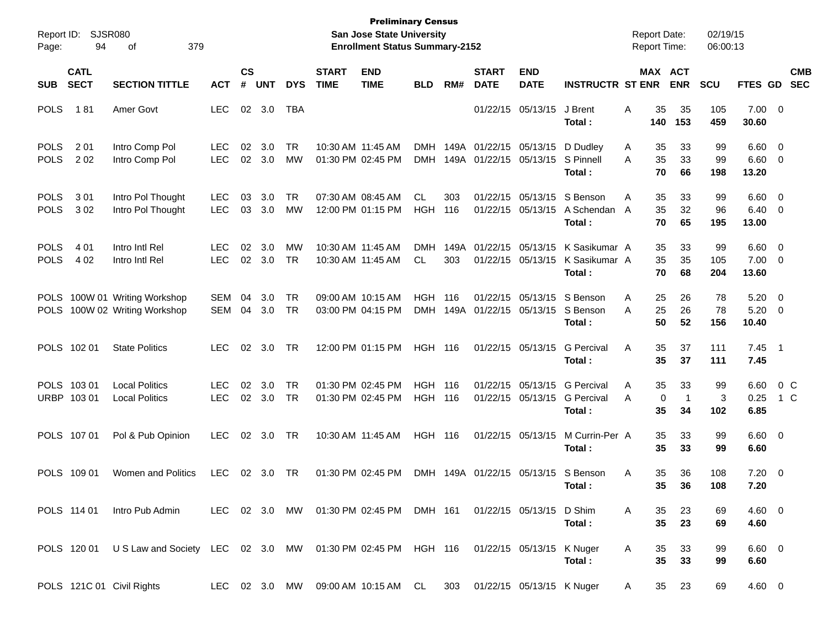| Report ID:<br>Page:        | 94                         | <b>SJSR080</b><br>379<br>οf                                                                      |                          |                             |            |            |                             | <b>Preliminary Census</b><br><b>San Jose State University</b><br><b>Enrollment Status Summary-2152</b> |                          |              |                                        |                                        |                                                  | <b>Report Date:</b><br><b>Report Time:</b> |                                  | 02/19/15<br>06:00:13 |                        |                            |                          |
|----------------------------|----------------------------|--------------------------------------------------------------------------------------------------|--------------------------|-----------------------------|------------|------------|-----------------------------|--------------------------------------------------------------------------------------------------------|--------------------------|--------------|----------------------------------------|----------------------------------------|--------------------------------------------------|--------------------------------------------|----------------------------------|----------------------|------------------------|----------------------------|--------------------------|
| <b>SUB</b>                 | <b>CATL</b><br><b>SECT</b> | <b>SECTION TITTLE</b>                                                                            | <b>ACT</b>               | $\mathbf{c}\mathbf{s}$<br># | <b>UNT</b> | <b>DYS</b> | <b>START</b><br><b>TIME</b> | <b>END</b><br><b>TIME</b>                                                                              | <b>BLD</b>               | RM#          | <b>START</b><br><b>DATE</b>            | <b>END</b><br><b>DATE</b>              | <b>INSTRUCTR ST ENR</b>                          |                                            | <b>MAX ACT</b><br><b>ENR</b>     | <b>SCU</b>           | FTES GD                |                            | <b>CMB</b><br><b>SEC</b> |
| <b>POLS</b>                | 181                        | Amer Govt                                                                                        | <b>LEC</b>               | 02                          | 3.0        | <b>TBA</b> |                             |                                                                                                        |                          |              |                                        | 01/22/15 05/13/15                      | J Brent<br>Total:                                | Α<br>140                                   | 35<br>35<br>153                  | 105<br>459           | 7.00<br>30.60          | $\overline{\mathbf{0}}$    |                          |
| <b>POLS</b><br><b>POLS</b> | 2 0 1<br>202               | Intro Comp Pol<br>Intro Comp Pol                                                                 | <b>LEC</b><br><b>LEC</b> | 02<br>02                    | 3.0<br>3.0 | TR<br>МW   |                             | 10:30 AM 11:45 AM<br>01:30 PM 02:45 PM                                                                 | <b>DMH</b><br><b>DMH</b> | 149A<br>149A | 01/22/15 05/13/15<br>01/22/15 05/13/15 |                                        | D Dudley<br>S Pinnell<br>Total:                  | A<br>A                                     | 33<br>35<br>35<br>33<br>70<br>66 | 99<br>99<br>198      | 6.60<br>6.60<br>13.20  | $\overline{0}$<br>0        |                          |
| <b>POLS</b><br><b>POLS</b> | 3 0 1<br>302               | Intro Pol Thought<br>Intro Pol Thought                                                           | <b>LEC</b><br><b>LEC</b> | 03<br>03                    | 3.0<br>3.0 | TR<br>МW   |                             | 07:30 AM 08:45 AM<br>12:00 PM 01:15 PM                                                                 | CL.<br><b>HGH</b>        | 303<br>116   |                                        | 01/22/15 05/13/15<br>01/22/15 05/13/15 | S Benson<br>A Schendan<br>Total:                 | Α<br>A                                     | 33<br>35<br>35<br>32<br>70<br>65 | 99<br>96<br>195      | 6.60<br>6.40<br>13.00  | $\overline{0}$<br>0        |                          |
| <b>POLS</b><br><b>POLS</b> | 4 0 1<br>4 0 2             | Intro Intl Rel<br>Intro Intl Rel                                                                 | <b>LEC</b><br><b>LEC</b> | 02<br>02                    | 3.0<br>3.0 | МW<br>TR   |                             | 10:30 AM 11:45 AM<br>10:30 AM 11:45 AM                                                                 | <b>DMH</b><br>CL.        | 149A<br>303  | 01/22/15 05/13/15                      | 01/22/15 05/13/15                      | K Sasikumar A<br>K Sasikumar A<br>Total:         |                                            | 33<br>35<br>35<br>35<br>70<br>68 | 99<br>105<br>204     | 6.60<br>7.00<br>13.60  | $\overline{0}$<br>0        |                          |
| <b>POLS</b><br><b>POLS</b> |                            | 100W 01 Writing Workshop<br>100W 02 Writing Workshop                                             | SEM<br>SEM               | 04<br>04                    | 3.0<br>3.0 | TR<br>TR   |                             | 09:00 AM 10:15 AM<br>03:00 PM 04:15 PM                                                                 | <b>HGH</b><br><b>DMH</b> | 116<br>149A  | 01/22/15 05/13/15                      | 01/22/15 05/13/15                      | S Benson<br>S Benson<br>Total:                   | A<br>A                                     | 25<br>26<br>25<br>26<br>50<br>52 | 78<br>78<br>156      | 5.20<br>5.20<br>10.40  | $\overline{0}$<br>0        |                          |
|                            | POLS 102 01                | <b>State Politics</b>                                                                            | <b>LEC</b>               | 02                          | 3.0        | TR         |                             | 12:00 PM 01:15 PM                                                                                      | <b>HGH 116</b>           |              |                                        | 01/22/15 05/13/15                      | <b>G</b> Percival<br>Total:                      | Α                                          | 35<br>37<br>35<br>37             | 111<br>111           | 7.45<br>7.45           | $\overline{\phantom{0}}$ 1 |                          |
|                            | POLS 103 01<br>URBP 103 01 | <b>Local Politics</b><br><b>Local Politics</b>                                                   | <b>LEC</b><br><b>LEC</b> | 02<br>02                    | 3.0<br>3.0 | TR<br>TR   |                             | 01:30 PM 02:45 PM<br>01:30 PM 02:45 PM                                                                 | <b>HGH</b><br>HGH        | 116<br>116   |                                        | 01/22/15 05/13/15<br>01/22/15 05/13/15 | <b>G</b> Percival<br><b>G</b> Percival<br>Total: | A<br>A                                     | 35<br>33<br>0<br>-1<br>35<br>34  | 99<br>3<br>102       | 6.60<br>0.25<br>6.85   | 0 <sup>o</sup><br>1 C      |                          |
|                            | POLS 107 01                | Pol & Pub Opinion                                                                                | <b>LEC</b>               | 02                          | 3.0        | TR         |                             | 10:30 AM 11:45 AM                                                                                      | <b>HGH 116</b>           |              |                                        | 01/22/15 05/13/15                      | M Currin-Per A<br>Total:                         |                                            | 35<br>33<br>35<br>33             | 99<br>99             | 6.60<br>6.60           | $\overline{\mathbf{0}}$    |                          |
|                            | POLS 109 01                | Women and Politics                                                                               | <b>LEC</b>               | 02                          | 3.0        | TR         |                             | 01:30 PM 02:45 PM                                                                                      | DMH                      |              | 149A 01/22/15 05/13/15                 |                                        | S Benson<br>Total :                              | A                                          | 35<br>36<br>35<br>36             | 108<br>108           | 7.20<br>7.20           | $\overline{\mathbf{0}}$    |                          |
|                            | POLS 114 01                | Intro Pub Admin                                                                                  |                          |                             |            |            |                             | LEC 02 3.0 MW 01:30 PM 02:45 PM DMH 161 01/22/15 05/13/15 D Shim                                       |                          |              |                                        |                                        | Total:                                           | A                                          | 35<br>23<br>35<br>23             | 69<br>69             | $4.60 \quad 0$<br>4.60 |                            |                          |
|                            |                            | POLS 120 01 US Law and Society LEC 02 3.0 MW 01:30 PM 02:45 PM HGH 116 01/22/15 05/13/15 K Nuger |                          |                             |            |            |                             |                                                                                                        |                          |              |                                        |                                        | Total:                                           | A                                          | 35<br>33<br>35<br>33             | 99<br>99             | $6.60$ 0<br>6.60       |                            |                          |
|                            |                            | POLS 121C 01 Civil Rights                                                                        |                          |                             |            |            |                             | LEC 02 3.0 MW 09:00 AM 10:15 AM CL                                                                     |                          |              |                                        | 303 01/22/15 05/13/15 K Nuger          |                                                  | A                                          | 23<br>35                         | 69                   | 4.60 0                 |                            |                          |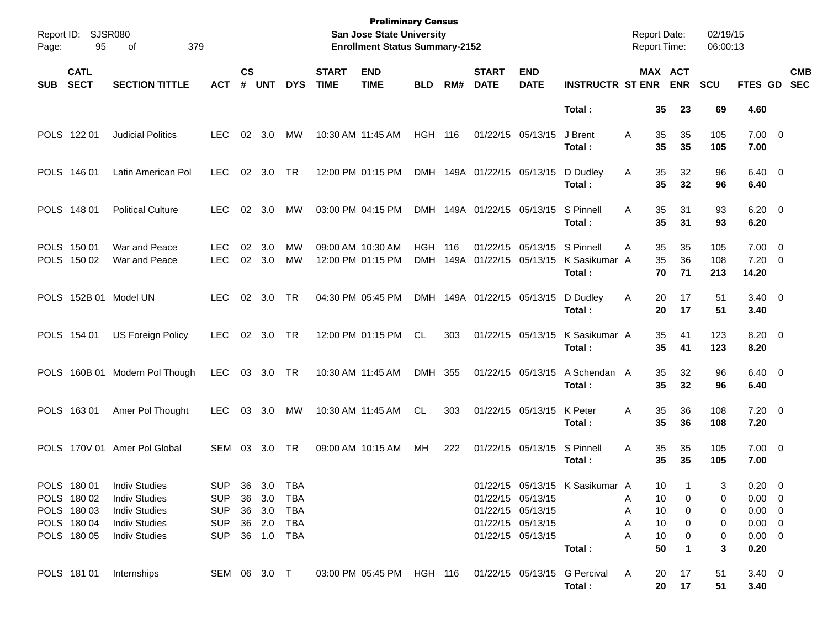| Page:      | Report ID: SJSR080<br>95   | 379<br>of                      |                          |                    |                |                        |                             | <b>Preliminary Census</b><br>San Jose State University<br><b>Enrollment Status Summary-2152</b> |                |     |                                        |                           |                                        | <b>Report Date:</b><br><b>Report Time:</b> |                       |                | 02/19/15<br>06:00:13 |                                        |                          |
|------------|----------------------------|--------------------------------|--------------------------|--------------------|----------------|------------------------|-----------------------------|-------------------------------------------------------------------------------------------------|----------------|-----|----------------------------------------|---------------------------|----------------------------------------|--------------------------------------------|-----------------------|----------------|----------------------|----------------------------------------|--------------------------|
| <b>SUB</b> | <b>CATL</b><br><b>SECT</b> | <b>SECTION TITTLE</b>          | <b>ACT</b>               | $\mathsf{cs}$<br># | <b>UNT</b>     | <b>DYS</b>             | <b>START</b><br><b>TIME</b> | <b>END</b><br><b>TIME</b>                                                                       | <b>BLD</b>     | RM# | <b>START</b><br><b>DATE</b>            | <b>END</b><br><b>DATE</b> | <b>INSTRUCTR ST ENR</b>                |                                            | MAX ACT<br><b>ENR</b> |                | SCU                  | FTES GD                                | <b>CMB</b><br><b>SEC</b> |
|            |                            |                                |                          |                    |                |                        |                             |                                                                                                 |                |     |                                        |                           | Total:                                 |                                            | 35                    | 23             | 69                   | 4.60                                   |                          |
|            | POLS 122 01                | <b>Judicial Politics</b>       | <b>LEC</b>               |                    | $02 \quad 3.0$ | MW                     | 10:30 AM 11:45 AM           |                                                                                                 | <b>HGH 116</b> |     | 01/22/15 05/13/15                      |                           | J Brent<br>Total:                      | A                                          | 35<br>35              | 35<br>35       | 105<br>105           | $7.00 \t 0$<br>7.00                    |                          |
|            | POLS 146 01                | Latin American Pol             | <b>LEC</b>               |                    | 02 3.0         | TR                     |                             | 12:00 PM 01:15 PM                                                                               |                |     | DMH 149A 01/22/15 05/13/15             |                           | D Dudley<br>Total:                     | Α                                          | 35<br>35              | 32<br>32       | 96<br>96             | $6.40 \quad 0$<br>6.40                 |                          |
|            | POLS 148 01                | <b>Political Culture</b>       | LEC.                     |                    | $02 \quad 3.0$ | <b>MW</b>              | 03:00 PM 04:15 PM           |                                                                                                 |                |     | DMH 149A 01/22/15 05/13/15             |                           | S Pinnell<br>Total:                    | A                                          | 35<br>35              | 31<br>31       | 93<br>93             | $6.20 \quad 0$<br>6.20                 |                          |
|            | POLS 150 01<br>POLS 150 02 | War and Peace<br>War and Peace | <b>LEC</b><br><b>LEC</b> | 02<br>02           | 3.0<br>3.0     | <b>MW</b><br><b>MW</b> | 09:00 AM 10:30 AM           | 12:00 PM 01:15 PM                                                                               | <b>HGH 116</b> |     | 01/22/15<br>DMH 149A 01/22/15 05/13/15 | 05/13/15                  | S Pinnell<br>K Sasikumar A<br>Total:   | A                                          | 35<br>35<br>70        | 35<br>36<br>71 | 105<br>108<br>213    | $7.00 \quad 0$<br>$7.20 \t 0$<br>14.20 |                          |
|            |                            | POLS 152B 01 Model UN          | <b>LEC</b>               |                    | 02 3.0         | TR                     | 04:30 PM 05:45 PM           |                                                                                                 |                |     | DMH 149A 01/22/15 05/13/15             |                           | D Dudley<br>Total:                     | Α                                          | 20<br>20              | 17<br>17       | 51<br>51             | $3.40 \ 0$<br>3.40                     |                          |
|            | POLS 154 01                | US Foreign Policy              | LEC.                     |                    | 02 3.0 TR      |                        |                             | 12:00 PM 01:15 PM                                                                               | CL.            | 303 |                                        | 01/22/15 05/13/15         | K Sasikumar A<br>Total:                |                                            | 35<br>35              | 41<br>41       | 123<br>123           | $8.20 \ 0$<br>8.20                     |                          |
|            |                            | POLS 160B 01 Modern Pol Though | LEC                      |                    | 03 3.0 TR      |                        | 10:30 AM 11:45 AM           |                                                                                                 | DMH 355        |     |                                        | 01/22/15 05/13/15         | A Schendan A<br>Total:                 |                                            | 35<br>35              | 32<br>32       | 96<br>96             | $6.40 \quad 0$<br>6.40                 |                          |
|            | POLS 163 01                | Amer Pol Thought               | <b>LEC</b>               | 03                 | 3.0            | MW                     |                             | 10:30 AM 11:45 AM                                                                               | CL             | 303 |                                        | 01/22/15 05/13/15         | K Peter<br>Total:                      | A                                          | 35<br>35              | 36<br>36       | 108<br>108           | $7.20 \t 0$<br>7.20                    |                          |
|            |                            | POLS 170V 01 Amer Pol Global   | SEM 03 3.0               |                    |                | TR                     | 09:00 AM 10:15 AM           |                                                                                                 | MH             | 222 |                                        | 01/22/15 05/13/15         | S Pinnell<br>Total:                    | A                                          | 35<br>35              | 35<br>35       | 105<br>105           | $7.00 \t 0$<br>7.00                    |                          |
|            | POLS 180 01                | <b>Indiv Studies</b>           | SUP                      |                    | 36 3.0         | <b>TBA</b>             |                             |                                                                                                 |                |     |                                        |                           | 01/22/15 05/13/15 K Sasikumar A        |                                            | 10                    |                | 3                    | $0.20 \ 0$                             |                          |
|            | POLS 180 02                | <b>Indiv Studies</b>           | <b>SUP</b>               | 36                 | 3.0            | TBA                    |                             |                                                                                                 |                |     | 01/22/15 05/13/15                      |                           |                                        | Α                                          | 10                    | 0              | 0                    | $0.00 \t 0$                            |                          |
|            | POLS 180 03                | <b>Indiv Studies</b>           | <b>SUP</b>               | 36                 | 3.0            | TBA                    |                             |                                                                                                 |                |     | 01/22/15 05/13/15                      |                           |                                        | Α                                          | 10                    | 0              | 0                    | $0.00 \t 0$                            |                          |
|            | POLS 180 04                | <b>Indiv Studies</b>           | <b>SUP</b>               |                    | 36 2.0         | TBA                    |                             |                                                                                                 |                |     | 01/22/15 05/13/15                      |                           |                                        | Α                                          | 10                    | 0              | 0                    | $0.00 \t 0$                            |                          |
|            | POLS 180 05                | <b>Indiv Studies</b>           | <b>SUP</b>               |                    | 36  1.0  TBA   |                        |                             |                                                                                                 |                |     |                                        | 01/22/15 05/13/15         |                                        |                                            | 10                    | 0              | 0                    | $0.00 \t 0$                            |                          |
|            |                            |                                |                          |                    |                |                        |                             |                                                                                                 |                |     |                                        |                           | Total:                                 |                                            | 50                    | $\mathbf 1$    | 3                    | 0.20                                   |                          |
|            | POLS 181 01                | Internships                    | SEM 06 3.0 T             |                    |                |                        |                             | 03:00 PM 05:45 PM HGH 116                                                                       |                |     |                                        |                           | 01/22/15 05/13/15 G Percival<br>Total: | A                                          | 20<br>20              | 17<br>17       | 51<br>51             | $3.40 \ 0$<br>3.40                     |                          |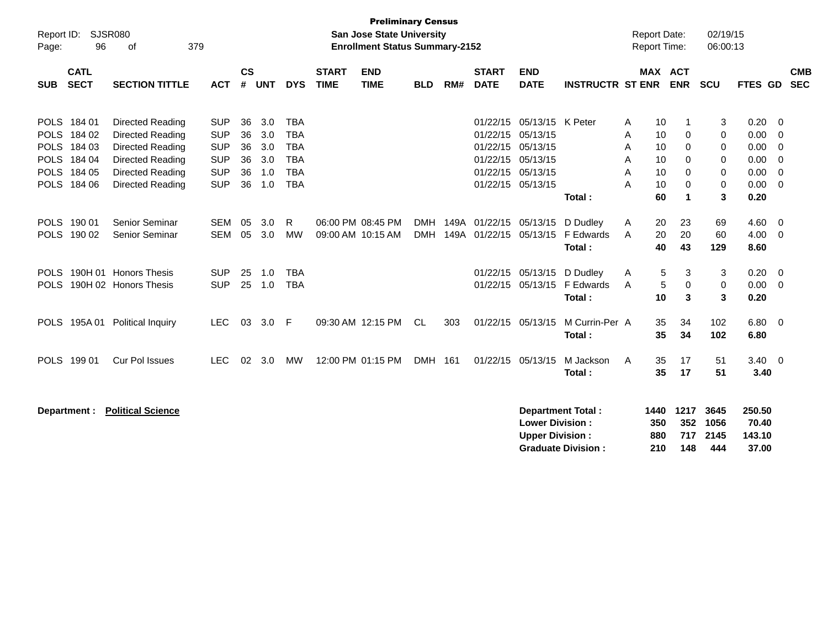| Report ID:<br>Page: | 96                                                                                     | SJSR080<br>379<br>οf                                                                                                               |                                                                                  |                                  |                                        |                                                                                  |                             | <b>Preliminary Census</b><br><b>San Jose State University</b><br><b>Enrollment Status Summary-2152</b> |                          |     |                             |                                                                                                                                    |                                                       |                            | <b>Report Date:</b><br><b>Report Time:</b> |                                                    | 02/19/15<br>06:00:13                          |                                                      |                                                                     |                          |
|---------------------|----------------------------------------------------------------------------------------|------------------------------------------------------------------------------------------------------------------------------------|----------------------------------------------------------------------------------|----------------------------------|----------------------------------------|----------------------------------------------------------------------------------|-----------------------------|--------------------------------------------------------------------------------------------------------|--------------------------|-----|-----------------------------|------------------------------------------------------------------------------------------------------------------------------------|-------------------------------------------------------|----------------------------|--------------------------------------------|----------------------------------------------------|-----------------------------------------------|------------------------------------------------------|---------------------------------------------------------------------|--------------------------|
| <b>SUB</b>          | <b>CATL</b><br><b>SECT</b>                                                             | <b>SECTION TITTLE</b>                                                                                                              | <b>ACT</b>                                                                       | $\mathsf{cs}$<br>#               | <b>UNT</b>                             | <b>DYS</b>                                                                       | <b>START</b><br><b>TIME</b> | <b>END</b><br><b>TIME</b>                                                                              | <b>BLD</b>               | RM# | <b>START</b><br><b>DATE</b> | <b>END</b><br><b>DATE</b>                                                                                                          | <b>INSTRUCTR ST ENR</b>                               |                            |                                            | <b>MAX ACT</b><br><b>ENR</b>                       | <b>SCU</b>                                    | <b>FTES GD</b>                                       |                                                                     | <b>CMB</b><br><b>SEC</b> |
|                     | POLS 184 01<br>POLS 184 02<br>POLS 184 03<br>POLS 184 04<br>POLS 184 05<br>POLS 184 06 | Directed Reading<br>Directed Reading<br><b>Directed Reading</b><br>Directed Reading<br>Directed Reading<br><b>Directed Reading</b> | <b>SUP</b><br><b>SUP</b><br><b>SUP</b><br><b>SUP</b><br><b>SUP</b><br><b>SUP</b> | 36<br>36<br>36<br>36<br>36<br>36 | 3.0<br>3.0<br>3.0<br>3.0<br>1.0<br>1.0 | <b>TBA</b><br><b>TBA</b><br><b>TBA</b><br><b>TBA</b><br><b>TBA</b><br><b>TBA</b> |                             |                                                                                                        |                          |     |                             | 01/22/15 05/13/15 K Peter<br>01/22/15 05/13/15<br>01/22/15 05/13/15<br>01/22/15 05/13/15<br>01/22/15 05/13/15<br>01/22/15 05/13/15 | Total:                                                | A<br>A<br>A<br>A<br>A<br>A | 10<br>10<br>10<br>10<br>10<br>10<br>60     | 1<br>0<br>0<br>0<br>0<br>0<br>$\blacktriangleleft$ | 3<br>$\pmb{0}$<br>0<br>0<br>0<br>$\,0\,$<br>3 | 0.20<br>0.00<br>0.00<br>0.00<br>0.00<br>0.00<br>0.20 | - 0<br>- 0<br>0<br>- 0<br>$\overline{0}$<br>$\overline{\mathbf{0}}$ |                          |
|                     | POLS 190 01<br>POLS 190 02                                                             | Senior Seminar<br>Senior Seminar                                                                                                   | SEM<br><b>SEM</b>                                                                | 05<br>05                         | 3.0<br>3.0                             | R<br><b>MW</b>                                                                   |                             | 06:00 PM 08:45 PM<br>09:00 AM 10:15 AM                                                                 | <b>DMH</b><br><b>DMH</b> |     |                             | 149A 01/22/15 05/13/15<br>149A 01/22/15 05/13/15                                                                                   | D Dudley<br>F Edwards<br>Total:                       | A<br>A                     | 20<br>20<br>40                             | 23<br>20<br>43                                     | 69<br>60<br>129                               | 4.60<br>4.00<br>8.60                                 | $\overline{0}$<br>$\overline{\mathbf{0}}$                           |                          |
| <b>POLS</b>         |                                                                                        | POLS 190H 01 Honors Thesis<br>190H 02 Honors Thesis                                                                                | <b>SUP</b><br><b>SUP</b>                                                         | 25<br>25                         | 1.0<br>1.0                             | <b>TBA</b><br><b>TBA</b>                                                         |                             |                                                                                                        |                          |     |                             | 01/22/15 05/13/15<br>01/22/15 05/13/15                                                                                             | D Dudley<br>F Edwards<br>Total:                       | A<br>A                     | 5<br>$\sqrt{5}$<br>10                      | 3<br>0<br>3                                        | 3<br>0<br>3                                   | 0.20<br>0.00<br>0.20                                 | $\overline{0}$<br>$\overline{0}$                                    |                          |
| <b>POLS</b>         | 195A 01                                                                                | <b>Political Inquiry</b>                                                                                                           | <b>LEC</b>                                                                       | 03                               | 3.0                                    | -F                                                                               |                             | 09:30 AM 12:15 PM                                                                                      | CL.                      | 303 |                             | 01/22/15 05/13/15                                                                                                                  | M Currin-Per A<br>Total:                              |                            | 35<br>35                                   | 34<br>34                                           | 102<br>102                                    | $6.80$ 0<br>6.80                                     |                                                                     |                          |
|                     | POLS 199 01                                                                            | <b>Cur Pol Issues</b>                                                                                                              | <b>LEC</b>                                                                       | 02                               | 3.0                                    | МW                                                                               |                             | 12:00 PM 01:15 PM                                                                                      | DMH 161                  |     |                             | 01/22/15 05/13/15                                                                                                                  | M Jackson<br>Total:                                   | A                          | 35<br>35                                   | 17<br>17                                           | 51<br>51                                      | $3.40 \ 0$<br>3.40                                   |                                                                     |                          |
|                     | Department :                                                                           | <b>Political Science</b>                                                                                                           |                                                                                  |                                  |                                        |                                                                                  |                             |                                                                                                        |                          |     |                             | <b>Lower Division:</b><br><b>Upper Division:</b>                                                                                   | <b>Department Total:</b><br><b>Graduate Division:</b> |                            | 1440<br>350<br>880<br>210                  | 1217<br>352<br>717<br>148                          | 3645<br>1056<br>2145<br>444                   | 250.50<br>70.40<br>143.10<br>37.00                   |                                                                     |                          |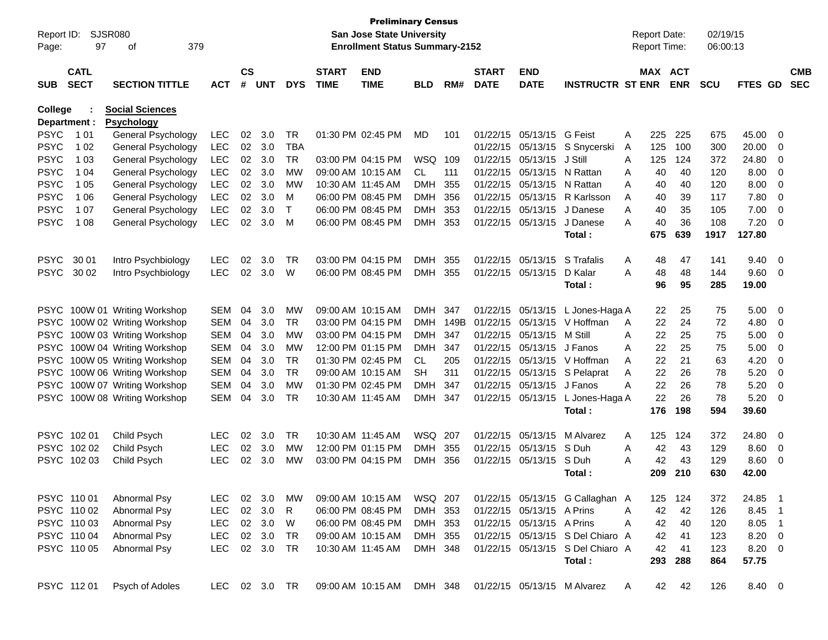| Report ID:<br>Page: | <b>SJSR080</b><br>97       | 379<br>οf                 |               |                |            |            |                             | <b>Preliminary Census</b><br><b>San Jose State University</b><br><b>Enrollment Status Summary-2152</b> |            |      |                             |                           |                                  | <b>Report Date:</b><br>Report Time: |     |                       | 02/19/15<br>06:00:13 |          |                         |                          |
|---------------------|----------------------------|---------------------------|---------------|----------------|------------|------------|-----------------------------|--------------------------------------------------------------------------------------------------------|------------|------|-----------------------------|---------------------------|----------------------------------|-------------------------------------|-----|-----------------------|----------------------|----------|-------------------------|--------------------------|
| <b>SUB</b>          | <b>CATL</b><br><b>SECT</b> | <b>SECTION TITTLE</b>     | <b>ACT</b>    | <b>CS</b><br># | <b>UNT</b> | <b>DYS</b> | <b>START</b><br><b>TIME</b> | <b>END</b><br><b>TIME</b>                                                                              | BLD        | RM#  | <b>START</b><br><b>DATE</b> | <b>END</b><br><b>DATE</b> | <b>INSTRUCTR ST ENR</b>          |                                     |     | MAX ACT<br><b>ENR</b> | <b>SCU</b>           | FTES GD  |                         | <b>CMB</b><br><b>SEC</b> |
| <b>College</b>      |                            | <b>Social Sciences</b>    |               |                |            |            |                             |                                                                                                        |            |      |                             |                           |                                  |                                     |     |                       |                      |          |                         |                          |
| Department :        |                            | <b>Psychology</b>         |               |                |            |            |                             |                                                                                                        |            |      |                             |                           |                                  |                                     |     |                       |                      |          |                         |                          |
| <b>PSYC</b>         | 1 0 1                      | General Psychology        | LEC           | 02             | 3.0        | TR         |                             | 01:30 PM 02:45 PM                                                                                      | MD         | 101  |                             | 01/22/15 05/13/15         | G Feist                          | Α                                   | 225 | 225                   | 675                  | 45.00    | 0                       |                          |
| <b>PSYC</b>         | 1 0 2                      | General Psychology        | LEC           | 02             | 3.0        | TBA        |                             |                                                                                                        |            |      |                             | 01/22/15 05/13/15         | S Snycerski                      | A                                   | 125 | 100                   | 300                  | 20.00    | 0                       |                          |
| <b>PSYC</b>         | 1 0 3                      | <b>General Psychology</b> | <b>LEC</b>    | 02             | 3.0        | <b>TR</b>  |                             | 03:00 PM 04:15 PM                                                                                      | WSQ        | 109  |                             | 01/22/15 05/13/15         | J Still                          | Α                                   | 125 | 124                   | 372                  | 24.80    | 0                       |                          |
| <b>PSYC</b>         | 1 04                       | <b>General Psychology</b> | <b>LEC</b>    | 02             | 3.0        | МW         |                             | 09:00 AM 10:15 AM                                                                                      | CL.        | 111  |                             | 01/22/15 05/13/15         | N Rattan                         | A                                   | 40  | 40                    | 120                  | 8.00     | 0                       |                          |
| <b>PSYC</b>         | 1 0 5                      | General Psychology        | LEC           | 02             | 3.0        | МW         | 10:30 AM 11:45 AM           |                                                                                                        | DMH        | 355  |                             | 01/22/15 05/13/15         | N Rattan                         | A                                   | 40  | 40                    | 120                  | 8.00     | 0                       |                          |
| <b>PSYC</b>         | 1 0 6                      | General Psychology        | LEC           | 02             | 3.0        | M          |                             | 06:00 PM 08:45 PM                                                                                      | DMH        | 356  |                             | 01/22/15 05/13/15         | R Karlsson                       | A                                   | 40  | 39                    | 117                  | 7.80     | 0                       |                          |
| <b>PSYC</b>         | 1 0 7                      | General Psychology        | <b>LEC</b>    | 02             | 3.0        | Т          |                             | 06:00 PM 08:45 PM                                                                                      | DMH        | 353  |                             | 01/22/15 05/13/15         | J Danese                         | A                                   | 40  | 35                    | 105                  | 7.00     | 0                       |                          |
| <b>PSYC</b>         | 1 0 8                      | General Psychology        | <b>LEC</b>    | 02             | 3.0        | M          |                             | 06:00 PM 08:45 PM                                                                                      | <b>DMH</b> | 353  |                             | 01/22/15 05/13/15         | J Danese                         | A                                   | 40  | 36                    | 108                  | 7.20     | 0                       |                          |
|                     |                            |                           |               |                |            |            |                             |                                                                                                        |            |      |                             |                           | Total:                           |                                     | 675 | 639                   | 1917                 | 127.80   |                         |                          |
| <b>PSYC</b>         | 30 01                      | Intro Psychbiology        | <b>LEC</b>    | 02             | 3.0        | TR         |                             | 03:00 PM 04:15 PM                                                                                      | DMH.       | 355  |                             | 01/22/15 05/13/15         | S Trafalis                       | A                                   | 48  | 47                    | 141                  | 9.40     | 0                       |                          |
| <b>PSYC</b>         | 30 02                      | Intro Psychbiology        | <b>LEC</b>    | 02             | 3.0        | W          |                             | 06:00 PM 08:45 PM                                                                                      | <b>DMH</b> | 355  |                             | 01/22/15 05/13/15         | D Kalar                          | A                                   | 48  | 48                    | 144                  | 9.60     | 0                       |                          |
|                     |                            |                           |               |                |            |            |                             |                                                                                                        |            |      |                             |                           | Total :                          |                                     | 96  | 95                    | 285                  | 19.00    |                         |                          |
|                     |                            |                           |               |                |            |            |                             |                                                                                                        |            |      |                             |                           |                                  |                                     |     |                       |                      |          |                         |                          |
| <b>PSYC</b>         |                            | 100W 01 Writing Workshop  | <b>SEM</b>    | 04             | 3.0        | МW         |                             | 09:00 AM 10:15 AM                                                                                      | <b>DMH</b> | 347  |                             | 01/22/15 05/13/15         | L Jones-Haga A                   |                                     | 22  | 25                    | 75                   | 5.00     | $\overline{\mathbf{0}}$ |                          |
| <b>PSYC</b>         |                            | 100W 02 Writing Workshop  | <b>SEM</b>    | 04             | 3.0        | TR         |                             | 03:00 PM 04:15 PM                                                                                      | <b>DMH</b> | 149B |                             | 01/22/15 05/13/15         | V Hoffman                        | A                                   | 22  | 24                    | 72                   | 4.80     | 0                       |                          |
| <b>PSYC</b>         |                            | 100W 03 Writing Workshop  | <b>SEM</b>    | 04             | 3.0        | МW         |                             | 03:00 PM 04:15 PM                                                                                      | <b>DMH</b> | 347  |                             | 01/22/15 05/13/15         | M Still                          | A                                   | 22  | 25                    | 75                   | 5.00     | 0                       |                          |
| <b>PSYC</b>         |                            | 100W 04 Writing Workshop  | <b>SEM</b>    | 04             | 3.0        | МW         |                             | 12:00 PM 01:15 PM                                                                                      | DMH        | 347  |                             | 01/22/15 05/13/15         | J Fanos                          | A                                   | 22  | 25                    | 75                   | 5.00     | 0                       |                          |
| <b>PSYC</b>         |                            | 100W 05 Writing Workshop  | <b>SEM</b>    | 04             | 3.0        | <b>TR</b>  |                             | 01:30 PM 02:45 PM                                                                                      | CL.        | 205  |                             | 01/22/15 05/13/15         | V Hoffman                        | A                                   | 22  | 21                    | 63                   | 4.20     | 0                       |                          |
| <b>PSYC</b>         |                            | 100W 06 Writing Workshop  | <b>SEM</b>    | 04             | 3.0        | <b>TR</b>  |                             | 09:00 AM 10:15 AM                                                                                      | SН         | 311  |                             | 01/22/15 05/13/15         | S Pelaprat                       | A                                   | 22  | 26                    | 78                   | 5.20     | 0                       |                          |
| <b>PSYC</b>         |                            | 100W 07 Writing Workshop  | <b>SEM</b>    | 04             | 3.0        | МW         |                             | 01:30 PM 02:45 PM                                                                                      | DMH        | 347  |                             | 01/22/15 05/13/15         | J Fanos                          | A                                   | 22  | 26                    | 78                   | 5.20     | 0                       |                          |
| <b>PSYC</b>         |                            | 100W 08 Writing Workshop  | <b>SEM</b>    | 04             | 3.0        | TR         | 10:30 AM 11:45 AM           |                                                                                                        | <b>DMH</b> | 347  |                             | 01/22/15 05/13/15         | L Jones-Haga A                   |                                     | 22  | 26                    | 78                   | 5.20     | 0                       |                          |
|                     |                            |                           |               |                |            |            |                             |                                                                                                        |            |      |                             |                           | Total:                           |                                     | 176 | 198                   | 594                  | 39.60    |                         |                          |
|                     | PSYC 102 01                | Child Psych               | <b>LEC</b>    | 02             | 3.0        | TR         | 10:30 AM 11:45 AM           |                                                                                                        | WSQ 207    |      |                             | 01/22/15 05/13/15         | M Alvarez                        | A                                   | 125 | 124                   | 372                  | 24.80    | 0                       |                          |
| <b>PSYC</b>         | 102 02                     | Child Psych               | <b>LEC</b>    | 02             | 3.0        | МW         |                             | 12:00 PM 01:15 PM                                                                                      | <b>DMH</b> | 355  |                             | 01/22/15 05/13/15         | S Duh                            | A                                   | 42  | 43                    | 129                  | 8.60     | 0                       |                          |
| <b>PSYC</b>         | 102 03                     | Child Psych               | <b>LEC</b>    | 02             | 3.0        | МW         |                             | 03:00 PM 04:15 PM                                                                                      | <b>DMH</b> | 356  |                             | 01/22/15 05/13/15         | S Duh                            | А                                   | 42  | 43                    | 129                  | 8.60     | 0                       |                          |
|                     |                            |                           |               |                |            |            |                             |                                                                                                        |            |      |                             |                           | Total :                          |                                     | 209 | 210                   | 630                  | 42.00    |                         |                          |
|                     |                            |                           |               |                |            |            |                             |                                                                                                        |            |      |                             |                           |                                  |                                     |     |                       |                      |          |                         |                          |
|                     | PSYC 110 01                | Abnormal Psy              | <b>LEC</b>    |                | 02 3.0     | МW         |                             | 09:00 AM 10:15 AM                                                                                      | WSQ 207    |      |                             |                           | 01/22/15 05/13/15 G Callaghan A  |                                     | 125 | 124                   | 372                  | 24.85 1  |                         |                          |
|                     | PSYC 110 02                | Abnormal Psy              | <b>LEC</b>    | 02             | 3.0        | R.         |                             | 06:00 PM 08:45 PM                                                                                      | DMH 353    |      |                             | 01/22/15 05/13/15 A Prins |                                  | Α                                   | 42  | 42                    | 126                  | 8.45     | - 1                     |                          |
|                     | PSYC 110 03                | Abnormal Psy              | <b>LEC</b>    |                | 02 3.0     | W          |                             | 06:00 PM 08:45 PM                                                                                      | DMH 353    |      |                             | 01/22/15 05/13/15 A Prins |                                  | A                                   | 42  | 40                    | 120                  | $8.05$ 1 |                         |                          |
|                     | PSYC 110 04                | Abnormal Psy              | <b>LEC</b>    |                | 02 3.0     | TR         |                             | 09:00 AM 10:15 AM                                                                                      | DMH 355    |      |                             |                           | 01/22/15 05/13/15 S Del Chiaro A |                                     | 42  | 41                    | 123                  | 8.20 0   |                         |                          |
|                     | PSYC 110 05                | Abnormal Psy              | <b>LEC</b>    |                | 02 3.0     | TR         |                             | 10:30 AM 11:45 AM                                                                                      | DMH 348    |      |                             |                           | 01/22/15 05/13/15 S Del Chiaro A |                                     | 42  | 41                    | 123                  | 8.20 0   |                         |                          |
|                     |                            |                           |               |                |            |            |                             |                                                                                                        |            |      |                             |                           | Total:                           |                                     | 293 | 288                   | 864                  | 57.75    |                         |                          |
| PSYC 11201          |                            | Psych of Adoles           | LEC 02 3.0 TR |                |            |            |                             | 09:00 AM 10:15 AM                                                                                      | DMH 348    |      |                             |                           | 01/22/15 05/13/15 M Alvarez      | A                                   | 42  | 42                    | 126                  | 8.40 0   |                         |                          |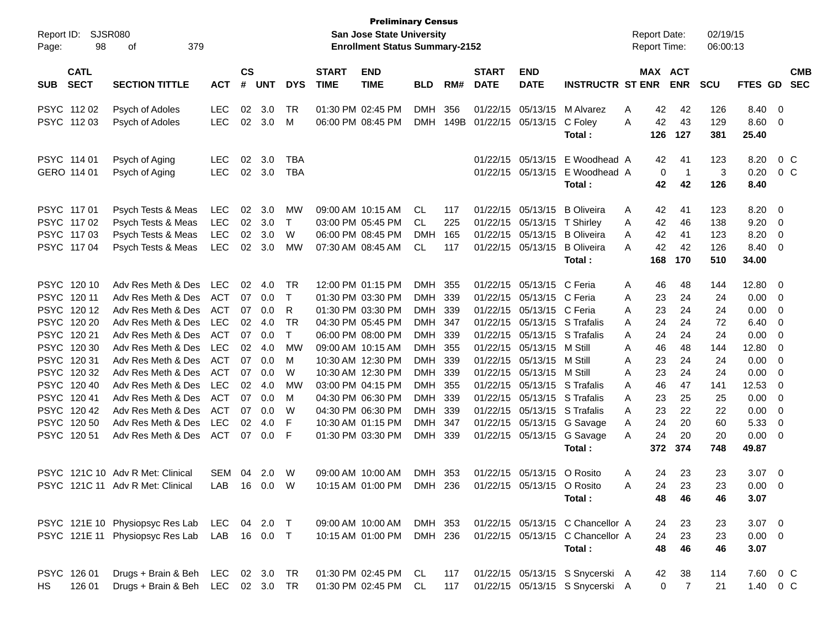| Report ID:<br>Page: | 98                         | <b>SJSR080</b><br>379<br>οf       |              |                    |            |              |                             | <b>Preliminary Census</b><br><b>San Jose State University</b><br><b>Enrollment Status Summary-2152</b> |            |      |                             |                              |                                  | <b>Report Date:</b><br>Report Time: |           |                | 02/19/15<br>06:00:13 |               |                         |                          |
|---------------------|----------------------------|-----------------------------------|--------------|--------------------|------------|--------------|-----------------------------|--------------------------------------------------------------------------------------------------------|------------|------|-----------------------------|------------------------------|----------------------------------|-------------------------------------|-----------|----------------|----------------------|---------------|-------------------------|--------------------------|
| <b>SUB</b>          | <b>CATL</b><br><b>SECT</b> | <b>SECTION TITTLE</b>             | <b>ACT</b>   | $\mathsf{cs}$<br># | <b>UNT</b> | <b>DYS</b>   | <b>START</b><br><b>TIME</b> | <b>END</b><br><b>TIME</b>                                                                              | <b>BLD</b> | RM#  | <b>START</b><br><b>DATE</b> | <b>END</b><br><b>DATE</b>    | <b>INSTRUCTR ST ENR</b>          | MAX ACT                             |           | <b>ENR</b>     | <b>SCU</b>           | FTES GD       |                         | <b>CMB</b><br><b>SEC</b> |
|                     | PSYC 112 02                | Psych of Adoles                   | <b>LEC</b>   | 02                 | 3.0        | TR           |                             | 01:30 PM 02:45 PM                                                                                      | <b>DMH</b> | 356  |                             | 01/22/15 05/13/15            | M Alvarez                        | A                                   | 42        | 42             | 126                  | 8.40          | $\overline{\mathbf{0}}$ |                          |
|                     | PSYC 11203                 | Psych of Adoles                   | <b>LEC</b>   | 02                 | 3.0        | M            |                             | 06:00 PM 08:45 PM                                                                                      | <b>DMH</b> | 149B | 01/22/15 05/13/15           |                              | C Foley<br>Total:                | A                                   | 42<br>126 | 43<br>127      | 129<br>381           | 8.60<br>25.40 | $\overline{0}$          |                          |
|                     | PSYC 114 01                | Psych of Aging                    | <b>LEC</b>   | 02                 | 3.0        | TBA          |                             |                                                                                                        |            |      |                             | 01/22/15 05/13/15            | E Woodhead A                     |                                     | 42        | 41             | 123                  | 8.20          |                         | 0 <sup>C</sup>           |
|                     | GERO 114 01                | Psych of Aging                    | <b>LEC</b>   | 02                 | 3.0        | TBA          |                             |                                                                                                        |            |      |                             | 01/22/15 05/13/15            | E Woodhead A<br>Total:           |                                     | 0<br>42   | -1<br>42       | 3<br>126             | 0.20<br>8.40  |                         | $0\,$ C                  |
|                     | PSYC 117 01                | Psych Tests & Meas                | <b>LEC</b>   | 02                 | 3.0        | МW           |                             | 09:00 AM 10:15 AM                                                                                      | CL         | 117  |                             | 01/22/15 05/13/15            | <b>B</b> Oliveira                | A                                   | 42        | 41             | 123                  | 8.20          | 0                       |                          |
|                     | PSYC 117 02                | Psych Tests & Meas                | <b>LEC</b>   | 02                 | 3.0        | $\mathsf{T}$ |                             | 03:00 PM 05:45 PM                                                                                      | CL         | 225  |                             | 01/22/15 05/13/15            | T Shirley                        | A                                   | 42        | 46             | 138                  | 9.20          | 0                       |                          |
|                     | PSYC 11703                 | Psych Tests & Meas                | <b>LEC</b>   | 02                 | 3.0        | W            |                             | 06:00 PM 08:45 PM                                                                                      | <b>DMH</b> | 165  |                             | 01/22/15 05/13/15            | <b>B</b> Oliveira                | A                                   | 42        | 41             | 123                  | 8.20          | 0                       |                          |
|                     | PSYC 11704                 | Psych Tests & Meas                | <b>LEC</b>   | 02                 | 3.0        | MW           |                             | 07:30 AM 08:45 AM                                                                                      | CL.        | 117  |                             | 01/22/15 05/13/15            | <b>B</b> Oliveira<br>Total:      | A                                   | 42<br>168 | 42<br>170      | 126<br>510           | 8.40<br>34.00 | 0                       |                          |
|                     |                            |                                   |              |                    |            |              |                             |                                                                                                        |            |      |                             |                              |                                  |                                     |           |                |                      |               |                         |                          |
|                     | PSYC 120 10                | Adv Res Meth & Des                | <b>LEC</b>   | 02                 | 4.0        | TR           |                             | 12:00 PM 01:15 PM                                                                                      | DMH 355    |      |                             | 01/22/15 05/13/15 C Feria    |                                  | A                                   | 46        | 48             | 144                  | 12.80         | 0                       |                          |
|                     | PSYC 120 11                | Adv Res Meth & Des                | ACT          | 07                 | 0.0        | $\mathsf{T}$ |                             | 01:30 PM 03:30 PM                                                                                      | DMH 339    |      |                             | 01/22/15 05/13/15 C Feria    |                                  | A                                   | 23        | 24             | 24                   | 0.00          | 0                       |                          |
|                     | PSYC 12012                 | Adv Res Meth & Des                | ACT          | 07                 | 0.0        | R            |                             | 01:30 PM 03:30 PM                                                                                      | DMH 339    |      |                             | 01/22/15 05/13/15 C Feria    |                                  | A                                   | 23        | 24             | 24                   | 0.00          | 0                       |                          |
|                     | PSYC 120 20                | Adv Res Meth & Des                | <b>LEC</b>   | 02                 | 4.0        | <b>TR</b>    |                             | 04:30 PM 05:45 PM                                                                                      | DMH 347    |      |                             | 01/22/15 05/13/15 S Trafalis |                                  | A                                   | 24        | 24             | 72                   | 6.40          | 0                       |                          |
|                     | PSYC 120 21                | Adv Res Meth & Des                | ACT          | 07                 | 0.0        | $\mathsf{T}$ |                             | 06:00 PM 08:00 PM                                                                                      | DMH 339    |      |                             | 01/22/15 05/13/15 S Trafalis |                                  | A                                   | 24        | 24             | 24                   | 0.00          | 0                       |                          |
|                     | PSYC 120 30                | Adv Res Meth & Des                | <b>LEC</b>   | 02                 | 4.0        | MW           |                             | 09:00 AM 10:15 AM                                                                                      | DMH 355    |      |                             | 01/22/15 05/13/15            | M Still                          | A                                   | 46        | 48             | 144                  | 12.80         | 0                       |                          |
|                     | PSYC 12031                 | Adv Res Meth & Des                | <b>ACT</b>   | 07                 | 0.0        | M            |                             | 10:30 AM 12:30 PM                                                                                      | DMH 339    |      |                             | 01/22/15 05/13/15            | M Still                          | A                                   | 23        | 24             | 24                   | 0.00          | 0                       |                          |
|                     | PSYC 12032                 | Adv Res Meth & Des                | ACT          | 07                 | 0.0        | W            |                             | 10:30 AM 12:30 PM                                                                                      | DMH 339    |      |                             | 01/22/15 05/13/15            | M Still                          | A                                   | 23        | 24             | 24                   | 0.00          | 0                       |                          |
|                     | PSYC 120 40                | Adv Res Meth & Des                | <b>LEC</b>   | 02                 | 4.0        | MW           |                             | 03:00 PM 04:15 PM                                                                                      | DMH 355    |      |                             | 01/22/15 05/13/15 S Trafalis |                                  | A                                   | 46        | 47             | 141                  | 12.53         | 0                       |                          |
|                     | PSYC 12041                 | Adv Res Meth & Des                | ACT          | 07                 | 0.0        | M            |                             | 04:30 PM 06:30 PM                                                                                      | DMH 339    |      |                             | 01/22/15 05/13/15 S Trafalis |                                  | A                                   | 23        | 25             | 25                   | 0.00          | 0                       |                          |
|                     | PSYC 12042                 | Adv Res Meth & Des                | ACT          | 07                 | 0.0        | W            |                             | 04:30 PM 06:30 PM                                                                                      | DMH        | -339 |                             | 01/22/15 05/13/15 S Trafalis |                                  | A                                   | 23        | 22             | 22                   | 0.00          | 0                       |                          |
|                     | PSYC 120 50                | Adv Res Meth & Des                | <b>LEC</b>   | 02                 | 4.0        | F            |                             | 10:30 AM 01:15 PM                                                                                      | DMH 347    |      |                             |                              | 01/22/15 05/13/15 G Savage       | Α                                   | 24        | 20             | 60                   | 5.33          | 0                       |                          |
|                     | PSYC 12051                 | Adv Res Meth & Des                | ACT          | 07                 | 0.0        | -F           |                             | 01:30 PM 03:30 PM                                                                                      | DMH 339    |      |                             | 01/22/15 05/13/15            | G Savage                         | A                                   | 24        | 20             | 20                   | 0.00          | 0                       |                          |
|                     |                            |                                   |              |                    |            |              |                             |                                                                                                        |            |      |                             |                              | Total:                           |                                     | 372       | 374            | 748                  | 49.87         |                         |                          |
|                     |                            | PSYC 121C 10 Adv R Met: Clinical  | <b>SEM</b>   | 04                 | 2.0        | W            |                             | 09:00 AM 10:00 AM                                                                                      | DMH 353    |      |                             | 01/22/15 05/13/15 O Rosito   |                                  | Α                                   | 24        | 23             | 23                   | 3.07          | $\overline{\mathbf{0}}$ |                          |
|                     |                            | PSYC 121C 11 Adv R Met: Clinical  | LAB          |                    | 16  0.0  W |              |                             | 10:15 AM 01:00 PM                                                                                      | DMH 236    |      |                             | 01/22/15 05/13/15 O Rosito   |                                  | A                                   | 24.       | 23             | 23.                  | $0.00 \t 0$   |                         |                          |
|                     |                            |                                   |              |                    |            |              |                             |                                                                                                        |            |      |                             |                              | Total:                           |                                     | 48        | 46             | 46                   | 3.07          |                         |                          |
|                     |                            | PSYC 121E 10 Physiopsyc Res Lab   | LEC 04 2.0 T |                    |            |              |                             | 09:00 AM 10:00 AM                                                                                      | DMH 353    |      |                             |                              | 01/22/15 05/13/15 C Chancellor A |                                     | 24        | 23             | 23                   | $3.07$ 0      |                         |                          |
|                     |                            | PSYC 121E 11 Physiopsyc Res Lab   | LAB 16 0.0 T |                    |            |              |                             | 10:15 AM 01:00 PM                                                                                      | DMH 236    |      |                             |                              | 01/22/15 05/13/15 C Chancellor A |                                     | 24        | 23             | 23                   | $0.00 \t 0$   |                         |                          |
|                     |                            |                                   |              |                    |            |              |                             |                                                                                                        |            |      |                             |                              | Total:                           |                                     | 48        | 46             | 46                   | 3.07          |                         |                          |
|                     | PSYC 126 01                | Drugs + Brain & Beh LEC 02 3.0 TR |              |                    |            |              |                             | 01:30 PM 02:45 PM CL                                                                                   |            | 117  |                             |                              | 01/22/15 05/13/15 S Snycerski A  |                                     | 42        | 38             | 114                  | 7.60 0 C      |                         |                          |
| HS                  | 126 01                     | Drugs + Brain & Beh LEC 02 3.0 TR |              |                    |            |              |                             | 01:30 PM 02:45 PM                                                                                      | CL         | 117  |                             |                              | 01/22/15 05/13/15 S Snycerski A  |                                     | 0         | $\overline{7}$ | 21                   | 1.40          |                         | 0 C                      |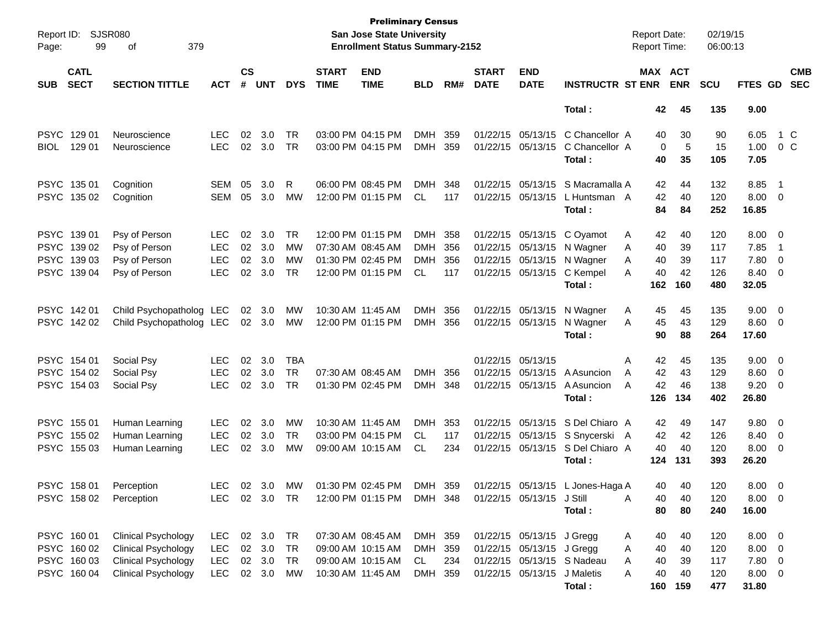| Page:      | Report ID: SJSR080<br>379<br>99<br>οf<br><b>CATL</b> |                            |               |                    |            |            |                             | <b>Preliminary Census</b><br>San Jose State University<br><b>Enrollment Status Summary-2152</b> |            |     |                             |                           |                                  | <b>Report Date:</b><br><b>Report Time:</b> |            | 02/19/15<br>06:00:13 |                |                          |                          |
|------------|------------------------------------------------------|----------------------------|---------------|--------------------|------------|------------|-----------------------------|-------------------------------------------------------------------------------------------------|------------|-----|-----------------------------|---------------------------|----------------------------------|--------------------------------------------|------------|----------------------|----------------|--------------------------|--------------------------|
| <b>SUB</b> | <b>SECT</b>                                          | <b>SECTION TITTLE</b>      | <b>ACT</b>    | $\mathsf{cs}$<br># | <b>UNT</b> | <b>DYS</b> | <b>START</b><br><b>TIME</b> | <b>END</b><br><b>TIME</b>                                                                       | <b>BLD</b> | RM# | <b>START</b><br><b>DATE</b> | <b>END</b><br><b>DATE</b> | <b>INSTRUCTR ST ENR</b>          | MAX ACT                                    | <b>ENR</b> | <b>SCU</b>           | FTES GD        |                          | <b>CMB</b><br><b>SEC</b> |
|            |                                                      |                            |               |                    |            |            |                             |                                                                                                 |            |     |                             |                           | Total:                           | 42                                         | 45         | 135                  | 9.00           |                          |                          |
|            | PSYC 129 01                                          | Neuroscience               | LEC.          | 02                 | 3.0        | TR         |                             | 03:00 PM 04:15 PM                                                                               | <b>DMH</b> | 359 |                             | 01/22/15 05/13/15         | C Chancellor A                   | 40                                         | 30         | 90                   | 6.05           | 1 C                      |                          |
| BIOL       | 129 01                                               | Neuroscience               | <b>LEC</b>    | 02                 | 3.0        | TR         |                             | 03:00 PM 04:15 PM                                                                               | <b>DMH</b> | 359 |                             | 01/22/15 05/13/15         | C Chancellor A                   | 0                                          | 5          | 15                   | 1.00           | 0 C                      |                          |
|            |                                                      |                            |               |                    |            |            |                             |                                                                                                 |            |     |                             |                           | Total:                           | 40                                         | 35         | 105                  | 7.05           |                          |                          |
|            | PSYC 135 01                                          | Cognition                  | <b>SEM</b>    | 05                 | 3.0        | R          |                             | 06:00 PM 08:45 PM                                                                               | <b>DMH</b> | 348 |                             | 01/22/15 05/13/15         | S Macramalla A                   | 42                                         | 44         | 132                  | 8.85           | $\overline{\phantom{1}}$ |                          |
|            | PSYC 135 02                                          | Cognition                  | <b>SEM</b>    | 05                 | 3.0        | MW         |                             | 12:00 PM 01:15 PM                                                                               | <b>CL</b>  | 117 |                             | 01/22/15 05/13/15         | L Huntsman A                     | 42                                         | 40         | 120                  | $8.00 \t 0$    |                          |                          |
|            |                                                      |                            |               |                    |            |            |                             |                                                                                                 |            |     |                             |                           | Total:                           | 84                                         | 84         | 252                  | 16.85          |                          |                          |
|            | PSYC 139 01                                          | Psy of Person              | <b>LEC</b>    | 02                 | 3.0        | <b>TR</b>  |                             | 12:00 PM 01:15 PM                                                                               | <b>DMH</b> | 358 |                             | 01/22/15 05/13/15         | C Oyamot                         | 42<br>A                                    | 40         | 120                  | $8.00 \t 0$    |                          |                          |
|            | PSYC 139 02                                          | Psy of Person              | <b>LEC</b>    | 02                 | 3.0        | <b>MW</b>  |                             | 07:30 AM 08:45 AM                                                                               | <b>DMH</b> | 356 |                             | 01/22/15 05/13/15         | N Wagner                         | 40<br>A                                    | 39         | 117                  | 7.85           | $\overline{\phantom{1}}$ |                          |
|            | PSYC 139 03                                          | Psy of Person              | <b>LEC</b>    | 02                 | 3.0        | MW         |                             | 01:30 PM 02:45 PM                                                                               | <b>DMH</b> | 356 |                             | 01/22/15 05/13/15         | N Wagner                         | 40<br>A                                    | 39         | 117                  | 7.80           | $\overline{\mathbf{0}}$  |                          |
|            | PSYC 139 04                                          | Psy of Person              | <b>LEC</b>    | 02                 | 3.0        | TR         |                             | 12:00 PM 01:15 PM                                                                               | CL.        | 117 |                             | 01/22/15 05/13/15         | C Kempel                         | 40<br>A                                    | 42         | 126                  | 8.40 0         |                          |                          |
|            |                                                      |                            |               |                    |            |            |                             |                                                                                                 |            |     |                             |                           | Total:                           | 162                                        | 160        | 480                  | 32.05          |                          |                          |
|            | PSYC 142 01                                          | Child Psychopatholog LEC   |               | 02                 | 3.0        | MW         |                             | 10:30 AM 11:45 AM                                                                               | <b>DMH</b> | 356 |                             | 01/22/15 05/13/15         | N Wagner                         | A<br>45                                    | 45         | 135                  | $9.00 \t 0$    |                          |                          |
|            | PSYC 142 02                                          | Child Psychopatholog LEC   |               |                    | 02 3.0     | МW         |                             | 12:00 PM 01:15 PM                                                                               | <b>DMH</b> | 356 | 01/22/15 05/13/15           |                           | N Wagner                         | 45<br>A                                    | 43         | 129                  | $8.60$ 0       |                          |                          |
|            |                                                      |                            |               |                    |            |            |                             |                                                                                                 |            |     |                             |                           | Total:                           | 90                                         | 88         | 264                  | 17.60          |                          |                          |
|            | PSYC 154 01                                          | Social Psy                 | <b>LEC</b>    | 02                 | 3.0        | <b>TBA</b> |                             |                                                                                                 |            |     | 01/22/15 05/13/15           |                           |                                  | 42<br>A                                    | 45         | 135                  | $9.00 \t 0$    |                          |                          |
|            | PSYC 154 02                                          | Social Psy                 | <b>LEC</b>    | 02                 | 3.0        | <b>TR</b>  |                             | 07:30 AM 08:45 AM                                                                               | <b>DMH</b> | 356 |                             | 01/22/15 05/13/15         | A Asuncion                       | 42<br>A                                    | 43         | 129                  | $8.60$ 0       |                          |                          |
|            | PSYC 154 03                                          | Social Psy                 | <b>LEC</b>    | 02                 | 3.0        | <b>TR</b>  |                             | 01:30 PM 02:45 PM                                                                               | <b>DMH</b> | 348 |                             | 01/22/15 05/13/15         | A Asuncion                       | 42<br>A                                    | 46         | 138                  | $9.20 \ 0$     |                          |                          |
|            |                                                      |                            |               |                    |            |            |                             |                                                                                                 |            |     |                             |                           | Total:                           | 126                                        | 134        | 402                  | 26.80          |                          |                          |
|            | PSYC 155 01                                          | Human Learning             | <b>LEC</b>    | 02                 | 3.0        | MW         |                             | 10:30 AM 11:45 AM                                                                               | <b>DMH</b> | 353 |                             |                           | 01/22/15 05/13/15 S Del Chiaro A | 42                                         | 49         | 147                  | 9.80 0         |                          |                          |
|            | PSYC 155 02                                          | Human Learning             | <b>LEC</b>    | 02                 | 3.0        | TR         |                             | 03:00 PM 04:15 PM                                                                               | CL.        | 117 |                             |                           | 01/22/15 05/13/15 S Snycerski A  | 42                                         | 42         | 126                  | 8.40 0         |                          |                          |
|            | PSYC 155 03                                          | Human Learning             | <b>LEC</b>    |                    | 02 3.0     | MW         |                             | 09:00 AM 10:15 AM                                                                               | CL.        | 234 |                             | 01/22/15 05/13/15         | S Del Chiaro A                   | 40                                         | 40         | 120                  | $8.00 \ 0$     |                          |                          |
|            |                                                      |                            |               |                    |            |            |                             |                                                                                                 |            |     |                             |                           | Total :                          | 124                                        | 131        | 393                  | 26.20          |                          |                          |
|            | PSYC 158 01                                          | Perception                 | LEC           |                    | 02 3.0     | MW         |                             | 01:30 PM 02:45 PM                                                                               | DMH 359    |     |                             |                           | 01/22/15 05/13/15 L Jones-Haga A | 40.                                        | 40         | 120                  | $8.00 \quad 0$ |                          |                          |
|            |                                                      | PSYC 158 02 Perception     | LEC 02 3.0 TR |                    |            |            |                             | 12:00 PM 01:15 PM DMH 348                                                                       |            |     |                             | 01/22/15 05/13/15 J Still |                                  | A<br>40                                    | 40         | 120                  | $8.00 \t 0$    |                          |                          |
|            |                                                      |                            |               |                    |            |            |                             |                                                                                                 |            |     |                             |                           | Total:                           | 80                                         | 80         | 240                  | 16.00          |                          |                          |
|            | PSYC 160 01                                          | <b>Clinical Psychology</b> | LEC.          |                    | 02 3.0 TR  |            |                             | 07:30 AM 08:45 AM                                                                               | DMH 359    |     |                             | 01/22/15 05/13/15 J Gregg |                                  | 40<br>A                                    | 40         | 120                  | $8.00 \t 0$    |                          |                          |
|            | PSYC 160 02                                          | <b>Clinical Psychology</b> | <b>LEC</b>    |                    | 02 3.0     | <b>TR</b>  |                             | 09:00 AM 10:15 AM                                                                               | DMH 359    |     |                             | 01/22/15 05/13/15 J Gregg |                                  | 40<br>A                                    | 40         | 120                  | $8.00 \t 0$    |                          |                          |
|            | PSYC 160 03                                          | <b>Clinical Psychology</b> | LEC           |                    | 02 3.0     | TR         |                             | 09:00 AM 10:15 AM                                                                               | CL         | 234 |                             |                           | 01/22/15 05/13/15 S Nadeau       | 40<br>A                                    | 39         | 117                  | 7.80 0         |                          |                          |
|            | PSYC 160 04                                          | <b>Clinical Psychology</b> | <b>LEC</b>    |                    | 02 3.0     | МW         |                             | 10:30 AM 11:45 AM                                                                               | DMH 359    |     |                             | 01/22/15 05/13/15         | J Maletis                        | 40<br>A                                    | 40         | 120                  | $8.00 \t 0$    |                          |                          |
|            |                                                      |                            |               |                    |            |            |                             |                                                                                                 |            |     |                             |                           | Total:                           |                                            | 160 159    | 477                  | 31.80          |                          |                          |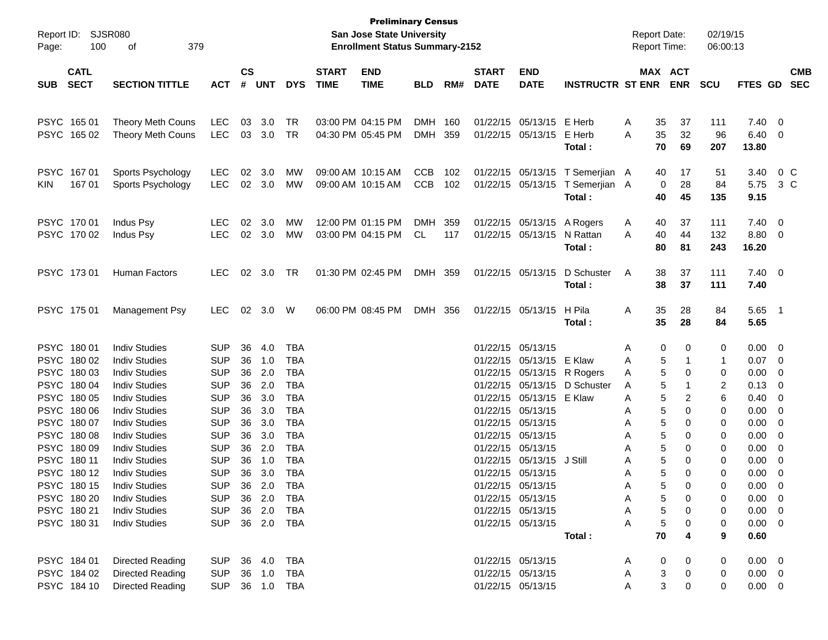| Report ID:<br>Page: | 100                        | <b>SJSR080</b><br>379<br>οf |                |                             |            |              |                             | <b>Preliminary Census</b><br>San Jose State University<br><b>Enrollment Status Summary-2152</b> |            |     |                             |                           |                         |   |    | <b>Report Date:</b><br><b>Report Time:</b> | 02/19/15<br>06:00:13 |                |                |                          |
|---------------------|----------------------------|-----------------------------|----------------|-----------------------------|------------|--------------|-----------------------------|-------------------------------------------------------------------------------------------------|------------|-----|-----------------------------|---------------------------|-------------------------|---|----|--------------------------------------------|----------------------|----------------|----------------|--------------------------|
| <b>SUB</b>          | <b>CATL</b><br><b>SECT</b> | <b>SECTION TITTLE</b>       | <b>ACT</b>     | $\mathbf{c}\mathbf{s}$<br># | <b>UNT</b> | <b>DYS</b>   | <b>START</b><br><b>TIME</b> | <b>END</b><br><b>TIME</b>                                                                       | <b>BLD</b> | RM# | <b>START</b><br><b>DATE</b> | <b>END</b><br><b>DATE</b> | <b>INSTRUCTR ST ENR</b> |   |    | MAX ACT<br><b>ENR</b>                      | <b>SCU</b>           | <b>FTES GD</b> |                | <b>CMB</b><br><b>SEC</b> |
|                     |                            |                             |                |                             |            |              |                             |                                                                                                 |            |     |                             |                           |                         |   |    |                                            |                      |                |                |                          |
| PSYC 165 01         |                            | Theory Meth Couns           | LEC            | 03                          | 3.0        | TR           |                             | 03:00 PM 04:15 PM                                                                               | <b>DMH</b> | 160 |                             | 01/22/15 05/13/15 E Herb  |                         | Α | 35 | 37                                         | 111                  | 7.40           | - 0            |                          |
|                     | PSYC 165 02                | <b>Theory Meth Couns</b>    | LEC            | 03                          | 3.0        | TR           |                             | 04:30 PM 05:45 PM                                                                               | <b>DMH</b> | 359 |                             | 01/22/15 05/13/15         | E Herb                  | Α | 35 | 32                                         | 96                   | 6.40           | 0              |                          |
|                     |                            |                             |                |                             |            |              |                             |                                                                                                 |            |     |                             |                           | Total:                  |   | 70 | 69                                         | 207                  | 13.80          |                |                          |
| <b>PSYC</b>         | 16701                      | Sports Psychology           | LEC            | 02                          | 3.0        | <b>MW</b>    |                             | 09:00 AM 10:15 AM                                                                               | <b>CCB</b> | 102 |                             | 01/22/15 05/13/15         | T Semerjian A           |   | 40 | 17                                         | 51                   | 3.40           | $0\,$ C        |                          |
| <b>KIN</b>          | 167 01                     | Sports Psychology           | <b>LEC</b>     | 02                          | 3.0        | MW           |                             | 09:00 AM 10:15 AM                                                                               | <b>CCB</b> | 102 |                             | 01/22/15 05/13/15         | T Semerjian A           |   | 0  | 28                                         | 84                   | 5.75           | 3 C            |                          |
|                     |                            |                             |                |                             |            |              |                             |                                                                                                 |            |     |                             |                           | Total:                  |   | 40 | 45                                         | 135                  | 9.15           |                |                          |
| PSYC 170 01         |                            | Indus Psy                   | <b>LEC</b>     | 02                          | 3.0        | MW           |                             | 12:00 PM 01:15 PM                                                                               | <b>DMH</b> | 359 |                             | 01/22/15 05/13/15         | A Rogers                | A | 40 | 37                                         | 111                  | 7.40           | $\overline{0}$ |                          |
|                     | PSYC 170 02                | <b>Indus Psy</b>            | <b>LEC</b>     |                             | 02 3.0     | MW           |                             | 03:00 PM 04:15 PM                                                                               | CL         | 117 |                             | 01/22/15 05/13/15         | N Rattan                | Α | 40 | 44                                         | 132                  | 8.80           | $\overline{0}$ |                          |
|                     |                            |                             |                |                             |            |              |                             |                                                                                                 |            |     |                             |                           | Total:                  |   | 80 | 81                                         | 243                  | 16.20          |                |                          |
| PSYC 17301          |                            | Human Factors               | <b>LEC</b>     | 02                          | 3.0        | TR           |                             | 01:30 PM 02:45 PM                                                                               | DMH 359    |     |                             | 01/22/15 05/13/15         | D Schuster              | A | 38 | 37                                         | 111                  | $7.40 \quad 0$ |                |                          |
|                     |                            |                             |                |                             |            |              |                             |                                                                                                 |            |     |                             |                           | Total:                  |   | 38 | 37                                         | 111                  | 7.40           |                |                          |
| PSYC 175 01         |                            | Management Psy              | <b>LEC</b>     | 02                          | 3.0        | W            |                             | 06:00 PM 08:45 PM                                                                               | DMH        | 356 |                             | 01/22/15 05/13/15         | H Pila                  | Α | 35 | 28                                         | 84                   | 5.65           | - 1            |                          |
|                     |                            |                             |                |                             |            |              |                             |                                                                                                 |            |     |                             |                           | Total:                  |   | 35 | 28                                         | 84                   | 5.65           |                |                          |
| PSYC 180 01         |                            | <b>Indiv Studies</b>        | <b>SUP</b>     | 36                          | 4.0        | TBA          |                             |                                                                                                 |            |     |                             | 01/22/15 05/13/15         |                         | Α | 0  | 0                                          | 0                    | 0.00           | $\overline{0}$ |                          |
|                     | PSYC 180 02                | <b>Indiv Studies</b>        | <b>SUP</b>     | 36                          | 1.0        | TBA          |                             |                                                                                                 |            |     |                             | 01/22/15 05/13/15         | E Klaw                  | Α | 5  | 1                                          | 1                    | 0.07           | $\overline{0}$ |                          |
| <b>PSYC</b>         | 180 03                     | <b>Indiv Studies</b>        | <b>SUP</b>     | 36                          | 2.0        | <b>TBA</b>   |                             |                                                                                                 |            |     |                             | 01/22/15 05/13/15         | R Rogers                | Α | 5  | 0                                          | 0                    | 0.00           | 0              |                          |
| <b>PSYC</b>         | 180 04                     | <b>Indiv Studies</b>        | <b>SUP</b>     | 36                          | 2.0        | <b>TBA</b>   |                             |                                                                                                 |            |     |                             | 01/22/15 05/13/15         | D Schuster              | Α | 5  | 1                                          | 2                    | 0.13           | 0              |                          |
| <b>PSYC</b>         | 180 05                     | <b>Indiv Studies</b>        | <b>SUP</b>     | 36                          | 3.0        | <b>TBA</b>   |                             |                                                                                                 |            |     |                             | 01/22/15 05/13/15         | E Klaw                  | Α | 5  | 2                                          | 6                    | 0.40           | 0              |                          |
| <b>PSYC</b>         | 180 06                     | <b>Indiv Studies</b>        | <b>SUP</b>     | 36                          | 3.0        | <b>TBA</b>   |                             |                                                                                                 |            |     |                             | 01/22/15 05/13/15         |                         | Α | 5  | 0                                          | 0                    | 0.00           | 0              |                          |
| <b>PSYC</b>         | 180 07                     | <b>Indiv Studies</b>        | <b>SUP</b>     | 36                          | 3.0        | <b>TBA</b>   |                             |                                                                                                 |            |     |                             | 01/22/15 05/13/15         |                         | Α | 5  | 0                                          | 0                    | 0.00           | 0              |                          |
| <b>PSYC</b>         | 18008                      | <b>Indiv Studies</b>        | <b>SUP</b>     | 36                          | 3.0        | <b>TBA</b>   |                             |                                                                                                 |            |     |                             | 01/22/15 05/13/15         |                         | Α | 5  | 0                                          | 0                    | 0.00           | 0              |                          |
| <b>PSYC</b>         | 180 09                     | <b>Indiv Studies</b>        | <b>SUP</b>     | 36                          | 2.0        | <b>TBA</b>   |                             |                                                                                                 |            |     |                             | 01/22/15 05/13/15         |                         | Α | 5  | 0                                          | 0                    | 0.00           | 0              |                          |
| PSYC 180 11         |                            | <b>Indiv Studies</b>        | <b>SUP</b>     | 36                          | 1.0        | <b>TBA</b>   |                             |                                                                                                 |            |     |                             | 01/22/15 05/13/15         | J Still                 | Α | 5  | 0                                          | 0                    | 0.00           | 0              |                          |
|                     | PSYC 180 12                | <b>Indiv Studies</b>        | <b>SUP</b>     | 36                          | 3.0        | <b>TBA</b>   |                             |                                                                                                 |            |     |                             | 01/22/15 05/13/15         |                         | Α | 5  | 0                                          | 0                    | 0.00           | 0              |                          |
|                     | PSYC 180 15                | <b>Indiv Studies</b>        | <b>SUP</b>     |                             | 36 2.0     | <b>TBA</b>   |                             |                                                                                                 |            |     |                             | 01/22/15 05/13/15         |                         | A | 5  | 0                                          | $\Omega$             | 0.00           | 0              |                          |
|                     | PSYC 180 20                | <b>Indiv Studies</b>        | SUP            |                             |            | 36  2.0  TBA |                             |                                                                                                 |            |     |                             | 01/22/15 05/13/15         |                         | Α | 5  | 0                                          | 0                    | $0.00 \t 0$    |                |                          |
|                     | PSYC 180 21                | <b>Indiv Studies</b>        | <b>SUP</b>     |                             | 36 2.0     | TBA          |                             |                                                                                                 |            |     |                             | 01/22/15 05/13/15         |                         | Α | 5  | 0                                          | 0                    | $0.00 \quad 0$ |                |                          |
|                     | PSYC 18031                 | <b>Indiv Studies</b>        | <b>SUP</b>     |                             | 36 2.0     | TBA          |                             |                                                                                                 |            |     |                             | 01/22/15 05/13/15         |                         | Α | 5  | 0                                          | 0                    | $0.00 \quad 0$ |                |                          |
|                     |                            |                             |                |                             |            |              |                             |                                                                                                 |            |     |                             |                           | Total:                  |   | 70 |                                            | 9                    | 0.60           |                |                          |
|                     | PSYC 184 01                | Directed Reading            | SUP 36 4.0     |                             |            | TBA          |                             |                                                                                                 |            |     |                             | 01/22/15 05/13/15         |                         | A | 0  |                                            | 0                    | $0.00 \quad 0$ |                |                          |
|                     | PSYC 184 02                | <b>Directed Reading</b>     | SUP            |                             | 36 1.0     | TBA          |                             |                                                                                                 |            |     |                             | 01/22/15 05/13/15         |                         | A | 3  | 0                                          | 0                    | $0.00 \quad 0$ |                |                          |
|                     | PSYC 184 10                | <b>Directed Reading</b>     | SUP 36 1.0 TBA |                             |            |              |                             |                                                                                                 |            |     |                             | 01/22/15 05/13/15         |                         | Α | 3  | 0                                          | 0                    | $0.00 \t 0$    |                |                          |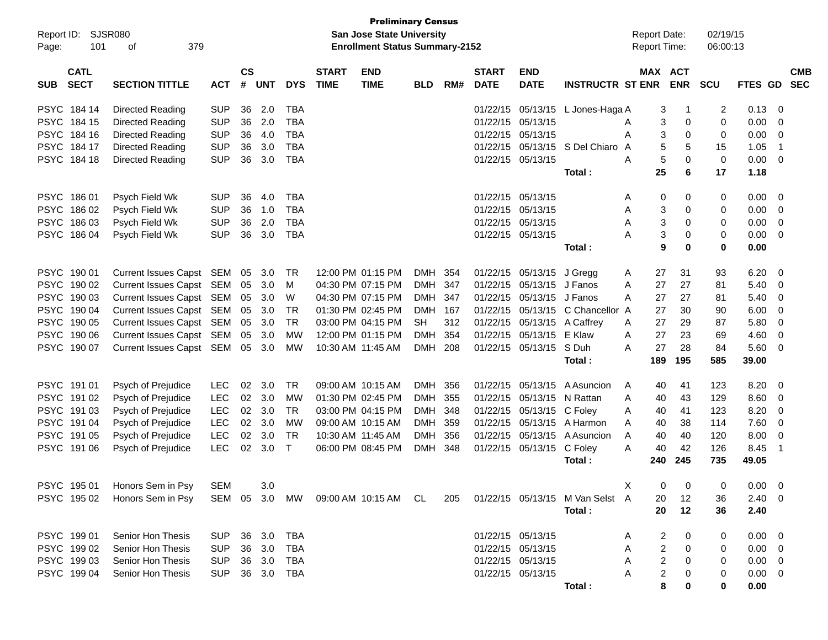|             | <b>Preliminary Census</b><br><b>SJSR080</b><br>San Jose State University<br>Report ID: |                               |            |               |            |            |              |                                       |            |     |                   |                           |                                                                        |                     |             |             |                |                |            |
|-------------|----------------------------------------------------------------------------------------|-------------------------------|------------|---------------|------------|------------|--------------|---------------------------------------|------------|-----|-------------------|---------------------------|------------------------------------------------------------------------|---------------------|-------------|-------------|----------------|----------------|------------|
|             |                                                                                        |                               |            |               |            |            |              |                                       |            |     |                   |                           |                                                                        | <b>Report Date:</b> |             | 02/19/15    |                |                |            |
| Page:       | 101                                                                                    | 379<br>οf                     |            |               |            |            |              | <b>Enrollment Status Summary-2152</b> |            |     |                   |                           |                                                                        | <b>Report Time:</b> |             | 06:00:13    |                |                |            |
|             | <b>CATL</b>                                                                            |                               |            | $\mathsf{cs}$ |            |            | <b>START</b> | <b>END</b>                            |            |     | <b>START</b>      | <b>END</b>                |                                                                        | <b>MAX ACT</b>      |             |             |                |                | <b>CMB</b> |
| <b>SUB</b>  | <b>SECT</b>                                                                            | <b>SECTION TITTLE</b>         | <b>ACT</b> | #             | <b>UNT</b> | <b>DYS</b> | <b>TIME</b>  | <b>TIME</b>                           | <b>BLD</b> | RM# | <b>DATE</b>       | <b>DATE</b>               | <b>INSTRUCTR ST ENR</b>                                                |                     | <b>ENR</b>  | <b>SCU</b>  | FTES GD        |                | <b>SEC</b> |
| <b>PSYC</b> | 184 14                                                                                 | Directed Reading              | <b>SUP</b> | 36            | 2.0        | <b>TBA</b> |              |                                       |            |     |                   |                           | 01/22/15 05/13/15 L Jones-Haga A                                       | 3                   | $\mathbf 1$ | 2           | 0.13           | - 0            |            |
|             | PSYC 184 15                                                                            | <b>Directed Reading</b>       | <b>SUP</b> | 36            | 2.0        | <b>TBA</b> |              |                                       |            |     | 01/22/15          | 05/13/15                  |                                                                        | 3<br>A              | $\mathbf 0$ | 0           | 0.00           | 0              |            |
| <b>PSYC</b> | 184 16                                                                                 | Directed Reading              | <b>SUP</b> | 36            | 4.0        | <b>TBA</b> |              |                                       |            |     | 01/22/15 05/13/15 |                           |                                                                        | 3<br>A              | $\mathbf 0$ | 0           | 0.00           | - 0            |            |
| <b>PSYC</b> | 184 17                                                                                 | Directed Reading              | <b>SUP</b> | 36            | 3.0        | <b>TBA</b> |              |                                       |            |     |                   | 01/22/15 05/13/15         | S Del Chiaro A                                                         | 5                   | 5           | 15          | 1.05           | $\overline{1}$ |            |
|             | PSYC 184 18                                                                            | Directed Reading              | <b>SUP</b> | 36            | 3.0        | <b>TBA</b> |              |                                       |            |     |                   | 01/22/15 05/13/15         |                                                                        | 5<br>A              | $\mathbf 0$ | $\mathbf 0$ | 0.00           | $\overline{0}$ |            |
|             |                                                                                        |                               |            |               |            |            |              |                                       |            |     |                   |                           | Total:                                                                 | 25                  | 6           | 17          | 1.18           |                |            |
|             | PSYC 186 01                                                                            | Psych Field Wk                | <b>SUP</b> | 36            | 4.0        | <b>TBA</b> |              |                                       |            |     |                   | 01/22/15 05/13/15         |                                                                        | 0<br>A              | 0           | 0           | 0.00           | - 0            |            |
|             | PSYC 186 02                                                                            | Psych Field Wk                | <b>SUP</b> | 36            | 1.0        | <b>TBA</b> |              |                                       |            |     | 01/22/15 05/13/15 |                           |                                                                        | 3<br>Α              | $\mathbf 0$ | 0           | 0.00           | - 0            |            |
| <b>PSYC</b> | 18603                                                                                  | Psych Field Wk                | <b>SUP</b> | 36            | 2.0        | <b>TBA</b> |              |                                       |            |     |                   | 01/22/15 05/13/15         |                                                                        | 3<br>A              | $\mathbf 0$ | 0           | 0.00           | $\overline{0}$ |            |
|             | PSYC 186 04                                                                            | Psych Field Wk                | <b>SUP</b> | 36            | 3.0        | <b>TBA</b> |              |                                       |            |     |                   | 01/22/15 05/13/15         |                                                                        | 3<br>A              | $\mathbf 0$ | 0           | 0.00           | - 0            |            |
|             |                                                                                        |                               |            |               |            |            |              |                                       |            |     |                   |                           | Total:                                                                 | 9                   | $\bf{0}$    | 0           | 0.00           |                |            |
|             | PSYC 190 01                                                                            | Current Issues Capst SEM 05   |            |               | 3.0        | TR         |              | 12:00 PM 01:15 PM                     | DMH        | 354 |                   | 01/22/15 05/13/15 J Gregg |                                                                        | 27<br>A             | 31          | 93          | 6.20           | - 0            |            |
|             | PSYC 190 02                                                                            | Current Issues Capst SEM      |            | 05            | 3.0        | м          |              | 04:30 PM 07:15 PM                     | <b>DMH</b> | 347 |                   | 01/22/15 05/13/15 J Fanos |                                                                        | 27<br>A             | 27          | 81          | 5.40           | - 0            |            |
|             | PSYC 190 03                                                                            | Current Issues Capst SEM      |            | 05            | 3.0        | W          |              | 04:30 PM 07:15 PM                     | <b>DMH</b> | 347 | 01/22/15          | 05/13/15 J Fanos          |                                                                        | 27<br>A             | 27          | 81          | 5.40           | - 0            |            |
|             | PSYC 190 04                                                                            | Current Issues Capst SEM      |            | 05            | 3.0        | <b>TR</b>  |              | 01:30 PM 02:45 PM                     | <b>DMH</b> | 167 | 01/22/15          | 05/13/15                  | C Chancellor A                                                         | 27                  | 30          | 90          | 6.00           | - 0            |            |
|             | PSYC 190 05                                                                            | Current Issues Capst SEM      |            | 05            | 3.0        | <b>TR</b>  |              | 03:00 PM 04:15 PM                     | <b>SH</b>  | 312 |                   | 01/22/15 05/13/15         | A Caffrey                                                              | 27<br>A             | 29          | 87          | 5.80           | - 0            |            |
| <b>PSYC</b> | 190 06                                                                                 | Current Issues Capst SEM      |            | 05            | 3.0        | <b>MW</b>  |              | 12:00 PM 01:15 PM                     | <b>DMH</b> | 354 | 01/22/15          | 05/13/15                  | E Klaw                                                                 | 27<br>A             | 23          | 69          | 4.60           | 0              |            |
|             | PSYC 190 07                                                                            | Current Issues Capst SEM 05   |            |               | 3.0        | MW         |              | 10:30 AM 11:45 AM                     | DMH 208    |     |                   | 01/22/15 05/13/15         | S Duh                                                                  | 27<br>А             | 28          | 84          | 5.60           | - 0            |            |
|             |                                                                                        |                               |            |               |            |            |              |                                       |            |     |                   |                           | Total:                                                                 | 189                 | 195         | 585         | 39.00          |                |            |
|             | PSYC 191 01                                                                            | Psych of Prejudice            | <b>LEC</b> | 02            | 3.0        | <b>TR</b>  |              | 09:00 AM 10:15 AM                     | <b>DMH</b> | 356 | 01/22/15          | 05/13/15                  | A Asuncion                                                             | 40<br>A             | 41          | 123         | 8.20           | - 0            |            |
|             | PSYC 191 02                                                                            | Psych of Prejudice            | <b>LEC</b> | 02            | 3.0        | <b>MW</b>  |              | 01:30 PM 02:45 PM                     | <b>DMH</b> | 355 | 01/22/15          | 05/13/15                  | N Rattan                                                               | A<br>40             | 43          | 129         | 8.60           | - 0            |            |
| <b>PSYC</b> | 191 03                                                                                 | Psych of Prejudice            | LEC        | 02            | 3.0        | <b>TR</b>  |              | 03:00 PM 04:15 PM                     | <b>DMH</b> | 348 |                   | 01/22/15 05/13/15         | C Foley                                                                | 40<br>A             | 41          | 123         | 8.20           | - 0            |            |
| <b>PSYC</b> | 191 04                                                                                 | Psych of Prejudice            | LEC        | 02            | 3.0        | MW         |              | 09:00 AM 10:15 AM                     | <b>DMH</b> | 359 |                   | 01/22/15 05/13/15         | A Harmon                                                               | 40<br>A             | 38          | 114         | 7.60           | 0              |            |
| <b>PSYC</b> | 191 05                                                                                 | Psych of Prejudice            | <b>LEC</b> | 02            | 3.0        | <b>TR</b>  |              | 10:30 AM 11:45 AM                     | <b>DMH</b> | 356 | 01/22/15          | 05/13/15                  | A Asuncion                                                             | 40<br>A             | 40          | 120         | 8.00           | 0              |            |
|             | PSYC 191 06                                                                            | Psych of Prejudice            | <b>LEC</b> | 02            | 3.0        | $\top$     |              | 06:00 PM 08:45 PM                     | DMH        | 348 |                   | 01/22/15 05/13/15         | C Foley                                                                | 40<br>A             | 42          | 126         | 8.45           | $\overline{1}$ |            |
|             |                                                                                        |                               |            |               |            |            |              |                                       |            |     |                   |                           | Total:                                                                 | 240                 | 245         | 735         | 49.05          |                |            |
|             |                                                                                        | PSYC 195 01 Honors Sem in Psy | SEM 3.0    |               |            |            |              |                                       |            |     |                   |                           |                                                                        | X.                  | $0\qquad 0$ | $\mathbf 0$ | $0.00 \t 0$    |                |            |
|             |                                                                                        | PSYC 195 02 Honors Sem in Psy |            |               |            |            |              |                                       |            |     |                   |                           | SEM 05 3.0 MW 09:00 AM 10:15 AM CL 205 01/22/15 05/13/15 M Van Selst A | 20                  | 12          | 36          | $2.40 \ 0$     |                |            |
|             |                                                                                        |                               |            |               |            |            |              |                                       |            |     |                   |                           | Total:                                                                 | 20                  | 12          | 36          | 2.40           |                |            |
|             | PSYC 19901                                                                             | Senior Hon Thesis             | SUP 36 3.0 |               |            | TBA        |              |                                       |            |     |                   | 01/22/15 05/13/15         |                                                                        | 2<br>A              | 0           | 0           | $0.00 \t 0$    |                |            |
|             | PSYC 199 02                                                                            | Senior Hon Thesis             | <b>SUP</b> |               | 36 3.0     | TBA        |              |                                       |            |     |                   | 01/22/15 05/13/15         |                                                                        | 2<br>Α              | 0           | 0           | $0.00 \quad 0$ |                |            |
|             | PSYC 199 03                                                                            | Senior Hon Thesis             | <b>SUP</b> |               | 36 3.0     | TBA        |              |                                       |            |     |                   | 01/22/15 05/13/15         |                                                                        | $\overline{c}$<br>Α | 0           | 0           | $0.00 \quad 0$ |                |            |
|             | PSYC 199 04                                                                            | Senior Hon Thesis             | <b>SUP</b> |               | 36 3.0 TBA |            |              |                                       |            |     |                   | 01/22/15 05/13/15         |                                                                        | $\overline{c}$<br>A | 0           | 0           | $0.00 \quad 0$ |                |            |
|             |                                                                                        |                               |            |               |            |            |              |                                       |            |     |                   |                           | Total:                                                                 | 8                   | 0           | 0           | 0.00           |                |            |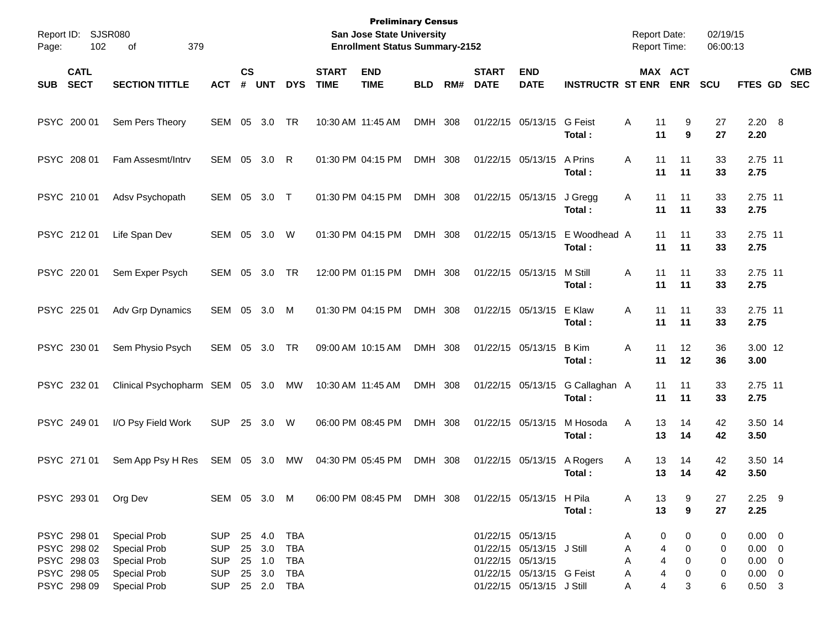| Report ID:<br>Page: | <b>SJSR080</b><br>102      | 379<br>οf                       |              |                    |            |            |                             | <b>Preliminary Census</b><br><b>San Jose State University</b><br><b>Enrollment Status Summary-2152</b> |            |     |                             |                           |                          | <b>Report Date:</b><br><b>Report Time:</b> |                       | 02/19/15<br>06:00:13 |                  |                          |
|---------------------|----------------------------|---------------------------------|--------------|--------------------|------------|------------|-----------------------------|--------------------------------------------------------------------------------------------------------|------------|-----|-----------------------------|---------------------------|--------------------------|--------------------------------------------|-----------------------|----------------------|------------------|--------------------------|
| <b>SUB</b>          | <b>CATL</b><br><b>SECT</b> | <b>SECTION TITTLE</b>           | <b>ACT</b>   | $\mathsf{cs}$<br># | <b>UNT</b> | <b>DYS</b> | <b>START</b><br><b>TIME</b> | <b>END</b><br><b>TIME</b>                                                                              | <b>BLD</b> | RM# | <b>START</b><br><b>DATE</b> | <b>END</b><br><b>DATE</b> | <b>INSTRUCTR ST ENR</b>  |                                            | MAX ACT<br><b>ENR</b> | <b>SCU</b>           | FTES GD          | <b>CMB</b><br><b>SEC</b> |
| PSYC 200 01         |                            | Sem Pers Theory                 | SEM          | 05                 | 3.0        | TR         |                             | 10:30 AM 11:45 AM                                                                                      | DMH 308    |     |                             | 01/22/15 05/13/15         | <b>G</b> Feist<br>Total: | Α<br>11<br>11                              | 9<br>9                | 27<br>27             | 2.20 8<br>2.20   |                          |
| PSYC 208 01         |                            | Fam Assesmt/Intry               | SEM          | 05                 | 3.0        | R          |                             | 01:30 PM 04:15 PM                                                                                      | DMH 308    |     |                             | 01/22/15 05/13/15         | A Prins<br>Total:        | Α<br>11<br>11                              | 11<br>11              | 33<br>33             | 2.75 11<br>2.75  |                          |
| PSYC 210 01         |                            | Adsv Psychopath                 | SEM          | 05                 | 3.0        | $\top$     |                             | 01:30 PM 04:15 PM                                                                                      | DMH 308    |     |                             | 01/22/15 05/13/15         | J Gregg<br>Total:        | Α<br>11<br>11                              | 11<br>11              | 33<br>33             | 2.75 11<br>2.75  |                          |
| PSYC 212 01         |                            | Life Span Dev                   | <b>SEM</b>   | 05                 | 3.0        | W          |                             | 01:30 PM 04:15 PM                                                                                      | DMH 308    |     |                             | 01/22/15 05/13/15         | E Woodhead A<br>Total:   | 11<br>11                                   | 11<br>11              | 33<br>33             | 2.75 11<br>2.75  |                          |
| PSYC 220 01         |                            | Sem Exper Psych                 | <b>SEM</b>   | 05                 | 3.0        | TR         |                             | 12:00 PM 01:15 PM                                                                                      | DMH 308    |     |                             | 01/22/15 05/13/15         | M Still<br>Total:        | 11<br>Α<br>11                              | 11<br>11              | 33<br>33             | 2.75 11<br>2.75  |                          |
| PSYC 225 01         |                            | Adv Grp Dynamics                | SEM          | 05                 | 3.0        | M          |                             | 01:30 PM 04:15 PM                                                                                      | DMH 308    |     |                             | 01/22/15 05/13/15         | E Klaw<br>Total:         | Α<br>11<br>11                              | 11<br>11              | 33<br>33             | 2.75 11<br>2.75  |                          |
| PSYC 230 01         |                            | Sem Physio Psych                | SEM          | 05                 | 3.0        | TR         |                             | 09:00 AM 10:15 AM                                                                                      | DMH 308    |     |                             | 01/22/15 05/13/15         | <b>B</b> Kim<br>Total:   | Α<br>11<br>11                              | 12<br>12              | 36<br>36             | 3.00 12<br>3.00  |                          |
| PSYC 232 01         |                            | Clinical Psychopharm SEM 05 3.0 |              |                    |            | МW         |                             | 10:30 AM 11:45 AM                                                                                      | DMH 308    |     |                             | 01/22/15 05/13/15         | G Callaghan A<br>Total:  | 11<br>11                                   | 11<br>11              | 33<br>33             | 2.75 11<br>2.75  |                          |
| PSYC 249 01         |                            | I/O Psy Field Work              | <b>SUP</b>   | 25                 | 3.0        | W          |                             | 06:00 PM 08:45 PM                                                                                      | DMH 308    |     |                             | 01/22/15 05/13/15         | M Hosoda<br>Total:       | 13<br>Α<br>13                              | 14<br>14              | 42<br>42             | 3.50 14<br>3.50  |                          |
| PSYC 271 01         |                            | Sem App Psy H Res               | SEM 05       |                    | 3.0        | МW         |                             | 04:30 PM 05:45 PM                                                                                      | DMH 308    |     |                             | 01/22/15 05/13/15         | A Rogers<br>Total:       | 13<br>Α<br>13                              | 14<br>14              | 42<br>42             | 3.50 14<br>3.50  |                          |
| PSYC 293 01         |                            | Org Dev                         | SEM 05 3.0 M |                    |            |            |                             | 06:00 PM 08:45 PM DMH 308                                                                              |            |     |                             | 01/22/15 05/13/15 H Pila  | Total:                   | A<br>13<br>13                              | 9<br>9                | 27<br>27             | $2.25$ 9<br>2.25 |                          |
| PSYC 298 01         |                            | Special Prob                    | SUP          |                    | 25 4.0     | <b>TBA</b> |                             |                                                                                                        |            |     |                             | 01/22/15 05/13/15         |                          | A                                          | 0<br>0                | 0                    | $0.00 \t 0$      |                          |
| PSYC 298 02         |                            | Special Prob                    | <b>SUP</b>   | 25                 | 3.0        | <b>TBA</b> |                             |                                                                                                        |            |     |                             | 01/22/15 05/13/15 J Still |                          | Α                                          | 4<br>0                | 0                    | $0.00 \t 0$      |                          |
| PSYC 298 03         |                            | Special Prob                    | <b>SUP</b>   |                    | 25 1.0     | <b>TBA</b> |                             |                                                                                                        |            |     |                             | 01/22/15 05/13/15         |                          | Α                                          | 4<br>0                | 0                    | $0.00 \t 0$      |                          |
| PSYC 298 05         |                            | Special Prob                    | <b>SUP</b>   |                    | 25 3.0     | <b>TBA</b> |                             |                                                                                                        |            |     |                             | 01/22/15 05/13/15 G Feist |                          | Α                                          | 4<br>0                | 0                    | $0.00 \t 0$      |                          |
| PSYC 298 09         |                            | <b>Special Prob</b>             | <b>SUP</b>   |                    | 25 2.0     | TBA        |                             |                                                                                                        |            |     |                             | 01/22/15 05/13/15 J Still |                          | A                                          | 4<br>3                | 6                    | $0.50$ 3         |                          |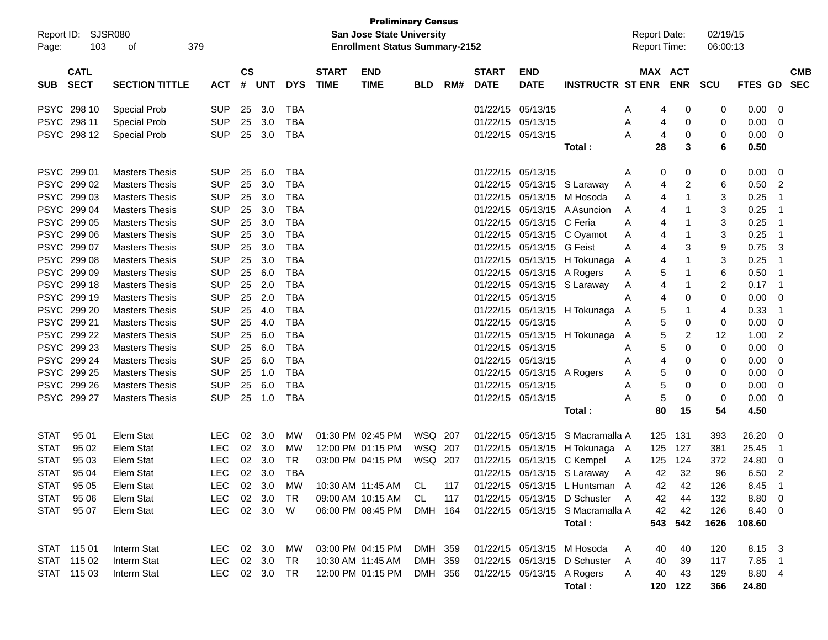|             | <b>Preliminary Census</b><br>SJSR080<br><b>San Jose State University</b><br>Report ID: |                                                                                                                                                                                                |               |               |            |            |              |                           |            |     |                   |                            |                                    |                     |                              |          |                |                         |
|-------------|----------------------------------------------------------------------------------------|------------------------------------------------------------------------------------------------------------------------------------------------------------------------------------------------|---------------|---------------|------------|------------|--------------|---------------------------|------------|-----|-------------------|----------------------------|------------------------------------|---------------------|------------------------------|----------|----------------|-------------------------|
|             | <b>Enrollment Status Summary-2152</b><br>103<br>379<br>оf                              |                                                                                                                                                                                                |               |               |            |            |              |                           |            |     |                   |                            |                                    | <b>Report Date:</b> |                              | 02/19/15 |                |                         |
| Page:       |                                                                                        |                                                                                                                                                                                                |               |               |            |            |              |                           |            |     |                   |                            |                                    | <b>Report Time:</b> |                              | 06:00:13 |                |                         |
|             | <b>CATL</b>                                                                            |                                                                                                                                                                                                |               | $\mathsf{cs}$ |            |            | <b>START</b> | <b>END</b>                |            |     | <b>START</b>      | <b>END</b>                 |                                    |                     | MAX ACT                      |          |                | <b>CMB</b>              |
| <b>SUB</b>  | <b>SECT</b>                                                                            | <b>SECTION TITTLE</b>                                                                                                                                                                          | <b>ACT</b>    | #             | <b>UNT</b> | <b>DYS</b> | <b>TIME</b>  | <b>TIME</b>               | <b>BLD</b> | RM# | <b>DATE</b>       | <b>DATE</b>                | <b>INSTRUCTR ST ENR</b>            |                     | <b>ENR</b>                   | SCU      | FTES GD SEC    |                         |
|             |                                                                                        |                                                                                                                                                                                                |               |               |            |            |              |                           |            |     |                   |                            |                                    |                     |                              |          |                |                         |
|             | PSYC 298 10                                                                            | <b>Special Prob</b>                                                                                                                                                                            | <b>SUP</b>    | 25            | 3.0        | <b>TBA</b> |              |                           |            |     | 01/22/15 05/13/15 |                            |                                    | A                   | 0<br>4                       | 0        | 0.00           | 0                       |
|             | PSYC 298 11                                                                            | <b>Special Prob</b>                                                                                                                                                                            | <b>SUP</b>    | 25            | 3.0        | TBA        |              |                           |            |     | 01/22/15 05/13/15 |                            |                                    | A                   | 0<br>4                       | 0        | 0.00           | $\mathbf{0}$            |
|             | PSYC 298 12                                                                            | <b>Special Prob</b>                                                                                                                                                                            | <b>SUP</b>    | 25            | 3.0        | TBA        |              |                           |            |     | 01/22/15 05/13/15 |                            |                                    | A                   | 0<br>4                       | 0        | 0.00           | $\mathbf{0}$            |
|             |                                                                                        |                                                                                                                                                                                                |               |               |            |            |              |                           |            |     |                   |                            | Total :                            | 28                  | 3                            | 6        | 0.50           |                         |
|             |                                                                                        |                                                                                                                                                                                                |               |               |            |            |              |                           |            |     |                   |                            |                                    |                     |                              |          |                |                         |
|             | PSYC 299 01                                                                            | <b>Masters Thesis</b>                                                                                                                                                                          | <b>SUP</b>    | 25            | 6.0        | <b>TBA</b> |              |                           |            |     | 01/22/15 05/13/15 |                            |                                    | A                   | 0<br>0                       | 0        | 0.00           | - 0                     |
|             | PSYC 299 02                                                                            | <b>Masters Thesis</b>                                                                                                                                                                          | <b>SUP</b>    | 25            | 3.0        | <b>TBA</b> |              |                           |            |     |                   |                            | 01/22/15 05/13/15 S Laraway        | A                   | $\overline{c}$<br>4          | 6        | 0.50           | 2                       |
|             | PSYC 299 03                                                                            | <b>SUP</b><br>25<br>3.0<br><b>TBA</b><br><b>Masters Thesis</b><br>01/22/15 05/13/15 M Hosoda<br><b>SUP</b><br>25<br>3.0<br><b>TBA</b><br>01/22/15 05/13/15 A Asuncion<br><b>Masters Thesis</b> |               |               |            |            |              |                           |            |     |                   |                            |                                    | A                   | $\mathbf{1}$<br>4            | 3        | 0.25           | $\overline{1}$          |
|             | PSYC 299 04<br><b>SUP</b><br>25<br>3.0<br><b>TBA</b><br><b>Masters Thesis</b>          |                                                                                                                                                                                                |               |               |            |            |              |                           |            |     |                   |                            |                                    | A                   | $\mathbf 1$<br>4             | 3        | 0.25           | $\overline{1}$          |
|             | PSYC 299 05<br>01/22/15 05/13/15 C Feria<br>PSYC 299 06<br>01/22/15 05/13/15 C Oyamot  |                                                                                                                                                                                                |               |               |            |            |              |                           |            |     |                   |                            | Α                                  | 4<br>-1             | 3                            | 0.25     | $\overline{1}$ |                         |
|             |                                                                                        | <b>Masters Thesis</b>                                                                                                                                                                          | <b>SUP</b>    | 25            | 3.0        | <b>TBA</b> |              |                           |            |     |                   |                            |                                    | A                   | $\mathbf 1$<br>4             | 3        | 0.25           | $\overline{1}$          |
|             | PSYC 299 07                                                                            | <b>Masters Thesis</b>                                                                                                                                                                          | <b>SUP</b>    | 25            | 3.0        | <b>TBA</b> |              |                           |            |     |                   | 01/22/15 05/13/15 G Feist  |                                    | A                   | 3<br>4                       | 9        | 0.75           | -3                      |
|             | PSYC 299 08                                                                            | <b>Masters Thesis</b>                                                                                                                                                                          | <b>SUP</b>    | 25            | 3.0        | <b>TBA</b> |              |                           |            |     |                   |                            | 01/22/15 05/13/15 H Tokunaga       | A                   | $\mathbf{1}$<br>4            | 3        | 0.25           | $\overline{1}$          |
|             | PSYC 299 09                                                                            | <b>Masters Thesis</b>                                                                                                                                                                          | <b>SUP</b>    | 25            | 6.0        | <b>TBA</b> |              |                           |            |     |                   | 01/22/15 05/13/15 A Rogers |                                    | Α                   | 5<br>$\mathbf 1$             | 6        | 0.50           | $\overline{1}$          |
|             | PSYC 299 18                                                                            | <b>Masters Thesis</b>                                                                                                                                                                          | <b>SUP</b>    | 25            | 2.0        | <b>TBA</b> |              |                           |            |     |                   |                            | 01/22/15 05/13/15 S Laraway        | A                   | $\mathbf 1$<br>4             | 2        | 0.17           | $\overline{1}$          |
|             | PSYC 299 19                                                                            | <b>Masters Thesis</b>                                                                                                                                                                          | <b>SUP</b>    | 25            | 2.0        | <b>TBA</b> |              |                           |            |     | 01/22/15 05/13/15 |                            |                                    | Α                   | 0<br>4                       | 0        | 0.00           | 0                       |
|             | PSYC 299 20                                                                            | <b>Masters Thesis</b>                                                                                                                                                                          | <b>SUP</b>    | 25            | 4.0        | <b>TBA</b> |              |                           |            |     |                   |                            | 01/22/15 05/13/15 H Tokunaga       | A                   | 5<br>$\mathbf 1$             | 4        | 0.33           | $\overline{1}$          |
|             | PSYC 299 21                                                                            | <b>Masters Thesis</b>                                                                                                                                                                          | <b>SUP</b>    | 25            | 4.0        | <b>TBA</b> |              |                           |            |     | 01/22/15 05/13/15 |                            |                                    | Α                   | 5<br>0                       | 0        | 0.00           | 0                       |
|             | PSYC 299 22                                                                            | <b>Masters Thesis</b>                                                                                                                                                                          | <b>SUP</b>    | 25            | 6.0        | <b>TBA</b> |              |                           |            |     |                   | 01/22/15 05/13/15          | H Tokunaga                         | A                   | 5<br>$\overline{\mathbf{c}}$ | 12       | 1.00           | $\overline{2}$          |
|             | PSYC 299 23                                                                            | <b>Masters Thesis</b>                                                                                                                                                                          | <b>SUP</b>    | 25            | 6.0        | <b>TBA</b> |              |                           |            |     | 01/22/15 05/13/15 |                            |                                    | A                   | 5<br>0                       | 0        | 0.00           | 0                       |
|             | PSYC 299 24                                                                            | <b>Masters Thesis</b>                                                                                                                                                                          | <b>SUP</b>    | 25            | 6.0        | <b>TBA</b> |              |                           |            |     | 01/22/15 05/13/15 |                            |                                    | A                   | 0<br>4                       | 0        | 0.00           | 0                       |
|             | PSYC 299 25                                                                            | <b>Masters Thesis</b>                                                                                                                                                                          | <b>SUP</b>    | 25            | 1.0        | <b>TBA</b> |              |                           |            |     |                   | 01/22/15 05/13/15 A Rogers |                                    | A                   | 5<br>0                       | 0        | 0.00           | 0                       |
| <b>PSYC</b> | 299 26                                                                                 | <b>Masters Thesis</b>                                                                                                                                                                          | <b>SUP</b>    | 25            | 6.0        | <b>TBA</b> |              |                           |            |     | 01/22/15 05/13/15 |                            |                                    | A                   | 5<br>0                       | 0        | 0.00           | 0                       |
|             | PSYC 299 27                                                                            | <b>Masters Thesis</b>                                                                                                                                                                          | <b>SUP</b>    | 25            | 1.0        | TBA        |              |                           |            |     | 01/22/15 05/13/15 |                            |                                    | Α                   | 5<br>0                       | 0        | 0.00           | 0                       |
|             |                                                                                        |                                                                                                                                                                                                |               |               |            |            |              |                           |            |     |                   |                            | Total :                            | 80                  | 15                           | 54       | 4.50           |                         |
|             |                                                                                        |                                                                                                                                                                                                |               |               |            |            |              |                           |            |     |                   |                            |                                    |                     |                              |          |                |                         |
| <b>STAT</b> | 95 01                                                                                  | Elem Stat                                                                                                                                                                                      | LEC.          | 02            | 3.0        | <b>MW</b>  |              | 01:30 PM 02:45 PM         | WSQ 207    |     |                   | 01/22/15 05/13/15          | S Macramalla A                     | 125                 | 131                          | 393      | 26.20          | 0                       |
| <b>STAT</b> | 95 02                                                                                  | Elem Stat                                                                                                                                                                                      | <b>LEC</b>    |               | 02 3.0     | MW         |              | 12:00 PM 01:15 PM         | WSQ 207    |     |                   | 01/22/15 05/13/15          | H Tokunaga A                       | 125                 | 127                          | 381      | 25.45          | $\overline{1}$          |
| <b>STAT</b> | 95 03                                                                                  | Elem Stat                                                                                                                                                                                      | <b>LEC</b>    |               | 02 3.0     | <b>TR</b>  |              | 03:00 PM 04:15 PM         | WSQ 207    |     |                   |                            | 01/22/15 05/13/15 C Kempel         | 125<br>A            | 124                          | 372      | 24.80          | 0                       |
| <b>STAT</b> | 95 04                                                                                  | Elem Stat                                                                                                                                                                                      | <b>LEC</b>    |               | 02 3.0     | TBA        |              |                           |            |     |                   |                            | 01/22/15 05/13/15 S Laraway        | 42<br>A             | 32                           | 96       | 6.50           | $\overline{2}$          |
|             | STAT 95 05                                                                             | Elem Stat                                                                                                                                                                                      | LEC           |               | 02 3.0 MW  |            |              | 10:30 AM 11:45 AM CL      |            |     |                   |                            | 117 01/22/15 05/13/15 L Huntsman A | 42                  | 42                           | 126      | 8.45           | $\overline{1}$          |
| STAT        | 95 06                                                                                  | Elem Stat                                                                                                                                                                                      | LEC.          |               | 02 3.0     | TR.        |              | 09:00 AM 10:15 AM         | CL.        | 117 |                   |                            | 01/22/15 05/13/15 D Schuster A     | 42                  | 44                           | 132      | 8.80           | $\overline{\mathbf{0}}$ |
| <b>STAT</b> | 95 07                                                                                  | Elem Stat                                                                                                                                                                                      | LEC           |               | 02 3.0 W   |            |              | 06:00 PM 08:45 PM DMH 164 |            |     |                   |                            | 01/22/15 05/13/15 S Macramalla A   | 42                  | 42                           | 126      | 8.40 0         |                         |
|             |                                                                                        |                                                                                                                                                                                                |               |               |            |            |              |                           |            |     | Total:            |                            | 543 542                            | 1626                | 108.60                       |          |                |                         |
|             |                                                                                        |                                                                                                                                                                                                |               |               |            |            |              |                           |            |     |                   |                            |                                    |                     |                              |          |                |                         |
|             | STAT 115 01                                                                            | Interm Stat                                                                                                                                                                                    | LEC 02 3.0    |               |            | MW         |              | 03:00 PM 04:15 PM DMH 359 |            |     |                   |                            | 01/22/15 05/13/15 M Hosoda         | 40<br>A             | 40                           | 120      | 8.15 3         |                         |
|             | STAT 115 02                                                                            | Interm Stat                                                                                                                                                                                    | LEC           |               | 02 3.0     | TR         |              | 10:30 AM 11:45 AM         | DMH 359    |     |                   |                            | 01/22/15 05/13/15 D Schuster       | A<br>40             | 39                           | 117      | 7.85 1         |                         |
|             | STAT 115 03                                                                            | Interm Stat                                                                                                                                                                                    | LEC 02 3.0 TR |               |            |            |              | 12:00 PM 01:15 PM DMH 356 |            |     |                   | 01/22/15 05/13/15 A Rogers |                                    | 40<br>A             | 43                           | 129      | 8.80 4         |                         |
|             |                                                                                        |                                                                                                                                                                                                |               |               |            |            |              |                           |            |     |                   |                            | Total:                             |                     | 120 122                      | 366      | 24.80          |                         |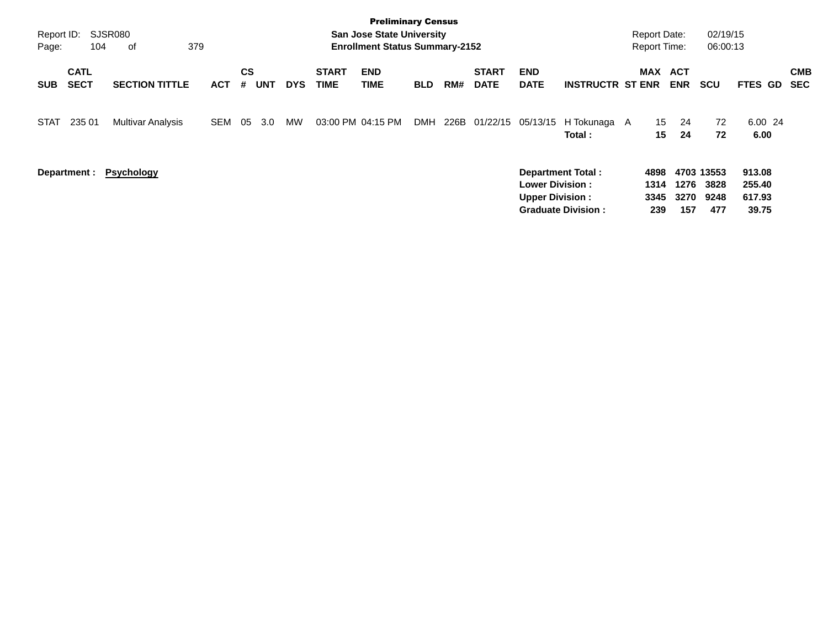| Report ID:<br>Page: | 104                        | SJSR080<br>379<br>οf     |            |                |            |            |                             | <b>Preliminary Census</b><br><b>San Jose State University</b><br><b>Enrollment Status Summary-2152</b> |            |     |                             |                                                                              |                           | <b>Report Date:</b><br><b>Report Time:</b> |                     | 02/19/15<br>06:00:13              |                                     |                          |
|---------------------|----------------------------|--------------------------|------------|----------------|------------|------------|-----------------------------|--------------------------------------------------------------------------------------------------------|------------|-----|-----------------------------|------------------------------------------------------------------------------|---------------------------|--------------------------------------------|---------------------|-----------------------------------|-------------------------------------|--------------------------|
| <b>SUB</b>          | <b>CATL</b><br><b>SECT</b> | <b>SECTION TITTLE</b>    | <b>ACT</b> | <b>CS</b><br># | <b>UNT</b> | <b>DYS</b> | <b>START</b><br><b>TIME</b> | <b>END</b><br>TIME                                                                                     | <b>BLD</b> | RM# | <b>START</b><br><b>DATE</b> | <b>END</b><br><b>DATE</b>                                                    | <b>INSTRUCTR ST ENR</b>   | MAX ACT                                    | <b>ENR</b>          | <b>SCU</b>                        | FTES GD                             | <b>CMB</b><br><b>SEC</b> |
| <b>STAT</b>         | 235 01                     | <b>Multivar Analysis</b> | <b>SEM</b> | 05             | 3.0        | MW         | 03:00 PM 04:15 PM           |                                                                                                        |            |     | DMH 226B 01/22/15 05/13/15  |                                                                              | H Tokunaga A<br>Total:    | 15<br>15                                   | 24<br>24            | 72<br>72                          | 6.00 24<br>6.00                     |                          |
|                     |                            | Department: Psychology   |            |                |            |            |                             |                                                                                                        |            |     |                             | <b>Department Total:</b><br><b>Lower Division:</b><br><b>Upper Division:</b> | <b>Graduate Division:</b> | 4898<br>1314<br>3345<br>239                | 1276<br>3270<br>157 | 4703 13553<br>3828<br>9248<br>477 | 913.08<br>255.40<br>617.93<br>39.75 |                          |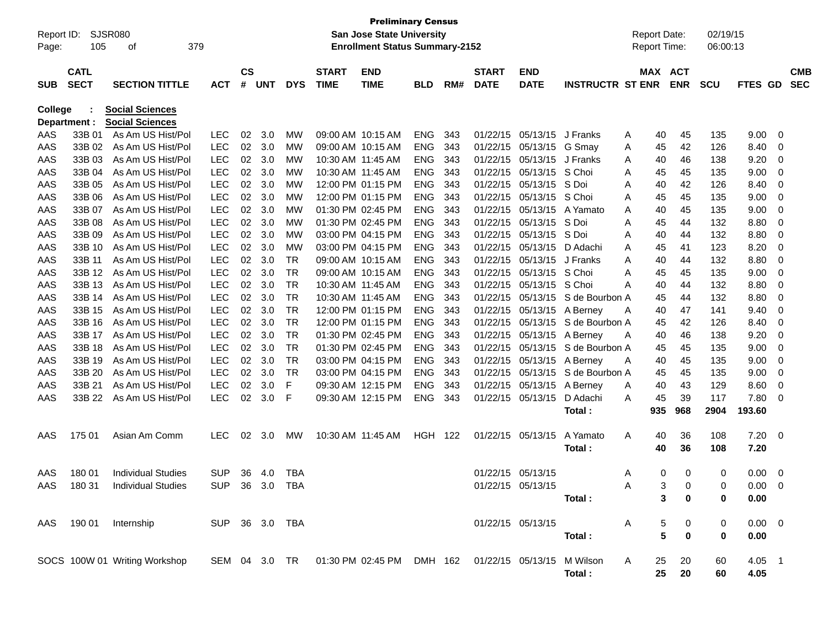| Report ID:<br>Page: | SJSR080<br>105             | 379<br>οf                              |                          |                    |            |            |                             | <b>Preliminary Census</b><br><b>San Jose State University</b><br><b>Enrollment Status Summary-2152</b> |                          |            |                             |                           |                         | <b>Report Date:</b><br><b>Report Time:</b> |              |             | 02/19/15<br>06:00:13 |                  |        |                          |
|---------------------|----------------------------|----------------------------------------|--------------------------|--------------------|------------|------------|-----------------------------|--------------------------------------------------------------------------------------------------------|--------------------------|------------|-----------------------------|---------------------------|-------------------------|--------------------------------------------|--------------|-------------|----------------------|------------------|--------|--------------------------|
| <b>SUB</b>          | <b>CATL</b><br><b>SECT</b> | <b>SECTION TITTLE</b>                  | <b>ACT</b>               | $\mathsf{cs}$<br># | <b>UNT</b> | <b>DYS</b> | <b>START</b><br><b>TIME</b> | <b>END</b><br><b>TIME</b>                                                                              | <b>BLD</b>               | RM#        | <b>START</b><br><b>DATE</b> | <b>END</b><br><b>DATE</b> | <b>INSTRUCTR ST ENR</b> | MAX ACT                                    |              | <b>ENR</b>  | <b>SCU</b>           | FTES GD          |        | <b>CMB</b><br><b>SEC</b> |
| <b>College</b>      |                            | <b>Social Sciences</b>                 |                          |                    |            |            |                             |                                                                                                        |                          |            |                             |                           |                         |                                            |              |             |                      |                  |        |                          |
| Department :        |                            | <b>Social Sciences</b>                 |                          |                    |            |            |                             | 09:00 AM 10:15 AM                                                                                      |                          |            |                             |                           | J Franks                |                                            |              |             |                      |                  |        |                          |
| AAS<br>AAS          | 33B 01<br>33B 02           | As Am US Hist/Pol<br>As Am US Hist/Pol | <b>LEC</b><br><b>LEC</b> | 02<br>02           | 3.0<br>3.0 | MW<br>MW   |                             | 09:00 AM 10:15 AM                                                                                      | <b>ENG</b><br><b>ENG</b> | 343<br>343 | 01/22/15<br>01/22/15        | 05/13/15<br>05/13/15      | G Smay                  | Α                                          | 40           | 45<br>42    | 135<br>126           | 9.00<br>8.40     | 0      |                          |
| AAS                 | 33B 03                     | As Am US Hist/Pol                      | <b>LEC</b>               | 02                 | 3.0        | МW         |                             | 10:30 AM 11:45 AM                                                                                      | <b>ENG</b>               | 343        | 01/22/15                    | 05/13/15                  | J Franks                | Α<br>Α                                     | 45<br>40     | 46          | 138                  | 9.20             | 0<br>0 |                          |
| AAS                 | 33B 04                     | As Am US Hist/Pol                      | <b>LEC</b>               | 02                 | 3.0        | МW         |                             | 10:30 AM 11:45 AM                                                                                      | <b>ENG</b>               | 343        | 01/22/15                    | 05/13/15                  | S Choi                  | A                                          | 45           | 45          | 135                  | 9.00             | 0      |                          |
| AAS                 | 33B 05                     | As Am US Hist/Pol                      | <b>LEC</b>               | 02                 | 3.0        | МW         |                             | 12:00 PM 01:15 PM                                                                                      | <b>ENG</b>               | 343        | 01/22/15                    | 05/13/15                  | S Doi                   | A                                          | 40           | 42          | 126                  | 8.40             | 0      |                          |
| AAS                 | 33B 06                     | As Am US Hist/Pol                      | <b>LEC</b>               | 02                 | 3.0        | МW         |                             | 12:00 PM 01:15 PM                                                                                      | <b>ENG</b>               | 343        | 01/22/15                    | 05/13/15                  | S Choi                  | A                                          | 45           | 45          | 135                  | 9.00             | 0      |                          |
| AAS                 | 33B 07                     | As Am US Hist/Pol                      | <b>LEC</b>               | 02                 | 3.0        | МW         |                             | 01:30 PM 02:45 PM                                                                                      | <b>ENG</b>               | 343        | 01/22/15                    | 05/13/15                  | A Yamato                | A                                          | 40           | 45          | 135                  | 9.00             | 0      |                          |
| AAS                 | 33B 08                     | As Am US Hist/Pol                      | <b>LEC</b>               | 02                 | 3.0        | <b>MW</b>  |                             | 01:30 PM 02:45 PM                                                                                      | <b>ENG</b>               | 343        | 01/22/15                    | 05/13/15                  | S Doi                   | Α                                          | 45           | 44          | 132                  | 8.80             | 0      |                          |
| AAS                 | 33B 09                     | As Am US Hist/Pol                      | <b>LEC</b>               | 02                 | 3.0        | <b>MW</b>  |                             | 03:00 PM 04:15 PM                                                                                      | <b>ENG</b>               | 343        | 01/22/15                    | 05/13/15                  | S Doi                   | A                                          | 40           | 44          | 132                  | 8.80             | 0      |                          |
| AAS                 | 33B 10                     | As Am US Hist/Pol                      | <b>LEC</b>               | 02                 | 3.0        | <b>MW</b>  |                             | 03:00 PM 04:15 PM                                                                                      | <b>ENG</b>               | 343        | 01/22/15                    | 05/13/15                  | D Adachi                | A                                          | 45           | 41          | 123                  | 8.20             | 0      |                          |
| AAS                 | 33B 11                     | As Am US Hist/Pol                      | <b>LEC</b>               | 02                 | 3.0        | <b>TR</b>  |                             | 09:00 AM 10:15 AM                                                                                      | <b>ENG</b>               | 343        | 01/22/15                    | 05/13/15                  | J Franks                | A                                          | 40           | 44          | 132                  | 8.80             | 0      |                          |
| AAS                 | 33B 12                     | As Am US Hist/Pol                      | <b>LEC</b>               | 02                 | 3.0        | <b>TR</b>  |                             | 09:00 AM 10:15 AM                                                                                      | <b>ENG</b>               | 343        | 01/22/15                    | 05/13/15                  | S Choi                  | A                                          | 45           | 45          | 135                  | 9.00             | 0      |                          |
| AAS                 | 33B 13                     | As Am US Hist/Pol                      | <b>LEC</b>               | 02                 | 3.0        | <b>TR</b>  |                             | 10:30 AM 11:45 AM                                                                                      | <b>ENG</b>               | 343        | 01/22/15                    | 05/13/15                  | S Choi                  | Α                                          | 40           | 44          | 132                  | 8.80             | 0      |                          |
| AAS                 | 33B 14                     | As Am US Hist/Pol                      | <b>LEC</b>               | 02                 | 3.0        | <b>TR</b>  |                             | 10:30 AM 11:45 AM                                                                                      | <b>ENG</b>               | 343        | 01/22/15                    | 05/13/15                  | S de Bourbon A          |                                            | 45           | 44          | 132                  | 8.80             | 0      |                          |
| AAS                 | 33B 15                     | As Am US Hist/Pol                      | <b>LEC</b>               | 02                 | 3.0        | <b>TR</b>  |                             | 12:00 PM 01:15 PM                                                                                      | <b>ENG</b>               | 343        | 01/22/15                    | 05/13/15                  | A Berney                | A                                          | 40           | 47          | 141                  | 9.40             | 0      |                          |
| AAS                 | 33B 16                     | As Am US Hist/Pol                      | <b>LEC</b>               | 02                 | 3.0        | <b>TR</b>  |                             | 12:00 PM 01:15 PM                                                                                      | <b>ENG</b>               | 343        | 01/22/15                    | 05/13/15                  | S de Bourbon A          |                                            | 45           | 42          | 126                  | 8.40             | 0      |                          |
| AAS                 | 33B 17                     | As Am US Hist/Pol                      | <b>LEC</b>               | 02                 | 3.0        | <b>TR</b>  |                             | 01:30 PM 02:45 PM                                                                                      | <b>ENG</b>               | 343        | 01/22/15                    | 05/13/15                  | A Berney                | A                                          | 40           | 46          | 138                  | 9.20             | 0      |                          |
| AAS                 | 33B 18                     | As Am US Hist/Pol                      | <b>LEC</b>               | 02                 | 3.0        | <b>TR</b>  |                             | 01:30 PM 02:45 PM                                                                                      | <b>ENG</b>               | 343        | 01/22/15                    | 05/13/15                  | S de Bourbon A          |                                            | 45           | 45          | 135                  | 9.00             | 0      |                          |
| AAS                 | 33B 19                     | As Am US Hist/Pol                      | <b>LEC</b>               | 02                 | 3.0        | <b>TR</b>  |                             | 03:00 PM 04:15 PM                                                                                      | <b>ENG</b>               | 343        | 01/22/15                    | 05/13/15                  | A Berney                | A                                          | 40           | 45          | 135                  | 9.00             | 0      |                          |
| AAS                 | 33B 20                     | As Am US Hist/Pol                      | <b>LEC</b>               | 02                 | 3.0        | <b>TR</b>  |                             | 03:00 PM 04:15 PM                                                                                      | <b>ENG</b>               | 343        | 01/22/15                    | 05/13/15                  | S de Bourbon A          |                                            | 45           | 45          | 135                  | 9.00             | 0      |                          |
| AAS                 | 33B 21                     | As Am US Hist/Pol                      | <b>LEC</b>               | 02                 | 3.0        | F          |                             | 09:30 AM 12:15 PM                                                                                      | <b>ENG</b>               | 343        | 01/22/15                    | 05/13/15                  | A Berney                | Α                                          | 40           | 43          | 129                  | 8.60             | 0      |                          |
| AAS                 | 33B 22                     | As Am US Hist/Pol                      | <b>LEC</b>               | 02                 | 3.0        | F          |                             | 09:30 AM 12:15 PM                                                                                      | <b>ENG</b>               | 343        | 01/22/15                    | 05/13/15                  | D Adachi                | A                                          | 45           | 39          | 117                  | 7.80             | 0      |                          |
|                     |                            |                                        |                          |                    |            |            |                             |                                                                                                        |                          |            |                             |                           | Total:                  |                                            | 935          | 968         | 2904                 | 193.60           |        |                          |
| AAS                 | 175 01                     | Asian Am Comm                          | <b>LEC</b>               | 02                 | 3.0        | MW         |                             | 10:30 AM 11:45 AM                                                                                      | HGH 122                  |            | 01/22/15                    | 05/13/15                  | A Yamato                | A                                          | 40           | 36          | 108                  | 7.20             | 0      |                          |
|                     |                            |                                        |                          |                    |            |            |                             |                                                                                                        |                          |            |                             |                           | <b>Total :</b>          |                                            | 40           | 36          | 108                  | 7.20             |        |                          |
| AAS                 | 18001                      | <b>Individual Studies</b>              | <b>SUP</b>               | 36                 | 4.0        | <b>TBA</b> |                             |                                                                                                        |                          |            | 01/22/15 05/13/15           |                           |                         | Α                                          | 0            | 0           | 0                    | 0.00             | 0      |                          |
| AAS                 |                            | 180 31 Individual Studies              | <b>SUP</b>               |                    | 36 3.0 TBA |            |                             |                                                                                                        |                          |            | 01/22/15 05/13/15           |                           |                         | $\mathsf{A}$                               | 3            | 0           | $\Omega$             | $0.00 \t 0$      |        |                          |
|                     |                            |                                        |                          |                    |            |            |                             |                                                                                                        |                          |            |                             |                           | Total:                  |                                            | 3            | 0           | 0                    | 0.00             |        |                          |
|                     |                            | AAS 190 01 Internship                  | SUP 36 3.0 TBA           |                    |            |            |                             |                                                                                                        |                          |            | 01/22/15 05/13/15           |                           |                         | A                                          | 5            | 0           | 0                    | $0.00 \ 0$       |        |                          |
|                     |                            |                                        |                          |                    |            |            |                             |                                                                                                        |                          |            |                             |                           | Total:                  |                                            | 5            | $\mathbf 0$ | 0                    | 0.00             |        |                          |
|                     |                            | SOCS 100W 01 Writing Workshop          |                          |                    |            |            |                             | SEM 04 3.0 TR  01:30 PM 02:45 PM  DMH  162  01/22/15  05/13/15  M  Wilson                              |                          |            |                             |                           | Total:                  | A                                          | 25<br>$25\,$ | 20<br>20    | 60<br>60             | $4.05$ 1<br>4.05 |        |                          |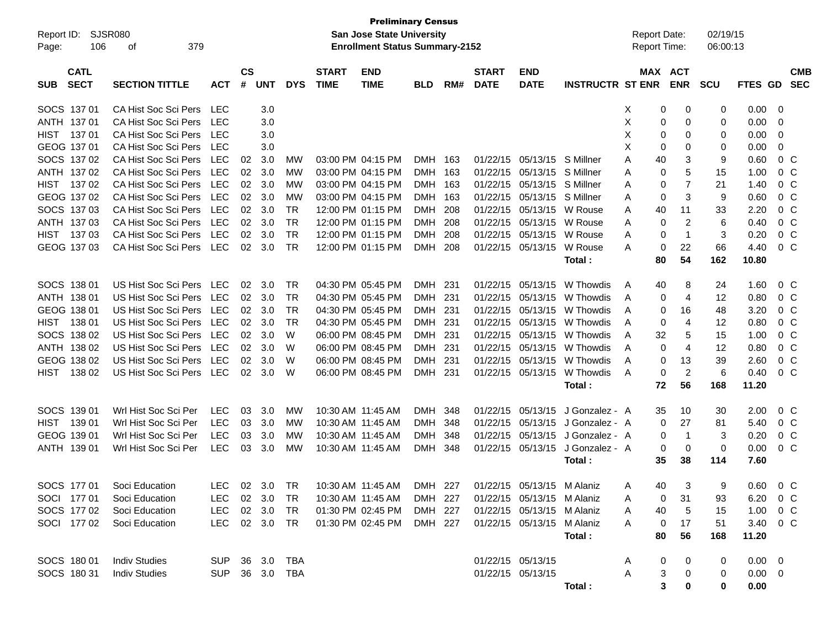| Report ID:<br>Page: | 106                                                                                                      | SJSR080<br>379<br>оf     |            |    |            |            |                             | <b>Preliminary Census</b><br><b>San Jose State University</b><br><b>Enrollment Status Summary-2152</b> |            |     |                             |                            |                         |   | <b>Report Date:</b> | Report Time:          | 02/19/15<br>06:00:13 |                |                |            |
|---------------------|----------------------------------------------------------------------------------------------------------|--------------------------|------------|----|------------|------------|-----------------------------|--------------------------------------------------------------------------------------------------------|------------|-----|-----------------------------|----------------------------|-------------------------|---|---------------------|-----------------------|----------------------|----------------|----------------|------------|
| <b>SUB</b>          | <b>CATL</b><br><b>SECT</b><br><b>SECTION TITTLE</b><br><b>ACT</b><br>SOCS 137 01<br>CA Hist Soc Sci Pers |                          |            |    | <b>UNT</b> | <b>DYS</b> | <b>START</b><br><b>TIME</b> | <b>END</b><br><b>TIME</b>                                                                              | <b>BLD</b> | RM# | <b>START</b><br><b>DATE</b> | <b>END</b><br><b>DATE</b>  | <b>INSTRUCTR ST ENR</b> |   |                     | MAX ACT<br><b>ENR</b> | <b>SCU</b>           | FTES GD SEC    |                | <b>CMB</b> |
|                     |                                                                                                          |                          | LEC        |    | 3.0        |            |                             |                                                                                                        |            |     |                             |                            |                         | Х | 0                   | 0                     | 0                    | 0.00           | - 0            |            |
|                     | ANTH 137 01                                                                                              | CA Hist Soc Sci Pers     | <b>LEC</b> |    | 3.0        |            |                             |                                                                                                        |            |     |                             |                            |                         | X | 0                   | 0                     | 0                    | 0.00           | - 0            |            |
| HIST                | 13701                                                                                                    | CA Hist Soc Sci Pers     | <b>LEC</b> |    | 3.0        |            |                             |                                                                                                        |            |     |                             |                            |                         | X | 0                   | 0                     | 0                    | 0.00           | $\overline{0}$ |            |
|                     | GEOG 137 01                                                                                              | CA Hist Soc Sci Pers     | <b>LEC</b> |    | 3.0        |            |                             |                                                                                                        |            |     |                             |                            |                         | X | 0                   | 0                     | 0                    | 0.00           | $\mathbf 0$    |            |
|                     | SOCS 137 02                                                                                              | CA Hist Soc Sci Pers     | <b>LEC</b> | 02 | 3.0        | МW         |                             | 03:00 PM 04:15 PM                                                                                      | DMH 163    |     | 01/22/15                    | 05/13/15 S Millner         |                         | Α | 40                  | 3                     | 9                    | 0.60           | $0\,C$         |            |
|                     | ANTH 137 02                                                                                              | CA Hist Soc Sci Pers     | <b>LEC</b> | 02 | 3.0        | <b>MW</b>  |                             | 03:00 PM 04:15 PM                                                                                      | DMH 163    |     | 01/22/15                    | 05/13/15 S Millner         |                         | Α | $\mathbf 0$         | 5                     | 15                   | 1.00           | 0 <sup>C</sup> |            |
|                     | HIST 137 02                                                                                              | CA Hist Soc Sci Pers     | <b>LEC</b> | 02 | 3.0        | <b>MW</b>  |                             | 03:00 PM 04:15 PM                                                                                      | DMH 163    |     | 01/22/15                    | 05/13/15 S Millner         |                         | A | 0                   | 7                     | 21                   | 1.40           | $0\,C$         |            |
|                     | GEOG 137 02                                                                                              | CA Hist Soc Sci Pers     | <b>LEC</b> | 02 | 3.0        | <b>MW</b>  |                             | 03:00 PM 04:15 PM                                                                                      | DMH 163    |     | 01/22/15                    | 05/13/15 S Millner         |                         | A | 0                   | 3                     | 9                    | 0.60           | $0\,C$         |            |
|                     | SOCS 137 03                                                                                              | CA Hist Soc Sci Pers     | <b>LEC</b> | 02 | 3.0        | <b>TR</b>  |                             | 12:00 PM 01:15 PM                                                                                      | DMH 208    |     | 01/22/15                    | 05/13/15                   | W Rouse                 | A | 40                  | 11                    | 33                   | 2.20           | $0\,C$         |            |
|                     | ANTH 137 03                                                                                              | CA Hist Soc Sci Pers     | <b>LEC</b> | 02 | 3.0        | <b>TR</b>  |                             | 12:00 PM 01:15 PM                                                                                      | DMH        | 208 | 01/22/15                    | 05/13/15                   | W Rouse                 | A | 0                   | $\overline{c}$        | 6                    | 0.40           | $0\,C$         |            |
|                     | HIST 137 03                                                                                              | CA Hist Soc Sci Pers     | <b>LEC</b> | 02 | 3.0        | <b>TR</b>  |                             | 12:00 PM 01:15 PM                                                                                      | <b>DMH</b> | 208 | 01/22/15                    | 05/13/15                   | W Rouse                 | Α | $\mathbf 0$         | $\mathbf{1}$          | 3                    | 0.20           | $0\,C$         |            |
|                     | GEOG 137 03                                                                                              | CA Hist Soc Sci Pers     | LEC        | 02 | 3.0        | <b>TR</b>  |                             | 12:00 PM 01:15 PM                                                                                      | DMH 208    |     | 01/22/15                    | 05/13/15                   | W Rouse                 | Α | 0                   | 22                    | 66                   | 4.40           | $0\,C$         |            |
|                     |                                                                                                          |                          |            |    |            |            |                             |                                                                                                        |            |     |                             |                            | Total:                  |   | 80                  | 54                    | 162                  | 10.80          |                |            |
|                     | SOCS 138 01                                                                                              | US Hist Soc Sci Pers LEC |            | 02 | 3.0        | <b>TR</b>  |                             | 04:30 PM 05:45 PM                                                                                      | DMH 231    |     | 01/22/15                    | 05/13/15                   | W Thowdis               | A | 40                  | 8                     | 24                   | 1.60           | $0\,C$         |            |
|                     | ANTH 138 01                                                                                              | US Hist Soc Sci Pers     | LEC        | 02 | 3.0        | <b>TR</b>  |                             | 04:30 PM 05:45 PM                                                                                      | DMH 231    |     | 01/22/15                    | 05/13/15                   | W Thowdis               | A | 0                   | $\overline{4}$        | 12                   | 0.80           | $0\,C$         |            |
|                     | GEOG 138 01                                                                                              | US Hist Soc Sci Pers     | LEC        | 02 | 3.0        | <b>TR</b>  |                             | 04:30 PM 05:45 PM                                                                                      | DMH 231    |     | 01/22/15                    | 05/13/15                   | W Thowdis               | A | 0                   | 16                    | 48                   | 3.20           | $0\,C$         |            |
| HIST                | 138 01                                                                                                   | US Hist Soc Sci Pers     | LEC        | 02 | 3.0        | <b>TR</b>  |                             | 04:30 PM 05:45 PM                                                                                      | DMH 231    |     | 01/22/15                    | 05/13/15                   | W Thowdis               | A | 0                   | $\overline{4}$        | 12                   | 0.80           | $0\,C$         |            |
|                     | SOCS 138 02                                                                                              | US Hist Soc Sci Pers     | <b>LEC</b> | 02 | 3.0        | W          |                             | 06:00 PM 08:45 PM                                                                                      | DMH 231    |     | 01/22/15                    | 05/13/15                   | W Thowdis               | A | 32                  | 5                     | 15                   | 1.00           | $0\,C$         |            |
|                     | ANTH 138 02                                                                                              | US Hist Soc Sci Pers     | <b>LEC</b> | 02 | 3.0        | W          |                             | 06:00 PM 08:45 PM                                                                                      | DMH 231    |     | 01/22/15                    | 05/13/15                   | W Thowdis               | A | $\mathbf 0$         | $\overline{4}$        | 12                   | 0.80           | $0\,C$         |            |
|                     | GEOG 138 02                                                                                              | US Hist Soc Sci Pers     | <b>LEC</b> | 02 | 3.0        | W          |                             | 06:00 PM 08:45 PM                                                                                      | DMH 231    |     | 01/22/15                    | 05/13/15                   | W Thowdis               | A | 0                   | 13                    | 39                   | 2.60           | $0\,C$         |            |
| HIST                | 138 02                                                                                                   | US Hist Soc Sci Pers     | LEC        | 02 | 3.0        | W          |                             | 06:00 PM 08:45 PM                                                                                      | DMH 231    |     | 01/22/15                    | 05/13/15                   | W Thowdis               | A | 0                   | $\overline{c}$        | 6                    | 0.40           | 0 <sup>C</sup> |            |
|                     |                                                                                                          |                          |            |    |            |            |                             |                                                                                                        |            |     |                             |                            | Total:                  |   | 72                  | 56                    | 168                  | 11.20          |                |            |
|                     | SOCS 139 01                                                                                              | Wrl Hist Soc Sci Per     | <b>LEC</b> | 03 | 3.0        | MW         |                             | 10:30 AM 11:45 AM                                                                                      | DMH 348    |     | 01/22/15                    | 05/13/15                   | J Gonzalez - A          |   | 35                  | 10                    | 30                   | 2.00           | $0\,C$         |            |
| HIST                | 139 01                                                                                                   | Wrl Hist Soc Sci Per     | <b>LEC</b> | 03 | 3.0        | MW         |                             | 10:30 AM 11:45 AM                                                                                      | DMH 348    |     | 01/22/15                    | 05/13/15                   | J Gonzalez - A          |   | 0                   | 27                    | 81                   | 5.40           | 0 <sup>C</sup> |            |
|                     | GEOG 139 01                                                                                              | Wrl Hist Soc Sci Per     | <b>LEC</b> | 03 | 3.0        | MW         |                             | 10:30 AM 11:45 AM                                                                                      | <b>DMH</b> | 348 | 01/22/15                    | 05/13/15                   | J Gonzalez - A          |   | 0                   | $\overline{1}$        | 3                    | 0.20           | 0 <sup>C</sup> |            |
|                     | ANTH 139 01                                                                                              | Wrl Hist Soc Sci Per     | <b>LEC</b> | 03 | 3.0        | <b>MW</b>  |                             | 10:30 AM 11:45 AM                                                                                      | DMH 348    |     | 01/22/15                    | 05/13/15                   | J Gonzalez - A          |   | 0                   | $\mathbf 0$           | $\mathbf 0$          | 0.00           | 0 <sup>C</sup> |            |
|                     |                                                                                                          |                          |            |    |            |            |                             |                                                                                                        |            |     |                             |                            | Total:                  |   | 35                  | 38                    | 114                  | 7.60           |                |            |
|                     |                                                                                                          |                          |            |    |            |            |                             |                                                                                                        |            |     |                             |                            |                         |   |                     |                       |                      |                |                |            |
|                     | SOCS 177 01                                                                                              | Soci Education           |            |    |            |            |                             | LEC 02 3.0 TR  10:30 AM  11:45 AM  DMH  227  01/22/15  05/13/15  M  Alaniz                             |            |     |                             |                            |                         | A | 40                  | $\mathbf{3}$          | 9                    | $0.60$ 0 C     |                |            |
|                     | SOCI 177 01                                                                                              | Soci Education           | <b>LEC</b> |    | 02 3.0     | TR         |                             | 10:30 AM 11:45 AM                                                                                      | DMH 227    |     |                             | 01/22/15 05/13/15 M Alaniz |                         | A | 0                   | 31                    | 93                   | 6.20 0 C       |                |            |
|                     | SOCS 177 02                                                                                              | Soci Education           | <b>LEC</b> |    | 02 3.0     | TR         |                             | 01:30 PM 02:45 PM                                                                                      | DMH 227    |     |                             | 01/22/15 05/13/15 M Alaniz |                         | A | 40                  | 5                     | 15                   | 1.00 0 C       |                |            |
|                     | SOCI 177 02                                                                                              | Soci Education           | <b>LEC</b> |    | 02 3.0     | TR         |                             | 01:30 PM 02:45 PM                                                                                      | DMH 227    |     |                             | 01/22/15 05/13/15 M Alaniz |                         | A | 0                   | 17                    | 51                   | 3.40 0 C       |                |            |
|                     |                                                                                                          |                          |            |    |            |            |                             |                                                                                                        |            |     |                             |                            | Total:                  |   | 80                  | 56                    | 168                  | 11.20          |                |            |
|                     | SOCS 180 01                                                                                              | <b>Indiv Studies</b>     | <b>SUP</b> |    | 36 3.0     | TBA        |                             |                                                                                                        |            |     | 01/22/15 05/13/15           |                            |                         | A | 0                   | 0                     | 0                    | $0.00 \quad 0$ |                |            |
|                     | SOCS 180 31                                                                                              | <b>Indiv Studies</b>     | <b>SUP</b> |    | 36 3.0     | TBA        |                             |                                                                                                        |            |     |                             | 01/22/15 05/13/15          |                         | A | 3                   | 0                     | 0                    | $0.00 \t 0$    |                |            |
|                     |                                                                                                          |                          |            |    |            |            |                             |                                                                                                        |            |     |                             |                            | Total:                  |   | 3                   | 0                     | 0                    | 0.00           |                |            |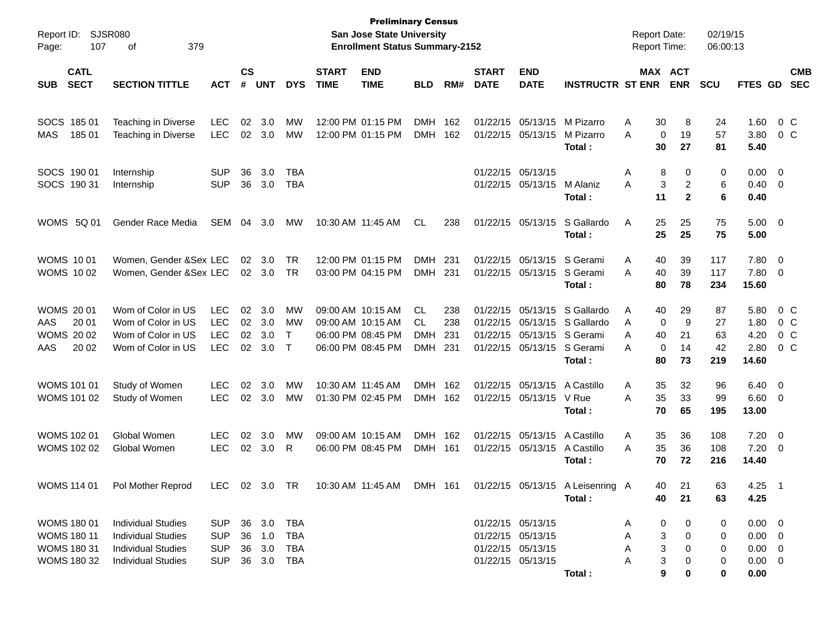| Report ID:<br>107<br>Page:                                                    | SJSR080<br>379<br>οf                                                                                             |                                                      |                      |                                      |                                        |                                        | <b>Preliminary Census</b><br><b>San Jose State University</b><br><b>Enrollment Status Summary-2152</b> |                                             |                          |                                  |                                                                                  |                                                | <b>Report Date:</b><br><b>Report Time:</b> |                                                                 | 02/19/15<br>06:00:13        |                                                                  |                                                    |
|-------------------------------------------------------------------------------|------------------------------------------------------------------------------------------------------------------|------------------------------------------------------|----------------------|--------------------------------------|----------------------------------------|----------------------------------------|--------------------------------------------------------------------------------------------------------|---------------------------------------------|--------------------------|----------------------------------|----------------------------------------------------------------------------------|------------------------------------------------|--------------------------------------------|-----------------------------------------------------------------|-----------------------------|------------------------------------------------------------------|----------------------------------------------------|
| <b>CATL</b><br><b>SECT</b><br><b>SUB</b>                                      | <b>SECTION TITTLE</b>                                                                                            | <b>ACT</b>                                           | $\mathsf{cs}$<br>#   | <b>UNT</b>                           | <b>DYS</b>                             | <b>START</b><br><b>TIME</b>            | <b>END</b><br><b>TIME</b>                                                                              | <b>BLD</b>                                  | RM#                      | <b>START</b><br><b>DATE</b>      | <b>END</b><br><b>DATE</b>                                                        | <b>INSTRUCTR ST ENR</b>                        |                                            | MAX ACT<br><b>ENR</b>                                           | <b>SCU</b>                  | FTES GD                                                          | <b>CMB</b><br><b>SEC</b>                           |
| SOCS 185 01<br><b>MAS</b><br>185 01                                           | Teaching in Diverse<br>Teaching in Diverse                                                                       | <b>LEC</b><br><b>LEC</b>                             | 02<br>02             | 3.0<br>3.0                           | МW<br>МW                               |                                        | 12:00 PM 01:15 PM<br>12:00 PM 01:15 PM                                                                 | <b>DMH</b><br><b>DMH</b>                    | 162<br>162               | 01/22/15<br>01/22/15             | 05/13/15<br>05/13/15                                                             | M Pizarro<br>M Pizarro<br>Total:               | Α<br>A                                     | 30<br>8<br>19<br>0<br>30<br>27                                  | 24<br>57<br>81              | 1.60<br>3.80<br>5.40                                             | 0 <sup>o</sup><br>0 <sup>o</sup>                   |
| SOCS 190 01<br>SOCS 190 31                                                    | Internship<br>Internship                                                                                         | <b>SUP</b><br><b>SUP</b>                             | 36<br>36             | 3.0<br>3.0                           | TBA<br><b>TBA</b>                      |                                        |                                                                                                        |                                             |                          |                                  | 01/22/15 05/13/15<br>01/22/15 05/13/15                                           | M Alaniz<br>Total:                             | Α<br>A                                     | 8<br>0<br>3<br>$\overline{2}$<br>11<br>$\mathbf{2}$             | 0<br>6<br>6                 | 0.00<br>$0.40 \quad 0$<br>0.40                                   | $\overline{\mathbf{0}}$                            |
| WOMS 5Q 01                                                                    | Gender Race Media                                                                                                | SEM                                                  | 04                   | 3.0                                  | MW                                     |                                        | 10:30 AM 11:45 AM                                                                                      | CL.                                         | 238                      |                                  | 01/22/15 05/13/15                                                                | S Gallardo<br>Total:                           | Α                                          | 25<br>25<br>25<br>25                                            | 75<br>75                    | $5.00 \t 0$<br>5.00                                              |                                                    |
| <b>WOMS 1001</b><br><b>WOMS 1002</b>                                          | Women, Gender &Sex LEC<br>Women, Gender &Sex LEC                                                                 |                                                      | 02                   | 3.0<br>02 3.0                        | <b>TR</b><br><b>TR</b>                 |                                        | 12:00 PM 01:15 PM<br>03:00 PM 04:15 PM                                                                 | <b>DMH</b><br><b>DMH</b>                    | 231<br>231               | 01/22/15                         | 05/13/15<br>01/22/15 05/13/15                                                    | S Gerami<br>S Gerami<br>Total:                 | Α<br>A                                     | 40<br>39<br>40<br>39<br>80<br>78                                | 117<br>117<br>234           | 7.80<br>7.80<br>15.60                                            | $\overline{\mathbf{0}}$<br>$\overline{\mathbf{0}}$ |
| <b>WOMS 2001</b><br>AAS<br>20 01<br><b>WOMS 2002</b><br>AAS<br>20 02          | Wom of Color in US<br>Wom of Color in US<br>Wom of Color in US<br>Wom of Color in US                             | <b>LEC</b><br><b>LEC</b><br><b>LEC</b><br><b>LEC</b> | 02<br>02<br>02<br>02 | 3.0<br>3.0<br>3.0<br>3.0             | MW<br>MW<br>$\top$<br>$\top$           | 09:00 AM 10:15 AM                      | 09:00 AM 10:15 AM<br>06:00 PM 08:45 PM<br>06:00 PM 08:45 PM                                            | <b>CL</b><br>CL<br><b>DMH</b><br><b>DMH</b> | 238<br>238<br>231<br>231 | 01/22/15<br>01/22/15<br>01/22/15 | 05/13/15<br>05/13/15<br>05/13/15<br>01/22/15 05/13/15 S Gerami                   | S Gallardo<br>S Gallardo<br>S Gerami<br>Total: | Α<br>A<br>A<br>A                           | 29<br>40<br>9<br>0<br>21<br>40<br>$\mathbf 0$<br>14<br>80<br>73 | 87<br>27<br>63<br>42<br>219 | 5.80<br>1.80<br>4.20<br>2.80<br>14.60                            | $0\,C$<br>$0\,C$<br>$0\,C$<br>$0\,C$               |
| <b>WOMS 101 01</b><br><b>WOMS 101 02</b>                                      | Study of Women<br>Study of Women                                                                                 | <b>LEC</b><br><b>LEC</b>                             | 02<br>02             | 3.0<br>3.0                           | МW<br>МW                               | 10:30 AM 11:45 AM<br>01:30 PM 02:45 PM |                                                                                                        | <b>DMH</b><br>DMH 162                       | 162                      |                                  | 01/22/15 05/13/15<br>01/22/15 05/13/15                                           | A Castillo<br>V Rue<br>Total:                  | Α<br>A                                     | 32<br>35<br>35<br>33<br>70<br>65                                | 96<br>99<br>195             | 6.40<br>$6.60$ 0<br>13.00                                        | $\overline{\mathbf{0}}$                            |
| <b>WOMS 102 01</b><br><b>WOMS 102 02</b>                                      | Global Women<br>Global Women                                                                                     | <b>LEC</b><br><b>LEC</b>                             | 02<br>02             | 3.0<br>3.0                           | МW<br>R                                | 09:00 AM 10:15 AM                      | 06:00 PM 08:45 PM                                                                                      | <b>DMH</b><br>DMH 161                       | 162                      |                                  | 01/22/15 05/13/15<br>01/22/15 05/13/15                                           | A Castillo<br>A Castillo<br>Total:             | Α<br>A                                     | 35<br>36<br>35<br>36<br>70<br>72                                | 108<br>108<br>216           | 7.20<br>7.20<br>14.40                                            | $\overline{\mathbf{0}}$<br>$\overline{\mathbf{0}}$ |
|                                                                               | WOMS 114 01 Pol Mother Reprod                                                                                    | LEC 02 3.0 TR                                        |                      |                                      |                                        |                                        | 10:30 AM 11:45 AM DMH 161                                                                              |                                             |                          |                                  |                                                                                  | 01/22/15 05/13/15 A Leisenring A<br>Total:     |                                            | 21<br>40<br>40<br>21                                            | 63<br>63                    | $4.25$ 1<br>4.25                                                 |                                                    |
| WOMS 180 01<br><b>WOMS 180 11</b><br><b>WOMS 180 31</b><br><b>WOMS 180 32</b> | <b>Individual Studies</b><br><b>Individual Studies</b><br><b>Individual Studies</b><br><b>Individual Studies</b> | <b>SUP</b><br><b>SUP</b><br><b>SUP</b><br><b>SUP</b> |                      | 36 3.0<br>36 1.0<br>36 3.0<br>36 3.0 | <b>TBA</b><br><b>TBA</b><br>TBA<br>TBA |                                        |                                                                                                        |                                             |                          |                                  | 01/22/15 05/13/15<br>01/22/15 05/13/15<br>01/22/15 05/13/15<br>01/22/15 05/13/15 | Total:                                         | Α<br>Α<br>Α<br>Α                           | 0<br>0<br>3<br>0<br>3<br>0<br>3<br>0<br>9<br>0                  | 0<br>0<br>0<br>0<br>0       | $0.00 \t 0$<br>$0.00 \t 0$<br>$0.00 \t 0$<br>$0.00 \t 0$<br>0.00 |                                                    |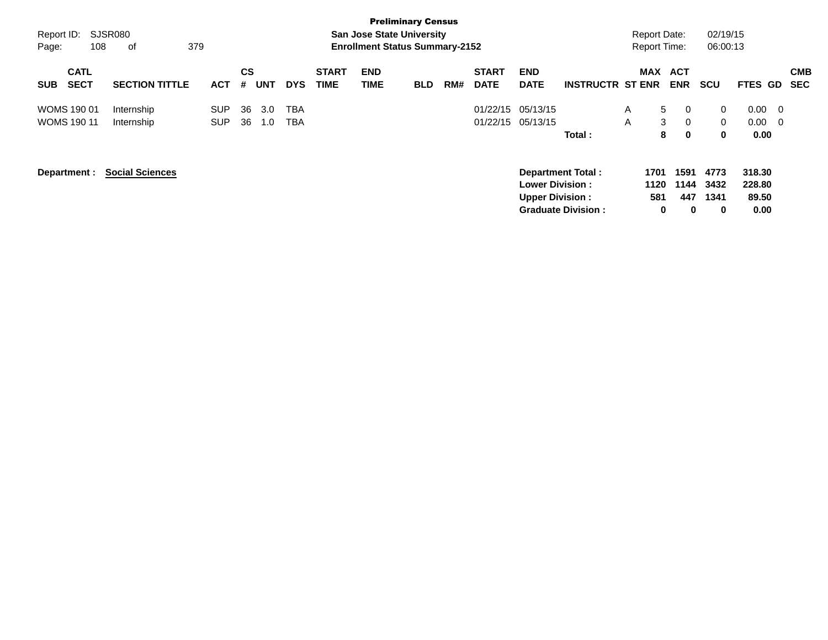| Report ID:<br>108<br>Page:               | SJSR080<br>379<br>оf     |                          |                |            |                   |                             |                    | <b>Preliminary Census</b><br><b>San Jose State University</b><br><b>Enrollment Status Summary-2152</b> |     |                             |                                                  |                                                       |        | <b>Report Date:</b><br><b>Report Time:</b> |                          | 02/19/15<br>06:00:13          |                                   |                          |
|------------------------------------------|--------------------------|--------------------------|----------------|------------|-------------------|-----------------------------|--------------------|--------------------------------------------------------------------------------------------------------|-----|-----------------------------|--------------------------------------------------|-------------------------------------------------------|--------|--------------------------------------------|--------------------------|-------------------------------|-----------------------------------|--------------------------|
| <b>CATL</b><br><b>SECT</b><br><b>SUB</b> | <b>SECTION TITTLE</b>    | <b>ACT</b>               | <b>CS</b><br># | <b>UNT</b> | <b>DYS</b>        | <b>START</b><br><b>TIME</b> | <b>END</b><br>TIME | <b>BLD</b>                                                                                             | RM# | <b>START</b><br><b>DATE</b> | <b>END</b><br><b>DATE</b>                        | <b>INSTRUCTR ST ENR</b>                               |        | <b>MAX</b>                                 | <b>ACT</b><br><b>ENR</b> | <b>SCU</b>                    | <b>FTES GD</b>                    | <b>CMB</b><br><b>SEC</b> |
| <b>WOMS 190 01</b><br><b>WOMS 190 11</b> | Internship<br>Internship | <b>SUP</b><br><b>SUP</b> | 36<br>36       | 3.0<br>1.0 | TBA<br><b>TBA</b> |                             |                    |                                                                                                        |     | 01/22/15                    | 05/13/15<br>01/22/15 05/13/15                    | Total:                                                | A<br>A | 5<br>3<br>8                                | 0<br>0<br>0              | 0<br>$\mathbf{0}$<br>$\bf{0}$ | 0.00<br>$0.00\,$<br>0.00          | - 0<br>- 0               |
| Department :                             | <b>Social Sciences</b>   |                          |                |            |                   |                             |                    |                                                                                                        |     |                             | <b>Lower Division:</b><br><b>Upper Division:</b> | <b>Department Total:</b><br><b>Graduate Division:</b> |        | 1701<br>1120<br>581<br>0                   | 1591<br>1144<br>447<br>0 | 4773<br>3432<br>1341<br>0     | 318.30<br>228.80<br>89.50<br>0.00 |                          |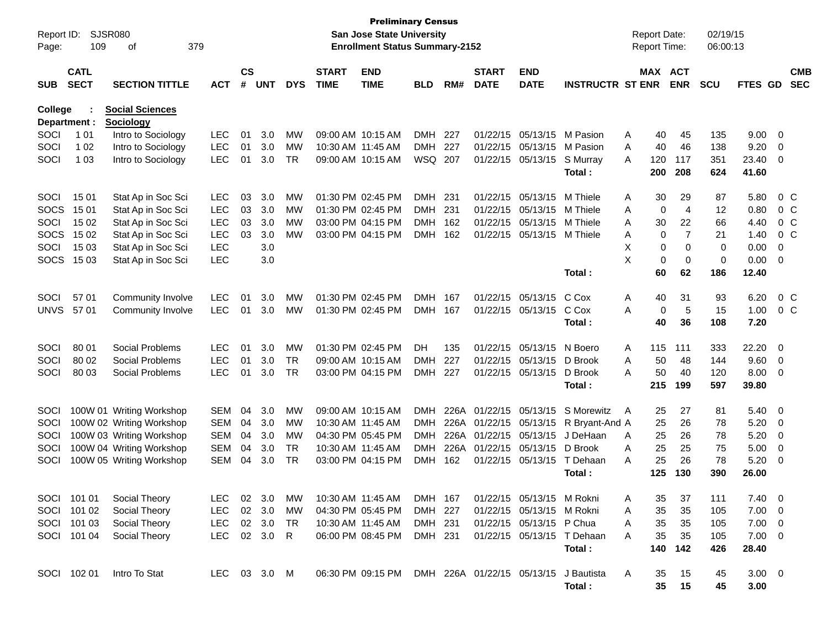| Report ID:     |                            | <b>Preliminary Census</b><br>SJSR080<br><b>San Jose State University</b><br>109<br>379<br><b>Enrollment Status Summary-2152</b><br>οf |              |                    |            |              |                             |                           |            |      |                             |                            |                            |   |             | <b>Report Date:</b>   | 02/19/15    |                |                          |                          |
|----------------|----------------------------|---------------------------------------------------------------------------------------------------------------------------------------|--------------|--------------------|------------|--------------|-----------------------------|---------------------------|------------|------|-----------------------------|----------------------------|----------------------------|---|-------------|-----------------------|-------------|----------------|--------------------------|--------------------------|
| Page:          |                            |                                                                                                                                       |              |                    |            |              |                             |                           |            |      |                             |                            |                            |   |             | <b>Report Time:</b>   | 06:00:13    |                |                          |                          |
| <b>SUB</b>     | <b>CATL</b><br><b>SECT</b> | <b>SECTION TITTLE</b>                                                                                                                 | <b>ACT</b>   | $\mathsf{cs}$<br># | <b>UNT</b> | <b>DYS</b>   | <b>START</b><br><b>TIME</b> | <b>END</b><br><b>TIME</b> | <b>BLD</b> | RM#  | <b>START</b><br><b>DATE</b> | <b>END</b><br><b>DATE</b>  | <b>INSTRUCTR ST ENR</b>    |   |             | MAX ACT<br><b>ENR</b> | <b>SCU</b>  | FTES GD        |                          | <b>CMB</b><br><b>SEC</b> |
| <b>College</b> |                            | <b>Social Sciences</b>                                                                                                                |              |                    |            |              |                             |                           |            |      |                             |                            |                            |   |             |                       |             |                |                          |                          |
|                | Department :               | Sociology                                                                                                                             |              |                    |            |              |                             |                           |            |      |                             |                            |                            |   |             |                       |             |                |                          |                          |
| SOCI           | 1 0 1                      | Intro to Sociology                                                                                                                    | <b>LEC</b>   | 01                 | 3.0        | МW           | 09:00 AM 10:15 AM           |                           | <b>DMH</b> | 227  | 01/22/15                    | 05/13/15                   | M Pasion                   | Α | 40          | 45                    | 135         | 9.00           | $\overline{\mathbf{0}}$  |                          |
| SOCI           | 1 0 2                      | Intro to Sociology                                                                                                                    | <b>LEC</b>   | 01                 | 3.0        | MW           | 10:30 AM 11:45 AM           |                           | <b>DMH</b> | 227  | 01/22/15                    | 05/13/15                   | M Pasion                   | A | 40          | 46                    | 138         | 9.20           | 0                        |                          |
| SOCI           | 1 0 3                      | Intro to Sociology                                                                                                                    | <b>LEC</b>   | 01                 | 3.0        | <b>TR</b>    |                             | 09:00 AM 10:15 AM         | WSQ 207    |      | 01/22/15                    | 05/13/15                   | S Murray<br>Total:         | A | 120<br>200  | 117<br>208            | 351<br>624  | 23.40<br>41.60 | 0                        |                          |
| SOCI           | 15 01                      | Stat Ap in Soc Sci                                                                                                                    | LEC          | 03                 | 3.0        | МW           |                             | 01:30 PM 02:45 PM         | <b>DMH</b> | 231  | 01/22/15                    | 05/13/15                   | M Thiele                   | Α | 30          | 29                    | 87          | 5.80           |                          | 0 <sup>o</sup>           |
| <b>SOCS</b>    | 15 01                      | Stat Ap in Soc Sci                                                                                                                    | <b>LEC</b>   | 03                 | 3.0        | МW           |                             | 01:30 PM 02:45 PM         | <b>DMH</b> | 231  | 01/22/15                    | 05/13/15                   | M Thiele                   | Α | $\mathbf 0$ | 4                     | 12          | 0.80           |                          | 0 <sup>o</sup>           |
| SOCI           | 15 02                      | Stat Ap in Soc Sci                                                                                                                    | <b>LEC</b>   | 03                 | 3.0        | МW           |                             | 03:00 PM 04:15 PM         | <b>DMH</b> | 162  | 01/22/15                    | 05/13/15                   | M Thiele                   | Α | 30          | 22                    | 66          | 4.40           |                          | 0 <sup>o</sup>           |
| <b>SOCS</b>    | 15 02                      | Stat Ap in Soc Sci                                                                                                                    | <b>LEC</b>   | 03                 | 3.0        | MW           |                             | 03:00 PM 04:15 PM         | <b>DMH</b> | 162  | 01/22/15                    | 05/13/15                   | M Thiele                   | Α | 0           | $\overline{7}$        | 21          | 1.40           |                          | $0\,C$                   |
| SOCI           | 15 03                      | Stat Ap in Soc Sci                                                                                                                    | <b>LEC</b>   |                    | 3.0        |              |                             |                           |            |      |                             |                            |                            | X | 0           | $\mathbf 0$           | 0           | 0.00           | 0                        |                          |
| <b>SOCS</b>    | 15 03                      | Stat Ap in Soc Sci                                                                                                                    | <b>LEC</b>   |                    | 3.0        |              |                             |                           |            |      |                             |                            |                            | X | $\mathbf 0$ | $\mathbf 0$           | $\mathbf 0$ | 0.00           | 0                        |                          |
|                |                            |                                                                                                                                       |              |                    |            |              |                             |                           |            |      |                             |                            | Total:                     |   | 60          | 62                    | 186         | 12.40          |                          |                          |
| SOCI           | 57 01                      | Community Involve                                                                                                                     | <b>LEC</b>   | 01                 | 3.0        | MW           |                             | 01:30 PM 02:45 PM         | <b>DMH</b> | 167  | 01/22/15                    | 05/13/15                   | C Cox                      | Α | 40          | 31                    | 93          | 6.20           |                          | 0 <sup>o</sup>           |
| <b>UNVS</b>    | 57 01                      | Community Involve                                                                                                                     | <b>LEC</b>   | 01                 | 3.0        | MW           |                             | 01:30 PM 02:45 PM         | <b>DMH</b> | 167  |                             | 01/22/15 05/13/15          | C Cox                      | Α | 0           | 5                     | 15          | 1.00           |                          | 0 <sup>o</sup>           |
|                |                            |                                                                                                                                       |              |                    |            |              |                             |                           |            |      |                             |                            | Total:                     |   | 40          | 36                    | 108         | 7.20           |                          |                          |
| SOCI           | 80 01                      | Social Problems                                                                                                                       | <b>LEC</b>   | 01                 | 3.0        | MW           |                             | 01:30 PM 02:45 PM         | <b>DH</b>  | 135  | 01/22/15                    | 05/13/15                   | N Boero                    | Α | 115         | 111                   | 333         | 22.20          | 0                        |                          |
| SOCI           | 80 02                      | Social Problems                                                                                                                       | <b>LEC</b>   | 01                 | 3.0        | <b>TR</b>    | 09:00 AM 10:15 AM           |                           | <b>DMH</b> | 227  | 01/22/15                    | 05/13/15                   | D Brook                    | A | 50          | 48                    | 144         | 9.60           | 0                        |                          |
| SOCI           | 80 03                      | Social Problems                                                                                                                       | <b>LEC</b>   | 01                 | 3.0        | <b>TR</b>    |                             | 03:00 PM 04:15 PM         | <b>DMH</b> | 227  |                             | 01/22/15 05/13/15          | D Brook                    | А | 50          | 40                    | 120         | 8.00           | $\overline{0}$           |                          |
|                |                            |                                                                                                                                       |              |                    |            |              |                             |                           |            |      |                             |                            | Total:                     |   | 215         | 199                   | 597         | 39.80          |                          |                          |
| SOCI           |                            | 100W 01 Writing Workshop                                                                                                              | <b>SEM</b>   | 04                 | 3.0        | MW           | 09:00 AM 10:15 AM           |                           | <b>DMH</b> | 226A | 01/22/15                    | 05/13/15                   | S Morewitz                 | A | 25          | 27                    | 81          | 5.40           | 0                        |                          |
| SOCI           |                            | 100W 02 Writing Workshop                                                                                                              | <b>SEM</b>   | 04                 | 3.0        | МW           | 10:30 AM 11:45 AM           |                           | <b>DMH</b> | 226A | 01/22/15                    | 05/13/15                   | R Bryant-And A             |   | 25          | 26                    | 78          | 5.20           | 0                        |                          |
| SOCI           |                            | 100W 03 Writing Workshop                                                                                                              | <b>SEM</b>   | 04                 | 3.0        | <b>MW</b>    |                             | 04:30 PM 05:45 PM         | <b>DMH</b> |      | 226A 01/22/15               | 05/13/15                   | J DeHaan                   | A | 25          | 26                    | 78          | 5.20           | 0                        |                          |
| SOCI           |                            | 100W 04 Writing Workshop                                                                                                              | <b>SEM</b>   | 04                 | 3.0        | <b>TR</b>    | 10:30 AM 11:45 AM           |                           | <b>DMH</b> |      | 226A 01/22/15               | 05/13/15                   | D Brook                    | Α | 25          | 25                    | 75          | 5.00           | 0                        |                          |
| SOCI           |                            | 100W 05 Writing Workshop                                                                                                              | <b>SEM</b>   | 04                 | 3.0        | <b>TR</b>    |                             | 03:00 PM 04:15 PM         | <b>DMH</b> | 162  |                             | 01/22/15 05/13/15          | T Dehaan                   | Α | 25          | 26                    | 78          | 5.20           | 0                        |                          |
|                |                            |                                                                                                                                       |              |                    |            |              |                             |                           |            |      |                             |                            | Total:                     |   | 125         | 130                   | 390         | 26.00          |                          |                          |
|                | SOCI 101 01                | Social Theory                                                                                                                         | <b>LEC</b>   |                    | 02 3.0     | МW           | 10:30 AM 11:45 AM           |                           | DMH 167    |      |                             | 01/22/15 05/13/15 M Rokni  |                            | Α | 35          | 37                    | 111         | $7.40 \ 0$     |                          |                          |
|                | SOCI 101 02                | Social Theory                                                                                                                         | LEC          |                    | 02 3.0     | МW           |                             | 04:30 PM 05:45 PM         | DMH 227    |      |                             | 01/22/15 05/13/15 M Rokni  |                            | Α | 35          | 35                    | 105         | 7.00           | $\overline{\phantom{0}}$ |                          |
|                | SOCI 101 03                | Social Theory                                                                                                                         | <b>LEC</b>   |                    | 02 3.0     | TR           | 10:30 AM 11:45 AM           |                           | DMH 231    |      |                             | 01/22/15 05/13/15 P Chua   |                            | Α | 35          | 35                    | 105         | $7.00 \t 0$    |                          |                          |
|                | SOCI 101 04                | Social Theory                                                                                                                         | <b>LEC</b>   |                    | 02 3.0     | $\mathsf{R}$ |                             | 06:00 PM 08:45 PM         | DMH 231    |      |                             |                            | 01/22/15 05/13/15 T Dehaan | Α | 35          | 35                    | 105         | $7.00 \t 0$    |                          |                          |
|                |                            |                                                                                                                                       |              |                    |            |              |                             |                           |            |      |                             |                            | Total:                     |   | 140         | 142                   | 426         | 28.40          |                          |                          |
|                | SOCI 102 01                | Intro To Stat                                                                                                                         | LEC 03 3.0 M |                    |            |              |                             | 06:30 PM 09:15 PM         |            |      |                             | DMH 226A 01/22/15 05/13/15 | J Bautista                 | A | 35          | 15                    | 45          | $3.00 \ 0$     |                          |                          |
|                |                            |                                                                                                                                       |              |                    |            |              |                             |                           |            |      |                             |                            | Total:                     |   | 35          | 15                    | 45          | 3.00           |                          |                          |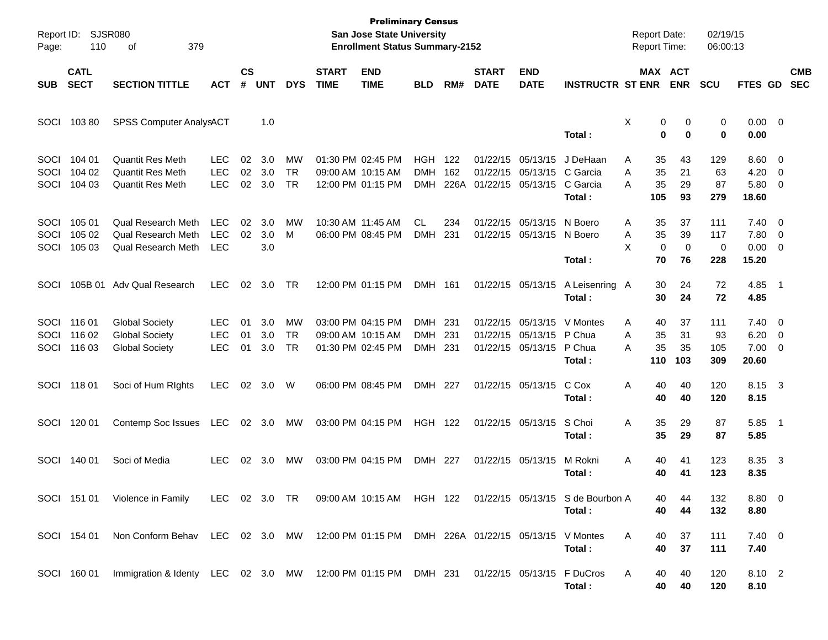| Page:                | Report ID: SJSR080<br>110  | 379<br>οf                                                                             |                                        |                    |                   |                              |                             | <b>Preliminary Census</b><br><b>San Jose State University</b><br><b>Enrollment Status Summary-2152</b> |                                  |                    |                             |                                                             |                                                                      |             | <b>Report Date:</b><br><b>Report Time:</b> |                               | 02/19/15<br>06:00:13    |                                              |                                                      |                          |
|----------------------|----------------------------|---------------------------------------------------------------------------------------|----------------------------------------|--------------------|-------------------|------------------------------|-----------------------------|--------------------------------------------------------------------------------------------------------|----------------------------------|--------------------|-----------------------------|-------------------------------------------------------------|----------------------------------------------------------------------|-------------|--------------------------------------------|-------------------------------|-------------------------|----------------------------------------------|------------------------------------------------------|--------------------------|
| <b>SUB</b>           | <b>CATL</b><br><b>SECT</b> | <b>SECTION TITTLE</b>                                                                 | <b>ACT</b>                             | $\mathsf{cs}$<br># | <b>UNT</b>        | <b>DYS</b>                   | <b>START</b><br><b>TIME</b> | <b>END</b><br><b>TIME</b>                                                                              | <b>BLD</b>                       | RM#                | <b>START</b><br><b>DATE</b> | <b>END</b><br><b>DATE</b>                                   | <b>INSTRUCTR ST ENR</b>                                              |             |                                            | MAX ACT<br><b>ENR</b>         | <b>SCU</b>              | FTES GD                                      |                                                      | <b>CMB</b><br><b>SEC</b> |
| SOCI                 | 103 80                     | SPSS Computer AnalysACT                                                               |                                        |                    | 1.0               |                              |                             |                                                                                                        |                                  |                    |                             |                                                             | Total:                                                               | X           | 0<br>0                                     | 0<br>$\bf{0}$                 | 0<br>0                  | $0.00 \t 0$<br>0.00                          |                                                      |                          |
| SOCI<br>SOCI<br>SOCI | 104 01<br>104 02<br>104 03 | <b>Quantit Res Meth</b><br><b>Quantit Res Meth</b><br>Quantit Res Meth                | LEC<br><b>LEC</b><br><b>LEC</b>        | 02<br>02<br>02     | 3.0<br>3.0<br>3.0 | MW<br><b>TR</b><br><b>TR</b> |                             | 01:30 PM 02:45 PM<br>09:00 AM 10:15 AM<br>12:00 PM 01:15 PM                                            | HGH<br><b>DMH</b><br><b>DMH</b>  | 122<br>162<br>226A | 01/22/15 05/13/15           | 01/22/15 05/13/15<br>01/22/15 05/13/15                      | J DeHaan<br>C Garcia<br>C Garcia<br>Total:                           | Α<br>A<br>A | 35<br>35<br>35<br>105                      | 43<br>21<br>29<br>93          | 129<br>63<br>87<br>279  | $8.60 \quad 0$<br>4.20<br>5.80 0<br>18.60    | $\overline{\phantom{0}}$                             |                          |
| SOCI<br>SOCI<br>SOCI | 105 01<br>105 02<br>105 03 | <b>Qual Research Meth</b><br><b>Qual Research Meth</b><br>Qual Research Meth          | <b>LEC</b><br><b>LEC</b><br><b>LEC</b> | 02<br>02           | 3.0<br>3.0<br>3.0 | MW<br>М                      |                             | 10:30 AM 11:45 AM<br>06:00 PM 08:45 PM                                                                 | <b>CL</b><br><b>DMH</b>          | 234<br>231         |                             | 01/22/15 05/13/15<br>01/22/15 05/13/15                      | N Boero<br>N Boero<br>Total:                                         | Α<br>Α<br>X | 35<br>35<br>$\mathbf 0$<br>70              | 37<br>39<br>$\mathbf 0$<br>76 | 111<br>117<br>0<br>228  | $7.40 \ 0$<br>7.80 0<br>$0.00 \t 0$<br>15.20 |                                                      |                          |
| SOCI                 | 105B 01                    | <b>Adv Qual Research</b>                                                              | <b>LEC</b>                             | 02                 | 3.0               | TR                           |                             | 12:00 PM 01:15 PM                                                                                      | DMH 161                          |                    |                             | 01/22/15 05/13/15                                           | A Leisenring A<br>Total:                                             |             | 30<br>30                                   | 24<br>24                      | 72<br>72                | 4.85<br>4.85                                 | $\overline{\phantom{0}}$ 1                           |                          |
| SOCI<br>SOCI<br>SOCI | 116 01<br>116 02<br>116 03 | <b>Global Society</b><br><b>Global Society</b><br><b>Global Society</b>               | <b>LEC</b><br><b>LEC</b><br><b>LEC</b> | 01<br>01<br>01     | 3.0<br>3.0<br>3.0 | MW<br><b>TR</b><br><b>TR</b> |                             | 03:00 PM 04:15 PM<br>09:00 AM 10:15 AM<br>01:30 PM 02:45 PM                                            | DMH 231<br><b>DMH</b><br>DMH 231 | -231               |                             | 01/22/15 05/13/15<br>01/22/15 05/13/15<br>01/22/15 05/13/15 | V Montes<br>P Chua<br>P Chua<br>Total:                               | Α<br>A<br>Α | 40<br>35<br>35<br>110                      | 37<br>31<br>35<br>103         | 111<br>93<br>105<br>309 | $7.40 \ 0$<br>6.20<br>7.00<br>20.60          | $\overline{\phantom{0}}$<br>$\overline{\phantom{0}}$ |                          |
| SOCI                 | 11801                      | Soci of Hum Rights                                                                    | <b>LEC</b>                             | 02                 | 3.0               | W                            |                             | 06:00 PM 08:45 PM                                                                                      | DMH 227                          |                    |                             | 01/22/15 05/13/15                                           | C Cox<br>Total:                                                      | Α           | 40<br>40                                   | 40<br>40                      | 120<br>120              | 8.15 3<br>8.15                               |                                                      |                          |
| SOCI                 | 120 01                     | Contemp Soc Issues                                                                    | <b>LEC</b>                             | 02                 | 3.0               | МW                           |                             | 03:00 PM 04:15 PM                                                                                      | <b>HGH</b>                       | 122                |                             | 01/22/15 05/13/15                                           | S Choi<br>Total:                                                     | Α           | 35<br>35                                   | 29<br>29                      | 87<br>87                | 5.85 1<br>5.85                               |                                                      |                          |
| SOCI                 | 140 01                     | Soci of Media                                                                         | <b>LEC</b>                             | 02                 | 3.0               | МW                           |                             | 03:00 PM 04:15 PM                                                                                      | DMH 227                          |                    |                             | 01/22/15 05/13/15                                           | M Rokni<br>Total :                                                   | Α           | 40<br>40                                   | 41<br>41                      | 123<br>123              | 8.35<br>8.35                                 | $\overline{\mathbf{3}}$                              |                          |
|                      |                            | SOCI 151 01 Violence in Family                                                        |                                        |                    |                   | LEC 02 3.0 TR                |                             |                                                                                                        |                                  |                    |                             |                                                             | 09:00 AM 10:15 AM HGH 122 01/22/15 05/13/15 S de Bourbon A<br>Total: |             | 40<br>40                                   | 44<br>44                      | 132<br>132              | $8.80\ 0$<br>8.80                            |                                                      |                          |
|                      | SOCI 154 01                | Non Conform Behav LEC 02 3.0 MW 12:00 PM 01:15 PM DMH 226A 01/22/15 05/13/15 V Montes |                                        |                    |                   |                              |                             |                                                                                                        |                                  |                    |                             |                                                             | Total:                                                               | A           | 40<br>40                                   | 37<br>37                      | 111<br>111              | $7.40 \quad 0$<br>7.40                       |                                                      |                          |
|                      | SOCI 160 01                | Immigration & Identy LEC 02 3.0 MW 12:00 PM 01:15 PM DMH 231                          |                                        |                    |                   |                              |                             |                                                                                                        |                                  |                    |                             |                                                             | 01/22/15 05/13/15 F DuCros<br>Total:                                 | Α           | 40<br>40                                   | 40<br>40                      | 120<br>120              | 8.10 2<br>8.10                               |                                                      |                          |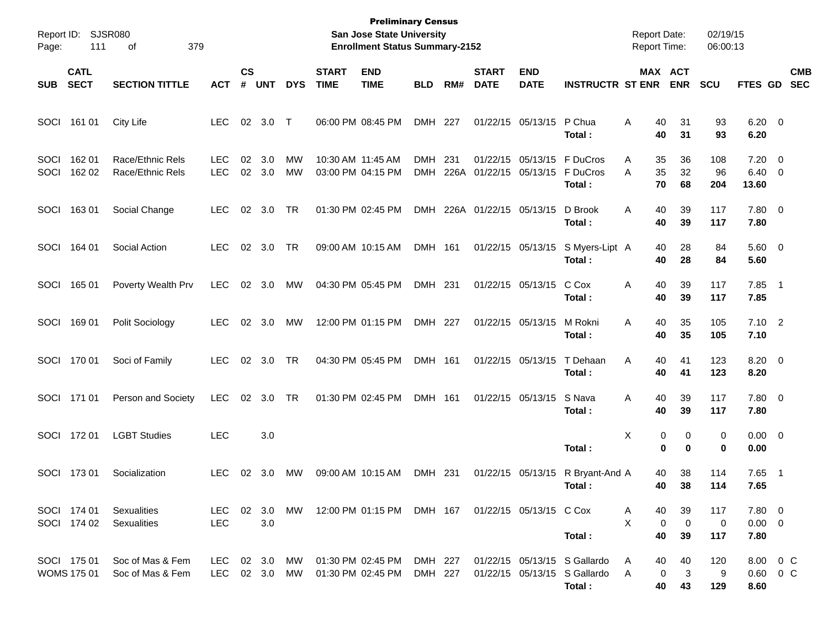| Report ID:<br>Page: | 111                               | SJSR080<br>379<br>οf                 |                          |                    |                       |            |                             | <b>Preliminary Census</b><br>San Jose State University<br><b>Enrollment Status Summary-2152</b> |                          |             |                             |                                        |                                                                        | <b>Report Date:</b><br><b>Report Time:</b> |                                        | 02/19/15<br>06:00:13 |                                   |                                                     |                          |
|---------------------|-----------------------------------|--------------------------------------|--------------------------|--------------------|-----------------------|------------|-----------------------------|-------------------------------------------------------------------------------------------------|--------------------------|-------------|-----------------------------|----------------------------------------|------------------------------------------------------------------------|--------------------------------------------|----------------------------------------|----------------------|-----------------------------------|-----------------------------------------------------|--------------------------|
| <b>SUB</b>          | <b>CATL</b><br><b>SECT</b>        | <b>SECTION TITTLE</b>                | <b>ACT</b>               | $\mathsf{cs}$<br># | <b>UNT</b>            | <b>DYS</b> | <b>START</b><br><b>TIME</b> | <b>END</b><br><b>TIME</b>                                                                       | <b>BLD</b>               | RM#         | <b>START</b><br><b>DATE</b> | <b>END</b><br><b>DATE</b>              | <b>INSTRUCTR ST ENR</b>                                                |                                            | MAX ACT<br><b>ENR</b>                  | <b>SCU</b>           | <b>FTES GD</b>                    |                                                     | <b>CMB</b><br><b>SEC</b> |
| SOCI                | 161 01                            | City Life                            | <b>LEC</b>               | 02                 | 3.0                   | $\top$     | 06:00 PM 08:45 PM           |                                                                                                 | DMH 227                  |             |                             | 01/22/15 05/13/15                      | P Chua<br>Total:                                                       | Α<br>40<br>40                              | 31<br>31                               | 93<br>93             | $6.20 \quad 0$<br>6.20            |                                                     |                          |
| SOCI<br>SOCI        | 162 01<br>162 02                  | Race/Ethnic Rels<br>Race/Ethnic Rels | <b>LEC</b><br><b>LEC</b> | 02                 | 3.0<br>02 3.0         | МW<br>МW   | 10:30 AM 11:45 AM           | 03:00 PM 04:15 PM                                                                               | <b>DMH</b><br><b>DMH</b> | 231<br>226A |                             | 01/22/15 05/13/15<br>01/22/15 05/13/15 | F DuCros<br>F DuCros<br>Total:                                         | 35<br>A<br>35<br>A<br>70                   | 36<br>32<br>68                         | 108<br>96<br>204     | 7.20<br>6.40<br>13.60             | $\overline{\phantom{0}}$<br>$\overline{\mathbf{0}}$ |                          |
| SOCI                | 16301                             | Social Change                        | <b>LEC</b>               | 02                 | 3.0                   | TR         | 01:30 PM 02:45 PM           |                                                                                                 | <b>DMH</b>               |             | 226A 01/22/15 05/13/15      |                                        | D Brook<br>Total:                                                      | Α<br>40<br>40                              | 39<br>39                               | 117<br>117           | 7.80 0<br>7.80                    |                                                     |                          |
| SOCI                | 164 01                            | Social Action                        | <b>LEC</b>               | 02                 | 3.0                   | TR         |                             | 09:00 AM 10:15 AM                                                                               | DMH 161                  |             |                             | 01/22/15 05/13/15                      | S Myers-Lipt A<br>Total:                                               | 40<br>40                                   | 28<br>28                               | 84<br>84             | $5.60 \t 0$<br>5.60               |                                                     |                          |
| SOCI                | 165 01                            | Poverty Wealth Prv                   | <b>LEC</b>               | 02                 | 3.0                   | MW         | 04:30 PM 05:45 PM           |                                                                                                 | DMH 231                  |             |                             | 01/22/15 05/13/15                      | C Cox<br>Total:                                                        | Α<br>40<br>40                              | 39<br>39                               | 117<br>117           | 7.85<br>7.85                      | $\overline{\phantom{1}}$                            |                          |
| SOCI                | 16901                             | Polit Sociology                      | <b>LEC</b>               | 02                 | 3.0                   | MW         |                             | 12:00 PM 01:15 PM                                                                               | DMH 227                  |             |                             | 01/22/15 05/13/15                      | M Rokni<br>Total:                                                      | Α<br>40<br>40                              | 35<br>35                               | 105<br>105           | $7.10$ 2<br>7.10                  |                                                     |                          |
| SOCI                | 170 01                            | Soci of Family                       | <b>LEC</b>               | 02                 | 3.0                   | TR         | 04:30 PM 05:45 PM           |                                                                                                 | DMH 161                  |             |                             | 01/22/15 05/13/15                      | T Dehaan<br>Total:                                                     | Α<br>40<br>40                              | 41<br>41                               | 123<br>123           | 8.20 0<br>8.20                    |                                                     |                          |
|                     | SOCI 171 01                       | Person and Society                   | <b>LEC</b>               | 02                 | 3.0                   | TR         | 01:30 PM 02:45 PM           |                                                                                                 | DMH 161                  |             |                             | 01/22/15 05/13/15                      | S Nava<br>Total:                                                       | Α<br>40<br>40                              | 39<br>39                               | 117<br>117           | 7.80 0<br>7.80                    |                                                     |                          |
| SOCI                | 17201                             | <b>LGBT Studies</b>                  | <b>LEC</b>               |                    | 3.0                   |            |                             |                                                                                                 |                          |             |                             |                                        | Total:                                                                 | X                                          | 0<br>0<br>0<br>0                       | 0<br>0               | $0.00 \t 0$<br>0.00               |                                                     |                          |
| SOCI                | 17301                             | Socialization                        | <b>LEC</b>               | 02                 | 3.0                   | МW         | 09:00 AM 10:15 AM           |                                                                                                 | DMH                      | -231        |                             | 01/22/15 05/13/15                      | R Bryant-And A<br>Total :                                              | 40                                         | 38<br>40<br>38                         | 114<br>114           | 7.65<br>7.65                      | $\overline{1}$                                      |                          |
|                     | SOCI 174 01<br>SOCI 174 02        | Sexualities<br>Sexualities           | LEC<br><b>LEC</b>        |                    | $02 \quad 3.0$<br>3.0 | MW         |                             | 12:00 PM 01:15 PM DMH 167 01/22/15 05/13/15 C Cox                                               |                          |             |                             |                                        | Total:                                                                 | 40<br>A<br>X<br>40                         | 39<br>$\mathbf 0$<br>$\mathbf 0$<br>39 | 117<br>0<br>117      | $7.80\ 0$<br>$0.00 \t 0$<br>7.80  |                                                     |                          |
|                     | SOCI 175 01<br><b>WOMS 175 01</b> | Soc of Mas & Fem<br>Soc of Mas & Fem | LEC<br>LEC               |                    | 02 3.0<br>02 3.0      | MW.<br>MW  |                             | 01:30 PM 02:45 PM<br>01:30 PM 02:45 PM                                                          | DMH 227<br>DMH 227       |             |                             |                                        | 01/22/15 05/13/15 S Gallardo<br>01/22/15 05/13/15 S Gallardo<br>Total: | 40<br>A<br>A                               | 40<br>0<br>3<br>40<br>43               | 120<br>9<br>129      | 8.00 0 C<br>$0.60 \t 0 C$<br>8.60 |                                                     |                          |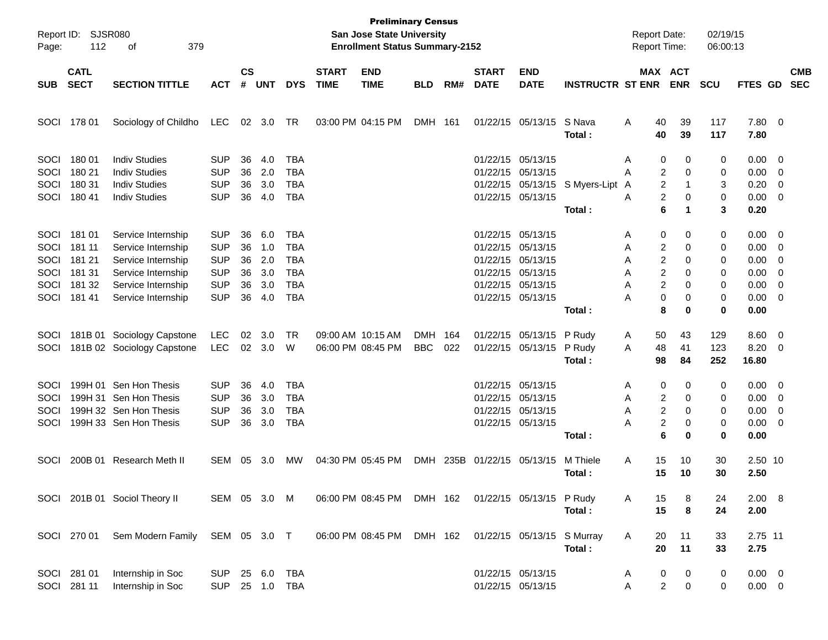| Page:                                        | Report ID: SJSR080<br>112                               | 379<br>of                                                                                                                        |                                                                                  |                                  |                                        |                                                                                  |              | <b>Preliminary Census</b><br>San Jose State University<br><b>Enrollment Status Summary-2152</b> |                          |            |                                                                                                       |                                               |                                | <b>Report Date:</b><br><b>Report Time:</b> |                                                          | 02/19/15<br>06:00:13       |                                              |                              |            |
|----------------------------------------------|---------------------------------------------------------|----------------------------------------------------------------------------------------------------------------------------------|----------------------------------------------------------------------------------|----------------------------------|----------------------------------------|----------------------------------------------------------------------------------|--------------|-------------------------------------------------------------------------------------------------|--------------------------|------------|-------------------------------------------------------------------------------------------------------|-----------------------------------------------|--------------------------------|--------------------------------------------|----------------------------------------------------------|----------------------------|----------------------------------------------|------------------------------|------------|
|                                              | <b>CATL</b>                                             |                                                                                                                                  |                                                                                  | $\mathsf{cs}$                    |                                        |                                                                                  | <b>START</b> | <b>END</b>                                                                                      |                          |            | <b>START</b>                                                                                          | <b>END</b>                                    |                                |                                            | MAX ACT                                                  |                            |                                              |                              | <b>CMB</b> |
| <b>SUB</b>                                   | <b>SECT</b>                                             | <b>SECTION TITTLE</b>                                                                                                            | <b>ACT</b>                                                                       | #                                | <b>UNT</b>                             | <b>DYS</b>                                                                       | <b>TIME</b>  | <b>TIME</b>                                                                                     | <b>BLD</b>               | RM#        | <b>DATE</b>                                                                                           | <b>DATE</b>                                   | <b>INSTRUCTR ST ENR</b>        |                                            | <b>ENR</b>                                               | <b>SCU</b>                 | FTES GD                                      |                              | <b>SEC</b> |
| SOCI                                         | 178 01                                                  | Sociology of Childho                                                                                                             | LEC                                                                              | 02                               | 3.0                                    | TR                                                                               |              | 03:00 PM 04:15 PM                                                                               | <b>DMH</b>               | 161        |                                                                                                       | 01/22/15 05/13/15                             | S Nava<br>Total :              | Α<br>40<br>40                              | 39<br>39                                                 | 117<br>117                 | 7.80<br>7.80                                 | $\overline{\mathbf{0}}$      |            |
| SOCI<br>SOCI<br>SOCI<br>SOCI                 | 18001<br>180 21<br>180 31<br>180 41                     | <b>Indiv Studies</b><br><b>Indiv Studies</b><br><b>Indiv Studies</b><br><b>Indiv Studies</b>                                     | <b>SUP</b><br><b>SUP</b><br><b>SUP</b><br><b>SUP</b>                             | 36<br>36<br>36<br>36             | 4.0<br>2.0<br>3.0<br>4.0               | <b>TBA</b><br><b>TBA</b><br>TBA<br><b>TBA</b>                                    |              |                                                                                                 |                          |            | 01/22/15 05/13/15                                                                                     | 01/22/15 05/13/15<br>01/22/15 05/13/15        | 01/22/15 05/13/15 S Myers-Lipt | Α<br>Α<br>A<br>Α                           | 0<br>0<br>2<br>0<br>2<br>-1<br>2<br>0                    | 0<br>0<br>3<br>0           | 0.00<br>0.00<br>0.20<br>0.00                 | - 0<br>0<br>0<br>0           |            |
|                                              |                                                         |                                                                                                                                  |                                                                                  |                                  |                                        |                                                                                  |              |                                                                                                 |                          |            |                                                                                                       |                                               | Total:                         |                                            | 6<br>1                                                   | 3                          | 0.20                                         |                              |            |
| SOCI<br>SOCI<br>SOCI<br>SOCI<br>SOCI<br>SOCI | 181 01<br>181 11<br>181 21<br>181 31<br>181 32<br>18141 | Service Internship<br>Service Internship<br>Service Internship<br>Service Internship<br>Service Internship<br>Service Internship | <b>SUP</b><br><b>SUP</b><br><b>SUP</b><br><b>SUP</b><br><b>SUP</b><br><b>SUP</b> | 36<br>36<br>36<br>36<br>36<br>36 | 6.0<br>1.0<br>2.0<br>3.0<br>3.0<br>4.0 | <b>TBA</b><br><b>TBA</b><br><b>TBA</b><br><b>TBA</b><br><b>TBA</b><br><b>TBA</b> |              |                                                                                                 |                          |            | 01/22/15 05/13/15<br>01/22/15 05/13/15<br>01/22/15 05/13/15<br>01/22/15 05/13/15<br>01/22/15 05/13/15 | 01/22/15 05/13/15                             |                                | Α<br>Α<br>Α<br>Α<br>Α<br>А                 | 0<br>0<br>2<br>0<br>2<br>0<br>2<br>0<br>2<br>0<br>0<br>0 | 0<br>0<br>0<br>0<br>0<br>0 | 0.00<br>0.00<br>0.00<br>0.00<br>0.00<br>0.00 | - 0<br>0<br>0<br>0<br>0<br>0 |            |
|                                              |                                                         |                                                                                                                                  |                                                                                  |                                  |                                        |                                                                                  |              |                                                                                                 |                          |            |                                                                                                       |                                               | Total:                         |                                            | 8<br>0                                                   | 0                          | 0.00                                         |                              |            |
| SOCI<br>SOCI                                 |                                                         | 181B 01 Sociology Capstone<br>181B 02 Sociology Capstone                                                                         | LEC<br><b>LEC</b>                                                                | 02<br>02                         | 3.0<br>3.0                             | TR<br>W                                                                          |              | 09:00 AM 10:15 AM<br>06:00 PM 08:45 PM                                                          | <b>DMH</b><br><b>BBC</b> | 164<br>022 |                                                                                                       | 01/22/15 05/13/15 P Rudy<br>01/22/15 05/13/15 | P Rudy<br>Total:               | A<br>50<br>48<br>Α<br>98                   | 43<br>41<br>84                                           | 129<br>123<br>252          | 8.60<br>8.20<br>16.80                        | $\overline{0}$<br>0          |            |
| SOCI<br>SOCI                                 |                                                         | 199H 01 Sen Hon Thesis<br>199H 31 Sen Hon Thesis                                                                                 | <b>SUP</b><br><b>SUP</b>                                                         | 36<br>36                         | 4.0<br>3.0                             | <b>TBA</b><br><b>TBA</b>                                                         |              |                                                                                                 |                          |            | 01/22/15 05/13/15<br>01/22/15 05/13/15                                                                |                                               |                                | Α<br>Α                                     | 0<br>0<br>2<br>0                                         | 0<br>0                     | 0.00<br>0.00                                 | - 0<br>0                     |            |
| SOCI<br>SOCI                                 |                                                         | 199H 32 Sen Hon Thesis<br>199H 33 Sen Hon Thesis                                                                                 | <b>SUP</b><br><b>SUP</b>                                                         | 36<br>36                         | 3.0<br>3.0                             | <b>TBA</b><br><b>TBA</b>                                                         |              |                                                                                                 |                          |            | 01/22/15 05/13/15                                                                                     | 01/22/15 05/13/15                             | Total:                         | Α<br>А                                     | 2<br>0<br>2<br>0<br>6<br>0                               | 0<br>0<br>0                | 0.00<br>0.00<br>0.00                         | 0<br>0                       |            |
| SOCI                                         | 200B 01                                                 | <b>Research Meth II</b>                                                                                                          | SEM                                                                              | 05                               | 3.0                                    | <b>MW</b>                                                                        |              | 04:30 PM 05:45 PM                                                                               | <b>DMH</b>               | 235B       | 01/22/15 05/13/15                                                                                     |                                               | M Thiele<br>Total :            | 15<br>Α<br>15                              | 10<br>10                                                 | 30<br>30                   | 2.50 10<br>2.50                              |                              |            |
|                                              |                                                         | SOCI 201B 01 Sociol Theory II                                                                                                    | SEM 05 3.0 M                                                                     |                                  |                                        |                                                                                  |              | 06:00 PM 08:45 PM                                                                               | DMH 162                  |            |                                                                                                       | 01/22/15 05/13/15 P Rudy                      | Total:                         | Α<br>15<br>15                              | 8<br>8                                                   | 24<br>24                   | 2.00 8<br>2.00                               |                              |            |
|                                              | SOCI 270 01                                             | Sem Modern Family SEM 05 3.0 T                                                                                                   |                                                                                  |                                  |                                        |                                                                                  |              | 06:00 PM 08:45 PM                                                                               | DMH 162                  |            |                                                                                                       | 01/22/15 05/13/15 S Murray                    | Total:                         | A<br>20<br>20                              | 11<br>11                                                 | 33<br>33                   | 2.75 11<br>2.75                              |                              |            |
|                                              | SOCI 281 01<br>SOCI 281 11                              | Internship in Soc<br>Internship in Soc                                                                                           | <b>SUP</b><br><b>SUP</b>                                                         |                                  | 25 6.0<br>25 1.0 TBA                   | TBA                                                                              |              |                                                                                                 |                          |            |                                                                                                       | 01/22/15 05/13/15<br>01/22/15 05/13/15        |                                | 0<br>A<br>Α                                | 0<br>$\overline{c}$<br>0                                 | 0<br>0                     | $0.00 \t 0$<br>$0.00 \t 0$                   |                              |            |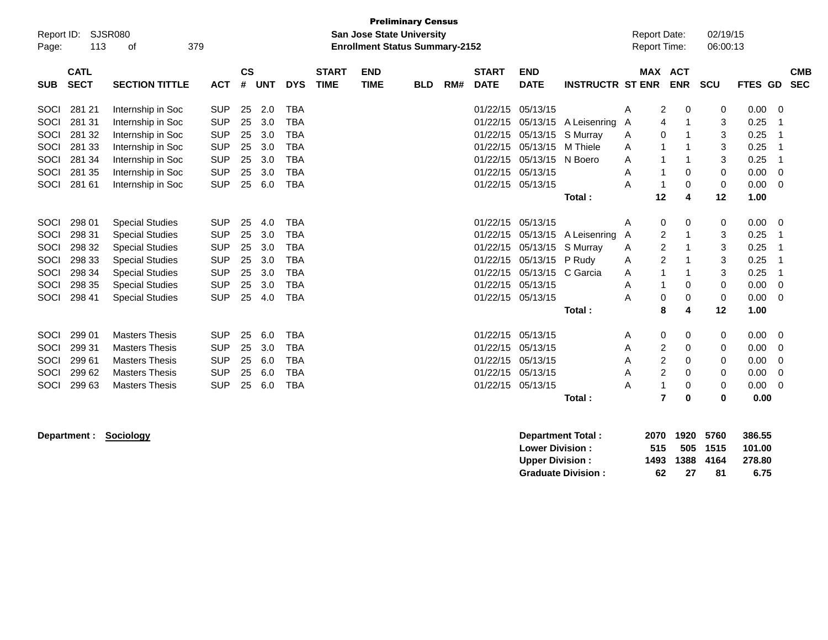| <b>Preliminary Census</b><br><b>SJSR080</b><br><b>Report Date:</b><br>Report ID:<br><b>San Jose State University</b><br>113<br>379<br><b>Enrollment Status Summary-2152</b><br>Report Time:<br>οf<br>Page:<br><b>CATL</b><br><b>CS</b><br><b>END</b><br><b>START</b><br><b>START</b><br><b>END</b><br><b>MAX</b> |        |                        |            |    |     |            |  |  |  |  |                   |          |              |                         |                            | 02/19/15<br>06:00:13 |         |                          |
|------------------------------------------------------------------------------------------------------------------------------------------------------------------------------------------------------------------------------------------------------------------------------------------------------------------|--------|------------------------|------------|----|-----|------------|--|--|--|--|-------------------|----------|--------------|-------------------------|----------------------------|----------------------|---------|--------------------------|
| <b>SECT</b><br><b>SECTION TITTLE</b><br><b>ACT</b><br>#<br><b>DYS</b><br><b>TIME</b><br><b>TIME</b><br><b>DATE</b><br><b>DATE</b><br><b>UNT</b><br><b>BLD</b><br>RM#<br><b>SUB</b><br>01/22/15 05/13/15                                                                                                          |        |                        |            |    |     |            |  |  |  |  |                   |          |              | <b>INSTRUCTR ST ENR</b> | <b>ACT</b><br><b>ENR</b>   | <b>SCU</b>           | FTES GD | <b>CMB</b><br><b>SEC</b> |
| SOCI                                                                                                                                                                                                                                                                                                             | 281 21 | Internship in Soc      | <b>SUP</b> | 25 | 2.0 | <b>TBA</b> |  |  |  |  |                   |          |              | Α                       | 2<br>0                     | 0                    | 0.00    | 0                        |
| SOCI                                                                                                                                                                                                                                                                                                             | 281 31 | Internship in Soc      | <b>SUP</b> | 25 | 3.0 | <b>TBA</b> |  |  |  |  | 01/22/15          | 05/13/15 | A Leisenring | A                       | 4                          | 3                    | 0.25    |                          |
| <b>SOCI</b>                                                                                                                                                                                                                                                                                                      | 281 32 | Internship in Soc      | <b>SUP</b> | 25 | 3.0 | <b>TBA</b> |  |  |  |  | 01/22/15          | 05/13/15 | S Murray     | A                       | 0                          | 3                    | 0.25    |                          |
| <b>SOCI</b>                                                                                                                                                                                                                                                                                                      | 281 33 | Internship in Soc      | <b>SUP</b> | 25 | 3.0 | <b>TBA</b> |  |  |  |  | 01/22/15          | 05/13/15 | M Thiele     | A                       | 1                          | 3                    | 0.25    |                          |
| SOCI                                                                                                                                                                                                                                                                                                             | 281 34 | Internship in Soc      | <b>SUP</b> | 25 | 3.0 | <b>TBA</b> |  |  |  |  | 01/22/15          | 05/13/15 | N Boero      | A                       | 1                          | 3                    | 0.25    |                          |
| <b>SOCI</b>                                                                                                                                                                                                                                                                                                      | 281 35 | Internship in Soc      | <b>SUP</b> | 25 | 3.0 | <b>TBA</b> |  |  |  |  | 01/22/15          | 05/13/15 |              | A                       | 0                          | 0                    | 0.00    | 0                        |
| SOCI                                                                                                                                                                                                                                                                                                             | 281 61 | Internship in Soc      | <b>SUP</b> | 25 | 6.0 | <b>TBA</b> |  |  |  |  | 01/22/15 05/13/15 |          |              | A                       | $\Omega$                   | 0                    | 0.00    | $\mathbf 0$              |
|                                                                                                                                                                                                                                                                                                                  |        |                        |            |    |     |            |  |  |  |  |                   |          | Total:       | 12                      | 4                          | 12                   | 1.00    |                          |
| SOCI                                                                                                                                                                                                                                                                                                             | 298 01 | <b>Special Studies</b> | <b>SUP</b> | 25 | 4.0 | <b>TBA</b> |  |  |  |  | 01/22/15 05/13/15 |          |              | Α                       | 0<br>0                     | 0                    | 0.00    | 0                        |
| SOCI                                                                                                                                                                                                                                                                                                             | 298 31 | <b>Special Studies</b> | <b>SUP</b> | 25 | 3.0 | <b>TBA</b> |  |  |  |  | 01/22/15          | 05/13/15 | A Leisenring | A                       | 2<br>1                     | 3                    | 0.25    |                          |
| <b>SOCI</b>                                                                                                                                                                                                                                                                                                      | 298 32 | <b>Special Studies</b> | <b>SUP</b> | 25 | 3.0 | <b>TBA</b> |  |  |  |  | 01/22/15          | 05/13/15 | S Murray     | A                       | $\overline{2}$             | 3                    | 0.25    |                          |
| SOCI                                                                                                                                                                                                                                                                                                             | 298 33 | <b>Special Studies</b> | <b>SUP</b> | 25 | 3.0 | <b>TBA</b> |  |  |  |  | 01/22/15          | 05/13/15 | P Rudy       | A                       | $\overline{2}$             | 3                    | 0.25    |                          |
| SOCI                                                                                                                                                                                                                                                                                                             | 298 34 | <b>Special Studies</b> | <b>SUP</b> | 25 | 3.0 | <b>TBA</b> |  |  |  |  | 01/22/15          | 05/13/15 | C Garcia     | Α                       |                            | 3                    | 0.25    |                          |
| SOCI                                                                                                                                                                                                                                                                                                             | 298 35 | <b>Special Studies</b> | <b>SUP</b> | 25 | 3.0 | <b>TBA</b> |  |  |  |  | 01/22/15 05/13/15 |          |              | A                       | $\Omega$                   | $\mathbf 0$          | 0.00    | $\mathbf 0$              |
| SOCI                                                                                                                                                                                                                                                                                                             | 298 41 | <b>Special Studies</b> | <b>SUP</b> | 25 | 4.0 | <b>TBA</b> |  |  |  |  | 01/22/15 05/13/15 |          |              | Α                       | 0<br>0                     | 0                    | 0.00    | $\Omega$                 |
|                                                                                                                                                                                                                                                                                                                  |        |                        |            |    |     |            |  |  |  |  |                   |          | Total:       |                         | 8<br>4                     | 12                   | 1.00    |                          |
| SOCI                                                                                                                                                                                                                                                                                                             | 299 01 | <b>Masters Thesis</b>  | <b>SUP</b> | 25 | 6.0 | <b>TBA</b> |  |  |  |  | 01/22/15          | 05/13/15 |              | Α                       | 0<br>0                     | 0                    | 0.00    | 0                        |
| SOCI                                                                                                                                                                                                                                                                                                             | 299 31 | <b>Masters Thesis</b>  | <b>SUP</b> | 25 | 3.0 | <b>TBA</b> |  |  |  |  | 01/22/15          | 05/13/15 |              | A                       | 2<br>0                     | 0                    | 0.00    | 0                        |
| SOCI                                                                                                                                                                                                                                                                                                             | 299 61 | <b>Masters Thesis</b>  | <b>SUP</b> | 25 | 6.0 | <b>TBA</b> |  |  |  |  | 01/22/15 05/13/15 |          |              | Α                       | 2<br>0                     | 0                    | 0.00    | 0                        |
| SOCI                                                                                                                                                                                                                                                                                                             | 299 62 | <b>Masters Thesis</b>  | <b>SUP</b> | 25 | 6.0 | <b>TBA</b> |  |  |  |  | 01/22/15          | 05/13/15 |              | Α                       | 2<br>0                     | 0                    | 0.00    | 0                        |
| 299 63<br><b>SUP</b><br>25<br><b>TBA</b><br>01/22/15 05/13/15<br>SOCI<br><b>Masters Thesis</b><br>6.0<br>Α                                                                                                                                                                                                       |        |                        |            |    |     |            |  |  |  |  |                   | $\Omega$ | 0            | 0.00                    | $\Omega$                   |                      |         |                          |
|                                                                                                                                                                                                                                                                                                                  |        |                        |            |    |     |            |  |  |  |  |                   |          | Total:       |                         | $\overline{7}$<br>$\bf{0}$ | 0                    | 0.00    |                          |

**Department : Sociology Department Total : 2070 1920 5760 386.55 Lower Division : 515 505 1515 101.00 Upper Division : 1493 1388 4164 278.80 Graduate Division : 62 27 81 6.75**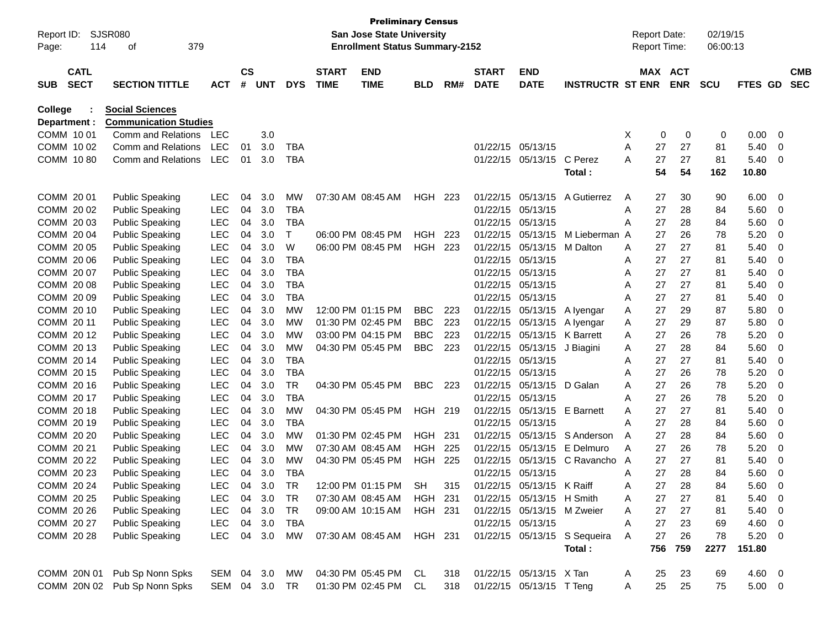| Report ID:<br>Page: |                            | SJSR080<br>379<br>114<br>οf  |            |                |            |            |                             | <b>Preliminary Census</b><br><b>San Jose State University</b><br><b>Enrollment Status Summary-2152</b> |                |      |                             |                           |                              | <b>Report Date:</b><br><b>Report Time:</b> |          |                       | 02/19/15<br>06:00:13 |               |                |                          |
|---------------------|----------------------------|------------------------------|------------|----------------|------------|------------|-----------------------------|--------------------------------------------------------------------------------------------------------|----------------|------|-----------------------------|---------------------------|------------------------------|--------------------------------------------|----------|-----------------------|----------------------|---------------|----------------|--------------------------|
| <b>SUB</b>          | <b>CATL</b><br><b>SECT</b> | <b>SECTION TITTLE</b>        | <b>ACT</b> | <b>CS</b><br># | <b>UNT</b> | <b>DYS</b> | <b>START</b><br><b>TIME</b> | <b>END</b><br><b>TIME</b>                                                                              | <b>BLD</b>     | RM#  | <b>START</b><br><b>DATE</b> | <b>END</b><br><b>DATE</b> | <b>INSTRUCTR ST ENR</b>      |                                            |          | MAX ACT<br><b>ENR</b> | <b>SCU</b>           | FTES GD       |                | <b>CMB</b><br><b>SEC</b> |
| <b>College</b>      |                            | <b>Social Sciences</b>       |            |                |            |            |                             |                                                                                                        |                |      |                             |                           |                              |                                            |          |                       |                      |               |                |                          |
| Department :        |                            | <b>Communication Studies</b> |            |                |            |            |                             |                                                                                                        |                |      |                             |                           |                              |                                            |          |                       |                      |               |                |                          |
| COMM 1001           |                            | Comm and Relations           | LEC        |                | 3.0        |            |                             |                                                                                                        |                |      |                             |                           |                              | Х                                          | 0        | 0                     | 0                    | 0.00          | - 0            |                          |
| COMM 1002           |                            | Comm and Relations           | <b>LEC</b> | 01             | 3.0        | <b>TBA</b> |                             |                                                                                                        |                |      | 01/22/15                    | 05/13/15                  |                              | Α                                          | 27       | 27                    | 81                   | 5.40          | 0              |                          |
| COMM 1080           |                            | Comm and Relations           | <b>LEC</b> | 01             | 3.0        | <b>TBA</b> |                             |                                                                                                        |                |      |                             | 01/22/15 05/13/15         | C Perez<br>Total:            | A                                          | 27<br>54 | 27<br>54              | 81<br>162            | 5.40<br>10.80 | -0             |                          |
| COMM 20 01          |                            | <b>Public Speaking</b>       | LEC        | 04             | 3.0        | <b>MW</b>  |                             | 07:30 AM 08:45 AM                                                                                      | HGH 223        |      | 01/22/15                    | 05/13/15                  | A Gutierrez                  | A                                          | 27       | 30                    | 90                   | 6.00          | - 0            |                          |
| COMM 20 02          |                            | <b>Public Speaking</b>       | <b>LEC</b> | 04             | 3.0        | <b>TBA</b> |                             |                                                                                                        |                |      | 01/22/15                    | 05/13/15                  |                              | Α                                          | 27       | 28                    | 84                   | 5.60          | 0              |                          |
| COMM 2003           |                            | <b>Public Speaking</b>       | <b>LEC</b> | 04             | 3.0        | <b>TBA</b> |                             |                                                                                                        |                |      | 01/22/15                    | 05/13/15                  |                              | Α                                          | 27       | 28                    | 84                   | 5.60          | 0              |                          |
| COMM 2004           |                            | <b>Public Speaking</b>       | <b>LEC</b> | 04             | 3.0        | Τ          |                             | 06:00 PM 08:45 PM                                                                                      | HGH            | 223  | 01/22/15                    | 05/13/15                  | M Lieberman A                |                                            | 27       | 26                    | 78                   | 5.20          | 0              |                          |
| COMM 20 05          |                            | <b>Public Speaking</b>       | <b>LEC</b> | 04             | 3.0        | W          |                             | 06:00 PM 08:45 PM                                                                                      | <b>HGH 223</b> |      | 01/22/15                    | 05/13/15                  | M Dalton                     | A                                          | 27       | 27                    | 81                   | 5.40          | 0              |                          |
| COMM 20 06          |                            | <b>Public Speaking</b>       | <b>LEC</b> | 04             | 3.0        | <b>TBA</b> |                             |                                                                                                        |                |      | 01/22/15                    | 05/13/15                  |                              | Α                                          | 27       | 27                    | 81                   | 5.40          | 0              |                          |
| COMM 2007           |                            | <b>Public Speaking</b>       | <b>LEC</b> | 04             | 3.0        | <b>TBA</b> |                             |                                                                                                        |                |      | 01/22/15                    | 05/13/15                  |                              | A                                          | 27       | 27                    | 81                   | 5.40          | 0              |                          |
| COMM 2008           |                            | <b>Public Speaking</b>       | <b>LEC</b> | 04             | 3.0        | <b>TBA</b> |                             |                                                                                                        |                |      | 01/22/15                    | 05/13/15                  |                              | A                                          | 27       | 27                    | 81                   | 5.40          | 0              |                          |
| COMM 20 09          |                            | <b>Public Speaking</b>       | <b>LEC</b> | 04             | 3.0        | <b>TBA</b> |                             |                                                                                                        |                |      | 01/22/15                    | 05/13/15                  |                              | A                                          | 27       | 27                    | 81                   | 5.40          | 0              |                          |
| COMM 20 10          |                            | <b>Public Speaking</b>       | <b>LEC</b> | 04             | 3.0        | <b>MW</b>  |                             | 12:00 PM 01:15 PM                                                                                      | <b>BBC</b>     | 223  | 01/22/15                    | 05/13/15                  | A lyengar                    | Α                                          | 27       | 29                    | 87                   | 5.80          | 0              |                          |
| COMM 20 11          |                            | <b>Public Speaking</b>       | <b>LEC</b> | 04             | 3.0        | <b>MW</b>  |                             | 01:30 PM 02:45 PM                                                                                      | <b>BBC</b>     | 223  | 01/22/15                    | 05/13/15                  | A lyengar                    | A                                          | 27       | 29                    | 87                   | 5.80          | 0              |                          |
| COMM 2012           |                            | <b>Public Speaking</b>       | <b>LEC</b> | 04             | 3.0        | <b>MW</b>  |                             | 03:00 PM 04:15 PM                                                                                      | <b>BBC</b>     | 223  | 01/22/15                    | 05/13/15                  | K Barrett                    | A                                          | 27       | 26                    | 78                   | 5.20          | 0              |                          |
| COMM 2013           |                            | <b>Public Speaking</b>       | <b>LEC</b> | 04             | 3.0        | <b>MW</b>  |                             | 04:30 PM 05:45 PM                                                                                      | <b>BBC</b>     | 223  | 01/22/15                    | 05/13/15                  | J Biagini                    | Α                                          | 27       | 28                    | 84                   | 5.60          | 0              |                          |
| COMM 2014           |                            | <b>Public Speaking</b>       | <b>LEC</b> | 04             | 3.0        | <b>TBA</b> |                             |                                                                                                        |                |      | 01/22/15                    | 05/13/15                  |                              | A                                          | 27       | 27                    | 81                   | 5.40          | 0              |                          |
| COMM 2015           |                            | <b>Public Speaking</b>       | <b>LEC</b> | 04             | 3.0        | <b>TBA</b> |                             |                                                                                                        |                |      | 01/22/15                    | 05/13/15                  |                              | A                                          | 27       | 26                    | 78                   | 5.20          | 0              |                          |
| COMM 2016           |                            | <b>Public Speaking</b>       | <b>LEC</b> | 04             | 3.0        | <b>TR</b>  |                             | 04:30 PM 05:45 PM                                                                                      | <b>BBC</b>     | 223  | 01/22/15                    | 05/13/15                  | D Galan                      | A                                          | 27       | 26                    | 78                   | 5.20          | 0              |                          |
| COMM 2017           |                            | <b>Public Speaking</b>       | <b>LEC</b> | 04             | 3.0        | <b>TBA</b> |                             |                                                                                                        |                |      | 01/22/15                    | 05/13/15                  |                              | Α                                          | 27       | 26                    | 78                   | 5.20          | 0              |                          |
| COMM 2018           |                            | <b>Public Speaking</b>       | <b>LEC</b> | 04             | 3.0        | <b>MW</b>  |                             | 04:30 PM 05:45 PM                                                                                      | HGH 219        |      | 01/22/15                    | 05/13/15                  | <b>E</b> Barnett             | A                                          | 27       | 27                    | 81                   | 5.40          | 0              |                          |
| COMM 2019           |                            | <b>Public Speaking</b>       | <b>LEC</b> | 04             | 3.0        | <b>TBA</b> |                             |                                                                                                        |                |      | 01/22/15                    | 05/13/15                  |                              | Α                                          | 27       | 28                    | 84                   | 5.60          | 0              |                          |
| COMM 20 20          |                            | <b>Public Speaking</b>       | <b>LEC</b> | 04             | 3.0        | <b>MW</b>  |                             | 01:30 PM 02:45 PM                                                                                      | HGH            | -231 | 01/22/15                    | 05/13/15                  | S Anderson                   | A                                          | 27       | 28                    | 84                   | 5.60          | 0              |                          |
| COMM 20 21          |                            | <b>Public Speaking</b>       | <b>LEC</b> | 04             | 3.0        | <b>MW</b>  |                             | 07:30 AM 08:45 AM                                                                                      | HGH            | 225  | 01/22/15                    | 05/13/15                  | E Delmuro                    | A                                          | 27       | 26                    | 78                   | 5.20          | 0              |                          |
| COMM 20 22          |                            | <b>Public Speaking</b>       | <b>LEC</b> | 04             | 3.0        | <b>MW</b>  |                             | 04:30 PM 05:45 PM                                                                                      | <b>HGH 225</b> |      | 01/22/15                    | 05/13/15                  | C Ravancho A                 |                                            | 27       | 27                    | 81                   | 5.40          | 0              |                          |
| COMM 20 23          |                            | <b>Public Speaking</b>       | LEC        | 04             | 3.0        | <b>TBA</b> |                             |                                                                                                        |                |      |                             | 01/22/15 05/13/15         |                              | A                                          | 27       | 28                    | 84                   | 5.60          | 0              |                          |
| COMM 20 24          |                            | <b>Public Speaking</b>       | LEC        | 04             | 3.0        | TR         |                             | 12:00 PM 01:15 PM                                                                                      | <b>SH</b>      | 315  | 01/22/15                    | 05/13/15                  | K Raiff                      | Α                                          | 27       | 28                    | 84                   | 5.60          | $\overline{0}$ |                          |
| COMM 20 25          |                            | <b>Public Speaking</b>       | <b>LEC</b> | 04             | 3.0        | <b>TR</b>  |                             | 07:30 AM 08:45 AM                                                                                      | HGH 231        |      |                             | 01/22/15 05/13/15 H Smith |                              | Α                                          | 27       | 27                    | 81                   | 5.40          | 0              |                          |
| COMM 20 26          |                            | <b>Public Speaking</b>       | <b>LEC</b> | 04             | 3.0        | <b>TR</b>  |                             | 09:00 AM 10:15 AM                                                                                      | HGH 231        |      |                             | 01/22/15 05/13/15         | M Zweier                     | Α                                          | 27       | 27                    | 81                   | 5.40          | 0              |                          |
| COMM 20 27          |                            | <b>Public Speaking</b>       | <b>LEC</b> | 04             | 3.0        | TBA        |                             |                                                                                                        |                |      |                             | 01/22/15 05/13/15         |                              | Α                                          | 27       | 23                    | 69                   | 4.60          | 0              |                          |
| COMM 20 28          |                            | <b>Public Speaking</b>       | <b>LEC</b> | 04             | 3.0        | MW         |                             | 07:30 AM 08:45 AM                                                                                      | <b>HGH 231</b> |      |                             |                           | 01/22/15 05/13/15 S Sequeira | Α                                          | 27       | 26                    | 78                   | 5.20          | - 0            |                          |
|                     |                            |                              |            |                |            |            |                             |                                                                                                        |                |      |                             |                           | Total:                       |                                            | 756      | 759                   | 2277                 | 151.80        |                |                          |
| COMM 20N 01         |                            | Pub Sp Nonn Spks             | SEM 04 3.0 |                |            | МW         |                             | 04:30 PM 05:45 PM CL                                                                                   |                | 318  |                             | 01/22/15 05/13/15 X Tan   |                              | A                                          | 25       | 23                    | 69                   | $4.60$ 0      |                |                          |
|                     |                            | COMM 20N 02 Pub Sp Nonn Spks | SEM 04 3.0 |                |            | TR         |                             | 01:30 PM 02:45 PM CL                                                                                   |                | 318  |                             | 01/22/15 05/13/15 T Teng  |                              | Α                                          | 25       | 25                    | 75                   | $5.00 \t 0$   |                |                          |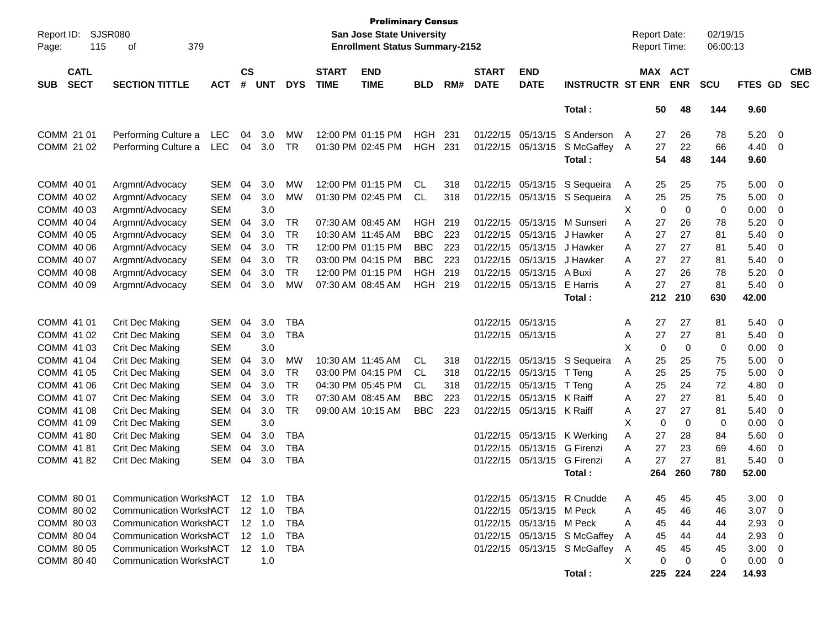| Report ID:<br>115<br>Page:        | <b>SJSR080</b><br>379<br>οf    |            |                    |                |            |                             | <b>Preliminary Census</b><br><b>San Jose State University</b><br><b>Enrollment Status Summary-2152</b> |            |      |                             |                           |                              |   | <b>Report Date:</b><br>Report Time: |             | 02/19/15<br>06:00:13 |         |                         |                          |
|-----------------------------------|--------------------------------|------------|--------------------|----------------|------------|-----------------------------|--------------------------------------------------------------------------------------------------------|------------|------|-----------------------------|---------------------------|------------------------------|---|-------------------------------------|-------------|----------------------|---------|-------------------------|--------------------------|
| <b>CATL</b><br><b>SECT</b><br>SUB | <b>SECTION TITTLE</b>          | <b>ACT</b> | $\mathsf{cs}$<br># | <b>UNT</b>     | <b>DYS</b> | <b>START</b><br><b>TIME</b> | <b>END</b><br><b>TIME</b>                                                                              | <b>BLD</b> | RM#  | <b>START</b><br><b>DATE</b> | <b>END</b><br><b>DATE</b> | <b>INSTRUCTR ST ENR</b>      |   | MAX ACT                             | <b>ENR</b>  | <b>SCU</b>           | FTES GD |                         | <b>CMB</b><br><b>SEC</b> |
|                                   |                                |            |                    |                |            |                             |                                                                                                        |            |      |                             |                           | Total:                       |   | 50                                  | 48          | 144                  | 9.60    |                         |                          |
| COMM 21 01                        | Performing Culture a           | <b>LEC</b> | 04                 | 3.0            | <b>MW</b>  |                             | 12:00 PM 01:15 PM                                                                                      | HGH        | -231 |                             | 01/22/15 05/13/15         | S Anderson                   | A | 27                                  | 26          | 78                   | 5.20    | 0                       |                          |
| COMM 21 02                        | Performing Culture a           | <b>LEC</b> | 04                 | 3.0            | TR         |                             | 01:30 PM 02:45 PM                                                                                      | <b>HGH</b> | 231  |                             | 01/22/15 05/13/15         | S McGaffey                   | A | 27                                  | 22          | 66                   | 4.40    | 0                       |                          |
|                                   |                                |            |                    |                |            |                             |                                                                                                        |            |      |                             |                           | Total:                       |   | 54                                  | 48          | 144                  | 9.60    |                         |                          |
| COMM 40 01                        | Argmnt/Advocacy                | <b>SEM</b> | 04                 | 3.0            | MW         |                             | 12:00 PM 01:15 PM                                                                                      | CL         | 318  |                             | 01/22/15 05/13/15         | S Sequeira                   | A | 25                                  | 25          | 75                   | 5.00    | 0                       |                          |
| COMM 40 02                        | Argmnt/Advocacy                | <b>SEM</b> | 04                 | 3.0            | <b>MW</b>  |                             | 01:30 PM 02:45 PM                                                                                      | CL         | 318  |                             | 01/22/15 05/13/15         | S Sequeira                   | A | 25                                  | 25          | 75                   | 5.00    | 0                       |                          |
| COMM 40 03                        | Argmnt/Advocacy                | <b>SEM</b> |                    | 3.0            |            |                             |                                                                                                        |            |      |                             |                           |                              | X | 0                                   | $\mathbf 0$ | 0                    | 0.00    | 0                       |                          |
| COMM 40 04                        | Argmnt/Advocacy                | <b>SEM</b> | 04                 | 3.0            | TR         |                             | 07:30 AM 08:45 AM                                                                                      | <b>HGH</b> | 219  |                             | 01/22/15 05/13/15         | M Sunseri                    | A | 27                                  | 26          | 78                   | 5.20    | 0                       |                          |
| COMM 40 05                        | Argmnt/Advocacy                | <b>SEM</b> | 04                 | 3.0            | <b>TR</b>  |                             | 10:30 AM 11:45 AM                                                                                      | <b>BBC</b> | 223  |                             | 01/22/15 05/13/15         | J Hawker                     | A | 27                                  | 27          | 81                   | 5.40    | 0                       |                          |
| COMM 40 06                        | Argmnt/Advocacy                | <b>SEM</b> | 04                 | 3.0            | <b>TR</b>  |                             | 12:00 PM 01:15 PM                                                                                      | <b>BBC</b> | 223  |                             | 01/22/15 05/13/15         | J Hawker                     | A | 27                                  | 27          | 81                   | 5.40    | 0                       |                          |
| COMM 40 07                        | Argmnt/Advocacy                | <b>SEM</b> | 04                 | 3.0            | <b>TR</b>  |                             | 03:00 PM 04:15 PM                                                                                      | <b>BBC</b> | 223  |                             | 01/22/15 05/13/15         | J Hawker                     | A | 27                                  | 27          | 81                   | 5.40    | 0                       |                          |
| COMM 40 08                        | Argmnt/Advocacy                | <b>SEM</b> | 04                 | 3.0            | <b>TR</b>  |                             | 12:00 PM 01:15 PM                                                                                      | <b>HGH</b> | 219  |                             | 01/22/15 05/13/15         | A Buxi                       | A | 27                                  | 26          | 78                   | 5.20    | 0                       |                          |
| COMM 40 09                        | Argmnt/Advocacy                | <b>SEM</b> | 04                 | 3.0            | <b>MW</b>  |                             | 07:30 AM 08:45 AM                                                                                      | HGH        | 219  |                             | 01/22/15 05/13/15         | E Harris                     | A | 27                                  | 27          | 81                   | 5.40    | 0                       |                          |
|                                   |                                |            |                    |                |            |                             |                                                                                                        |            |      |                             |                           | Total:                       |   | 212                                 | 210         | 630                  | 42.00   |                         |                          |
| COMM 41 01                        | Crit Dec Making                | <b>SEM</b> | 04                 | 3.0            | <b>TBA</b> |                             |                                                                                                        |            |      | 01/22/15 05/13/15           |                           |                              | Α | 27                                  | 27          | 81                   | 5.40    | 0                       |                          |
| COMM 41 02                        | Crit Dec Making                | <b>SEM</b> | 04                 | 3.0            | <b>TBA</b> |                             |                                                                                                        |            |      | 01/22/15 05/13/15           |                           |                              | Α | 27                                  | 27          | 81                   | 5.40    | 0                       |                          |
| COMM 41 03                        | Crit Dec Making                | <b>SEM</b> |                    | 3.0            |            |                             |                                                                                                        |            |      |                             |                           |                              | X | 0                                   | $\mathbf 0$ | 0                    | 0.00    | 0                       |                          |
| COMM 41 04                        | Crit Dec Making                | <b>SEM</b> | 04                 | 3.0            | <b>MW</b>  |                             | 10:30 AM 11:45 AM                                                                                      | CL         | 318  |                             |                           | 01/22/15 05/13/15 S Sequeira | A | 25                                  | 25          | 75                   | 5.00    | 0                       |                          |
| COMM 41 05                        | Crit Dec Making                | <b>SEM</b> | 04                 | 3.0            | TR         |                             | 03:00 PM 04:15 PM                                                                                      | CL         | 318  |                             | 01/22/15 05/13/15         | T Teng                       | A | 25                                  | 25          | 75                   | 5.00    | 0                       |                          |
| COMM 41 06                        | Crit Dec Making                | <b>SEM</b> | 04                 | 3.0            | <b>TR</b>  |                             | 04:30 PM 05:45 PM                                                                                      | CL.        | 318  |                             | 01/22/15 05/13/15         | T Teng                       | Α | 25                                  | 24          | 72                   | 4.80    | 0                       |                          |
| COMM 41 07                        | Crit Dec Making                | <b>SEM</b> | 04                 | 3.0            | <b>TR</b>  |                             | 07:30 AM 08:45 AM                                                                                      | <b>BBC</b> | 223  |                             | 01/22/15 05/13/15         | K Raiff                      | A | 27                                  | 27          | 81                   | 5.40    | 0                       |                          |
| COMM 41 08                        | Crit Dec Making                | <b>SEM</b> | 04                 | 3.0            | <b>TR</b>  |                             | 09:00 AM 10:15 AM                                                                                      | <b>BBC</b> | 223  |                             | 01/22/15 05/13/15 K Raiff |                              | A | 27                                  | 27          | 81                   | 5.40    | 0                       |                          |
| COMM 41 09                        | Crit Dec Making                | <b>SEM</b> |                    | 3.0            |            |                             |                                                                                                        |            |      |                             |                           |                              | X | 0                                   | $\mathbf 0$ | 0                    | 0.00    | 0                       |                          |
| COMM 4180                         | Crit Dec Making                | <b>SEM</b> | 04                 | 3.0            | <b>TBA</b> |                             |                                                                                                        |            |      |                             |                           | 01/22/15 05/13/15 K Werking  | A | 27                                  | 28          | 84                   | 5.60    | 0                       |                          |
| COMM 41 81                        | Crit Dec Making                | <b>SEM</b> | 04                 | 3.0            | <b>TBA</b> |                             |                                                                                                        |            |      |                             | 01/22/15 05/13/15         | G Firenzi                    | A | 27                                  | 23          | 69                   | 4.60    | 0                       |                          |
| COMM 41 82                        | Crit Dec Making                | <b>SEM</b> | 04                 | 3.0            | <b>TBA</b> |                             |                                                                                                        |            |      |                             | 01/22/15 05/13/15         | <b>G</b> Firenzi             | A | 27                                  | 27          | 81                   | 5.40    | 0                       |                          |
|                                   |                                |            |                    |                |            |                             |                                                                                                        |            |      |                             |                           | Total:                       |   | 264                                 | 260         | 780                  | 52.00   |                         |                          |
| COMM 80 01                        | Communication WorkshACT        |            |                    | 12 1.0         | TBA        |                             |                                                                                                        |            |      |                             |                           | 01/22/15 05/13/15 R Cnudde   | Α | 45                                  | 45          | 45                   | 3.00    | 0                       |                          |
| COMM 80 02                        | <b>Communication WorkshACT</b> |            |                    | $12 \quad 1.0$ | TBA        |                             |                                                                                                        |            |      |                             | 01/22/15 05/13/15 M Peck  |                              | Α | 45                                  | 46          | 46                   | 3.07    | 0                       |                          |
| COMM 80 03                        | <b>Communication WorkshACT</b> |            |                    | 12 1.0         | TBA        |                             |                                                                                                        |            |      |                             | 01/22/15 05/13/15 M Peck  |                              | Α | 45                                  | 44          | 44                   | 2.93    | 0                       |                          |
| COMM 80 04                        | <b>Communication WorkshACT</b> |            |                    | $12 \quad 1.0$ | TBA        |                             |                                                                                                        |            |      |                             |                           | 01/22/15 05/13/15 S McGaffey | A | 45                                  | 44          | 44                   | 2.93    | 0                       |                          |
| COMM 80 05                        | <b>Communication WorkshACT</b> |            |                    | 12 1.0         | TBA        |                             |                                                                                                        |            |      |                             |                           | 01/22/15 05/13/15 S McGaffey | A | 45                                  | 45          | 45                   | 3.00    | $\mathbf 0$             |                          |
| COMM 80 40                        | <b>Communication WorkshACT</b> |            |                    | 1.0            |            |                             |                                                                                                        |            |      |                             |                           |                              | Χ | 0                                   | 0           | 0                    | 0.00    | $\overline{\mathbf{0}}$ |                          |
|                                   |                                |            |                    |                |            |                             |                                                                                                        |            |      |                             |                           | Total:                       |   | 225                                 | 224         | 224                  | 14.93   |                         |                          |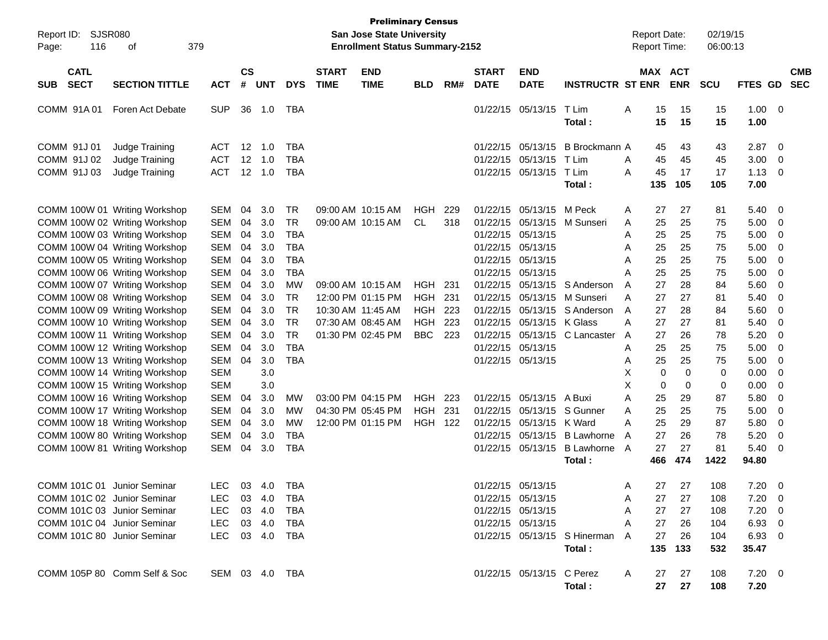| Report ID:<br>Page: | <b>SJSR080</b><br>116      | οf                            | 379        |                |                |            |                             | <b>Preliminary Census</b><br>San Jose State University<br><b>Enrollment Status Summary-2152</b> |                |       |                             |                           |                              | <b>Report Date:</b><br>Report Time: |             | 02/19/15<br>06:00:13 |                     |                |            |
|---------------------|----------------------------|-------------------------------|------------|----------------|----------------|------------|-----------------------------|-------------------------------------------------------------------------------------------------|----------------|-------|-----------------------------|---------------------------|------------------------------|-------------------------------------|-------------|----------------------|---------------------|----------------|------------|
| <b>SUB</b>          | <b>CATL</b><br><b>SECT</b> | <b>SECTION TITTLE</b>         | <b>ACT</b> | <b>CS</b><br># | <b>UNT</b>     | <b>DYS</b> | <b>START</b><br><b>TIME</b> | <b>END</b><br><b>TIME</b>                                                                       | <b>BLD</b>     | RM#   | <b>START</b><br><b>DATE</b> | <b>END</b><br><b>DATE</b> | <b>INSTRUCTR ST ENR</b>      | MAX ACT                             | <b>ENR</b>  | <b>SCU</b>           | FTES GD             | <b>SEC</b>     | <b>CMB</b> |
| COMM 91A01          |                            | Foren Act Debate              | <b>SUP</b> |                | 36 1.0         | TBA        |                             |                                                                                                 |                |       |                             | 01/22/15 05/13/15         | T Lim<br>Total:              | Α<br>15<br>15                       | 15<br>15    | 15<br>15             | 1.00<br>1.00        | - 0            |            |
| COMM 91J 01         |                            | Judge Training                | <b>ACT</b> | 12             | 1.0            | <b>TBA</b> |                             |                                                                                                 |                |       | 01/22/15                    | 05/13/15                  | B Brockmann A                | 45                                  | 43          | 43                   | 2.87                | $\overline{0}$ |            |
| COMM 91J 02         |                            | Judge Training                | ACT        | 12             | 1.0            | <b>TBA</b> |                             |                                                                                                 |                |       | 01/22/15                    | 05/13/15                  | T Lim                        | 45<br>Α                             | 45          | 45                   | 3.00                | 0              |            |
| COMM 91J 03         |                            | Judge Training                | <b>ACT</b> | 12             | 1.0            | <b>TBA</b> |                             |                                                                                                 |                |       |                             | 01/22/15 05/13/15 T Lim   |                              | 45<br>A                             | 17          | 17                   | 1.13                | 0              |            |
|                     |                            |                               |            |                |                |            |                             |                                                                                                 |                |       |                             |                           | Total:                       | 135                                 | 105         | 105                  | 7.00                |                |            |
|                     |                            | COMM 100W 01 Writing Workshop | <b>SEM</b> | 04             | 3.0            | TR         |                             | 09:00 AM 10:15 AM                                                                               | <b>HGH</b>     | 229   | 01/22/15                    | 05/13/15                  | M Peck                       | 27<br>A                             | 27          | 81                   | 5.40                | 0              |            |
|                     |                            | COMM 100W 02 Writing Workshop | <b>SEM</b> | 04             | 3.0            | <b>TR</b>  |                             | 09:00 AM 10:15 AM                                                                               | CL             | 318   | 01/22/15                    | 05/13/15                  | M Sunseri                    | 25<br>A                             | 25          | 75                   | 5.00                | 0              |            |
|                     |                            | COMM 100W 03 Writing Workshop | <b>SEM</b> | 04             | 3.0            | <b>TBA</b> |                             |                                                                                                 |                |       |                             | 01/22/15 05/13/15         |                              | 25<br>Α                             | 25          | 75                   | 5.00                | 0              |            |
|                     |                            | COMM 100W 04 Writing Workshop | <b>SEM</b> | 04             | 3.0            | <b>TBA</b> |                             |                                                                                                 |                |       |                             | 01/22/15 05/13/15         |                              | 25<br>Α                             | 25          | 75                   | 5.00                | 0              |            |
|                     |                            | COMM 100W 05 Writing Workshop | <b>SEM</b> | 04             | 3.0            | <b>TBA</b> |                             |                                                                                                 |                |       |                             | 01/22/15 05/13/15         |                              | 25<br>A                             | 25          | 75                   | 5.00                | 0              |            |
|                     |                            | COMM 100W 06 Writing Workshop | <b>SEM</b> | 04             | 3.0            | <b>TBA</b> |                             |                                                                                                 |                |       |                             | 01/22/15 05/13/15         |                              | 25<br>Α                             | 25          | 75                   | 5.00                | 0              |            |
|                     |                            | COMM 100W 07 Writing Workshop | <b>SEM</b> | 04             | 3.0            | <b>MW</b>  |                             | 09:00 AM 10:15 AM                                                                               | HGH            | 231   |                             | 01/22/15 05/13/15         | S Anderson                   | 27<br>A                             | 28          | 84                   | 5.60                | 0              |            |
|                     |                            | COMM 100W 08 Writing Workshop | <b>SEM</b> | 04             | 3.0            | <b>TR</b>  |                             | 12:00 PM 01:15 PM                                                                               | HGH            | 231   | 01/22/15                    | 05/13/15                  | M Sunseri                    | 27<br>Α                             | 27          | 81                   | 5.40                | 0              |            |
|                     |                            | COMM 100W 09 Writing Workshop | <b>SEM</b> | 04             | 3.0            | <b>TR</b>  |                             | 10:30 AM 11:45 AM                                                                               | <b>HGH 223</b> |       | 01/22/15                    |                           | 05/13/15 S Anderson          | 27<br>A                             | 28          | 84                   | 5.60                | 0              |            |
|                     |                            | COMM 100W 10 Writing Workshop | <b>SEM</b> | 04             | 3.0            | <b>TR</b>  |                             | 07:30 AM 08:45 AM                                                                               | <b>HGH</b>     | 223   | 01/22/15                    | 05/13/15 K Glass          |                              | 27<br>A                             | 27          | 81                   | 5.40                | 0              |            |
|                     |                            | COMM 100W 11 Writing Workshop | <b>SEM</b> | 04             | 3.0            | <b>TR</b>  |                             | 01:30 PM 02:45 PM                                                                               | <b>BBC</b>     | 223   | 01/22/15                    |                           | 05/13/15 C Lancaster         | 27<br>A                             | 26          | 78                   | 5.20                | 0              |            |
|                     |                            | COMM 100W 12 Writing Workshop | <b>SEM</b> | 04             | 3.0            | <b>TBA</b> |                             |                                                                                                 |                |       |                             | 01/22/15 05/13/15         |                              | 25<br>Α                             | 25          | 75                   | 5.00                | 0              |            |
|                     |                            | COMM 100W 13 Writing Workshop | <b>SEM</b> | 04             | 3.0            | <b>TBA</b> |                             |                                                                                                 |                |       |                             | 01/22/15 05/13/15         |                              | 25<br>Α                             | 25          | 75                   | 5.00                | 0              |            |
|                     |                            | COMM 100W 14 Writing Workshop | <b>SEM</b> |                | 3.0            |            |                             |                                                                                                 |                |       |                             |                           |                              | Х<br>0                              | $\mathbf 0$ | 0                    | 0.00                | 0              |            |
|                     |                            | COMM 100W 15 Writing Workshop | <b>SEM</b> |                | 3.0            |            |                             |                                                                                                 |                |       |                             |                           |                              | X<br>0                              | 0           | 0                    | 0.00                | 0              |            |
|                     |                            | COMM 100W 16 Writing Workshop | <b>SEM</b> | 04             | 3.0            | MW         |                             | 03:00 PM 04:15 PM                                                                               | <b>HGH</b>     | - 223 |                             | 01/22/15 05/13/15         | A Buxi                       | 25<br>Α                             | 29          | 87                   | 5.80                | 0              |            |
|                     |                            | COMM 100W 17 Writing Workshop | <b>SEM</b> | 04             | 3.0            | MW         |                             | 04:30 PM 05:45 PM                                                                               | <b>HGH</b>     | 231   | 01/22/15                    | 05/13/15                  | S Gunner                     | 25<br>Α                             | 25          | 75                   | 5.00                | 0              |            |
|                     |                            | COMM 100W 18 Writing Workshop | <b>SEM</b> | 04             | 3.0            | MW         |                             | 12:00 PM 01:15 PM                                                                               | <b>HGH 122</b> |       | 01/22/15                    | 05/13/15                  | K Ward                       | 25<br>Α                             | 29          | 87                   | 5.80                | 0              |            |
|                     |                            | COMM 100W 80 Writing Workshop | <b>SEM</b> | 04             | 3.0            | <b>TBA</b> |                             |                                                                                                 |                |       | 01/22/15                    | 05/13/15                  | <b>B</b> Lawhorne            | 27<br>A                             | 26          | 78                   | 5.20                | 0              |            |
|                     |                            | COMM 100W 81 Writing Workshop | SEM        | 04             | 3.0            | <b>TBA</b> |                             |                                                                                                 |                |       |                             | 01/22/15 05/13/15         | <b>B Lawhorne</b>            | 27<br>A                             | 27          | 81                   | 5.40                | 0              |            |
|                     |                            |                               |            |                |                |            |                             |                                                                                                 |                |       |                             |                           | Total:                       | 466                                 | 474         | 1422                 | 94.80               |                |            |
|                     |                            | COMM 101C 01 Junior Seminar   | <b>LEC</b> |                | 03 4.0         | <b>TBA</b> |                             |                                                                                                 |                |       |                             | 01/22/15 05/13/15         |                              | 27<br>Α                             | 27          | 108                  | $7.20 \t 0$         |                |            |
|                     |                            | COMM 101C 02 Junior Seminar   | <b>LEC</b> |                | 03 4.0         | TBA        |                             |                                                                                                 |                |       |                             | 01/22/15 05/13/15         |                              | 27<br>Α                             | 27          | 108                  | $7.20 \t 0$         |                |            |
|                     |                            | COMM 101C 03 Junior Seminar   | <b>LEC</b> |                | 03 4.0         | TBA        |                             |                                                                                                 |                |       |                             | 01/22/15 05/13/15         |                              | 27<br>A                             | 27          | 108                  | $7.20 \t 0$         |                |            |
|                     |                            | COMM 101C 04 Junior Seminar   | <b>LEC</b> |                | 03 4.0         | TBA        |                             |                                                                                                 |                |       |                             | 01/22/15 05/13/15         |                              | 27<br>A                             | 26          | 104                  | $6.93$ 0            |                |            |
|                     |                            | COMM 101C 80 Junior Seminar   | <b>LEC</b> |                | 03 4.0         | TBA        |                             |                                                                                                 |                |       |                             |                           | 01/22/15 05/13/15 S Hinerman | 27<br>A                             | 26          | 104                  | $6.93$ 0            |                |            |
|                     |                            |                               |            |                |                |            |                             |                                                                                                 |                |       |                             |                           | Total:                       |                                     | 135 133     | 532                  | 35.47               |                |            |
|                     |                            | COMM 105P 80 Comm Self & Soc  |            |                | SEM 03 4.0 TBA |            |                             |                                                                                                 |                |       |                             | 01/22/15 05/13/15 C Perez | Total:                       | 27<br>A                             | 27<br>27 27 | 108<br>108           | $7.20 \t 0$<br>7.20 |                |            |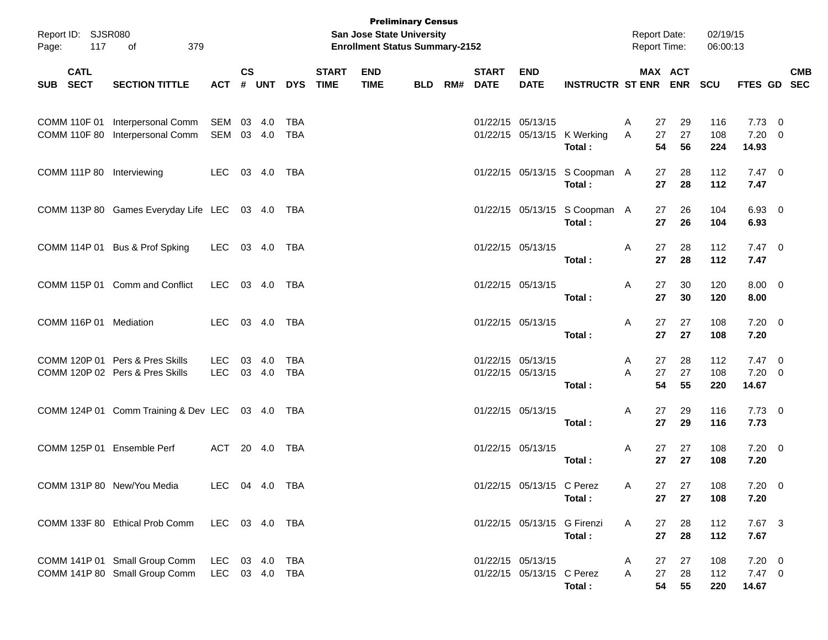| Report ID: SJSR080<br>Page: | 379<br>117<br>of                                                   |                              |               |            |                             | <b>Preliminary Census</b><br><b>San Jose State University</b><br><b>Enrollment Status Summary-2152</b> |            |                          |                                                |                                         |        | <b>Report Date:</b><br>Report Time: | 02/19/15<br>06:00:13 |                                       |            |
|-----------------------------|--------------------------------------------------------------------|------------------------------|---------------|------------|-----------------------------|--------------------------------------------------------------------------------------------------------|------------|--------------------------|------------------------------------------------|-----------------------------------------|--------|-------------------------------------|----------------------|---------------------------------------|------------|
| <b>CATL</b><br>SUB SECT     | <b>SECTION TITTLE</b>                                              | <b>ACT</b>                   | $\mathsf{cs}$ | # UNT DYS  | <b>START</b><br><b>TIME</b> | <b>END</b><br><b>TIME</b>                                                                              | <b>BLD</b> | <b>START</b><br>RM# DATE | <b>END</b><br><b>DATE</b>                      | <b>INSTRUCTR ST ENR ENR</b>             |        | MAX ACT                             | <b>SCU</b>           | FTES GD SEC                           | <b>CMB</b> |
|                             | COMM 110F 01 Interpersonal Comm<br>COMM 110F 80 Interpersonal Comm | SEM 03 4.0<br>SEM 03 4.0     |               | TBA<br>TBA |                             |                                                                                                        |            |                          | 01/22/15 05/13/15                              | 01/22/15 05/13/15 K Werking<br>Total:   | A<br>A | 29<br>27<br>27<br>27<br>54<br>56    | 116<br>108<br>224    | $7.73 \t 0$<br>$7.20 \ 0$<br>14.93    |            |
|                             | COMM 111P 80 Interviewing                                          | LEC 03 4.0 TBA               |               |            |                             |                                                                                                        |            |                          |                                                | 01/22/15 05/13/15 S Coopman A<br>Total: |        | 27<br>28<br>27<br>28                | 112<br>112           | $7.47\quad 0$<br>7.47                 |            |
|                             | COMM 113P 80 Games Everyday Life LEC 03 4.0 TBA                    |                              |               |            |                             |                                                                                                        |            |                          |                                                | 01/22/15 05/13/15 S Coopman A<br>Total: |        | 27<br>26<br>27<br>26                | 104<br>104           | 6.93 0<br>6.93                        |            |
|                             | COMM 114P 01 Bus & Prof Spking                                     | LEC 03 4.0 TBA               |               |            |                             |                                                                                                        |            |                          | 01/22/15 05/13/15                              | Total:                                  | A      | 27<br>28<br>27<br>28                | 112<br>112           | $7.47\ 0$<br>7.47                     |            |
|                             | COMM 115P 01 Comm and Conflict                                     | LEC 03 4.0 TBA               |               |            |                             |                                                                                                        |            |                          | 01/22/15 05/13/15                              | Total:                                  | A      | 30<br>27<br>27<br>30                | 120<br>120           | $8.00 \t 0$<br>8.00                   |            |
|                             | COMM 116P 01 Mediation                                             | LEC 03 4.0 TBA               |               |            |                             |                                                                                                        |            |                          | 01/22/15 05/13/15                              | Total:                                  | A      | 27<br>27<br>27<br>27                | 108<br>108           | $7.20 \t 0$<br>7.20                   |            |
|                             | COMM 120P 01 Pers & Pres Skills<br>COMM 120P 02 Pers & Pres Skills | LEC 03 4.0<br>LEC 03 4.0     |               | TBA<br>TBA |                             |                                                                                                        |            |                          | 01/22/15 05/13/15<br>01/22/15 05/13/15         | Total:                                  | A<br>A | 27<br>28<br>27<br>27<br>54<br>55    | 112<br>108<br>220    | $7.47\quad 0$<br>$7.20 \ 0$<br>14.67  |            |
|                             | COMM 124P 01 Comm Training & Dev LEC 03 4.0 TBA                    |                              |               |            |                             |                                                                                                        |            |                          | 01/22/15 05/13/15                              | Total:                                  | A      | 29<br>27<br>27<br>29                | 116<br>116           | $7.73 \t 0$<br>7.73                   |            |
|                             | COMM 125P 01 Ensemble Perf                                         | ACT 20 4.0 TBA               |               |            |                             |                                                                                                        |            |                          | 01/22/15 05/13/15                              | Total:                                  | A      | 27<br>27<br>27<br>27                | 108<br>108           | $7.20 \t 0$<br>7.20                   |            |
|                             | COMM 131P 80 New/You Media                                         | LEC 04 4.0 TBA               |               |            |                             |                                                                                                        |            |                          | 01/22/15 05/13/15 C Perez                      | Total:                                  | A      | 27 27<br>27<br>27                   | 108<br>108           | $7.20 \t 0$<br>7.20                   |            |
|                             | COMM 133F 80 Ethical Prob Comm LEC 03 4.0 TBA                      |                              |               |            |                             |                                                                                                        |            |                          | 01/22/15 05/13/15 G Firenzi                    | Total:                                  | A      | 27<br>28<br>27<br>28                | 112<br>112           | 7.67 3<br>7.67                        |            |
|                             | COMM 141P 01 Small Group Comm<br>COMM 141P 80 Small Group Comm     | LEC 03 4.0 TBA<br>LEC 03 4.0 |               | TBA        |                             |                                                                                                        |            |                          | 01/22/15 05/13/15<br>01/22/15 05/13/15 C Perez | Total:                                  | A<br>A | 27<br>27<br>27<br>28<br>54<br>55    | 108<br>112<br>220    | $7.20 \t 0$<br>$7.47\quad 0$<br>14.67 |            |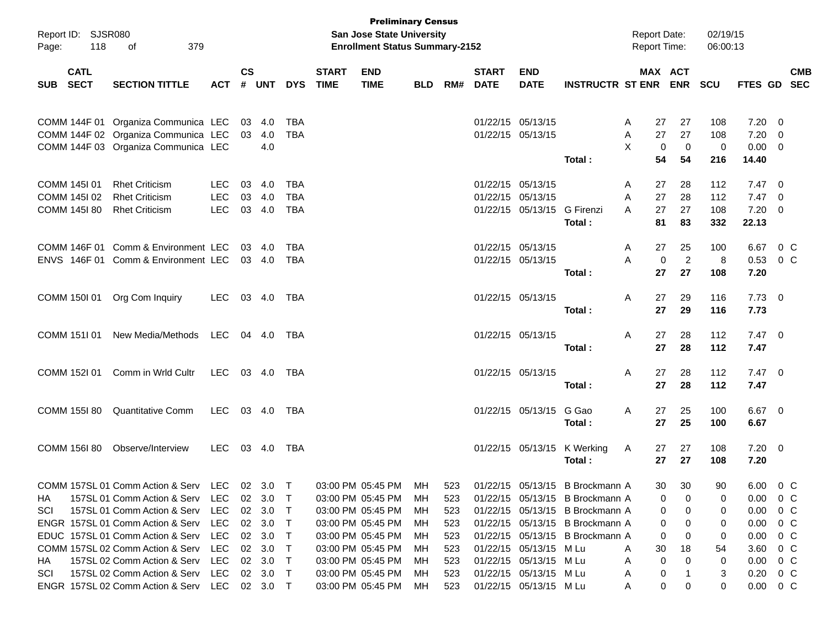| Page:      | Report ID: SJSR080<br>118  | 379<br>οf                                     |            |                    |                |            |                             | <b>Preliminary Census</b><br><b>San Jose State University</b><br><b>Enrollment Status Summary-2152</b> |            |     |                             |                           |                                 | <b>Report Date:</b><br><b>Report Time:</b> |                       | 02/19/15<br>06:00:13 |                |                         |            |
|------------|----------------------------|-----------------------------------------------|------------|--------------------|----------------|------------|-----------------------------|--------------------------------------------------------------------------------------------------------|------------|-----|-----------------------------|---------------------------|---------------------------------|--------------------------------------------|-----------------------|----------------------|----------------|-------------------------|------------|
| <b>SUB</b> | <b>CATL</b><br><b>SECT</b> | <b>SECTION TITTLE</b>                         | <b>ACT</b> | $\mathsf{cs}$<br># | <b>UNT</b>     | <b>DYS</b> | <b>START</b><br><b>TIME</b> | <b>END</b><br><b>TIME</b>                                                                              | <b>BLD</b> | RM# | <b>START</b><br><b>DATE</b> | <b>END</b><br><b>DATE</b> | <b>INSTRUCTR ST ENR</b>         |                                            | MAX ACT<br><b>ENR</b> | <b>SCU</b>           | FTES GD SEC    |                         | <b>CMB</b> |
|            |                            |                                               |            |                    |                |            |                             |                                                                                                        |            |     |                             |                           |                                 |                                            |                       |                      |                |                         |            |
|            |                            | COMM 144F 01 Organiza Communica LEC           |            | 03                 | 4.0            | TBA        |                             |                                                                                                        |            |     | 01/22/15 05/13/15           |                           |                                 | A                                          | 27<br>27              | 108                  | 7.20           | - 0                     |            |
|            |                            | COMM 144F 02 Organiza Communica LEC           |            | 03                 | 4.0            | <b>TBA</b> |                             |                                                                                                        |            |     |                             | 01/22/15 05/13/15         |                                 | Α                                          | 27<br>27              | 108                  | 7.20           | $\overline{\mathbf{0}}$ |            |
|            |                            | COMM 144F 03 Organiza Communica LEC           |            |                    | 4.0            |            |                             |                                                                                                        |            |     |                             |                           |                                 | X                                          | 0<br>0                | 0                    | 0.00           | $\overline{\mathbf{0}}$ |            |
|            |                            |                                               |            |                    |                |            |                             |                                                                                                        |            |     |                             |                           | Total:                          |                                            | 54<br>54              | 216                  | 14.40          |                         |            |
|            | COMM 145I 01               | <b>Rhet Criticism</b>                         | <b>LEC</b> | 03                 | 4.0            | <b>TBA</b> |                             |                                                                                                        |            |     | 01/22/15 05/13/15           |                           |                                 | A                                          | 28<br>27              | 112                  | $7.47\quad 0$  |                         |            |
|            | COMM 145I 02               | <b>Rhet Criticism</b>                         | <b>LEC</b> |                    | 03 4.0         | <b>TBA</b> |                             |                                                                                                        |            |     | 01/22/15 05/13/15           |                           |                                 | A                                          | 27<br>28              | 112                  | $7.47\quad 0$  |                         |            |
|            | COMM 145I 80               | <b>Rhet Criticism</b>                         | <b>LEC</b> | 03                 | 4.0            | <b>TBA</b> |                             |                                                                                                        |            |     |                             | 01/22/15 05/13/15         | G Firenzi                       | A                                          | 27<br>27              | 108                  | 7.20           | $\overline{\mathbf{0}}$ |            |
|            |                            |                                               |            |                    |                |            |                             |                                                                                                        |            |     |                             |                           | Total:                          |                                            | 81<br>83              | 332                  | 22.13          |                         |            |
|            |                            | COMM 146F 01 Comm & Environment LEC           |            |                    | 03 4.0         | <b>TBA</b> |                             |                                                                                                        |            |     | 01/22/15 05/13/15           |                           |                                 | Α                                          | 25<br>27              | 100                  | 6.67           | 0 <sup>o</sup>          |            |
|            |                            | ENVS 146F 01 Comm & Environment LEC           |            |                    | 03 4.0         | <b>TBA</b> |                             |                                                                                                        |            |     |                             | 01/22/15 05/13/15         |                                 | A                                          | $\overline{2}$<br>0   | 8                    | 0.53           | $0\,$ C                 |            |
|            |                            |                                               |            |                    |                |            |                             |                                                                                                        |            |     |                             |                           | Total:                          |                                            | 27<br>27              | 108                  | 7.20           |                         |            |
|            | COMM 150I 01               | Org Com Inquiry                               | LEC        |                    | 03 4.0         | TBA        |                             |                                                                                                        |            |     | 01/22/15 05/13/15           |                           |                                 | Α                                          | 27<br>29              | 116                  | $7.73 \quad 0$ |                         |            |
|            |                            |                                               |            |                    |                |            |                             |                                                                                                        |            |     |                             |                           | Total:                          |                                            | 27<br>29              | 116                  | 7.73           |                         |            |
|            | COMM 151I 01               | New Media/Methods                             | LEC        |                    | 04 4.0         | TBA        |                             |                                                                                                        |            |     | 01/22/15 05/13/15           |                           |                                 | Α                                          | 27<br>28              | 112                  | $7.47\quad 0$  |                         |            |
|            |                            |                                               |            |                    |                |            |                             |                                                                                                        |            |     |                             |                           | Total:                          |                                            | 27<br>28              | 112                  | 7.47           |                         |            |
|            | COMM 152I 01               | Comm in Wrld Cultr                            | LEC        |                    | 03 4.0         | TBA        |                             |                                                                                                        |            |     | 01/22/15 05/13/15           |                           |                                 | Α                                          | 28<br>27              | 112                  | $7.47\quad 0$  |                         |            |
|            |                            |                                               |            |                    |                |            |                             |                                                                                                        |            |     |                             |                           | Total:                          |                                            | 28<br>27              | 112                  | 7.47           |                         |            |
|            |                            |                                               |            |                    |                |            |                             |                                                                                                        |            |     |                             |                           |                                 |                                            |                       |                      |                |                         |            |
|            | COMM 155I 80               | <b>Quantitative Comm</b>                      | LEC        |                    | 03 4.0         | TBA        |                             |                                                                                                        |            |     |                             | 01/22/15 05/13/15         | G Gao                           | Α                                          | 25<br>27              | 100                  | $6.67$ 0       |                         |            |
|            |                            |                                               |            |                    |                |            |                             |                                                                                                        |            |     |                             |                           | Total:                          |                                            | 27<br>25              | 100                  | 6.67           |                         |            |
|            | COMM 156I 80               | Observe/Interview                             | LEC        |                    | 03 4.0         | TBA        |                             |                                                                                                        |            |     |                             |                           | 01/22/15 05/13/15 K Werking     | A                                          | 27<br>27              | 108                  | $7.20 \t 0$    |                         |            |
|            |                            |                                               |            |                    |                |            |                             |                                                                                                        |            |     |                             |                           | Total:                          |                                            | 27<br>27              | 108                  | 7.20           |                         |            |
|            |                            | COMM 157SL 01 Comm Action & Serv LEC 02 3.0 T |            |                    |                |            |                             | 03:00 PM 05:45 PM                                                                                      | MH         | 523 |                             |                           | 01/22/15 05/13/15 B Brockmann A |                                            | 30<br>30              | 90                   | 6.00 0 C       |                         |            |
| НA         |                            | 157SL 01 Comm Action & Serv LEC               |            |                    | 02 3.0         | $\top$     |                             | 03:00 PM 05:45 PM                                                                                      | MН         | 523 |                             |                           | 01/22/15 05/13/15 B Brockmann A |                                            | 0<br>0                | 0                    | 0.00           | 0 C                     |            |
| SCI        |                            | 157SL 01 Comm Action & Serv                   | <b>LEC</b> | 02                 | 3.0            | T          |                             | 03:00 PM 05:45 PM                                                                                      | MН         | 523 |                             |                           | 01/22/15 05/13/15 B Brockmann A |                                            | 0<br>0                | 0                    | 0.00           |                         | $0\,C$     |
|            |                            | ENGR 157SL 01 Comm Action & Serv              | LEC        |                    | $02 \quad 3.0$ | T.         |                             | 03:00 PM 05:45 PM                                                                                      | MН         | 523 |                             |                           | 01/22/15 05/13/15 B Brockmann A |                                            | 0<br>0                | 0                    | 0.00           |                         | $0\,C$     |
|            |                            | EDUC 157SL 01 Comm Action & Serv              | LEC        |                    | $02 \quad 3.0$ | T          |                             | 03:00 PM 05:45 PM                                                                                      | MН         | 523 |                             |                           | 01/22/15 05/13/15 B Brockmann A |                                            | 0<br>0                | 0                    | 0.00           |                         | $0\,C$     |
|            |                            | COMM 157SL 02 Comm Action & Serv              | LEC        |                    | 02 3.0         | T          |                             | 03:00 PM 05:45 PM                                                                                      | MН         | 523 |                             | 01/22/15 05/13/15 M Lu    |                                 | A                                          | 30<br>18              | 54                   | 3.60           |                         | $0\,$ C    |
| HA.        |                            | 157SL 02 Comm Action & Serv                   | LEC        |                    | 02 3.0         | T.         |                             | 03:00 PM 05:45 PM                                                                                      | MН         | 523 |                             | 01/22/15 05/13/15 M Lu    |                                 | A                                          | 0<br>0                | 0                    | 0.00           | $0\,$ C                 |            |
| SCI        |                            | 157SL 02 Comm Action & Serv                   | LEC        |                    | $02 \quad 3.0$ | $\top$     |                             | 03:00 PM 05:45 PM                                                                                      | MН         | 523 |                             | 01/22/15 05/13/15 M Lu    |                                 | A                                          | 0                     | 3                    | 0.20           | $0\,$ C                 |            |
|            |                            | ENGR 157SL 02 Comm Action & Serv LEC 02 3.0 T |            |                    |                |            |                             | 03:00 PM 05:45 PM                                                                                      | МH         | 523 |                             | 01/22/15 05/13/15 M Lu    |                                 | A                                          | 0<br>0                | 0                    | 0.00           | $0\,$ C                 |            |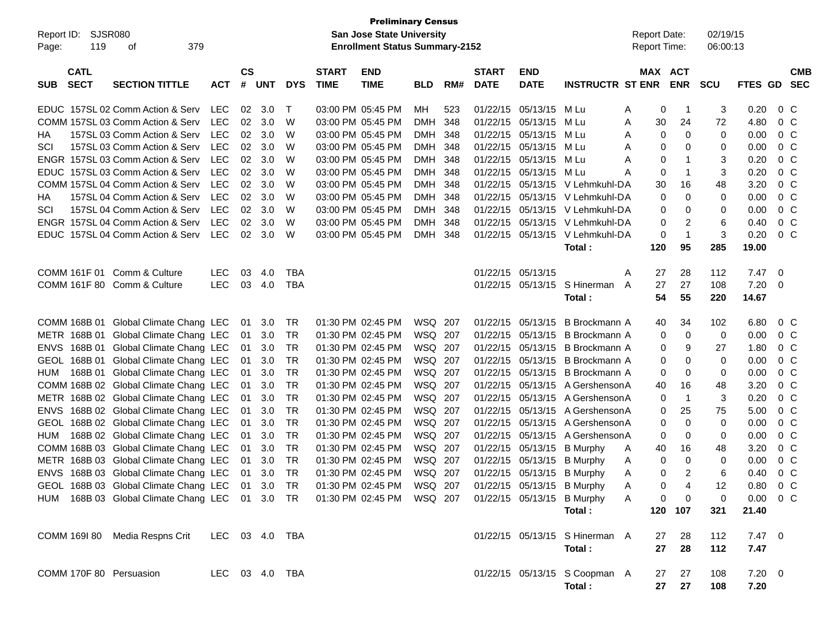| $\mathsf{cs}$<br><b>CATL</b><br><b>START</b><br><b>END</b><br><b>START</b><br><b>END</b><br>MAX ACT<br><b>SECT</b><br><b>TIME</b><br><b>INSTRUCTR ST ENR</b><br><b>ENR</b><br><b>SECTION TITTLE</b><br><b>ACT</b><br>#<br><b>UNT</b><br><b>DYS</b><br><b>TIME</b><br>RM#<br><b>DATE</b><br><b>DATE</b><br><b>SCU</b><br>FTES GD SEC<br><b>SUB</b><br><b>BLD</b><br>LEC<br>01/22/15<br>0 <sup>C</sup><br>EDUC 157SL 02 Comm Action & Serv<br>02<br>3.0<br>$\mathsf T$<br>03:00 PM 05:45 PM<br>МH<br>523<br>05/13/15<br>M Lu<br>0<br>3<br>0.20<br>$\overline{1}$<br>A<br>COMM 157SL 03 Comm Action & Serv<br><b>LEC</b><br>02<br>3.0<br>W<br>03:00 PM 05:45 PM<br><b>DMH</b><br>348<br>01/22/15<br>05/13/15<br>30<br>24<br>72<br>4.80<br>0 <sup>C</sup><br>M Lu<br>Α<br>157SL 03 Comm Action & Serv<br>LEC<br>02<br>3.0<br>W<br>03:00 PM 05:45 PM<br>01/22/15<br>05/13/15<br>$\mathbf 0$<br>0<br>0.00<br>0 <sup>C</sup><br>DMH 348<br>M Lu<br>0<br>НA<br>A<br>157SL 03 Comm Action & Serv<br><b>LEC</b><br>02<br>3.0<br>W<br>03:00 PM 05:45 PM<br>DMH 348<br>01/22/15<br>05/13/15<br>0.00<br>0 <sup>C</sup><br>SCI<br>M Lu<br>0<br>0<br>0<br>A<br>ENGR 157SL 03 Comm Action & Serv<br><b>LEC</b><br>02<br>3.0<br>W<br>03:00 PM 05:45 PM<br>DMH 348<br>01/22/15<br>05/13/15<br>3<br>0.20<br>0 <sup>C</sup><br>M Lu<br>0<br>$\mathbf 1$<br>A<br>EDUC 157SL 03 Comm Action & Serv<br><b>LEC</b><br>02<br>3.0<br>W<br>03:00 PM 05:45 PM<br>DMH 348<br>01/22/15<br>05/13/15<br>$\mathbf 0$<br>3<br>0.20<br>0 <sup>C</sup><br>M Lu<br>$\mathbf{1}$<br>Α<br>COMM 157SL 04 Comm Action & Serv<br><b>LEC</b><br>02<br>3.0<br>W<br>03:00 PM 05:45 PM<br>DMH 348<br>01/22/15<br>05/13/15<br>30<br>16<br>48<br>3.20<br>0 <sup>C</sup><br>V Lehmkuhl-DA<br>157SL 04 Comm Action & Serv<br><b>LEC</b><br>02<br>3.0<br>W<br>03:00 PM 05:45 PM<br>DMH 348<br>01/22/15<br>05/13/15<br>0<br>0.00<br>0 <sup>C</sup><br>V Lehmkuhl-DA<br>0<br>0<br>НA<br>157SL 04 Comm Action & Serv<br><b>LEC</b><br>02<br>3.0<br>W<br>03:00 PM 05:45 PM<br>DMH 348<br>01/22/15<br>05/13/15<br>0.00<br>0 <sup>C</sup><br>SCI<br>V Lehmkuhl-DA<br>0<br>0<br>0<br>ENGR 157SL 04 Comm Action & Serv<br><b>LEC</b><br>02<br>3.0<br>W<br>03:00 PM 05:45 PM<br>DMH 348<br>01/22/15<br>05/13/15<br>2<br>6<br>0.40<br>0 <sup>C</sup><br>V Lehmkuhl-DA<br>0<br>$\mathbf{1}$<br>3<br>EDUC 157SL 04 Comm Action & Serv<br>LEC<br>02<br>3.0<br>W<br>03:00 PM 05:45 PM<br>DMH 348<br>01/22/15 05/13/15<br>0.20<br>0 <sup>C</sup><br>V Lehmkuhl-DA<br>0<br>120<br>95<br>285<br>19.00<br>Total:<br>COMM 161F 01<br>Comm & Culture<br><b>LEC</b><br><b>TBA</b><br>05/13/15<br>28<br>03<br>4.0<br>01/22/15<br>27<br>112<br>7.47<br>- 0<br>A<br><b>LEC</b><br>COMM 161F 80 Comm & Culture<br>03<br>4.0<br><b>TBA</b><br>01/22/15 05/13/15 S Hinerman<br>27<br>27<br>108<br>7.20<br>$\overline{\phantom{0}}$<br>A<br>55<br>Total:<br>54<br>220<br>14.67<br>COMM 168B 01<br>Global Climate Chang LEC<br><b>TR</b><br>01:30 PM 02:45 PM<br>WSQ 207<br>34<br>3.0<br>01/22/15<br>05/13/15<br>B Brockmann A<br>102<br>6.80<br>$0\,C$<br>01<br>40<br>METR 168B 01<br>Global Climate Chang LEC<br><b>TR</b><br>01:30 PM 02:45 PM<br>WSQ 207<br>01/22/15<br>05/13/15<br>0<br>$\mathbf 0$<br>0.00<br>0 <sup>C</sup><br>01<br>3.0<br>B Brockmann A<br>0<br>168B 01<br>Global Climate Chang LEC<br><b>TR</b><br>01:30 PM 02:45 PM<br>WSQ 207<br>01/22/15<br>05/13/15<br>9<br>27<br>0 <sup>C</sup><br><b>ENVS</b><br>01<br>3.0<br>B Brockmann A<br>1.80<br>0<br>168B 01<br>Global Climate Chang LEC<br>3.0<br><b>TR</b><br>01:30 PM 02:45 PM<br>WSQ 207<br>01/22/15<br>05/13/15<br>0.00<br>0 <sup>C</sup><br><b>GEOL</b><br>01<br>B Brockmann A<br>0<br>0<br>0<br><b>TR</b><br>Global Climate Chang LEC<br>3.0<br>01:30 PM 02:45 PM<br>WSQ 207<br>01/22/15<br>05/13/15<br>0.00<br>0 <sup>C</sup><br>HUM<br>168B 01<br>01<br>B Brockmann A<br>0<br>0<br>0<br>COMM 168B 02 Global Climate Chang LEC<br>3.0<br><b>TR</b><br>01:30 PM 02:45 PM<br>WSQ 207<br>01/22/15<br>05/13/15<br>A Gershenson A<br>16<br>48<br>3.20<br>0 <sup>C</sup><br>01<br>40<br>METR 168B 02 Global Climate Chang LEC<br>3.0<br><b>TR</b><br>01:30 PM 02:45 PM<br>WSQ 207<br>01/22/15<br>05/13/15<br>A Gershenson A<br>$\overline{1}$<br>3<br>0.20<br>0 <sup>C</sup><br>01<br>0<br><b>TR</b><br>168B 02 Global Climate Chang LEC<br>3.0<br>01:30 PM 02:45 PM<br>WSQ 207<br>01/22/15<br>05/13/15<br>A Gershenson A<br>25<br>5.00<br>0 <sup>C</sup><br><b>ENVS</b><br>01<br>0<br>75<br>168B 02 Global Climate Chang LEC<br><b>TR</b><br>01:30 PM 02:45 PM<br>WSQ 207<br>01/22/15<br>05/13/15<br>A Gershenson A<br>$\mathbf 0$<br>0.00<br>0 <sup>C</sup><br><b>GEOL</b><br>01<br>3.0<br>0<br>0<br>168B 02 Global Climate Chang LEC<br><b>TR</b><br>01:30 PM 02:45 PM<br>WSQ 207<br>01/22/15<br>05/13/15<br>A Gershenson A<br>0.00<br>0 <sup>C</sup><br>01<br>3.0<br>0<br>0<br>0<br>HUM<br><b>TR</b><br>COMM 168B 03 Global Climate Chang LEC<br>01:30 PM 02:45 PM<br>WSQ 207<br>01/22/15<br>05/13/15<br>$0\,C$<br>01<br>3.0<br><b>B</b> Murphy<br>40<br>16<br>48<br>3.20<br>A<br>168B 03 Global Climate Chang LEC<br><b>TR</b><br>01:30 PM 02:45 PM<br>WSQ 207<br>01/22/15<br>0<br>$0\,C$<br>METR<br>01<br>3.0<br>05/13/15<br><b>B</b> Murphy<br>0<br>0<br>0.00<br>A<br>$\overline{2}$<br>ENVS 168B 03 Global Climate Chang LEC<br><b>TR</b><br>01:30 PM 02:45 PM<br>WSQ 207<br>01/22/15 05/13/15 B Murphy<br>6<br>0.40<br>0 <sup>C</sup><br>01<br>3.0<br>0<br>Α<br>GEOL 168B 03 Global Climate Chang LEC 01 3.0 TR 01:30 PM 02:45 PM WSQ 207<br>12<br>01/22/15 05/13/15 B Murphy<br>$0.80 \t 0 C$<br>0<br>$\mathsf{A}$<br>HUM 168B 03 Global Climate Chang LEC 01 3.0 TR 01:30 PM 02:45 PM WSQ 207<br>$0.00 \t 0 C$<br>01/22/15 05/13/15 B Murphy<br>0<br>0<br>A<br>0<br>21.40<br>120 107<br>321<br>Total:<br>COMM 169I 80 Media Respns Crit<br>LEC 03 4.0 TBA<br>01/22/15 05/13/15 S Hinerman A<br>$7.47\quad 0$<br>28<br>112<br>27<br>27<br>28<br>112<br>7.47<br>Total:<br>COMM 170F 80 Persuasion<br>01/22/15 05/13/15 S Coopman A<br>$7.20 \t 0$<br>LEC 03 4.0 TBA<br>27<br>27<br>108 | Report ID:<br>Page: | SJSR080<br>119 | 379<br>оf |  |  | <b>Preliminary Census</b><br>San Jose State University<br><b>Enrollment Status Summary-2152</b> |  |  | <b>Report Date:</b><br><b>Report Time:</b> | 02/19/15<br>06:00:13 |  |            |
|------------------------------------------------------------------------------------------------------------------------------------------------------------------------------------------------------------------------------------------------------------------------------------------------------------------------------------------------------------------------------------------------------------------------------------------------------------------------------------------------------------------------------------------------------------------------------------------------------------------------------------------------------------------------------------------------------------------------------------------------------------------------------------------------------------------------------------------------------------------------------------------------------------------------------------------------------------------------------------------------------------------------------------------------------------------------------------------------------------------------------------------------------------------------------------------------------------------------------------------------------------------------------------------------------------------------------------------------------------------------------------------------------------------------------------------------------------------------------------------------------------------------------------------------------------------------------------------------------------------------------------------------------------------------------------------------------------------------------------------------------------------------------------------------------------------------------------------------------------------------------------------------------------------------------------------------------------------------------------------------------------------------------------------------------------------------------------------------------------------------------------------------------------------------------------------------------------------------------------------------------------------------------------------------------------------------------------------------------------------------------------------------------------------------------------------------------------------------------------------------------------------------------------------------------------------------------------------------------------------------------------------------------------------------------------------------------------------------------------------------------------------------------------------------------------------------------------------------------------------------------------------------------------------------------------------------------------------------------------------------------------------------------------------------------------------------------------------------------------------------------------------------------------------------------------------------------------------------------------------------------------------------------------------------------------------------------------------------------------------------------------------------------------------------------------------------------------------------------------------------------------------------------------------------------------------------------------------------------------------------------------------------------------------------------------------------------------------------------------------------------------------------------------------------------------------------------------------------------------------------------------------------------------------------------------------------------------------------------------------------------------------------------------------------------------------------------------------------------------------------------------------------------------------------------------------------------------------------------------------------------------------------------------------------------------------------------------------------------------------------------------------------------------------------------------------------------------------------------------------------------------------------------------------------------------------------------------------------------------------------------------------------------------------------------------------------------------------------------------------------------------------------------------------------------------------------------------------------------------------------------------------------------------------------------------------------------------------------------------------------------------------------------------------------------------------------------------------------------------------------------------------------------------------------------------------------------------------------------------------------------------------------------------------------------------------------------------------------------------------------------------------------------------------------------------------------------------------------------------------------------------------------------------------------------------------------------------------------------------------------------------------------------------------------------------------------------------------------------------------------------------------------------------------------------------------------------------------------------------------------------------------------------------------------------------------------------------------------------------------------------------------------------------------------------------------------------------------|---------------------|----------------|-----------|--|--|-------------------------------------------------------------------------------------------------|--|--|--------------------------------------------|----------------------|--|------------|
|                                                                                                                                                                                                                                                                                                                                                                                                                                                                                                                                                                                                                                                                                                                                                                                                                                                                                                                                                                                                                                                                                                                                                                                                                                                                                                                                                                                                                                                                                                                                                                                                                                                                                                                                                                                                                                                                                                                                                                                                                                                                                                                                                                                                                                                                                                                                                                                                                                                                                                                                                                                                                                                                                                                                                                                                                                                                                                                                                                                                                                                                                                                                                                                                                                                                                                                                                                                                                                                                                                                                                                                                                                                                                                                                                                                                                                                                                                                                                                                                                                                                                                                                                                                                                                                                                                                                                                                                                                                                                                                                                                                                                                                                                                                                                                                                                                                                                                                                                                                                                                                                                                                                                                                                                                                                                                                                                                                                                                                                                                                                                                                                                                                                                                                                                                                                                                                                                                                                                                                                                                                                                          |                     |                |           |  |  |                                                                                                 |  |  |                                            |                      |  | <b>CMB</b> |
|                                                                                                                                                                                                                                                                                                                                                                                                                                                                                                                                                                                                                                                                                                                                                                                                                                                                                                                                                                                                                                                                                                                                                                                                                                                                                                                                                                                                                                                                                                                                                                                                                                                                                                                                                                                                                                                                                                                                                                                                                                                                                                                                                                                                                                                                                                                                                                                                                                                                                                                                                                                                                                                                                                                                                                                                                                                                                                                                                                                                                                                                                                                                                                                                                                                                                                                                                                                                                                                                                                                                                                                                                                                                                                                                                                                                                                                                                                                                                                                                                                                                                                                                                                                                                                                                                                                                                                                                                                                                                                                                                                                                                                                                                                                                                                                                                                                                                                                                                                                                                                                                                                                                                                                                                                                                                                                                                                                                                                                                                                                                                                                                                                                                                                                                                                                                                                                                                                                                                                                                                                                                                          |                     |                |           |  |  |                                                                                                 |  |  |                                            |                      |  |            |
|                                                                                                                                                                                                                                                                                                                                                                                                                                                                                                                                                                                                                                                                                                                                                                                                                                                                                                                                                                                                                                                                                                                                                                                                                                                                                                                                                                                                                                                                                                                                                                                                                                                                                                                                                                                                                                                                                                                                                                                                                                                                                                                                                                                                                                                                                                                                                                                                                                                                                                                                                                                                                                                                                                                                                                                                                                                                                                                                                                                                                                                                                                                                                                                                                                                                                                                                                                                                                                                                                                                                                                                                                                                                                                                                                                                                                                                                                                                                                                                                                                                                                                                                                                                                                                                                                                                                                                                                                                                                                                                                                                                                                                                                                                                                                                                                                                                                                                                                                                                                                                                                                                                                                                                                                                                                                                                                                                                                                                                                                                                                                                                                                                                                                                                                                                                                                                                                                                                                                                                                                                                                                          |                     |                |           |  |  |                                                                                                 |  |  |                                            |                      |  |            |
|                                                                                                                                                                                                                                                                                                                                                                                                                                                                                                                                                                                                                                                                                                                                                                                                                                                                                                                                                                                                                                                                                                                                                                                                                                                                                                                                                                                                                                                                                                                                                                                                                                                                                                                                                                                                                                                                                                                                                                                                                                                                                                                                                                                                                                                                                                                                                                                                                                                                                                                                                                                                                                                                                                                                                                                                                                                                                                                                                                                                                                                                                                                                                                                                                                                                                                                                                                                                                                                                                                                                                                                                                                                                                                                                                                                                                                                                                                                                                                                                                                                                                                                                                                                                                                                                                                                                                                                                                                                                                                                                                                                                                                                                                                                                                                                                                                                                                                                                                                                                                                                                                                                                                                                                                                                                                                                                                                                                                                                                                                                                                                                                                                                                                                                                                                                                                                                                                                                                                                                                                                                                                          |                     |                |           |  |  |                                                                                                 |  |  |                                            |                      |  |            |
|                                                                                                                                                                                                                                                                                                                                                                                                                                                                                                                                                                                                                                                                                                                                                                                                                                                                                                                                                                                                                                                                                                                                                                                                                                                                                                                                                                                                                                                                                                                                                                                                                                                                                                                                                                                                                                                                                                                                                                                                                                                                                                                                                                                                                                                                                                                                                                                                                                                                                                                                                                                                                                                                                                                                                                                                                                                                                                                                                                                                                                                                                                                                                                                                                                                                                                                                                                                                                                                                                                                                                                                                                                                                                                                                                                                                                                                                                                                                                                                                                                                                                                                                                                                                                                                                                                                                                                                                                                                                                                                                                                                                                                                                                                                                                                                                                                                                                                                                                                                                                                                                                                                                                                                                                                                                                                                                                                                                                                                                                                                                                                                                                                                                                                                                                                                                                                                                                                                                                                                                                                                                                          |                     |                |           |  |  |                                                                                                 |  |  |                                            |                      |  |            |
|                                                                                                                                                                                                                                                                                                                                                                                                                                                                                                                                                                                                                                                                                                                                                                                                                                                                                                                                                                                                                                                                                                                                                                                                                                                                                                                                                                                                                                                                                                                                                                                                                                                                                                                                                                                                                                                                                                                                                                                                                                                                                                                                                                                                                                                                                                                                                                                                                                                                                                                                                                                                                                                                                                                                                                                                                                                                                                                                                                                                                                                                                                                                                                                                                                                                                                                                                                                                                                                                                                                                                                                                                                                                                                                                                                                                                                                                                                                                                                                                                                                                                                                                                                                                                                                                                                                                                                                                                                                                                                                                                                                                                                                                                                                                                                                                                                                                                                                                                                                                                                                                                                                                                                                                                                                                                                                                                                                                                                                                                                                                                                                                                                                                                                                                                                                                                                                                                                                                                                                                                                                                                          |                     |                |           |  |  |                                                                                                 |  |  |                                            |                      |  |            |
|                                                                                                                                                                                                                                                                                                                                                                                                                                                                                                                                                                                                                                                                                                                                                                                                                                                                                                                                                                                                                                                                                                                                                                                                                                                                                                                                                                                                                                                                                                                                                                                                                                                                                                                                                                                                                                                                                                                                                                                                                                                                                                                                                                                                                                                                                                                                                                                                                                                                                                                                                                                                                                                                                                                                                                                                                                                                                                                                                                                                                                                                                                                                                                                                                                                                                                                                                                                                                                                                                                                                                                                                                                                                                                                                                                                                                                                                                                                                                                                                                                                                                                                                                                                                                                                                                                                                                                                                                                                                                                                                                                                                                                                                                                                                                                                                                                                                                                                                                                                                                                                                                                                                                                                                                                                                                                                                                                                                                                                                                                                                                                                                                                                                                                                                                                                                                                                                                                                                                                                                                                                                                          |                     |                |           |  |  |                                                                                                 |  |  |                                            |                      |  |            |
|                                                                                                                                                                                                                                                                                                                                                                                                                                                                                                                                                                                                                                                                                                                                                                                                                                                                                                                                                                                                                                                                                                                                                                                                                                                                                                                                                                                                                                                                                                                                                                                                                                                                                                                                                                                                                                                                                                                                                                                                                                                                                                                                                                                                                                                                                                                                                                                                                                                                                                                                                                                                                                                                                                                                                                                                                                                                                                                                                                                                                                                                                                                                                                                                                                                                                                                                                                                                                                                                                                                                                                                                                                                                                                                                                                                                                                                                                                                                                                                                                                                                                                                                                                                                                                                                                                                                                                                                                                                                                                                                                                                                                                                                                                                                                                                                                                                                                                                                                                                                                                                                                                                                                                                                                                                                                                                                                                                                                                                                                                                                                                                                                                                                                                                                                                                                                                                                                                                                                                                                                                                                                          |                     |                |           |  |  |                                                                                                 |  |  |                                            |                      |  |            |
|                                                                                                                                                                                                                                                                                                                                                                                                                                                                                                                                                                                                                                                                                                                                                                                                                                                                                                                                                                                                                                                                                                                                                                                                                                                                                                                                                                                                                                                                                                                                                                                                                                                                                                                                                                                                                                                                                                                                                                                                                                                                                                                                                                                                                                                                                                                                                                                                                                                                                                                                                                                                                                                                                                                                                                                                                                                                                                                                                                                                                                                                                                                                                                                                                                                                                                                                                                                                                                                                                                                                                                                                                                                                                                                                                                                                                                                                                                                                                                                                                                                                                                                                                                                                                                                                                                                                                                                                                                                                                                                                                                                                                                                                                                                                                                                                                                                                                                                                                                                                                                                                                                                                                                                                                                                                                                                                                                                                                                                                                                                                                                                                                                                                                                                                                                                                                                                                                                                                                                                                                                                                                          |                     |                |           |  |  |                                                                                                 |  |  |                                            |                      |  |            |
|                                                                                                                                                                                                                                                                                                                                                                                                                                                                                                                                                                                                                                                                                                                                                                                                                                                                                                                                                                                                                                                                                                                                                                                                                                                                                                                                                                                                                                                                                                                                                                                                                                                                                                                                                                                                                                                                                                                                                                                                                                                                                                                                                                                                                                                                                                                                                                                                                                                                                                                                                                                                                                                                                                                                                                                                                                                                                                                                                                                                                                                                                                                                                                                                                                                                                                                                                                                                                                                                                                                                                                                                                                                                                                                                                                                                                                                                                                                                                                                                                                                                                                                                                                                                                                                                                                                                                                                                                                                                                                                                                                                                                                                                                                                                                                                                                                                                                                                                                                                                                                                                                                                                                                                                                                                                                                                                                                                                                                                                                                                                                                                                                                                                                                                                                                                                                                                                                                                                                                                                                                                                                          |                     |                |           |  |  |                                                                                                 |  |  |                                            |                      |  |            |
|                                                                                                                                                                                                                                                                                                                                                                                                                                                                                                                                                                                                                                                                                                                                                                                                                                                                                                                                                                                                                                                                                                                                                                                                                                                                                                                                                                                                                                                                                                                                                                                                                                                                                                                                                                                                                                                                                                                                                                                                                                                                                                                                                                                                                                                                                                                                                                                                                                                                                                                                                                                                                                                                                                                                                                                                                                                                                                                                                                                                                                                                                                                                                                                                                                                                                                                                                                                                                                                                                                                                                                                                                                                                                                                                                                                                                                                                                                                                                                                                                                                                                                                                                                                                                                                                                                                                                                                                                                                                                                                                                                                                                                                                                                                                                                                                                                                                                                                                                                                                                                                                                                                                                                                                                                                                                                                                                                                                                                                                                                                                                                                                                                                                                                                                                                                                                                                                                                                                                                                                                                                                                          |                     |                |           |  |  |                                                                                                 |  |  |                                            |                      |  |            |
|                                                                                                                                                                                                                                                                                                                                                                                                                                                                                                                                                                                                                                                                                                                                                                                                                                                                                                                                                                                                                                                                                                                                                                                                                                                                                                                                                                                                                                                                                                                                                                                                                                                                                                                                                                                                                                                                                                                                                                                                                                                                                                                                                                                                                                                                                                                                                                                                                                                                                                                                                                                                                                                                                                                                                                                                                                                                                                                                                                                                                                                                                                                                                                                                                                                                                                                                                                                                                                                                                                                                                                                                                                                                                                                                                                                                                                                                                                                                                                                                                                                                                                                                                                                                                                                                                                                                                                                                                                                                                                                                                                                                                                                                                                                                                                                                                                                                                                                                                                                                                                                                                                                                                                                                                                                                                                                                                                                                                                                                                                                                                                                                                                                                                                                                                                                                                                                                                                                                                                                                                                                                                          |                     |                |           |  |  |                                                                                                 |  |  |                                            |                      |  |            |
|                                                                                                                                                                                                                                                                                                                                                                                                                                                                                                                                                                                                                                                                                                                                                                                                                                                                                                                                                                                                                                                                                                                                                                                                                                                                                                                                                                                                                                                                                                                                                                                                                                                                                                                                                                                                                                                                                                                                                                                                                                                                                                                                                                                                                                                                                                                                                                                                                                                                                                                                                                                                                                                                                                                                                                                                                                                                                                                                                                                                                                                                                                                                                                                                                                                                                                                                                                                                                                                                                                                                                                                                                                                                                                                                                                                                                                                                                                                                                                                                                                                                                                                                                                                                                                                                                                                                                                                                                                                                                                                                                                                                                                                                                                                                                                                                                                                                                                                                                                                                                                                                                                                                                                                                                                                                                                                                                                                                                                                                                                                                                                                                                                                                                                                                                                                                                                                                                                                                                                                                                                                                                          |                     |                |           |  |  |                                                                                                 |  |  |                                            |                      |  |            |
|                                                                                                                                                                                                                                                                                                                                                                                                                                                                                                                                                                                                                                                                                                                                                                                                                                                                                                                                                                                                                                                                                                                                                                                                                                                                                                                                                                                                                                                                                                                                                                                                                                                                                                                                                                                                                                                                                                                                                                                                                                                                                                                                                                                                                                                                                                                                                                                                                                                                                                                                                                                                                                                                                                                                                                                                                                                                                                                                                                                                                                                                                                                                                                                                                                                                                                                                                                                                                                                                                                                                                                                                                                                                                                                                                                                                                                                                                                                                                                                                                                                                                                                                                                                                                                                                                                                                                                                                                                                                                                                                                                                                                                                                                                                                                                                                                                                                                                                                                                                                                                                                                                                                                                                                                                                                                                                                                                                                                                                                                                                                                                                                                                                                                                                                                                                                                                                                                                                                                                                                                                                                                          |                     |                |           |  |  |                                                                                                 |  |  |                                            |                      |  |            |
|                                                                                                                                                                                                                                                                                                                                                                                                                                                                                                                                                                                                                                                                                                                                                                                                                                                                                                                                                                                                                                                                                                                                                                                                                                                                                                                                                                                                                                                                                                                                                                                                                                                                                                                                                                                                                                                                                                                                                                                                                                                                                                                                                                                                                                                                                                                                                                                                                                                                                                                                                                                                                                                                                                                                                                                                                                                                                                                                                                                                                                                                                                                                                                                                                                                                                                                                                                                                                                                                                                                                                                                                                                                                                                                                                                                                                                                                                                                                                                                                                                                                                                                                                                                                                                                                                                                                                                                                                                                                                                                                                                                                                                                                                                                                                                                                                                                                                                                                                                                                                                                                                                                                                                                                                                                                                                                                                                                                                                                                                                                                                                                                                                                                                                                                                                                                                                                                                                                                                                                                                                                                                          |                     |                |           |  |  |                                                                                                 |  |  |                                            |                      |  |            |
|                                                                                                                                                                                                                                                                                                                                                                                                                                                                                                                                                                                                                                                                                                                                                                                                                                                                                                                                                                                                                                                                                                                                                                                                                                                                                                                                                                                                                                                                                                                                                                                                                                                                                                                                                                                                                                                                                                                                                                                                                                                                                                                                                                                                                                                                                                                                                                                                                                                                                                                                                                                                                                                                                                                                                                                                                                                                                                                                                                                                                                                                                                                                                                                                                                                                                                                                                                                                                                                                                                                                                                                                                                                                                                                                                                                                                                                                                                                                                                                                                                                                                                                                                                                                                                                                                                                                                                                                                                                                                                                                                                                                                                                                                                                                                                                                                                                                                                                                                                                                                                                                                                                                                                                                                                                                                                                                                                                                                                                                                                                                                                                                                                                                                                                                                                                                                                                                                                                                                                                                                                                                                          |                     |                |           |  |  |                                                                                                 |  |  |                                            |                      |  |            |
|                                                                                                                                                                                                                                                                                                                                                                                                                                                                                                                                                                                                                                                                                                                                                                                                                                                                                                                                                                                                                                                                                                                                                                                                                                                                                                                                                                                                                                                                                                                                                                                                                                                                                                                                                                                                                                                                                                                                                                                                                                                                                                                                                                                                                                                                                                                                                                                                                                                                                                                                                                                                                                                                                                                                                                                                                                                                                                                                                                                                                                                                                                                                                                                                                                                                                                                                                                                                                                                                                                                                                                                                                                                                                                                                                                                                                                                                                                                                                                                                                                                                                                                                                                                                                                                                                                                                                                                                                                                                                                                                                                                                                                                                                                                                                                                                                                                                                                                                                                                                                                                                                                                                                                                                                                                                                                                                                                                                                                                                                                                                                                                                                                                                                                                                                                                                                                                                                                                                                                                                                                                                                          |                     |                |           |  |  |                                                                                                 |  |  |                                            |                      |  |            |
|                                                                                                                                                                                                                                                                                                                                                                                                                                                                                                                                                                                                                                                                                                                                                                                                                                                                                                                                                                                                                                                                                                                                                                                                                                                                                                                                                                                                                                                                                                                                                                                                                                                                                                                                                                                                                                                                                                                                                                                                                                                                                                                                                                                                                                                                                                                                                                                                                                                                                                                                                                                                                                                                                                                                                                                                                                                                                                                                                                                                                                                                                                                                                                                                                                                                                                                                                                                                                                                                                                                                                                                                                                                                                                                                                                                                                                                                                                                                                                                                                                                                                                                                                                                                                                                                                                                                                                                                                                                                                                                                                                                                                                                                                                                                                                                                                                                                                                                                                                                                                                                                                                                                                                                                                                                                                                                                                                                                                                                                                                                                                                                                                                                                                                                                                                                                                                                                                                                                                                                                                                                                                          |                     |                |           |  |  |                                                                                                 |  |  |                                            |                      |  |            |
|                                                                                                                                                                                                                                                                                                                                                                                                                                                                                                                                                                                                                                                                                                                                                                                                                                                                                                                                                                                                                                                                                                                                                                                                                                                                                                                                                                                                                                                                                                                                                                                                                                                                                                                                                                                                                                                                                                                                                                                                                                                                                                                                                                                                                                                                                                                                                                                                                                                                                                                                                                                                                                                                                                                                                                                                                                                                                                                                                                                                                                                                                                                                                                                                                                                                                                                                                                                                                                                                                                                                                                                                                                                                                                                                                                                                                                                                                                                                                                                                                                                                                                                                                                                                                                                                                                                                                                                                                                                                                                                                                                                                                                                                                                                                                                                                                                                                                                                                                                                                                                                                                                                                                                                                                                                                                                                                                                                                                                                                                                                                                                                                                                                                                                                                                                                                                                                                                                                                                                                                                                                                                          |                     |                |           |  |  |                                                                                                 |  |  |                                            |                      |  |            |
|                                                                                                                                                                                                                                                                                                                                                                                                                                                                                                                                                                                                                                                                                                                                                                                                                                                                                                                                                                                                                                                                                                                                                                                                                                                                                                                                                                                                                                                                                                                                                                                                                                                                                                                                                                                                                                                                                                                                                                                                                                                                                                                                                                                                                                                                                                                                                                                                                                                                                                                                                                                                                                                                                                                                                                                                                                                                                                                                                                                                                                                                                                                                                                                                                                                                                                                                                                                                                                                                                                                                                                                                                                                                                                                                                                                                                                                                                                                                                                                                                                                                                                                                                                                                                                                                                                                                                                                                                                                                                                                                                                                                                                                                                                                                                                                                                                                                                                                                                                                                                                                                                                                                                                                                                                                                                                                                                                                                                                                                                                                                                                                                                                                                                                                                                                                                                                                                                                                                                                                                                                                                                          |                     |                |           |  |  |                                                                                                 |  |  |                                            |                      |  |            |
|                                                                                                                                                                                                                                                                                                                                                                                                                                                                                                                                                                                                                                                                                                                                                                                                                                                                                                                                                                                                                                                                                                                                                                                                                                                                                                                                                                                                                                                                                                                                                                                                                                                                                                                                                                                                                                                                                                                                                                                                                                                                                                                                                                                                                                                                                                                                                                                                                                                                                                                                                                                                                                                                                                                                                                                                                                                                                                                                                                                                                                                                                                                                                                                                                                                                                                                                                                                                                                                                                                                                                                                                                                                                                                                                                                                                                                                                                                                                                                                                                                                                                                                                                                                                                                                                                                                                                                                                                                                                                                                                                                                                                                                                                                                                                                                                                                                                                                                                                                                                                                                                                                                                                                                                                                                                                                                                                                                                                                                                                                                                                                                                                                                                                                                                                                                                                                                                                                                                                                                                                                                                                          |                     |                |           |  |  |                                                                                                 |  |  |                                            |                      |  |            |
|                                                                                                                                                                                                                                                                                                                                                                                                                                                                                                                                                                                                                                                                                                                                                                                                                                                                                                                                                                                                                                                                                                                                                                                                                                                                                                                                                                                                                                                                                                                                                                                                                                                                                                                                                                                                                                                                                                                                                                                                                                                                                                                                                                                                                                                                                                                                                                                                                                                                                                                                                                                                                                                                                                                                                                                                                                                                                                                                                                                                                                                                                                                                                                                                                                                                                                                                                                                                                                                                                                                                                                                                                                                                                                                                                                                                                                                                                                                                                                                                                                                                                                                                                                                                                                                                                                                                                                                                                                                                                                                                                                                                                                                                                                                                                                                                                                                                                                                                                                                                                                                                                                                                                                                                                                                                                                                                                                                                                                                                                                                                                                                                                                                                                                                                                                                                                                                                                                                                                                                                                                                                                          |                     |                |           |  |  |                                                                                                 |  |  |                                            |                      |  |            |
|                                                                                                                                                                                                                                                                                                                                                                                                                                                                                                                                                                                                                                                                                                                                                                                                                                                                                                                                                                                                                                                                                                                                                                                                                                                                                                                                                                                                                                                                                                                                                                                                                                                                                                                                                                                                                                                                                                                                                                                                                                                                                                                                                                                                                                                                                                                                                                                                                                                                                                                                                                                                                                                                                                                                                                                                                                                                                                                                                                                                                                                                                                                                                                                                                                                                                                                                                                                                                                                                                                                                                                                                                                                                                                                                                                                                                                                                                                                                                                                                                                                                                                                                                                                                                                                                                                                                                                                                                                                                                                                                                                                                                                                                                                                                                                                                                                                                                                                                                                                                                                                                                                                                                                                                                                                                                                                                                                                                                                                                                                                                                                                                                                                                                                                                                                                                                                                                                                                                                                                                                                                                                          |                     |                |           |  |  |                                                                                                 |  |  |                                            |                      |  |            |
|                                                                                                                                                                                                                                                                                                                                                                                                                                                                                                                                                                                                                                                                                                                                                                                                                                                                                                                                                                                                                                                                                                                                                                                                                                                                                                                                                                                                                                                                                                                                                                                                                                                                                                                                                                                                                                                                                                                                                                                                                                                                                                                                                                                                                                                                                                                                                                                                                                                                                                                                                                                                                                                                                                                                                                                                                                                                                                                                                                                                                                                                                                                                                                                                                                                                                                                                                                                                                                                                                                                                                                                                                                                                                                                                                                                                                                                                                                                                                                                                                                                                                                                                                                                                                                                                                                                                                                                                                                                                                                                                                                                                                                                                                                                                                                                                                                                                                                                                                                                                                                                                                                                                                                                                                                                                                                                                                                                                                                                                                                                                                                                                                                                                                                                                                                                                                                                                                                                                                                                                                                                                                          |                     |                |           |  |  |                                                                                                 |  |  |                                            |                      |  |            |
|                                                                                                                                                                                                                                                                                                                                                                                                                                                                                                                                                                                                                                                                                                                                                                                                                                                                                                                                                                                                                                                                                                                                                                                                                                                                                                                                                                                                                                                                                                                                                                                                                                                                                                                                                                                                                                                                                                                                                                                                                                                                                                                                                                                                                                                                                                                                                                                                                                                                                                                                                                                                                                                                                                                                                                                                                                                                                                                                                                                                                                                                                                                                                                                                                                                                                                                                                                                                                                                                                                                                                                                                                                                                                                                                                                                                                                                                                                                                                                                                                                                                                                                                                                                                                                                                                                                                                                                                                                                                                                                                                                                                                                                                                                                                                                                                                                                                                                                                                                                                                                                                                                                                                                                                                                                                                                                                                                                                                                                                                                                                                                                                                                                                                                                                                                                                                                                                                                                                                                                                                                                                                          |                     |                |           |  |  |                                                                                                 |  |  |                                            |                      |  |            |
|                                                                                                                                                                                                                                                                                                                                                                                                                                                                                                                                                                                                                                                                                                                                                                                                                                                                                                                                                                                                                                                                                                                                                                                                                                                                                                                                                                                                                                                                                                                                                                                                                                                                                                                                                                                                                                                                                                                                                                                                                                                                                                                                                                                                                                                                                                                                                                                                                                                                                                                                                                                                                                                                                                                                                                                                                                                                                                                                                                                                                                                                                                                                                                                                                                                                                                                                                                                                                                                                                                                                                                                                                                                                                                                                                                                                                                                                                                                                                                                                                                                                                                                                                                                                                                                                                                                                                                                                                                                                                                                                                                                                                                                                                                                                                                                                                                                                                                                                                                                                                                                                                                                                                                                                                                                                                                                                                                                                                                                                                                                                                                                                                                                                                                                                                                                                                                                                                                                                                                                                                                                                                          |                     |                |           |  |  |                                                                                                 |  |  |                                            |                      |  |            |
|                                                                                                                                                                                                                                                                                                                                                                                                                                                                                                                                                                                                                                                                                                                                                                                                                                                                                                                                                                                                                                                                                                                                                                                                                                                                                                                                                                                                                                                                                                                                                                                                                                                                                                                                                                                                                                                                                                                                                                                                                                                                                                                                                                                                                                                                                                                                                                                                                                                                                                                                                                                                                                                                                                                                                                                                                                                                                                                                                                                                                                                                                                                                                                                                                                                                                                                                                                                                                                                                                                                                                                                                                                                                                                                                                                                                                                                                                                                                                                                                                                                                                                                                                                                                                                                                                                                                                                                                                                                                                                                                                                                                                                                                                                                                                                                                                                                                                                                                                                                                                                                                                                                                                                                                                                                                                                                                                                                                                                                                                                                                                                                                                                                                                                                                                                                                                                                                                                                                                                                                                                                                                          |                     |                |           |  |  |                                                                                                 |  |  |                                            |                      |  |            |
|                                                                                                                                                                                                                                                                                                                                                                                                                                                                                                                                                                                                                                                                                                                                                                                                                                                                                                                                                                                                                                                                                                                                                                                                                                                                                                                                                                                                                                                                                                                                                                                                                                                                                                                                                                                                                                                                                                                                                                                                                                                                                                                                                                                                                                                                                                                                                                                                                                                                                                                                                                                                                                                                                                                                                                                                                                                                                                                                                                                                                                                                                                                                                                                                                                                                                                                                                                                                                                                                                                                                                                                                                                                                                                                                                                                                                                                                                                                                                                                                                                                                                                                                                                                                                                                                                                                                                                                                                                                                                                                                                                                                                                                                                                                                                                                                                                                                                                                                                                                                                                                                                                                                                                                                                                                                                                                                                                                                                                                                                                                                                                                                                                                                                                                                                                                                                                                                                                                                                                                                                                                                                          |                     |                |           |  |  |                                                                                                 |  |  |                                            |                      |  |            |
|                                                                                                                                                                                                                                                                                                                                                                                                                                                                                                                                                                                                                                                                                                                                                                                                                                                                                                                                                                                                                                                                                                                                                                                                                                                                                                                                                                                                                                                                                                                                                                                                                                                                                                                                                                                                                                                                                                                                                                                                                                                                                                                                                                                                                                                                                                                                                                                                                                                                                                                                                                                                                                                                                                                                                                                                                                                                                                                                                                                                                                                                                                                                                                                                                                                                                                                                                                                                                                                                                                                                                                                                                                                                                                                                                                                                                                                                                                                                                                                                                                                                                                                                                                                                                                                                                                                                                                                                                                                                                                                                                                                                                                                                                                                                                                                                                                                                                                                                                                                                                                                                                                                                                                                                                                                                                                                                                                                                                                                                                                                                                                                                                                                                                                                                                                                                                                                                                                                                                                                                                                                                                          |                     |                |           |  |  |                                                                                                 |  |  |                                            |                      |  |            |
|                                                                                                                                                                                                                                                                                                                                                                                                                                                                                                                                                                                                                                                                                                                                                                                                                                                                                                                                                                                                                                                                                                                                                                                                                                                                                                                                                                                                                                                                                                                                                                                                                                                                                                                                                                                                                                                                                                                                                                                                                                                                                                                                                                                                                                                                                                                                                                                                                                                                                                                                                                                                                                                                                                                                                                                                                                                                                                                                                                                                                                                                                                                                                                                                                                                                                                                                                                                                                                                                                                                                                                                                                                                                                                                                                                                                                                                                                                                                                                                                                                                                                                                                                                                                                                                                                                                                                                                                                                                                                                                                                                                                                                                                                                                                                                                                                                                                                                                                                                                                                                                                                                                                                                                                                                                                                                                                                                                                                                                                                                                                                                                                                                                                                                                                                                                                                                                                                                                                                                                                                                                                                          |                     |                |           |  |  |                                                                                                 |  |  |                                            |                      |  |            |
|                                                                                                                                                                                                                                                                                                                                                                                                                                                                                                                                                                                                                                                                                                                                                                                                                                                                                                                                                                                                                                                                                                                                                                                                                                                                                                                                                                                                                                                                                                                                                                                                                                                                                                                                                                                                                                                                                                                                                                                                                                                                                                                                                                                                                                                                                                                                                                                                                                                                                                                                                                                                                                                                                                                                                                                                                                                                                                                                                                                                                                                                                                                                                                                                                                                                                                                                                                                                                                                                                                                                                                                                                                                                                                                                                                                                                                                                                                                                                                                                                                                                                                                                                                                                                                                                                                                                                                                                                                                                                                                                                                                                                                                                                                                                                                                                                                                                                                                                                                                                                                                                                                                                                                                                                                                                                                                                                                                                                                                                                                                                                                                                                                                                                                                                                                                                                                                                                                                                                                                                                                                                                          |                     |                |           |  |  |                                                                                                 |  |  |                                            |                      |  |            |
|                                                                                                                                                                                                                                                                                                                                                                                                                                                                                                                                                                                                                                                                                                                                                                                                                                                                                                                                                                                                                                                                                                                                                                                                                                                                                                                                                                                                                                                                                                                                                                                                                                                                                                                                                                                                                                                                                                                                                                                                                                                                                                                                                                                                                                                                                                                                                                                                                                                                                                                                                                                                                                                                                                                                                                                                                                                                                                                                                                                                                                                                                                                                                                                                                                                                                                                                                                                                                                                                                                                                                                                                                                                                                                                                                                                                                                                                                                                                                                                                                                                                                                                                                                                                                                                                                                                                                                                                                                                                                                                                                                                                                                                                                                                                                                                                                                                                                                                                                                                                                                                                                                                                                                                                                                                                                                                                                                                                                                                                                                                                                                                                                                                                                                                                                                                                                                                                                                                                                                                                                                                                                          |                     |                |           |  |  |                                                                                                 |  |  |                                            |                      |  |            |
|                                                                                                                                                                                                                                                                                                                                                                                                                                                                                                                                                                                                                                                                                                                                                                                                                                                                                                                                                                                                                                                                                                                                                                                                                                                                                                                                                                                                                                                                                                                                                                                                                                                                                                                                                                                                                                                                                                                                                                                                                                                                                                                                                                                                                                                                                                                                                                                                                                                                                                                                                                                                                                                                                                                                                                                                                                                                                                                                                                                                                                                                                                                                                                                                                                                                                                                                                                                                                                                                                                                                                                                                                                                                                                                                                                                                                                                                                                                                                                                                                                                                                                                                                                                                                                                                                                                                                                                                                                                                                                                                                                                                                                                                                                                                                                                                                                                                                                                                                                                                                                                                                                                                                                                                                                                                                                                                                                                                                                                                                                                                                                                                                                                                                                                                                                                                                                                                                                                                                                                                                                                                                          |                     |                |           |  |  |                                                                                                 |  |  |                                            |                      |  |            |
|                                                                                                                                                                                                                                                                                                                                                                                                                                                                                                                                                                                                                                                                                                                                                                                                                                                                                                                                                                                                                                                                                                                                                                                                                                                                                                                                                                                                                                                                                                                                                                                                                                                                                                                                                                                                                                                                                                                                                                                                                                                                                                                                                                                                                                                                                                                                                                                                                                                                                                                                                                                                                                                                                                                                                                                                                                                                                                                                                                                                                                                                                                                                                                                                                                                                                                                                                                                                                                                                                                                                                                                                                                                                                                                                                                                                                                                                                                                                                                                                                                                                                                                                                                                                                                                                                                                                                                                                                                                                                                                                                                                                                                                                                                                                                                                                                                                                                                                                                                                                                                                                                                                                                                                                                                                                                                                                                                                                                                                                                                                                                                                                                                                                                                                                                                                                                                                                                                                                                                                                                                                                                          |                     |                |           |  |  |                                                                                                 |  |  |                                            |                      |  |            |
| 27<br>108<br>7.20<br>Total:<br>27                                                                                                                                                                                                                                                                                                                                                                                                                                                                                                                                                                                                                                                                                                                                                                                                                                                                                                                                                                                                                                                                                                                                                                                                                                                                                                                                                                                                                                                                                                                                                                                                                                                                                                                                                                                                                                                                                                                                                                                                                                                                                                                                                                                                                                                                                                                                                                                                                                                                                                                                                                                                                                                                                                                                                                                                                                                                                                                                                                                                                                                                                                                                                                                                                                                                                                                                                                                                                                                                                                                                                                                                                                                                                                                                                                                                                                                                                                                                                                                                                                                                                                                                                                                                                                                                                                                                                                                                                                                                                                                                                                                                                                                                                                                                                                                                                                                                                                                                                                                                                                                                                                                                                                                                                                                                                                                                                                                                                                                                                                                                                                                                                                                                                                                                                                                                                                                                                                                                                                                                                                                        |                     |                |           |  |  |                                                                                                 |  |  |                                            |                      |  |            |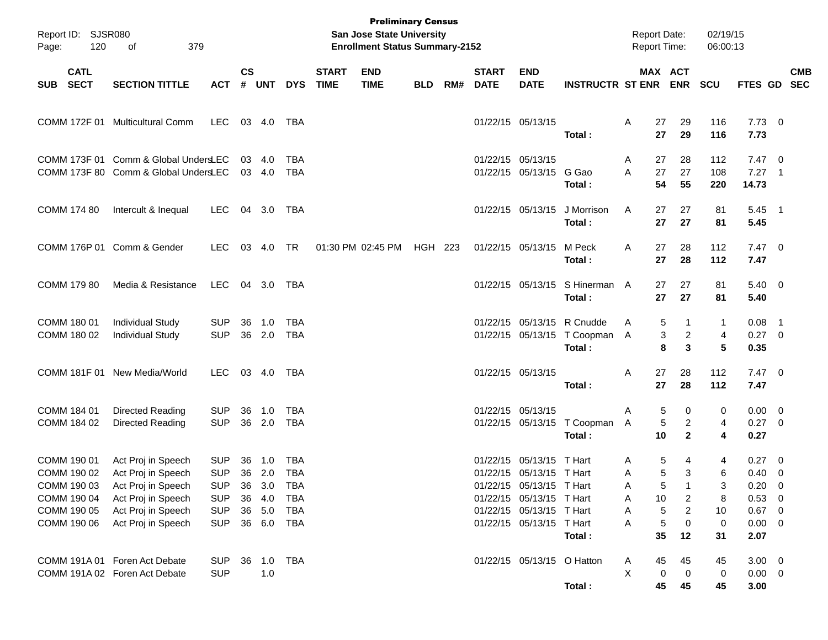| Report ID: SJSR080<br>120<br>Page:                                      | 379<br>of                                                                                                  |                                                                    |                |                                       |                                                      |                             | <b>Preliminary Census</b><br>San Jose State University<br><b>Enrollment Status Summary-2152</b> |            |     |                             |                                                                                                                                          |                                                                       | <b>Report Date:</b><br>Report Time: |                                                   | 02/19/15<br>06:00:13   |                                                                  |            |
|-------------------------------------------------------------------------|------------------------------------------------------------------------------------------------------------|--------------------------------------------------------------------|----------------|---------------------------------------|------------------------------------------------------|-----------------------------|-------------------------------------------------------------------------------------------------|------------|-----|-----------------------------|------------------------------------------------------------------------------------------------------------------------------------------|-----------------------------------------------------------------------|-------------------------------------|---------------------------------------------------|------------------------|------------------------------------------------------------------|------------|
| <b>CATL</b><br><b>SECT</b><br><b>SUB</b>                                | <b>SECTION TITTLE</b>                                                                                      | <b>ACT</b>                                                         | <b>CS</b><br># | UNT                                   | <b>DYS</b>                                           | <b>START</b><br><b>TIME</b> | <b>END</b><br><b>TIME</b>                                                                       | <b>BLD</b> | RM# | <b>START</b><br><b>DATE</b> | <b>END</b><br><b>DATE</b>                                                                                                                | <b>INSTRUCTR ST ENR ENR</b>                                           |                                     | MAX ACT                                           | SCU                    | FTES GD SEC                                                      | <b>CMB</b> |
|                                                                         | COMM 172F 01 Multicultural Comm                                                                            | LEC                                                                |                | 03 4.0                                | TBA                                                  |                             |                                                                                                 |            |     |                             | 01/22/15 05/13/15                                                                                                                        | Total:                                                                | 27<br>Α<br>27                       | 29<br>29                                          | 116<br>116             | $7.73 \t 0$<br>7.73                                              |            |
|                                                                         | COMM 173F 01 Comm & Global UndersLEC<br>COMM 173F 80 Comm & Global UndersLEC                               |                                                                    |                | 03 4.0<br>03 4.0                      | TBA<br><b>TBA</b>                                    |                             |                                                                                                 |            |     |                             | 01/22/15 05/13/15<br>01/22/15 05/13/15 G Gao                                                                                             | Total:                                                                | 27<br>Α<br>27<br>A<br>54            | 28<br>27<br>55                                    | 112<br>108<br>220      | $7.47\ 0$<br>$7.27$ 1<br>14.73                                   |            |
| COMM 174 80                                                             | Intercult & Inequal                                                                                        | <b>LEC</b>                                                         |                | 04 3.0                                | TBA                                                  |                             |                                                                                                 |            |     |                             |                                                                                                                                          | 01/22/15 05/13/15 J Morrison<br>Total:                                | 27<br>A<br>27                       | 27<br>27                                          | 81<br>81               | $5.45$ 1<br>5.45                                                 |            |
|                                                                         | COMM 176P 01 Comm & Gender                                                                                 | <b>LEC</b>                                                         |                | 03 4.0                                | <b>TR</b>                                            |                             | 01:30 PM 02:45 PM                                                                               | HGH 223    |     |                             | 01/22/15 05/13/15 M Peck                                                                                                                 | Total:                                                                | 27<br>A<br>27                       | 28<br>28                                          | 112<br>112             | $7.47\ 0$<br>7.47                                                |            |
| COMM 179 80                                                             | Media & Resistance                                                                                         | LEC                                                                |                | 04 3.0                                | TBA                                                  |                             |                                                                                                 |            |     |                             |                                                                                                                                          | 01/22/15 05/13/15 S Hinerman A<br>Total:                              | 27<br>27                            | 27<br>27                                          | 81<br>81               | $5.40 \ 0$<br>5.40                                               |            |
| COMM 180 01<br>COMM 180 02                                              | <b>Individual Study</b><br><b>Individual Study</b>                                                         | <b>SUP</b><br><b>SUP</b>                                           | 36             | 1.0<br>36 2.0                         | <b>TBA</b><br><b>TBA</b>                             |                             |                                                                                                 |            |     |                             |                                                                                                                                          | 01/22/15 05/13/15 R Cnudde<br>01/22/15 05/13/15 T Coopman A<br>Total: | Α                                   | 5<br>1<br>3<br>$\overline{a}$<br>3<br>8           | 1<br>4<br>5            | $0.08$ 1<br>$0.27$ 0<br>0.35                                     |            |
|                                                                         | COMM 181F 01 New Media/World                                                                               | <b>LEC</b>                                                         |                | 03 4.0                                | TBA                                                  |                             |                                                                                                 |            |     |                             | 01/22/15 05/13/15                                                                                                                        | Total:                                                                | 27<br>Α<br>27                       | 28<br>28                                          | 112<br>112             | $7.47\ 0$<br>7.47                                                |            |
| COMM 184 01<br>COMM 184 02                                              | Directed Reading<br>Directed Reading                                                                       | <b>SUP</b><br><b>SUP</b>                                           | 36             | 1.0<br>36 2.0                         | TBA<br><b>TBA</b>                                    |                             |                                                                                                 |            |     |                             | 01/22/15 05/13/15                                                                                                                        | 01/22/15 05/13/15 T Coopman<br>Total:                                 | Α<br>Α<br>10                        | 5<br>0<br>5<br>$\overline{c}$<br>$\mathbf{2}$     | 0<br>4<br>4            | $0.00 \t 0$<br>$0.27$ 0<br>0.27                                  |            |
| COMM 190 01<br>COMM 190 02<br>COMM 190 03<br>COMM 190 04<br>COMM 190 05 | Act Proj in Speech<br>Act Proj in Speech<br>Act Proj in Speech<br>Act Proj in Speech<br>Act Proj in Speech | <b>SUP</b><br><b>SUP</b><br><b>SUP</b><br><b>SUP</b><br><b>SUP</b> | 36<br>36<br>36 | 1.0<br>36 2.0<br>3.0<br>4.0<br>36 5.0 | <b>TBA</b><br><b>TBA</b><br>TBA<br>TBA<br><b>TBA</b> |                             |                                                                                                 |            |     |                             | 01/22/15 05/13/15 T Hart<br>01/22/15 05/13/15 T Hart<br>01/22/15 05/13/15 T Hart<br>01/22/15 05/13/15 T Hart<br>01/22/15 05/13/15 T Hart |                                                                       | Α<br>A<br>A<br>10<br>Α<br>Α         | 5<br>4<br>5<br>3<br>5<br>2<br>$\overline{c}$<br>5 | 4<br>6<br>3<br>8<br>10 | $0.27 \ 0$<br>$0.40 \quad 0$<br>$0.20 \ 0$<br>0.53 0<br>$0.67$ 0 |            |
| COMM 190 06                                                             | Act Proj in Speech                                                                                         | <b>SUP</b>                                                         |                | 36 6.0                                | TBA                                                  |                             |                                                                                                 |            |     |                             | 01/22/15 05/13/15 T Hart                                                                                                                 | Total:                                                                | Α<br>35                             | 5<br>0<br>12                                      | 0<br>31                | $0.00 \t 0$<br>2.07                                              |            |
|                                                                         | COMM 191A 01 Foren Act Debate<br>COMM 191A 02 Foren Act Debate                                             | <b>SUP</b><br><b>SUP</b>                                           | 36             | 1.0<br>1.0                            | TBA                                                  |                             |                                                                                                 |            |     |                             | 01/22/15 05/13/15 O Hatton                                                                                                               | Total:                                                                | 45<br>A<br>X                        | 45<br>$\boldsymbol{0}$<br>0<br>45<br>45           | 45<br>0<br>45          | $3.00 \ 0$<br>$0.00 \t 0$<br>3.00                                |            |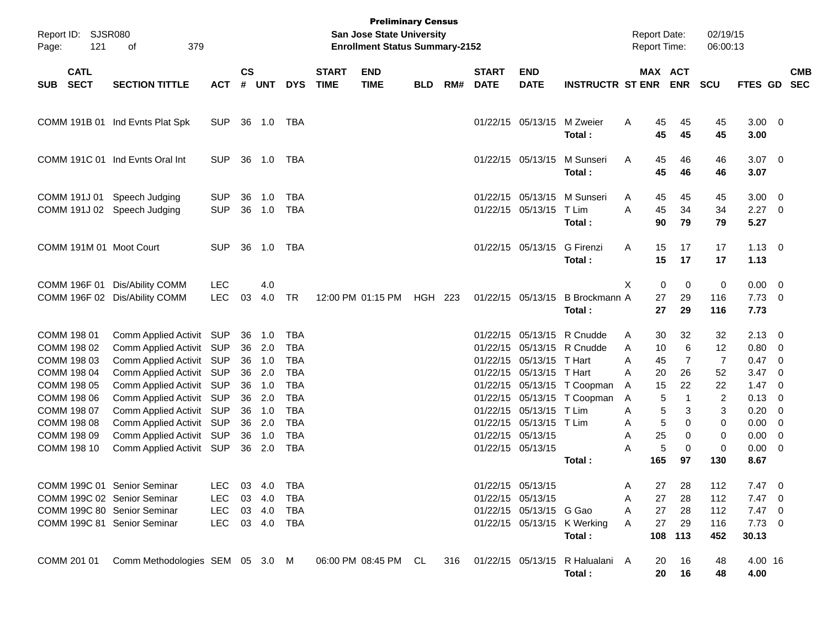| Report ID: SJSR080<br>121<br>Page:                                                                                                                 | 379<br>οf                                                                                                                                                                                                                                                                            |                                         |                |                                                                                         |                                                                                                                                   |                             | <b>Preliminary Census</b><br><b>San Jose State University</b><br><b>Enrollment Status Summary-2152</b> |            |     |                             |                                                                                                                                                      |                                                                                                                                  | <b>Report Date:</b><br>Report Time:            |                                                                      |                                                                                                           | 02/19/15<br>06:00:13                                                   |                                                                                                                                                               |                          |            |
|----------------------------------------------------------------------------------------------------------------------------------------------------|--------------------------------------------------------------------------------------------------------------------------------------------------------------------------------------------------------------------------------------------------------------------------------------|-----------------------------------------|----------------|-----------------------------------------------------------------------------------------|-----------------------------------------------------------------------------------------------------------------------------------|-----------------------------|--------------------------------------------------------------------------------------------------------|------------|-----|-----------------------------|------------------------------------------------------------------------------------------------------------------------------------------------------|----------------------------------------------------------------------------------------------------------------------------------|------------------------------------------------|----------------------------------------------------------------------|-----------------------------------------------------------------------------------------------------------|------------------------------------------------------------------------|---------------------------------------------------------------------------------------------------------------------------------------------------------------|--------------------------|------------|
| <b>CATL</b><br><b>SECT</b><br>SUB                                                                                                                  | <b>SECTION TITTLE</b>                                                                                                                                                                                                                                                                | <b>ACT</b>                              | $\mathsf{cs}$  | # UNT                                                                                   | <b>DYS</b>                                                                                                                        | <b>START</b><br><b>TIME</b> | <b>END</b><br><b>TIME</b>                                                                              | <b>BLD</b> | RM# | <b>START</b><br><b>DATE</b> | <b>END</b><br><b>DATE</b>                                                                                                                            | <b>INSTRUCTR ST ENR ENR</b>                                                                                                      |                                                |                                                                      | MAX ACT                                                                                                   | <b>SCU</b>                                                             | FTES GD SEC                                                                                                                                                   |                          | <b>CMB</b> |
|                                                                                                                                                    | COMM 191B 01 Ind Evnts Plat Spk                                                                                                                                                                                                                                                      | <b>SUP</b>                              |                | 36 1.0 TBA                                                                              |                                                                                                                                   |                             |                                                                                                        |            |     |                             | 01/22/15 05/13/15 M Zweier                                                                                                                           | Total:                                                                                                                           | A                                              | 45<br>45                                                             | 45<br>45                                                                                                  | 45<br>45                                                               | $3.00 \ 0$<br>3.00                                                                                                                                            |                          |            |
|                                                                                                                                                    | COMM 191C 01 Ind Evnts Oral Int                                                                                                                                                                                                                                                      | <b>SUP</b>                              |                | 36 1.0 TBA                                                                              |                                                                                                                                   |                             |                                                                                                        |            |     |                             |                                                                                                                                                      | 01/22/15 05/13/15 M Sunseri<br>Total:                                                                                            | Α                                              | 45<br>45                                                             | 46<br>46                                                                                                  | 46<br>46                                                               | $3.07$ 0<br>3.07                                                                                                                                              |                          |            |
| COMM 191J 01                                                                                                                                       | Speech Judging<br>COMM 191J 02 Speech Judging                                                                                                                                                                                                                                        | <b>SUP</b><br><b>SUP</b>                | 36             | 1.0<br>36 1.0                                                                           | TBA<br><b>TBA</b>                                                                                                                 |                             |                                                                                                        |            |     |                             | 01/22/15 05/13/15 T Lim                                                                                                                              | 01/22/15 05/13/15 M Sunseri<br>Total:                                                                                            | A<br>A                                         | 45<br>45<br>90                                                       | 45<br>34<br>79                                                                                            | 45<br>34<br>79                                                         | $3.00 \ 0$<br>$2.27$ 0<br>5.27                                                                                                                                |                          |            |
| COMM 191M 01 Moot Court                                                                                                                            |                                                                                                                                                                                                                                                                                      | <b>SUP</b>                              |                | 36 1.0                                                                                  | TBA                                                                                                                               |                             |                                                                                                        |            |     |                             | 01/22/15 05/13/15 G Firenzi                                                                                                                          | Total:                                                                                                                           | A                                              | 15<br>15                                                             | 17<br>17                                                                                                  | 17<br>17                                                               | $1.13 \ 0$<br>1.13                                                                                                                                            |                          |            |
| COMM 196F 01                                                                                                                                       | Dis/Ability COMM<br>COMM 196F 02 Dis/Ability COMM                                                                                                                                                                                                                                    | <b>LEC</b><br><b>LEC</b>                | 03             | 4.0<br>4.0                                                                              | <b>TR</b>                                                                                                                         |                             | 12:00 PM 01:15 PM                                                                                      | HGH 223    |     |                             |                                                                                                                                                      | 01/22/15 05/13/15 B Brockmann A<br>Total:                                                                                        | X.                                             | $\mathbf 0$<br>27<br>27                                              | $\mathbf 0$<br>29<br>29                                                                                   | 0<br>116<br>116                                                        | $0.00 \t 0$<br>$7.73 \t 0$<br>7.73                                                                                                                            |                          |            |
| COMM 198 01<br>COMM 198 02<br>COMM 198 03<br>COMM 198 04<br>COMM 198 05<br>COMM 198 06<br>COMM 198 07<br>COMM 198 08<br>COMM 198 09<br>COMM 198 10 | Comm Applied Activit SUP<br>Comm Applied Activit SUP<br>Comm Applied Activit SUP<br>Comm Applied Activit SUP<br>Comm Applied Activit SUP<br>Comm Applied Activit SUP<br>Comm Applied Activit SUP<br>Comm Applied Activit SUP<br>Comm Applied Activit SUP<br>Comm Applied Activit SUP |                                         | 36<br>36<br>36 | 36 1.0<br>2.0<br>36 1.0<br>2.0<br>36 1.0<br>2.0<br>36 1.0<br>36 2.0<br>36 1.0<br>36 2.0 | TBA<br><b>TBA</b><br><b>TBA</b><br><b>TBA</b><br><b>TBA</b><br><b>TBA</b><br><b>TBA</b><br><b>TBA</b><br><b>TBA</b><br><b>TBA</b> |                             |                                                                                                        |            |     |                             | 01/22/15 05/13/15 T Hart<br>01/22/15 05/13/15 T Hart<br>01/22/15 05/13/15 T Lim<br>01/22/15 05/13/15 T Lim<br>01/22/15 05/13/15<br>01/22/15 05/13/15 | 01/22/15 05/13/15 R Cnudde<br>01/22/15 05/13/15 R Cnudde<br>01/22/15 05/13/15 T Coopman<br>01/22/15 05/13/15 T Coopman<br>Total: | A<br>A<br>A<br>A<br>A<br>A<br>A<br>Α<br>Α<br>Α | 30<br>10<br>45<br>20<br>15<br>5<br>5<br>5<br>25<br>$\sqrt{5}$<br>165 | 32<br>6<br>$\overline{7}$<br>26<br>22<br>$\mathbf 1$<br>3<br>$\Omega$<br>$\mathbf 0$<br>$\mathbf 0$<br>97 | 32<br>12<br>$\overline{7}$<br>52<br>22<br>2<br>3<br>0<br>0<br>0<br>130 | $2.13 \quad 0$<br>$0.80 \ 0$<br>$0.47 \quad 0$<br>3.47<br>$1.47 \quad 0$<br>$0.13 \quad 0$<br>$0.20 \ 0$<br>$0.00 \t 0$<br>$0.00 \t 0$<br>$0.00 \t 0$<br>8.67 | $\overline{\phantom{0}}$ |            |
| COMM 199C 01 Senior Seminar<br>COMM 199C 02 Senior Seminar<br>COMM 199C 80 Senior Seminar<br>COMM 199C 81 Senior Seminar                           |                                                                                                                                                                                                                                                                                      | LEC<br>LEC.<br><b>LEC</b><br><b>LEC</b> |                | 03 4.0<br>03 4.0<br>03 4.0<br>03 4.0                                                    | TBA<br>TBA<br>TBA<br>TBA                                                                                                          |                             |                                                                                                        |            |     |                             | 01/22/15 05/13/15<br>01/22/15 05/13/15<br>01/22/15 05/13/15 G Gao                                                                                    | 01/22/15 05/13/15 K Werking<br>Total:                                                                                            | Α<br>Α<br>Α<br>Α                               | 27<br>27<br>27<br>27<br>108                                          | 28<br>28<br>28<br>29<br>113                                                                               | 112<br>112<br>112<br>116<br>452                                        | $7.47\ 0$<br>$7.47\quad 0$<br>$7.47$ 0<br>$7.73$ 0<br>30.13                                                                                                   |                          |            |
| COMM 201 01                                                                                                                                        | Comm Methodologies SEM 05 3.0 M                                                                                                                                                                                                                                                      |                                         |                |                                                                                         |                                                                                                                                   |                             | 06:00 PM 08:45 PM CL                                                                                   |            | 316 |                             |                                                                                                                                                      | 01/22/15 05/13/15 R Halualani A<br>Total:                                                                                        |                                                | 20<br>20                                                             | 16<br>16                                                                                                  | 48<br>48                                                               | 4.00 16<br>4.00                                                                                                                                               |                          |            |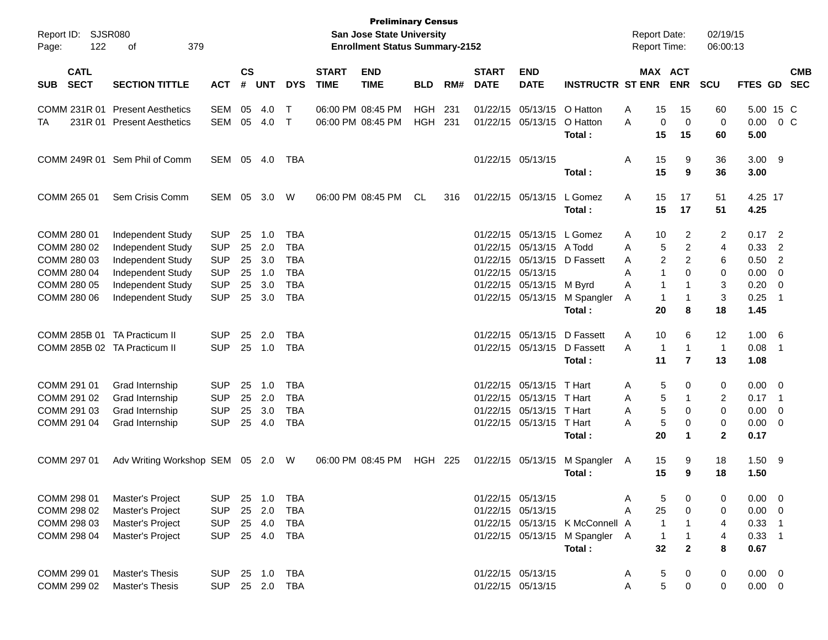| Report ID: SJSR080<br>122<br>Page:       | 379<br>оf                         |            |                    |            |              |                             | <b>Preliminary Census</b><br><b>San Jose State University</b><br><b>Enrollment Status Summary-2152</b> |            |       |                             |                           |                                 | <b>Report Date:</b><br><b>Report Time:</b> |                |                       | 02/19/15<br>06:00:13 |                |                         |                          |
|------------------------------------------|-----------------------------------|------------|--------------------|------------|--------------|-----------------------------|--------------------------------------------------------------------------------------------------------|------------|-------|-----------------------------|---------------------------|---------------------------------|--------------------------------------------|----------------|-----------------------|----------------------|----------------|-------------------------|--------------------------|
| <b>CATL</b><br><b>SECT</b><br><b>SUB</b> | <b>SECTION TITTLE</b>             | <b>ACT</b> | $\mathsf{cs}$<br># | <b>UNT</b> | <b>DYS</b>   | <b>START</b><br><b>TIME</b> | <b>END</b><br><b>TIME</b>                                                                              | <b>BLD</b> | RM#   | <b>START</b><br><b>DATE</b> | <b>END</b><br><b>DATE</b> | <b>INSTRUCTR ST ENR</b>         |                                            |                | MAX ACT<br><b>ENR</b> | <b>SCU</b>           | <b>FTES GD</b> |                         | <b>CMB</b><br><b>SEC</b> |
| COMM 231R 01                             | <b>Present Aesthetics</b>         | <b>SEM</b> | 05                 | 4.0        | $\mathsf{T}$ |                             | 06:00 PM 08:45 PM                                                                                      | <b>HGH</b> | 231   |                             | 01/22/15 05/13/15         | O Hatton                        | A                                          | 15             | 15                    | 60                   | 5.00 15 C      |                         |                          |
| ТA                                       | 231R 01 Present Aesthetics        | <b>SEM</b> | 05                 | 4.0        | $\mathsf{T}$ |                             | 06:00 PM 08:45 PM                                                                                      | <b>HGH</b> | 231   |                             | 01/22/15 05/13/15         | O Hatton<br>Total:              | A                                          | 0<br>15        | $\mathbf 0$<br>15     | $\mathbf 0$<br>60    | 0.00<br>5.00   |                         | 0 <sup>o</sup>           |
|                                          | COMM 249R 01 Sem Phil of Comm     | SEM        | 05                 | 4.0        | TBA          |                             |                                                                                                        |            |       |                             | 01/22/15 05/13/15         |                                 | Α                                          | 15             | 9                     | 36                   | $3.00$ 9       |                         |                          |
|                                          |                                   |            |                    |            |              |                             |                                                                                                        |            |       |                             |                           | Total :                         |                                            | 15             | 9                     | 36                   | 3.00           |                         |                          |
| COMM 265 01                              | Sem Crisis Comm                   | SEM        | 05                 | 3.0        | W            |                             | 06:00 PM 08:45 PM                                                                                      | CL         | 316   |                             | 01/22/15 05/13/15         | L Gomez                         | A                                          | 15             | 17                    | 51                   | 4.25 17        |                         |                          |
|                                          |                                   |            |                    |            |              |                             |                                                                                                        |            |       |                             |                           | Total:                          |                                            | 15             | 17                    | 51                   | 4.25           |                         |                          |
| COMM 280 01                              | Independent Study                 | <b>SUP</b> | 25                 | 1.0        | <b>TBA</b>   |                             |                                                                                                        |            |       |                             | 01/22/15 05/13/15 L Gomez |                                 | A                                          | 10             | 2                     | 2                    | $0.17$ 2       |                         |                          |
| COMM 280 02                              | Independent Study                 | <b>SUP</b> | 25                 | 2.0        | <b>TBA</b>   |                             |                                                                                                        |            |       |                             | 01/22/15 05/13/15 A Todd  |                                 | A                                          | 5              | $\overline{2}$        | 4                    | 0.33           | $\overline{2}$          |                          |
| COMM 280 03                              | Independent Study                 | <b>SUP</b> | 25                 | 3.0        | <b>TBA</b>   |                             |                                                                                                        |            |       |                             | 01/22/15 05/13/15         | D Fassett                       | A                                          | 2              | $\overline{2}$        | 6                    | 0.50           | $\overline{2}$          |                          |
| COMM 280 04                              | Independent Study                 | <b>SUP</b> | 25                 | 1.0        | <b>TBA</b>   |                             |                                                                                                        |            |       |                             | 01/22/15 05/13/15         |                                 | A                                          | 1              | $\Omega$              | 0                    | 0.00           | $\mathbf 0$             |                          |
| COMM 280 05                              | Independent Study                 | <b>SUP</b> | 25                 | 3.0        | <b>TBA</b>   |                             |                                                                                                        |            |       |                             | 01/22/15 05/13/15 M Byrd  |                                 | A                                          | -1             |                       | 3                    | 0.20           | $\overline{0}$          |                          |
| COMM 280 06                              | Independent Study                 | <b>SUP</b> | 25                 | 3.0        | <b>TBA</b>   |                             |                                                                                                        |            |       |                             | 01/22/15 05/13/15         | M Spangler                      | A                                          | -1             | -1                    | 3                    | 0.25           | -1                      |                          |
|                                          |                                   |            |                    |            |              |                             |                                                                                                        |            |       |                             |                           | Total :                         |                                            | 20             | 8                     | 18                   | 1.45           |                         |                          |
| COMM 285B 01                             | <b>TA Practicum II</b>            | <b>SUP</b> | 25                 | 2.0        | TBA          |                             |                                                                                                        |            |       |                             | 01/22/15 05/13/15         | D Fassett                       | Α                                          | 10             | 6                     | 12                   | 1.00 6         |                         |                          |
|                                          | COMM 285B 02 TA Practicum II      | <b>SUP</b> | 25                 | 1.0        | <b>TBA</b>   |                             |                                                                                                        |            |       |                             | 01/22/15 05/13/15         | D Fassett                       | A                                          | $\overline{1}$ | -1                    | $\overline{1}$       | 0.08           | $\overline{1}$          |                          |
|                                          |                                   |            |                    |            |              |                             |                                                                                                        |            |       |                             |                           | Total :                         |                                            | 11             | $\overline{7}$        | 13                   | 1.08           |                         |                          |
| COMM 291 01                              | Grad Internship                   | <b>SUP</b> | 25                 | 1.0        | TBA          |                             |                                                                                                        |            |       |                             | 01/22/15 05/13/15         | T Hart                          | A                                          | 5              | 0                     | 0                    | 0.00           | $\overline{\mathbf{0}}$ |                          |
| COMM 291 02                              | Grad Internship                   | <b>SUP</b> | 25                 | 2.0        | <b>TBA</b>   |                             |                                                                                                        |            |       |                             | 01/22/15 05/13/15         | T Hart                          | A                                          | 5              | -1                    | 2                    | 0.17           | $\overline{1}$          |                          |
| COMM 291 03                              | Grad Internship                   | <b>SUP</b> | 25                 | 3.0        | <b>TBA</b>   |                             |                                                                                                        |            |       |                             | 01/22/15 05/13/15         | T Hart                          | A                                          | 5              | $\Omega$              | 0                    | 0.00           | 0                       |                          |
| COMM 291 04                              | Grad Internship                   | <b>SUP</b> | 25                 | 4.0        | <b>TBA</b>   |                             |                                                                                                        |            |       |                             | 01/22/15 05/13/15         | T Hart                          | Α                                          | 5              | 0                     | 0                    | 0.00           | $\overline{0}$          |                          |
|                                          |                                   |            |                    |            |              |                             |                                                                                                        |            |       |                             |                           | Total :                         |                                            | 20             | 1                     | $\mathbf{2}$         | 0.17           |                         |                          |
| COMM 297 01                              | Adv Writing Workshop SEM 05 2.0 W |            |                    |            |              |                             | 06:00 PM 08:45 PM                                                                                      | HGH        | - 225 |                             | 01/22/15 05/13/15         | M Spangler                      | A                                          | 15             | 9                     | 18                   | $1.50$ 9       |                         |                          |
|                                          |                                   |            |                    |            |              |                             |                                                                                                        |            |       |                             |                           | Total :                         |                                            | 15             | 9                     | 18                   | 1.50           |                         |                          |
| COMM 298 01                              | Master's Project                  | <b>SUP</b> |                    | 25 1.0     | TBA          |                             |                                                                                                        |            |       |                             | 01/22/15 05/13/15         |                                 | Α                                          | 5              | 0                     | 0                    | $0.00 \t 0$    |                         |                          |
| COMM 298 02                              | Master's Project                  | <b>SUP</b> |                    | 25 2.0     | <b>TBA</b>   |                             |                                                                                                        |            |       |                             | 01/22/15 05/13/15         |                                 | Α                                          | 25             | 0                     | 0                    | 0.00           | $\overline{\mathbf{0}}$ |                          |
| COMM 298 03                              | Master's Project                  | <b>SUP</b> |                    | 25 4.0     | TBA          |                             |                                                                                                        |            |       |                             |                           | 01/22/15 05/13/15 K McConnell A |                                            | $\overline{1}$ |                       | 4                    | $0.33$ 1       |                         |                          |
| COMM 298 04                              | Master's Project                  | <b>SUP</b> |                    | 25 4.0     | TBA          |                             |                                                                                                        |            |       |                             |                           | 01/22/15 05/13/15 M Spangler    | - A                                        | $\mathbf{1}$   | 1                     | 4                    | $0.33$ 1       |                         |                          |
|                                          |                                   |            |                    |            |              |                             |                                                                                                        |            |       |                             |                           | Total:                          |                                            | 32             | $\mathbf{2}$          | 8                    | 0.67           |                         |                          |
| COMM 299 01                              | Master's Thesis                   | <b>SUP</b> |                    | 25 1.0     | TBA          |                             |                                                                                                        |            |       |                             | 01/22/15 05/13/15         |                                 | A                                          | 5              | 0                     | 0                    | $0.00 \t 0$    |                         |                          |
| COMM 299 02                              | Master's Thesis                   | <b>SUP</b> |                    |            | 25 2.0 TBA   |                             |                                                                                                        |            |       |                             | 01/22/15 05/13/15         |                                 | Α                                          | 5              | $\pmb{0}$             | 0                    | $0.00 \t 0$    |                         |                          |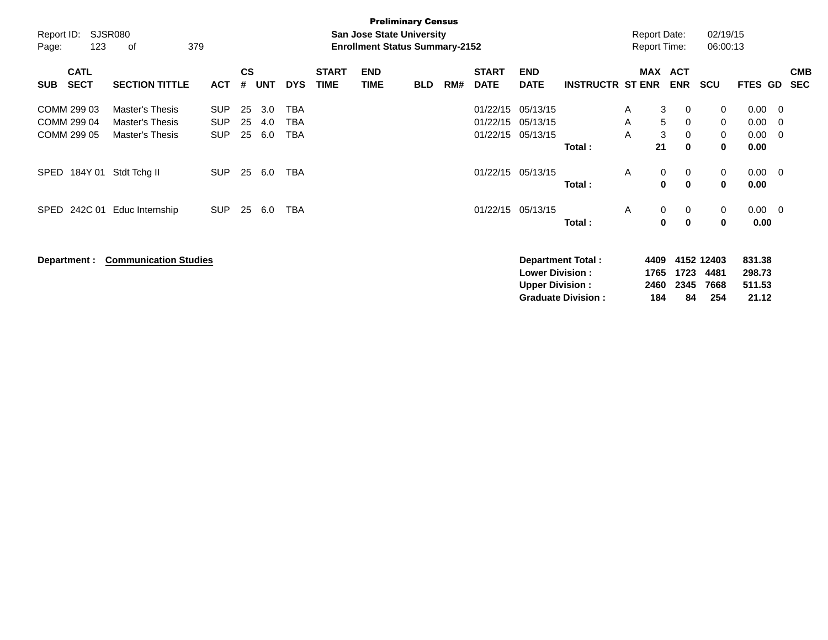| Report ID:<br>Page:                       | 123                        | SJSR080<br>379<br>οf                                  |                                        |                |                   |                   |                             | <b>San Jose State University</b><br><b>Enrollment Status Summary-2152</b> | <b>Preliminary Census</b> |     |                                  |                                                  |                                                       |              | <b>Report Date:</b><br><b>Report Time:</b> |                                             | 02/19/15<br>06:00:13              |                                     |                         |                          |
|-------------------------------------------|----------------------------|-------------------------------------------------------|----------------------------------------|----------------|-------------------|-------------------|-----------------------------|---------------------------------------------------------------------------|---------------------------|-----|----------------------------------|--------------------------------------------------|-------------------------------------------------------|--------------|--------------------------------------------|---------------------------------------------|-----------------------------------|-------------------------------------|-------------------------|--------------------------|
| <b>SUB</b>                                | <b>CATL</b><br><b>SECT</b> | <b>SECTION TITTLE</b>                                 | <b>ACT</b>                             | <b>CS</b><br># | UNT               | <b>DYS</b>        | <b>START</b><br><b>TIME</b> | <b>END</b><br><b>TIME</b>                                                 | <b>BLD</b>                | RM# | <b>START</b><br><b>DATE</b>      | <b>END</b><br><b>DATE</b>                        | <b>INSTRUCTR ST ENR</b>                               |              | <b>MAX</b>                                 | <b>ACT</b><br><b>ENR</b>                    | <b>SCU</b>                        | <b>FTES GD</b>                      |                         | <b>CMB</b><br><b>SEC</b> |
| COMM 299 03<br>COMM 299 04<br>COMM 299 05 |                            | Master's Thesis<br>Master's Thesis<br>Master's Thesis | <b>SUP</b><br><b>SUP</b><br><b>SUP</b> | 25<br>25<br>25 | 3.0<br>4.0<br>6.0 | TBA<br>TBA<br>TBA |                             |                                                                           |                           |     | 01/22/15<br>01/22/15<br>01/22/15 | 05/13/15<br>05/13/15<br>05/13/15                 | Total:                                                | A<br>Α<br>A  | 3<br>5<br>$\mathbf{3}$<br>21               | 0<br>$\mathbf 0$<br>$\mathbf 0$<br>$\bf{0}$ | 0<br>0<br>0<br>0                  | 0.00<br>0.00<br>0.00<br>0.00        | - 0<br>- 0<br>$\Omega$  |                          |
| SPED                                      | 184Y 01                    | Stdt Tchg II                                          | <b>SUP</b>                             | 25             | 6.0               | TBA               |                             |                                                                           |                           |     |                                  | 01/22/15 05/13/15                                | Total:                                                | A            | 0<br>$\mathbf 0$                           | 0<br>$\mathbf 0$                            | 0<br>$\mathbf 0$                  | 0.00<br>0.00                        | $\overline{\mathbf{0}}$ |                          |
| SPED                                      | 242C 01                    | Educ Internship                                       | <b>SUP</b>                             | 25             | 6.0               | TBA               |                             |                                                                           |                           |     |                                  | 01/22/15 05/13/15                                | Total:                                                | $\mathsf{A}$ | 0<br>$\mathbf 0$                           | 0<br>$\bf{0}$                               | 0<br>$\mathbf 0$                  | $0.00 \t 0$<br>0.00                 |                         |                          |
| Department :                              |                            | <b>Communication Studies</b>                          |                                        |                |                   |                   |                             |                                                                           |                           |     |                                  | <b>Lower Division:</b><br><b>Upper Division:</b> | <b>Department Total:</b><br><b>Graduate Division:</b> |              | 4409<br>1765<br>2460<br>184                | 1723<br>2345<br>84                          | 4152 12403<br>4481<br>7668<br>254 | 831.38<br>298.73<br>511.53<br>21.12 |                         |                          |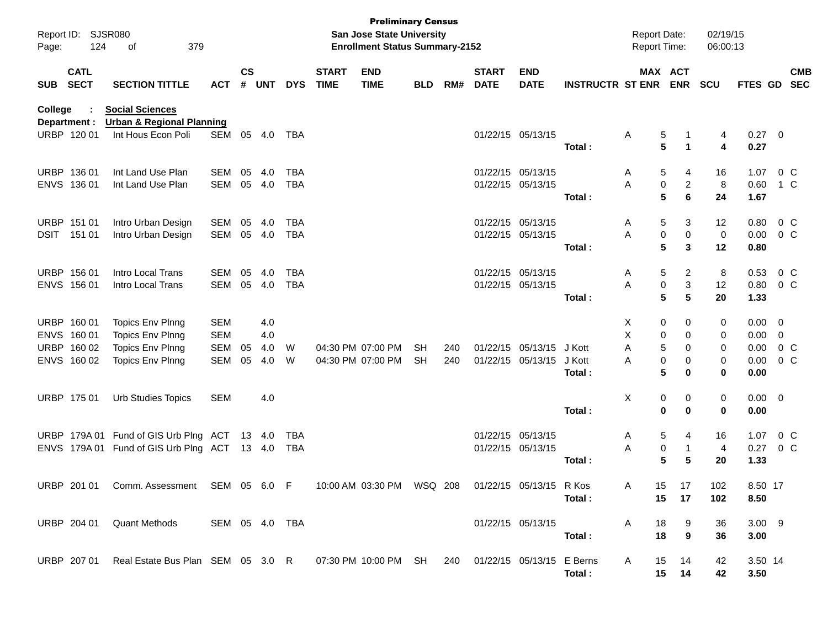| Page:      | Report ID: SJSR080<br>124                                | 379<br>of                                                                                  |                                                      |                    |                          |                          |                             | <b>Preliminary Census</b><br>San Jose State University<br><b>Enrollment Status Summary-2152</b> |                        |            |                             |                                        |                            | <b>Report Date:</b><br><b>Report Time:</b> |                                                | 02/19/15<br>06:00:13       |                                            |                                  |  |
|------------|----------------------------------------------------------|--------------------------------------------------------------------------------------------|------------------------------------------------------|--------------------|--------------------------|--------------------------|-----------------------------|-------------------------------------------------------------------------------------------------|------------------------|------------|-----------------------------|----------------------------------------|----------------------------|--------------------------------------------|------------------------------------------------|----------------------------|--------------------------------------------|----------------------------------|--|
| <b>SUB</b> | <b>CATL</b><br><b>SECT</b>                               | <b>SECTION TITTLE</b>                                                                      | <b>ACT</b>                                           | $\mathsf{cs}$<br># | <b>UNT</b>               | <b>DYS</b>               | <b>START</b><br><b>TIME</b> | <b>END</b><br><b>TIME</b>                                                                       | <b>BLD</b>             | RM#        | <b>START</b><br><b>DATE</b> | <b>END</b><br><b>DATE</b>              | <b>INSTRUCTR ST ENR</b>    |                                            | MAX ACT<br><b>ENR</b>                          | <b>SCU</b>                 |                                            | <b>CMB</b><br>FTES GD SEC        |  |
| College    | Department :                                             | <b>Social Sciences</b><br><b>Urban &amp; Regional Planning</b>                             |                                                      |                    |                          |                          |                             |                                                                                                 |                        |            |                             |                                        |                            |                                            |                                                |                            |                                            |                                  |  |
|            | URBP 120 01                                              | Int Hous Econ Poli                                                                         | SEM                                                  |                    | 05 4.0                   | TBA                      |                             |                                                                                                 |                        |            |                             | 01/22/15 05/13/15                      | Total :                    | Α                                          | 5<br>1<br>5<br>1                               | 4<br>4                     | $0.27$ 0<br>0.27                           |                                  |  |
|            | URBP 136 01<br>ENVS 136 01                               | Int Land Use Plan<br>Int Land Use Plan                                                     | SEM<br>SEM                                           | 05                 | 4.0<br>05 4.0            | TBA<br><b>TBA</b>        |                             |                                                                                                 |                        |            |                             | 01/22/15 05/13/15<br>01/22/15 05/13/15 | Total:                     | Α<br>A                                     | 5<br>4<br>0<br>2<br>5<br>6                     | 16<br>8<br>24              | 1.07<br>0.60<br>1.67                       | 0 <sup>o</sup><br>1 C            |  |
|            | URBP 151 01<br>DSIT 151 01                               | Intro Urban Design<br>Intro Urban Design                                                   | SEM<br>SEM                                           | 05                 | 4.0<br>05 4.0            | TBA<br><b>TBA</b>        |                             |                                                                                                 |                        |            |                             | 01/22/15 05/13/15<br>01/22/15 05/13/15 | Total:                     | Α<br>Α                                     | 5<br>3<br>0<br>0<br>5<br>3                     | 12<br>0<br>12              | 0.80<br>0.00<br>0.80                       | 0 <sup>o</sup><br>0 <sup>o</sup> |  |
|            | URBP 156 01<br>ENVS 156 01                               | Intro Local Trans<br>Intro Local Trans                                                     | SEM<br>SEM                                           | 05                 | 4.0<br>05 4.0            | <b>TBA</b><br><b>TBA</b> |                             |                                                                                                 |                        |            |                             | 01/22/15 05/13/15<br>01/22/15 05/13/15 | Total :                    | Α<br>A                                     | 5<br>2<br>3<br>0<br>5<br>5                     | 8<br>12<br>20              | 0.53<br>0.80<br>1.33                       | 0 <sup>o</sup><br>$0\,$ C        |  |
|            | URBP 160 01<br>ENVS 160 01<br>URBP 160 02<br>ENVS 160 02 | <b>Topics Env Plnng</b><br><b>Topics Env Plnng</b><br>Topics Env Plnng<br>Topics Env Plnng | <b>SEM</b><br><b>SEM</b><br><b>SEM</b><br><b>SEM</b> | 05<br>05           | 4.0<br>4.0<br>4.0<br>4.0 | W<br>W                   |                             | 04:30 PM 07:00 PM<br>04:30 PM 07:00 PM                                                          | <b>SH</b><br><b>SH</b> | 240<br>240 |                             | 01/22/15 05/13/15<br>01/22/15 05/13/15 | J Kott<br>J Kott<br>Total: | X<br>х<br>Α<br>Α                           | 0<br>0<br>0<br>0<br>5<br>0<br>0<br>0<br>5<br>0 | 0<br>0<br>0<br>0<br>0      | $0.00 \t 0$<br>$0.00 \t 0$<br>0.00<br>0.00 | $0.00 \t 0 C$<br>0 <sup>o</sup>  |  |
|            | URBP 175 01                                              | <b>Urb Studies Topics</b>                                                                  | <b>SEM</b>                                           |                    | 4.0                      |                          |                             |                                                                                                 |                        |            |                             |                                        | Total:                     | х                                          | 0<br>0<br>0<br>$\bf{0}$                        | 0<br>0                     | $0.00 \t 0$<br>0.00                        |                                  |  |
|            | URBP 179A 01                                             | Fund of GIS Urb Plng ACT<br>ENVS 179A 01 Fund of GIS Urb Plng ACT                          |                                                      |                    | 13 4.0<br>13 4.0         | TBA<br>TBA               |                             |                                                                                                 |                        |            |                             | 01/22/15 05/13/15<br>01/22/15 05/13/15 | Total:                     | Α<br>Α                                     | 5<br>4<br>0<br>1<br>5<br>5                     | 16<br>$\overline{4}$<br>20 | 1.07<br>0.27<br>1.33                       | $0\,C$<br>$0\,$ C                |  |
|            | URBP 201 01                                              | Comm. Assessment                                                                           | SEM 05 6.0                                           |                    |                          | F.                       |                             | 10:00 AM 03:30 PM                                                                               | WSQ 208                |            |                             | 01/22/15 05/13/15 R Kos                | Total :                    | A<br>15                                    | 15<br>17<br>17                                 | 102<br>102                 | 8.50 17<br>8.50                            |                                  |  |
|            | URBP 204 01                                              | <b>Quant Methods</b>                                                                       | SEM 05 4.0 TBA                                       |                    |                          |                          |                             |                                                                                                 |                        |            |                             | 01/22/15 05/13/15                      | Total:                     | A<br>18<br>18                              | 9<br>9                                         | 36<br>36                   | $3.00$ 9<br>3.00                           |                                  |  |
|            | URBP 207 01                                              | Real Estate Bus Plan SEM 05 3.0 R 07:30 PM 10:00 PM SH 240 01/22/15 05/13/15 E Berns       |                                                      |                    |                          |                          |                             |                                                                                                 |                        |            |                             |                                        | Total:                     | A<br>15                                    | 14<br>15<br>14                                 | 42<br>42                   | 3.50 14<br>3.50                            |                                  |  |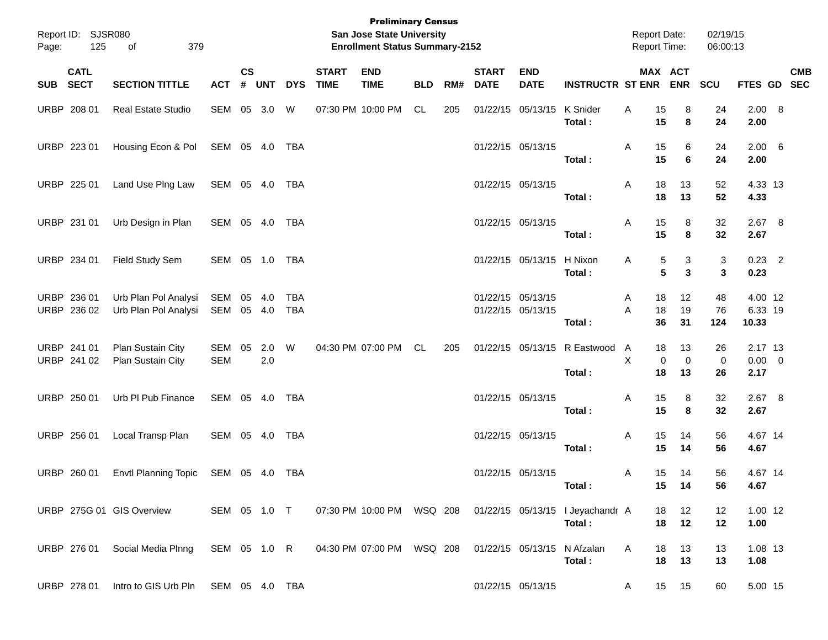| Page: | Report ID: SJSR080<br>125  | 379<br>of                                    |                   |               |            |                   |                             | <b>Preliminary Census</b><br>San Jose State University<br><b>Enrollment Status Summary-2152</b> |            |     |                             |                                        |                                            | <b>Report Date:</b><br>Report Time: |                         | 02/19/15<br>06:00:13 |                                |            |
|-------|----------------------------|----------------------------------------------|-------------------|---------------|------------|-------------------|-----------------------------|-------------------------------------------------------------------------------------------------|------------|-----|-----------------------------|----------------------------------------|--------------------------------------------|-------------------------------------|-------------------------|----------------------|--------------------------------|------------|
|       | <b>CATL</b><br>SUB SECT    | <b>SECTION TITTLE</b>                        | <b>ACT</b>        | $\mathsf{cs}$ | # UNT      | <b>DYS</b>        | <b>START</b><br><b>TIME</b> | <b>END</b><br><b>TIME</b>                                                                       | <b>BLD</b> | RM# | <b>START</b><br><b>DATE</b> | <b>END</b><br><b>DATE</b>              | <b>INSTRUCTR ST ENR ENR</b>                |                                     | MAX ACT                 | SCU                  | FTES GD SEC                    | <b>CMB</b> |
|       | URBP 208 01                | Real Estate Studio                           | SEM 05 3.0        |               |            | W                 |                             | 07:30 PM 10:00 PM                                                                               | CL         | 205 |                             | 01/22/15 05/13/15 K Snider             | Total:                                     | 15<br>Α<br>15                       | 8<br>8                  | 24<br>24             | 2.00 8<br>2.00                 |            |
|       | URBP 223 01                | Housing Econ & Pol                           | SEM 05 4.0        |               |            | TBA               |                             |                                                                                                 |            |     |                             | 01/22/15 05/13/15                      | Total:                                     | 15<br>Α<br>15                       | 6<br>6                  | 24<br>24             | $2.00\quad 6$<br>2.00          |            |
|       | URBP 225 01                | Land Use PIng Law                            | SEM 05 4.0        |               |            | TBA               |                             |                                                                                                 |            |     |                             | 01/22/15 05/13/15                      | Total:                                     | 18<br>Α<br>18                       | 13<br>13                | 52<br>52             | 4.33 13<br>4.33                |            |
|       | URBP 231 01                | Urb Design in Plan                           | SEM 05 4.0        |               |            | TBA               |                             |                                                                                                 |            |     |                             | 01/22/15 05/13/15                      | Total:                                     | 15<br>Α<br>15                       | 8<br>8                  | 32<br>32             | $2.67$ 8<br>2.67               |            |
|       | URBP 234 01                | Field Study Sem                              | SEM 05 1.0 TBA    |               |            |                   |                             |                                                                                                 |            |     |                             | 01/22/15 05/13/15 H Nixon              | Total:                                     | 5<br>Α<br>5                         | 3<br>3                  | 3<br>3               | $0.23$ 2<br>0.23               |            |
|       | URBP 236 01<br>URBP 236 02 | Urb Plan Pol Analysi<br>Urb Plan Pol Analysi | SEM<br>SEM 05 4.0 | 05            | 4.0        | <b>TBA</b><br>TBA |                             |                                                                                                 |            |     |                             | 01/22/15 05/13/15<br>01/22/15 05/13/15 | Total:                                     | 18<br>Α<br>A<br>18<br>36            | 12<br>19<br>31          | 48<br>76<br>124      | 4.00 12<br>6.33 19<br>10.33    |            |
|       | URBP 241 01<br>URBP 241 02 | Plan Sustain City<br>Plan Sustain City       | SEM<br><b>SEM</b> | 05            | 2.0<br>2.0 | W                 |                             | 04:30 PM 07:00 PM                                                                               | CL         | 205 |                             |                                        | 01/22/15 05/13/15 R Eastwood<br>Total:     | A<br>18<br>X<br>$\mathbf 0$<br>18   | 13<br>$\mathbf 0$<br>13 | 26<br>0<br>26        | 2.17 13<br>$0.00 \t 0$<br>2.17 |            |
|       | URBP 250 01                | Urb PI Pub Finance                           | SEM 05 4.0        |               |            | TBA               |                             |                                                                                                 |            |     |                             | 01/22/15 05/13/15                      | Total:                                     | 15<br>Α<br>15                       | 8<br>8                  | 32<br>32             | 2.67 8<br>2.67                 |            |
|       | URBP 256 01                | Local Transp Plan                            | SEM 05 4.0        |               |            | TBA               |                             |                                                                                                 |            |     |                             | 01/22/15 05/13/15                      | Total:                                     | 15<br>Α<br>15                       | 14<br>14                | 56<br>56             | 4.67 14<br>4.67                |            |
|       | URBP 260 01                | <b>Envtl Planning Topic</b>                  | SEM 05 4.0        |               |            | TBA               |                             |                                                                                                 |            |     |                             | 01/22/15 05/13/15                      | Total:                                     | 15<br>Α                             | 14<br>15 14             | 56<br>56             | 4.67 14<br>4.67                |            |
|       |                            | URBP 275G 01 GIS Overview                    | SEM 05 1.0 T      |               |            |                   |                             | 07:30 PM 10:00 PM WSQ 208                                                                       |            |     |                             |                                        | 01/22/15 05/13/15 I Jeyachandr A<br>Total: | 18<br>18                            | 12<br>12                | 12<br>12             | 1.00 12<br>1.00                |            |
|       | URBP 276 01                | Social Media Plnng                           | SEM 05 1.0 R      |               |            |                   |                             | 04:30 PM 07:00 PM WSQ 208                                                                       |            |     |                             | 01/22/15 05/13/15 N Afzalan            | Total:                                     | Α<br>18<br>18                       | 13<br>13                | 13<br>13             | 1.08 13<br>1.08                |            |
|       | URBP 278 01                | Intro to GIS Urb Pln                         | SEM 05 4.0 TBA    |               |            |                   |                             |                                                                                                 |            |     |                             | 01/22/15 05/13/15                      |                                            | A                                   | 15 15                   | 60                   | 5.00 15                        |            |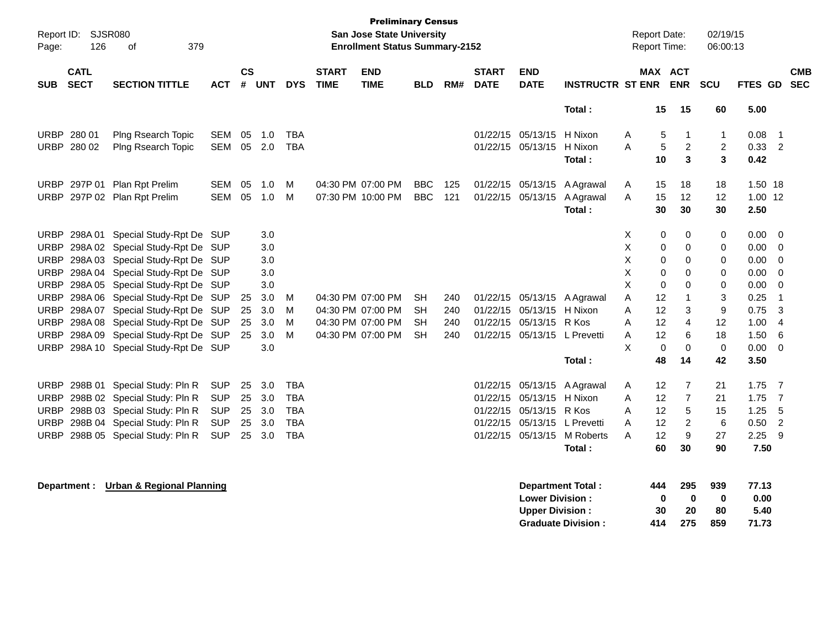| Page:       | Report ID: SJSR080<br>126  | 379<br>оf                              |            |           |       |            |                             | <b>Preliminary Census</b><br><b>San Jose State University</b><br><b>Enrollment Status Summary-2152</b> |            |     |                             |                           |                          | <b>Report Date:</b><br>Report Time: |             |                         | 02/19/15<br>06:00:13 |          |                          |                          |
|-------------|----------------------------|----------------------------------------|------------|-----------|-------|------------|-----------------------------|--------------------------------------------------------------------------------------------------------|------------|-----|-----------------------------|---------------------------|--------------------------|-------------------------------------|-------------|-------------------------|----------------------|----------|--------------------------|--------------------------|
| <b>SUB</b>  | <b>CATL</b><br><b>SECT</b> | <b>SECTION TITTLE</b>                  | ACT        | <b>CS</b> | # UNT | <b>DYS</b> | <b>START</b><br><b>TIME</b> | <b>END</b><br><b>TIME</b>                                                                              | <b>BLD</b> | RM# | <b>START</b><br><b>DATE</b> | <b>END</b><br><b>DATE</b> | <b>INSTRUCTR ST ENR</b>  |                                     | MAX ACT     | <b>ENR</b>              | <b>SCU</b>           | FTES GD  |                          | <b>CMB</b><br><b>SEC</b> |
|             |                            |                                        |            |           |       |            |                             |                                                                                                        |            |     |                             |                           | Total:                   |                                     | 15          | 15                      | 60                   | 5.00     |                          |                          |
|             | URBP 280 01                | Plng Rsearch Topic                     | SEM        | 05        | 1.0   | <b>TBA</b> |                             |                                                                                                        |            |     | 01/22/15                    | 05/13/15                  | H Nixon                  | A                                   | 5           | -1                      | $\mathbf{1}$         | 0.08     | $\overline{\mathbf{1}}$  |                          |
|             | URBP 280 02                | Plng Rsearch Topic                     | <b>SEM</b> | 05        | 2.0   | <b>TBA</b> |                             |                                                                                                        |            |     |                             | 01/22/15 05/13/15         | H Nixon                  | A                                   | 5           | $\overline{2}$          | $\overline{2}$       | 0.33     | $\overline{\phantom{0}}$ |                          |
|             |                            |                                        |            |           |       |            |                             |                                                                                                        |            |     |                             |                           | Total:                   |                                     | 10          | 3                       | 3                    | 0.42     |                          |                          |
| <b>URBP</b> |                            | 297P 01 Plan Rpt Prelim                | <b>SEM</b> | 05        | 1.0   | M          |                             | 04:30 PM 07:00 PM                                                                                      | <b>BBC</b> | 125 | 01/22/15                    | 05/13/15                  | A Agrawal                | A                                   | 15          | 18                      | 18                   | 1.50 18  |                          |                          |
|             |                            | URBP 297P 02 Plan Rpt Prelim           | SEM        | 05        | 1.0   | M          |                             | 07:30 PM 10:00 PM                                                                                      | <b>BBC</b> | 121 | 01/22/15                    | 05/13/15                  | A Agrawal                | A                                   | 15          | 12                      | $12 \overline{ }$    | 1.00 12  |                          |                          |
|             |                            |                                        |            |           |       |            |                             |                                                                                                        |            |     |                             |                           | Total:                   |                                     | 30          | 30                      | 30                   | 2.50     |                          |                          |
| <b>URBP</b> | 298A01                     | Special Study-Rpt De SUP               |            |           | 3.0   |            |                             |                                                                                                        |            |     |                             |                           |                          | X                                   | 0           | 0                       | 0                    | 0.00     | $\overline{0}$           |                          |
| <b>URBP</b> |                            | 298A 02 Special Study-Rpt De SUP       |            |           | 3.0   |            |                             |                                                                                                        |            |     |                             |                           |                          | X                                   | 0           | 0                       | 0                    | 0.00     | - 0                      |                          |
| <b>URBP</b> |                            | 298A 03 Special Study-Rpt De SUP       |            |           | 3.0   |            |                             |                                                                                                        |            |     |                             |                           |                          | X                                   | 0           | 0                       | 0                    | 0.00     | - 0                      |                          |
| <b>URBP</b> |                            | 298A 04 Special Study-Rpt De SUP       |            |           | 3.0   |            |                             |                                                                                                        |            |     |                             |                           |                          | X                                   | $\mathbf 0$ | $\Omega$                | 0                    | 0.00     | 0                        |                          |
| <b>URBP</b> |                            | 298A 05 Special Study-Rpt De SUP       |            |           | 3.0   |            |                             |                                                                                                        |            |     |                             |                           |                          | X                                   | $\mathbf 0$ | $\Omega$                | 0                    | 0.00     | 0                        |                          |
| URBP        |                            | 298A 06 Special Study-Rpt De SUP       |            | 25        | 3.0   | M          |                             | 04:30 PM 07:00 PM                                                                                      | SH         | 240 | 01/22/15                    | 05/13/15                  | A Agrawal                | A                                   | 12          | $\overline{\mathbf{1}}$ | 3                    | 0.25     | -1                       |                          |
| <b>URBP</b> |                            | 298A 07 Special Study-Rpt De SUP       |            | 25        | 3.0   | M          |                             | 04:30 PM 07:00 PM                                                                                      | <b>SH</b>  | 240 | 01/22/15                    | 05/13/15                  | H Nixon                  | A                                   | 12          | 3                       | 9                    | 0.75     | 3                        |                          |
| <b>URBP</b> |                            | 298A 08 Special Study-Rpt De SUP       |            | 25        | 3.0   | м          |                             | 04:30 PM 07:00 PM                                                                                      | <b>SH</b>  | 240 | 01/22/15                    | 05/13/15                  | R Kos                    | А                                   | 12          | 4                       | 12                   | 1.00     | $\overline{4}$           |                          |
| <b>URBP</b> |                            | 298A 09 Special Study-Rpt De SUP       |            | 25        | 3.0   | M          |                             | 04:30 PM 07:00 PM                                                                                      | <b>SH</b>  | 240 | 01/22/15                    | 05/13/15 L Prevetti       |                          | Α                                   | 12          | 6                       | 18                   | 1.50     | 6                        |                          |
| <b>URBP</b> |                            | 298A 10 Special Study-Rpt De SUP       |            |           | 3.0   |            |                             |                                                                                                        |            |     |                             |                           |                          | X                                   | $\Omega$    | $\mathbf 0$             | $\mathbf 0$          | 0.00     | 0                        |                          |
|             |                            |                                        |            |           |       |            |                             |                                                                                                        |            |     |                             |                           | Total:                   |                                     | 48          | 14                      | 42                   | 3.50     |                          |                          |
| <b>URBP</b> |                            | 298B 01 Special Study: Pln R           | <b>SUP</b> | 25        | 3.0   | TBA        |                             |                                                                                                        |            |     | 01/22/15                    |                           | 05/13/15 A Agrawal       | A                                   | 12          | $\overline{7}$          | 21                   | $1.75$ 7 |                          |                          |
| <b>URBP</b> |                            | 298B 02 Special Study: Pln R           | <b>SUP</b> | 25        | 3.0   | <b>TBA</b> |                             |                                                                                                        |            |     | 01/22/15                    | 05/13/15 H Nixon          |                          | A                                   | 12          | $\overline{7}$          | 21                   | 1.75     | $\overline{7}$           |                          |
| <b>URBP</b> |                            | 298B 03 Special Study: Pln R           | <b>SUP</b> | 25        | 3.0   | <b>TBA</b> |                             |                                                                                                        |            |     | 01/22/15                    | 05/13/15 R Kos            |                          | А                                   | 12          | 5                       | 15                   | 1.25     | 5                        |                          |
| <b>URBP</b> |                            | 298B 04 Special Study: Pln R           | <b>SUP</b> | 25        | 3.0   | <b>TBA</b> |                             |                                                                                                        |            |     | 01/22/15                    |                           | 05/13/15 L Prevetti      | Α                                   | 12          | 2                       | $6\phantom{1}6$      | 0.50     | $\overline{2}$           |                          |
| <b>URBP</b> |                            | 298B 05 Special Study: Pln R           | <b>SUP</b> | 25        | 3.0   | <b>TBA</b> |                             |                                                                                                        |            |     | 01/22/15                    |                           | 05/13/15 M Roberts       | A                                   | 12          | 9                       | 27                   | 2.25     | - 9                      |                          |
|             |                            |                                        |            |           |       |            |                             |                                                                                                        |            |     |                             |                           | Total:                   |                                     | 60          | 30                      | 90                   | 7.50     |                          |                          |
|             |                            | Department : Urban & Regional Planning |            |           |       |            |                             |                                                                                                        |            |     |                             |                           | <b>Department Total:</b> |                                     | 444         | 295                     | 939                  | 77.13    |                          |                          |
|             |                            |                                        |            |           |       |            |                             |                                                                                                        |            |     |                             | <b>Lower Division:</b>    |                          |                                     | 0           | $\bf{0}$                | $\bf{0}$             | 0.00     |                          |                          |
|             |                            |                                        |            |           |       |            |                             |                                                                                                        |            |     |                             | <b>Upper Division:</b>    |                          |                                     | 30          | 20                      | 80                   | 5.40     |                          |                          |

**Graduate Division : 414 275 859 71.73**